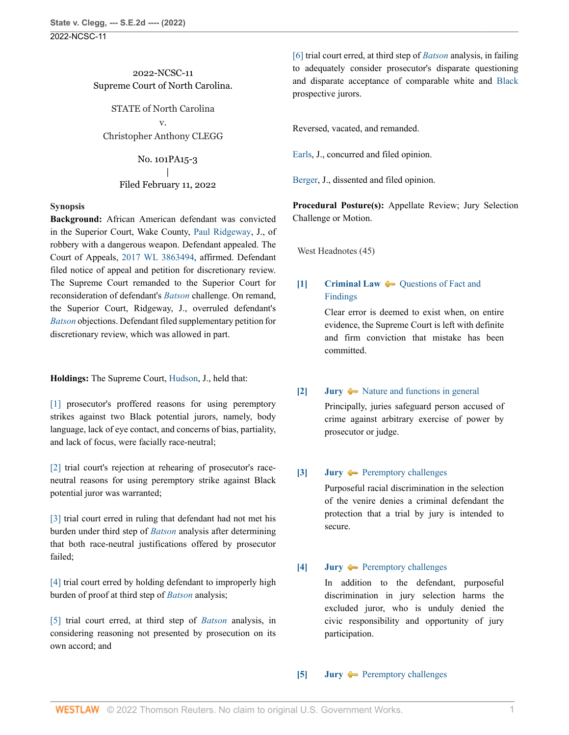2022-NCSC-11 Supreme Court of North Carolina.

STATE of North Carolina v. Christopher Anthony CLEGG

> No. 101PA15-3 | Filed February 11, 2022

#### **Synopsis**

**Background:** African American defendant was convicted in the Superior Court, Wake County, [Paul Ridgeway](http://www.westlaw.com/Link/Document/FullText?findType=h&pubNum=176284&cite=0113517701&originatingDoc=Ie49697508b7d11ec9381ff4a09a81529&refType=RQ&originationContext=document&vr=3.0&rs=cblt1.0&transitionType=DocumentItem&contextData=(sc.FindAndPrintPortal)), J., of robbery with a dangerous weapon. Defendant appealed. The Court of Appeals, [2017 WL 3863494,](http://www.westlaw.com/Link/Document/FullText?findType=Y&serNum=2042521028&pubNum=0000999&originatingDoc=Ie49697508b7d11ec9381ff4a09a81529&refType=RP&originationContext=document&vr=3.0&rs=cblt1.0&transitionType=DocumentItem&contextData=(sc.FindAndPrintPortal)) affirmed. Defendant filed notice of appeal and petition for discretionary review. The Supreme Court remanded to the Superior Court for reconsideration of defendant's *[Batson](http://www.westlaw.com/Link/Document/FullText?findType=Y&serNum=1986122459&pubNum=0000708&originatingDoc=Ie49697508b7d11ec9381ff4a09a81529&refType=RP&originationContext=document&vr=3.0&rs=cblt1.0&transitionType=DocumentItem&contextData=(sc.FindAndPrintPortal))* challenge. On remand, the Superior Court, Ridgeway, J., overruled defendant's *[Batson](http://www.westlaw.com/Link/Document/FullText?findType=Y&serNum=1986122459&pubNum=0000708&originatingDoc=Ie49697508b7d11ec9381ff4a09a81529&refType=RP&originationContext=document&vr=3.0&rs=cblt1.0&transitionType=DocumentItem&contextData=(sc.FindAndPrintPortal))* objections. Defendant filed supplementary petition for discretionary review, which was allowed in part.

**Holdings:** The Supreme Court, [Hudson](http://www.westlaw.com/Link/Document/FullText?findType=h&pubNum=176284&cite=0282300201&originatingDoc=Ie49697508b7d11ec9381ff4a09a81529&refType=RQ&originationContext=document&vr=3.0&rs=cblt1.0&transitionType=DocumentItem&contextData=(sc.FindAndPrintPortal)), J., held that:

[\[1\]](#page-3-0) prosecutor's proffered reasons for using peremptory strikes against two Black potential jurors, namely, body language, lack of eye contact, and concerns of bias, partiality, and lack of focus, were facially race-neutral;

[\[2\]](#page-4-0) trial court's rejection at rehearing of prosecutor's raceneutral reasons for using peremptory strike against Black potential juror was warranted;

[\[3\]](#page-4-1) trial court erred in ruling that defendant had not met his burden under third step of *[Batson](http://www.westlaw.com/Link/Document/FullText?findType=Y&serNum=1986122459&pubNum=0000708&originatingDoc=Ie49697508b7d11ec9381ff4a09a81529&refType=RP&originationContext=document&vr=3.0&rs=cblt1.0&transitionType=DocumentItem&contextData=(sc.FindAndPrintPortal))* analysis after determining that both race-neutral justifications offered by prosecutor failed;

[\[4\]](#page-4-2) trial court erred by holding defendant to improperly high burden of proof at third step of *[Batson](http://www.westlaw.com/Link/Document/FullText?findType=Y&serNum=1986122459&pubNum=0000708&originatingDoc=Ie49697508b7d11ec9381ff4a09a81529&refType=RP&originationContext=document&vr=3.0&rs=cblt1.0&transitionType=DocumentItem&contextData=(sc.FindAndPrintPortal))* analysis;

[\[5\]](#page-4-3) trial court erred, at third step of *[Batson](http://www.westlaw.com/Link/Document/FullText?findType=Y&serNum=1986122459&pubNum=0000708&originatingDoc=Ie49697508b7d11ec9381ff4a09a81529&refType=RP&originationContext=document&vr=3.0&rs=cblt1.0&transitionType=DocumentItem&contextData=(sc.FindAndPrintPortal))* analysis, in considering reasoning not presented by prosecution on its own accord; and

[\[6\]](#page-4-4) trial court erred, at third step of *[Batson](http://www.westlaw.com/Link/Document/FullText?findType=Y&serNum=1986122459&pubNum=0000708&originatingDoc=Ie49697508b7d11ec9381ff4a09a81529&refType=RP&originationContext=document&vr=3.0&rs=cblt1.0&transitionType=DocumentItem&contextData=(sc.FindAndPrintPortal))* analysis, in failing to adequately consider prosecutor's disparate questioning and disparate acceptance of comparable white and [Black](http://www.westlaw.com/Link/Document/FullText?findType=h&pubNum=176284&cite=0512874301&originatingDoc=Ie49697508b7d11ec9381ff4a09a81529&refType=RQ&originationContext=document&vr=3.0&rs=cblt1.0&transitionType=DocumentItem&contextData=(sc.FindAndPrintPortal)) prospective jurors.

Reversed, vacated, and remanded.

[Earls,](http://www.westlaw.com/Link/Document/FullText?findType=h&pubNum=176284&cite=0514980701&originatingDoc=Ie49697508b7d11ec9381ff4a09a81529&refType=RQ&originationContext=document&vr=3.0&rs=cblt1.0&transitionType=DocumentItem&contextData=(sc.FindAndPrintPortal)) J., concurred and filed opinion.

[Berger](http://www.westlaw.com/Link/Document/FullText?findType=h&pubNum=176284&cite=0500084899&originatingDoc=Ie49697508b7d11ec9381ff4a09a81529&refType=RQ&originationContext=document&vr=3.0&rs=cblt1.0&transitionType=DocumentItem&contextData=(sc.FindAndPrintPortal)), J., dissented and filed opinion.

**Procedural Posture(s):** Appellate Review; Jury Selection Challenge or Motion.

West Headnotes (45)

# <span id="page-0-0"></span>**[\[1\]](#page-12-0) [Criminal Law](http://www.westlaw.com/Browse/Home/KeyNumber/110/View.html?docGuid=Ie49697508b7d11ec9381ff4a09a81529&originationContext=document&vr=3.0&rs=cblt1.0&transitionType=DocumentItem&contextData=(sc.FindAndPrintPortal))**  $\rightarrow$  [Questions of Fact and](http://www.westlaw.com/Browse/Home/KeyNumber/110XXIV(O)/View.html?docGuid=Ie49697508b7d11ec9381ff4a09a81529&originationContext=document&vr=3.0&rs=cblt1.0&transitionType=DocumentItem&contextData=(sc.FindAndPrintPortal)) [Findings](http://www.westlaw.com/Browse/Home/KeyNumber/110XXIV(O)/View.html?docGuid=Ie49697508b7d11ec9381ff4a09a81529&originationContext=document&vr=3.0&rs=cblt1.0&transitionType=DocumentItem&contextData=(sc.FindAndPrintPortal))

Clear error is deemed to exist when, on entire evidence, the Supreme Court is left with definite and firm conviction that mistake has been committed.

# <span id="page-0-1"></span>**[\[2\]](#page-12-1) [Jury](http://www.westlaw.com/Browse/Home/KeyNumber/230/View.html?docGuid=Ie49697508b7d11ec9381ff4a09a81529&originationContext=document&vr=3.0&rs=cblt1.0&transitionType=DocumentItem&contextData=(sc.FindAndPrintPortal))**  $\rightarrow$  [Nature and functions in general](http://www.westlaw.com/Browse/Home/KeyNumber/230k1/View.html?docGuid=Ie49697508b7d11ec9381ff4a09a81529&originationContext=document&vr=3.0&rs=cblt1.0&transitionType=DocumentItem&contextData=(sc.FindAndPrintPortal))

Principally, juries safeguard person accused of crime against arbitrary exercise of power by prosecutor or judge.

#### <span id="page-0-2"></span>**[\[3\]](#page-12-2) [Jury](http://www.westlaw.com/Browse/Home/KeyNumber/230/View.html?docGuid=Ie49697508b7d11ec9381ff4a09a81529&originationContext=document&vr=3.0&rs=cblt1.0&transitionType=DocumentItem&contextData=(sc.FindAndPrintPortal))**  $\rightarrow$  [Peremptory challenges](http://www.westlaw.com/Browse/Home/KeyNumber/230k33(5.15)/View.html?docGuid=Ie49697508b7d11ec9381ff4a09a81529&originationContext=document&vr=3.0&rs=cblt1.0&transitionType=DocumentItem&contextData=(sc.FindAndPrintPortal))

Purposeful racial discrimination in the selection of the venire denies a criminal defendant the protection that a trial by jury is intended to secure.

#### <span id="page-0-3"></span>**[\[4\]](#page-12-3) [Jury](http://www.westlaw.com/Browse/Home/KeyNumber/230/View.html?docGuid=Ie49697508b7d11ec9381ff4a09a81529&originationContext=document&vr=3.0&rs=cblt1.0&transitionType=DocumentItem&contextData=(sc.FindAndPrintPortal))**  $\rightarrow$  [Peremptory challenges](http://www.westlaw.com/Browse/Home/KeyNumber/230k33(5.15)/View.html?docGuid=Ie49697508b7d11ec9381ff4a09a81529&originationContext=document&vr=3.0&rs=cblt1.0&transitionType=DocumentItem&contextData=(sc.FindAndPrintPortal))

In addition to the defendant, purposeful discrimination in jury selection harms the excluded juror, who is unduly denied the civic responsibility and opportunity of jury participation.

#### <span id="page-0-4"></span>**[\[5\]](#page-12-4) [Jury](http://www.westlaw.com/Browse/Home/KeyNumber/230/View.html?docGuid=Ie49697508b7d11ec9381ff4a09a81529&originationContext=document&vr=3.0&rs=cblt1.0&transitionType=DocumentItem&contextData=(sc.FindAndPrintPortal))**  $\rightarrow$  [Peremptory challenges](http://www.westlaw.com/Browse/Home/KeyNumber/230k33(5.15)/View.html?docGuid=Ie49697508b7d11ec9381ff4a09a81529&originationContext=document&vr=3.0&rs=cblt1.0&transitionType=DocumentItem&contextData=(sc.FindAndPrintPortal))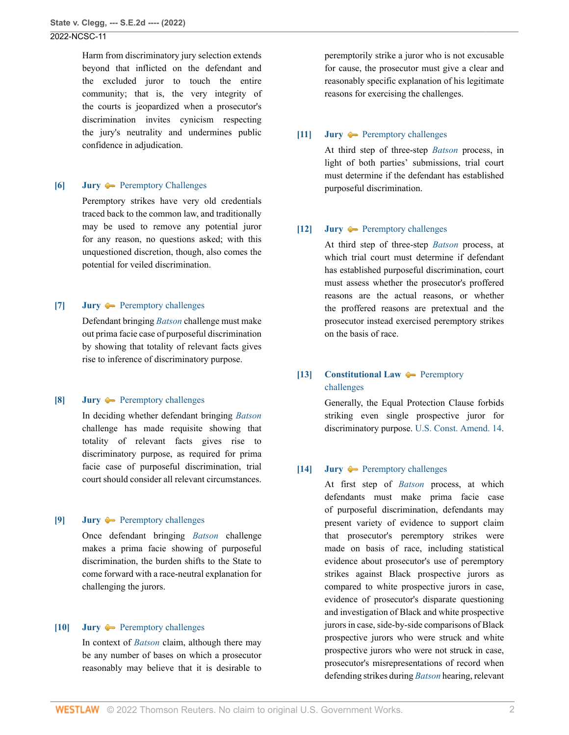Harm from discriminatory jury selection extends beyond that inflicted on the defendant and the excluded juror to touch the entire community; that is, the very integrity of the courts is jeopardized when a prosecutor's discrimination invites cynicism respecting the jury's neutrality and undermines public confidence in adjudication.

#### <span id="page-1-0"></span>**[\[6\]](#page-12-5) [Jury](http://www.westlaw.com/Browse/Home/KeyNumber/230/View.html?docGuid=Ie49697508b7d11ec9381ff4a09a81529&originationContext=document&vr=3.0&rs=cblt1.0&transitionType=DocumentItem&contextData=(sc.FindAndPrintPortal)) [Peremptory Challenges](http://www.westlaw.com/Browse/Home/KeyNumber/230k134/View.html?docGuid=Ie49697508b7d11ec9381ff4a09a81529&originationContext=document&vr=3.0&rs=cblt1.0&transitionType=DocumentItem&contextData=(sc.FindAndPrintPortal))**

Peremptory strikes have very old credentials traced back to the common law, and traditionally may be used to remove any potential juror for any reason, no questions asked; with this unquestioned discretion, though, also comes the potential for veiled discrimination.

# <span id="page-1-1"></span>**[\[7\]](#page-13-0) [Jury](http://www.westlaw.com/Browse/Home/KeyNumber/230/View.html?docGuid=Ie49697508b7d11ec9381ff4a09a81529&originationContext=document&vr=3.0&rs=cblt1.0&transitionType=DocumentItem&contextData=(sc.FindAndPrintPortal)) [Peremptory challenges](http://www.westlaw.com/Browse/Home/KeyNumber/230k33(5.15)/View.html?docGuid=Ie49697508b7d11ec9381ff4a09a81529&originationContext=document&vr=3.0&rs=cblt1.0&transitionType=DocumentItem&contextData=(sc.FindAndPrintPortal))**

Defendant bringing *[Batson](http://www.westlaw.com/Link/Document/FullText?findType=Y&serNum=1986122459&pubNum=0000708&originatingDoc=Ie49697508b7d11ec9381ff4a09a81529&refType=RP&originationContext=document&vr=3.0&rs=cblt1.0&transitionType=DocumentItem&contextData=(sc.FindAndPrintPortal))* challenge must make out prima facie case of purposeful discrimination by showing that totality of relevant facts gives rise to inference of discriminatory purpose.

#### <span id="page-1-2"></span>**[\[8\]](#page-13-1) [Jury](http://www.westlaw.com/Browse/Home/KeyNumber/230/View.html?docGuid=Ie49697508b7d11ec9381ff4a09a81529&originationContext=document&vr=3.0&rs=cblt1.0&transitionType=DocumentItem&contextData=(sc.FindAndPrintPortal)) [Peremptory challenges](http://www.westlaw.com/Browse/Home/KeyNumber/230k33(5.15)/View.html?docGuid=Ie49697508b7d11ec9381ff4a09a81529&originationContext=document&vr=3.0&rs=cblt1.0&transitionType=DocumentItem&contextData=(sc.FindAndPrintPortal))**

In deciding whether defendant bringing *[Batson](http://www.westlaw.com/Link/Document/FullText?findType=Y&serNum=1986122459&pubNum=0000708&originatingDoc=Ie49697508b7d11ec9381ff4a09a81529&refType=RP&originationContext=document&vr=3.0&rs=cblt1.0&transitionType=DocumentItem&contextData=(sc.FindAndPrintPortal))* challenge has made requisite showing that totality of relevant facts gives rise to discriminatory purpose, as required for prima facie case of purposeful discrimination, trial court should consider all relevant circumstances.

# <span id="page-1-3"></span>**[\[9\]](#page-13-2) [Jury](http://www.westlaw.com/Browse/Home/KeyNumber/230/View.html?docGuid=Ie49697508b7d11ec9381ff4a09a81529&originationContext=document&vr=3.0&rs=cblt1.0&transitionType=DocumentItem&contextData=(sc.FindAndPrintPortal)) [Peremptory challenges](http://www.westlaw.com/Browse/Home/KeyNumber/230k33(5.15)/View.html?docGuid=Ie49697508b7d11ec9381ff4a09a81529&originationContext=document&vr=3.0&rs=cblt1.0&transitionType=DocumentItem&contextData=(sc.FindAndPrintPortal))**

Once defendant bringing *[Batson](http://www.westlaw.com/Link/Document/FullText?findType=Y&serNum=1986122459&pubNum=0000708&originatingDoc=Ie49697508b7d11ec9381ff4a09a81529&refType=RP&originationContext=document&vr=3.0&rs=cblt1.0&transitionType=DocumentItem&contextData=(sc.FindAndPrintPortal))* challenge makes a prima facie showing of purposeful discrimination, the burden shifts to the State to come forward with a race-neutral explanation for challenging the jurors.

# <span id="page-1-4"></span>**[\[10\]](#page-13-3) [Jury](http://www.westlaw.com/Browse/Home/KeyNumber/230/View.html?docGuid=Ie49697508b7d11ec9381ff4a09a81529&originationContext=document&vr=3.0&rs=cblt1.0&transitionType=DocumentItem&contextData=(sc.FindAndPrintPortal))**  $\rightarrow$  [Peremptory challenges](http://www.westlaw.com/Browse/Home/KeyNumber/230k33(5.15)/View.html?docGuid=Ie49697508b7d11ec9381ff4a09a81529&originationContext=document&vr=3.0&rs=cblt1.0&transitionType=DocumentItem&contextData=(sc.FindAndPrintPortal))

In context of *[Batson](http://www.westlaw.com/Link/Document/FullText?findType=Y&serNum=1986122459&pubNum=0000708&originatingDoc=Ie49697508b7d11ec9381ff4a09a81529&refType=RP&originationContext=document&vr=3.0&rs=cblt1.0&transitionType=DocumentItem&contextData=(sc.FindAndPrintPortal))* claim, although there may be any number of bases on which a prosecutor reasonably may believe that it is desirable to

peremptorily strike a juror who is not excusable for cause, the prosecutor must give a clear and reasonably specific explanation of his legitimate reasons for exercising the challenges.

# <span id="page-1-5"></span>**[\[11\]](#page-13-4) [Jury](http://www.westlaw.com/Browse/Home/KeyNumber/230/View.html?docGuid=Ie49697508b7d11ec9381ff4a09a81529&originationContext=document&vr=3.0&rs=cblt1.0&transitionType=DocumentItem&contextData=(sc.FindAndPrintPortal))**  $\rightarrow$  [Peremptory challenges](http://www.westlaw.com/Browse/Home/KeyNumber/230k33(5.15)/View.html?docGuid=Ie49697508b7d11ec9381ff4a09a81529&originationContext=document&vr=3.0&rs=cblt1.0&transitionType=DocumentItem&contextData=(sc.FindAndPrintPortal))

At third step of three-step *[Batson](http://www.westlaw.com/Link/Document/FullText?findType=Y&serNum=1986122459&pubNum=0000708&originatingDoc=Ie49697508b7d11ec9381ff4a09a81529&refType=RP&originationContext=document&vr=3.0&rs=cblt1.0&transitionType=DocumentItem&contextData=(sc.FindAndPrintPortal))* process, in light of both parties' submissions, trial court must determine if the defendant has established purposeful discrimination.

# <span id="page-1-6"></span>**[\[12\]](#page-13-5) [Jury](http://www.westlaw.com/Browse/Home/KeyNumber/230/View.html?docGuid=Ie49697508b7d11ec9381ff4a09a81529&originationContext=document&vr=3.0&rs=cblt1.0&transitionType=DocumentItem&contextData=(sc.FindAndPrintPortal)) [Peremptory challenges](http://www.westlaw.com/Browse/Home/KeyNumber/230k33(5.15)/View.html?docGuid=Ie49697508b7d11ec9381ff4a09a81529&originationContext=document&vr=3.0&rs=cblt1.0&transitionType=DocumentItem&contextData=(sc.FindAndPrintPortal))**

At third step of three-step *[Batson](http://www.westlaw.com/Link/Document/FullText?findType=Y&serNum=1986122459&pubNum=0000708&originatingDoc=Ie49697508b7d11ec9381ff4a09a81529&refType=RP&originationContext=document&vr=3.0&rs=cblt1.0&transitionType=DocumentItem&contextData=(sc.FindAndPrintPortal))* process, at which trial court must determine if defendant has established purposeful discrimination, court must assess whether the prosecutor's proffered reasons are the actual reasons, or whether the proffered reasons are pretextual and the prosecutor instead exercised peremptory strikes on the basis of race.

# <span id="page-1-7"></span>**[\[13\]](#page-13-6) [Constitutional Law](http://www.westlaw.com/Browse/Home/KeyNumber/92/View.html?docGuid=Ie49697508b7d11ec9381ff4a09a81529&originationContext=document&vr=3.0&rs=cblt1.0&transitionType=DocumentItem&contextData=(sc.FindAndPrintPortal)) [Peremptory](http://www.westlaw.com/Browse/Home/KeyNumber/92k3832/View.html?docGuid=Ie49697508b7d11ec9381ff4a09a81529&originationContext=document&vr=3.0&rs=cblt1.0&transitionType=DocumentItem&contextData=(sc.FindAndPrintPortal))** [challenges](http://www.westlaw.com/Browse/Home/KeyNumber/92k3832/View.html?docGuid=Ie49697508b7d11ec9381ff4a09a81529&originationContext=document&vr=3.0&rs=cblt1.0&transitionType=DocumentItem&contextData=(sc.FindAndPrintPortal))

Generally, the Equal Protection Clause forbids striking even single prospective juror for discriminatory purpose. [U.S. Const. Amend. 14.](http://www.westlaw.com/Link/Document/FullText?findType=L&pubNum=1000583&cite=USCOAMENDXIV&originatingDoc=Ie49697508b7d11ec9381ff4a09a81529&refType=LQ&originationContext=document&vr=3.0&rs=cblt1.0&transitionType=DocumentItem&contextData=(sc.FindAndPrintPortal))

# <span id="page-1-8"></span>**[\[14\]](#page-13-7) [Jury](http://www.westlaw.com/Browse/Home/KeyNumber/230/View.html?docGuid=Ie49697508b7d11ec9381ff4a09a81529&originationContext=document&vr=3.0&rs=cblt1.0&transitionType=DocumentItem&contextData=(sc.FindAndPrintPortal))**  $\rightarrow$  [Peremptory challenges](http://www.westlaw.com/Browse/Home/KeyNumber/230k33(5.15)/View.html?docGuid=Ie49697508b7d11ec9381ff4a09a81529&originationContext=document&vr=3.0&rs=cblt1.0&transitionType=DocumentItem&contextData=(sc.FindAndPrintPortal))

At first step of *[Batson](http://www.westlaw.com/Link/Document/FullText?findType=Y&serNum=1986122459&pubNum=0000708&originatingDoc=Ie49697508b7d11ec9381ff4a09a81529&refType=RP&originationContext=document&vr=3.0&rs=cblt1.0&transitionType=DocumentItem&contextData=(sc.FindAndPrintPortal))* process, at which defendants must make prima facie case of purposeful discrimination, defendants may present variety of evidence to support claim that prosecutor's peremptory strikes were made on basis of race, including statistical evidence about prosecutor's use of peremptory strikes against Black prospective jurors as compared to white prospective jurors in case, evidence of prosecutor's disparate questioning and investigation of Black and white prospective jurors in case, side-by-side comparisons of Black prospective jurors who were struck and white prospective jurors who were not struck in case, prosecutor's misrepresentations of record when defending strikes during *[Batson](http://www.westlaw.com/Link/Document/FullText?findType=Y&serNum=1986122459&pubNum=0000708&originatingDoc=Ie49697508b7d11ec9381ff4a09a81529&refType=RP&originationContext=document&vr=3.0&rs=cblt1.0&transitionType=DocumentItem&contextData=(sc.FindAndPrintPortal))* hearing, relevant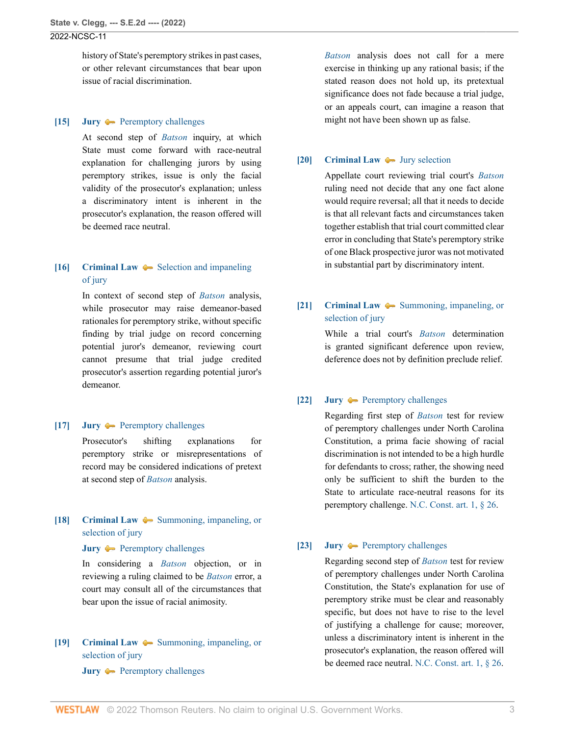history of State's peremptory strikes in past cases, or other relevant circumstances that bear upon issue of racial discrimination.

## <span id="page-2-0"></span>**[\[15\]](#page-14-0) [Jury](http://www.westlaw.com/Browse/Home/KeyNumber/230/View.html?docGuid=Ie49697508b7d11ec9381ff4a09a81529&originationContext=document&vr=3.0&rs=cblt1.0&transitionType=DocumentItem&contextData=(sc.FindAndPrintPortal))**  $\rightarrow$  [Peremptory challenges](http://www.westlaw.com/Browse/Home/KeyNumber/230k33(5.15)/View.html?docGuid=Ie49697508b7d11ec9381ff4a09a81529&originationContext=document&vr=3.0&rs=cblt1.0&transitionType=DocumentItem&contextData=(sc.FindAndPrintPortal))

At second step of *[Batson](http://www.westlaw.com/Link/Document/FullText?findType=Y&serNum=1986122459&pubNum=0000708&originatingDoc=Ie49697508b7d11ec9381ff4a09a81529&refType=RP&originationContext=document&vr=3.0&rs=cblt1.0&transitionType=DocumentItem&contextData=(sc.FindAndPrintPortal))* inquiry, at which State must come forward with race-neutral explanation for challenging jurors by using peremptory strikes, issue is only the facial validity of the prosecutor's explanation; unless a discriminatory intent is inherent in the prosecutor's explanation, the reason offered will be deemed race neutral.

# <span id="page-2-1"></span>**[\[16\]](#page-14-1) [Criminal Law](http://www.westlaw.com/Browse/Home/KeyNumber/110/View.html?docGuid=Ie49697508b7d11ec9381ff4a09a81529&originationContext=document&vr=3.0&rs=cblt1.0&transitionType=DocumentItem&contextData=(sc.FindAndPrintPortal))**  $\blacktriangleright$  [Selection and impaneling](http://www.westlaw.com/Browse/Home/KeyNumber/110k1144.8/View.html?docGuid=Ie49697508b7d11ec9381ff4a09a81529&originationContext=document&vr=3.0&rs=cblt1.0&transitionType=DocumentItem&contextData=(sc.FindAndPrintPortal)) [of jury](http://www.westlaw.com/Browse/Home/KeyNumber/110k1144.8/View.html?docGuid=Ie49697508b7d11ec9381ff4a09a81529&originationContext=document&vr=3.0&rs=cblt1.0&transitionType=DocumentItem&contextData=(sc.FindAndPrintPortal))

In context of second step of *[Batson](http://www.westlaw.com/Link/Document/FullText?findType=Y&serNum=1986122459&pubNum=0000708&originatingDoc=Ie49697508b7d11ec9381ff4a09a81529&refType=RP&originationContext=document&vr=3.0&rs=cblt1.0&transitionType=DocumentItem&contextData=(sc.FindAndPrintPortal))* analysis, while prosecutor may raise demeanor-based rationales for peremptory strike, without specific finding by trial judge on record concerning potential juror's demeanor, reviewing court cannot presume that trial judge credited prosecutor's assertion regarding potential juror's demeanor.

# <span id="page-2-2"></span>**[\[17\]](#page-14-2) [Jury](http://www.westlaw.com/Browse/Home/KeyNumber/230/View.html?docGuid=Ie49697508b7d11ec9381ff4a09a81529&originationContext=document&vr=3.0&rs=cblt1.0&transitionType=DocumentItem&contextData=(sc.FindAndPrintPortal)) —** [Peremptory challenges](http://www.westlaw.com/Browse/Home/KeyNumber/230k33(5.15)/View.html?docGuid=Ie49697508b7d11ec9381ff4a09a81529&originationContext=document&vr=3.0&rs=cblt1.0&transitionType=DocumentItem&contextData=(sc.FindAndPrintPortal))

Prosecutor's shifting explanations for peremptory strike or misrepresentations of record may be considered indications of pretext at second step of *[Batson](http://www.westlaw.com/Link/Document/FullText?findType=Y&serNum=1986122459&pubNum=0000708&originatingDoc=Ie49697508b7d11ec9381ff4a09a81529&refType=RP&originationContext=document&vr=3.0&rs=cblt1.0&transitionType=DocumentItem&contextData=(sc.FindAndPrintPortal))* analysis.

# <span id="page-2-3"></span>**[\[18\]](#page-14-3) [Criminal Law](http://www.westlaw.com/Browse/Home/KeyNumber/110/View.html?docGuid=Ie49697508b7d11ec9381ff4a09a81529&originationContext=document&vr=3.0&rs=cblt1.0&transitionType=DocumentItem&contextData=(sc.FindAndPrintPortal))**  $\blacklozenge$  [Summoning, impaneling, or](http://www.westlaw.com/Browse/Home/KeyNumber/110k1134.7/View.html?docGuid=Ie49697508b7d11ec9381ff4a09a81529&originationContext=document&vr=3.0&rs=cblt1.0&transitionType=DocumentItem&contextData=(sc.FindAndPrintPortal)) [selection of jury](http://www.westlaw.com/Browse/Home/KeyNumber/110k1134.7/View.html?docGuid=Ie49697508b7d11ec9381ff4a09a81529&originationContext=document&vr=3.0&rs=cblt1.0&transitionType=DocumentItem&contextData=(sc.FindAndPrintPortal))

#### **[Jury](http://www.westlaw.com/Browse/Home/KeyNumber/230/View.html?docGuid=Ie49697508b7d11ec9381ff4a09a81529&originationContext=document&vr=3.0&rs=cblt1.0&transitionType=DocumentItem&contextData=(sc.FindAndPrintPortal)) e** [Peremptory challenges](http://www.westlaw.com/Browse/Home/KeyNumber/230k33(5.15)/View.html?docGuid=Ie49697508b7d11ec9381ff4a09a81529&originationContext=document&vr=3.0&rs=cblt1.0&transitionType=DocumentItem&contextData=(sc.FindAndPrintPortal))

In considering a *[Batson](http://www.westlaw.com/Link/Document/FullText?findType=Y&serNum=1986122459&pubNum=0000708&originatingDoc=Ie49697508b7d11ec9381ff4a09a81529&refType=RP&originationContext=document&vr=3.0&rs=cblt1.0&transitionType=DocumentItem&contextData=(sc.FindAndPrintPortal))* objection, or in reviewing a ruling claimed to be *[Batson](http://www.westlaw.com/Link/Document/FullText?findType=Y&serNum=1986122459&pubNum=0000708&originatingDoc=Ie49697508b7d11ec9381ff4a09a81529&refType=RP&originationContext=document&vr=3.0&rs=cblt1.0&transitionType=DocumentItem&contextData=(sc.FindAndPrintPortal))* error, a court may consult all of the circumstances that bear upon the issue of racial animosity.

<span id="page-2-4"></span>**[\[19\]](#page-14-4) [Criminal Law](http://www.westlaw.com/Browse/Home/KeyNumber/110/View.html?docGuid=Ie49697508b7d11ec9381ff4a09a81529&originationContext=document&vr=3.0&rs=cblt1.0&transitionType=DocumentItem&contextData=(sc.FindAndPrintPortal))**  $\bullet\bullet$  [Summoning, impaneling, or](http://www.westlaw.com/Browse/Home/KeyNumber/110k1134.38/View.html?docGuid=Ie49697508b7d11ec9381ff4a09a81529&originationContext=document&vr=3.0&rs=cblt1.0&transitionType=DocumentItem&contextData=(sc.FindAndPrintPortal)) [selection of jury](http://www.westlaw.com/Browse/Home/KeyNumber/110k1134.38/View.html?docGuid=Ie49697508b7d11ec9381ff4a09a81529&originationContext=document&vr=3.0&rs=cblt1.0&transitionType=DocumentItem&contextData=(sc.FindAndPrintPortal))

**[Jury](http://www.westlaw.com/Browse/Home/KeyNumber/230/View.html?docGuid=Ie49697508b7d11ec9381ff4a09a81529&originationContext=document&vr=3.0&rs=cblt1.0&transitionType=DocumentItem&contextData=(sc.FindAndPrintPortal)) [Peremptory challenges](http://www.westlaw.com/Browse/Home/KeyNumber/230k33(5.15)/View.html?docGuid=Ie49697508b7d11ec9381ff4a09a81529&originationContext=document&vr=3.0&rs=cblt1.0&transitionType=DocumentItem&contextData=(sc.FindAndPrintPortal))** 

*[Batson](http://www.westlaw.com/Link/Document/FullText?findType=Y&serNum=1986122459&pubNum=0000708&originatingDoc=Ie49697508b7d11ec9381ff4a09a81529&refType=RP&originationContext=document&vr=3.0&rs=cblt1.0&transitionType=DocumentItem&contextData=(sc.FindAndPrintPortal))* analysis does not call for a mere exercise in thinking up any rational basis; if the stated reason does not hold up, its pretextual significance does not fade because a trial judge, or an appeals court, can imagine a reason that might not have been shown up as false.

## <span id="page-2-5"></span>**[\[20\]](#page-14-5) [Criminal Law](http://www.westlaw.com/Browse/Home/KeyNumber/110/View.html?docGuid=Ie49697508b7d11ec9381ff4a09a81529&originationContext=document&vr=3.0&rs=cblt1.0&transitionType=DocumentItem&contextData=(sc.FindAndPrintPortal))**  $\rightarrow$  [Jury selection](http://www.westlaw.com/Browse/Home/KeyNumber/110k1158.17/View.html?docGuid=Ie49697508b7d11ec9381ff4a09a81529&originationContext=document&vr=3.0&rs=cblt1.0&transitionType=DocumentItem&contextData=(sc.FindAndPrintPortal))

Appellate court reviewing trial court's *[Batson](http://www.westlaw.com/Link/Document/FullText?findType=Y&serNum=1986122459&pubNum=0000708&originatingDoc=Ie49697508b7d11ec9381ff4a09a81529&refType=RP&originationContext=document&vr=3.0&rs=cblt1.0&transitionType=DocumentItem&contextData=(sc.FindAndPrintPortal))* ruling need not decide that any one fact alone would require reversal; all that it needs to decide is that all relevant facts and circumstances taken together establish that trial court committed clear error in concluding that State's peremptory strike of one Black prospective juror was not motivated in substantial part by discriminatory intent.

<span id="page-2-6"></span>**[\[21\]](#page-14-6) [Criminal Law](http://www.westlaw.com/Browse/Home/KeyNumber/110/View.html?docGuid=Ie49697508b7d11ec9381ff4a09a81529&originationContext=document&vr=3.0&rs=cblt1.0&transitionType=DocumentItem&contextData=(sc.FindAndPrintPortal))**  $\blacklozenge$  [Summoning, impaneling, or](http://www.westlaw.com/Browse/Home/KeyNumber/110k1134.38/View.html?docGuid=Ie49697508b7d11ec9381ff4a09a81529&originationContext=document&vr=3.0&rs=cblt1.0&transitionType=DocumentItem&contextData=(sc.FindAndPrintPortal)) [selection of jury](http://www.westlaw.com/Browse/Home/KeyNumber/110k1134.38/View.html?docGuid=Ie49697508b7d11ec9381ff4a09a81529&originationContext=document&vr=3.0&rs=cblt1.0&transitionType=DocumentItem&contextData=(sc.FindAndPrintPortal))

> While a trial court's *[Batson](http://www.westlaw.com/Link/Document/FullText?findType=Y&serNum=1986122459&pubNum=0000708&originatingDoc=Ie49697508b7d11ec9381ff4a09a81529&refType=RP&originationContext=document&vr=3.0&rs=cblt1.0&transitionType=DocumentItem&contextData=(sc.FindAndPrintPortal))* determination is granted significant deference upon review, deference does not by definition preclude relief.

# <span id="page-2-7"></span>**[\[22\]](#page-14-7) [Jury](http://www.westlaw.com/Browse/Home/KeyNumber/230/View.html?docGuid=Ie49697508b7d11ec9381ff4a09a81529&originationContext=document&vr=3.0&rs=cblt1.0&transitionType=DocumentItem&contextData=(sc.FindAndPrintPortal)) [Peremptory challenges](http://www.westlaw.com/Browse/Home/KeyNumber/230k33(5.15)/View.html?docGuid=Ie49697508b7d11ec9381ff4a09a81529&originationContext=document&vr=3.0&rs=cblt1.0&transitionType=DocumentItem&contextData=(sc.FindAndPrintPortal))**

Regarding first step of *[Batson](http://www.westlaw.com/Link/Document/FullText?findType=Y&serNum=1986122459&pubNum=0000708&originatingDoc=Ie49697508b7d11ec9381ff4a09a81529&refType=RP&originationContext=document&vr=3.0&rs=cblt1.0&transitionType=DocumentItem&contextData=(sc.FindAndPrintPortal))* test for review of peremptory challenges under North Carolina Constitution, a prima facie showing of racial discrimination is not intended to be a high hurdle for defendants to cross; rather, the showing need only be sufficient to shift the burden to the State to articulate race-neutral reasons for its peremptory challenge. [N.C. Const. art. 1, § 26](http://www.westlaw.com/Link/Document/FullText?findType=L&pubNum=1000501&cite=NCCNARTIS26&originatingDoc=Ie49697508b7d11ec9381ff4a09a81529&refType=LQ&originationContext=document&vr=3.0&rs=cblt1.0&transitionType=DocumentItem&contextData=(sc.FindAndPrintPortal)).

# <span id="page-2-8"></span>**[\[23\]](#page-14-8) [Jury](http://www.westlaw.com/Browse/Home/KeyNumber/230/View.html?docGuid=Ie49697508b7d11ec9381ff4a09a81529&originationContext=document&vr=3.0&rs=cblt1.0&transitionType=DocumentItem&contextData=(sc.FindAndPrintPortal))**  $\rightarrow$  [Peremptory challenges](http://www.westlaw.com/Browse/Home/KeyNumber/230k33(5.15)/View.html?docGuid=Ie49697508b7d11ec9381ff4a09a81529&originationContext=document&vr=3.0&rs=cblt1.0&transitionType=DocumentItem&contextData=(sc.FindAndPrintPortal))

Regarding second step of *[Batson](http://www.westlaw.com/Link/Document/FullText?findType=Y&serNum=1986122459&pubNum=0000708&originatingDoc=Ie49697508b7d11ec9381ff4a09a81529&refType=RP&originationContext=document&vr=3.0&rs=cblt1.0&transitionType=DocumentItem&contextData=(sc.FindAndPrintPortal))* test for review of peremptory challenges under North Carolina Constitution, the State's explanation for use of peremptory strike must be clear and reasonably specific, but does not have to rise to the level of justifying a challenge for cause; moreover, unless a discriminatory intent is inherent in the prosecutor's explanation, the reason offered will be deemed race neutral. [N.C. Const. art. 1, § 26.](http://www.westlaw.com/Link/Document/FullText?findType=L&pubNum=1000501&cite=NCCNARTIS26&originatingDoc=Ie49697508b7d11ec9381ff4a09a81529&refType=LQ&originationContext=document&vr=3.0&rs=cblt1.0&transitionType=DocumentItem&contextData=(sc.FindAndPrintPortal))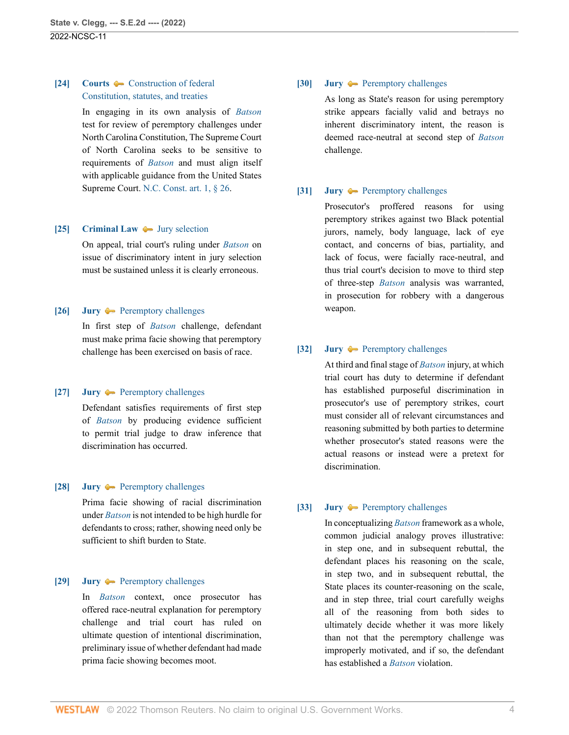# <span id="page-3-1"></span>**[\[24\]](#page-14-9) [Courts](http://www.westlaw.com/Browse/Home/KeyNumber/106/View.html?docGuid=Ie49697508b7d11ec9381ff4a09a81529&originationContext=document&vr=3.0&rs=cblt1.0&transitionType=DocumentItem&contextData=(sc.FindAndPrintPortal))**  $\bullet$  **[Construction of federal](http://www.westlaw.com/Browse/Home/KeyNumber/106k97(5)/View.html?docGuid=Ie49697508b7d11ec9381ff4a09a81529&originationContext=document&vr=3.0&rs=cblt1.0&transitionType=DocumentItem&contextData=(sc.FindAndPrintPortal))** [Constitution, statutes, and treaties](http://www.westlaw.com/Browse/Home/KeyNumber/106k97(5)/View.html?docGuid=Ie49697508b7d11ec9381ff4a09a81529&originationContext=document&vr=3.0&rs=cblt1.0&transitionType=DocumentItem&contextData=(sc.FindAndPrintPortal))

In engaging in its own analysis of *[Batson](http://www.westlaw.com/Link/Document/FullText?findType=Y&serNum=1986122459&pubNum=0000708&originatingDoc=Ie49697508b7d11ec9381ff4a09a81529&refType=RP&originationContext=document&vr=3.0&rs=cblt1.0&transitionType=DocumentItem&contextData=(sc.FindAndPrintPortal))* test for review of peremptory challenges under North Carolina Constitution, The Supreme Court of North Carolina seeks to be sensitive to requirements of *[Batson](http://www.westlaw.com/Link/Document/FullText?findType=Y&serNum=1986122459&pubNum=0000708&originatingDoc=Ie49697508b7d11ec9381ff4a09a81529&refType=RP&originationContext=document&vr=3.0&rs=cblt1.0&transitionType=DocumentItem&contextData=(sc.FindAndPrintPortal))* and must align itself with applicable guidance from the United States Supreme Court. [N.C. Const. art. 1, § 26](http://www.westlaw.com/Link/Document/FullText?findType=L&pubNum=1000501&cite=NCCNARTIS26&originatingDoc=Ie49697508b7d11ec9381ff4a09a81529&refType=LQ&originationContext=document&vr=3.0&rs=cblt1.0&transitionType=DocumentItem&contextData=(sc.FindAndPrintPortal)).

# <span id="page-3-2"></span>**[\[25\]](#page-14-10) [Criminal Law](http://www.westlaw.com/Browse/Home/KeyNumber/110/View.html?docGuid=Ie49697508b7d11ec9381ff4a09a81529&originationContext=document&vr=3.0&rs=cblt1.0&transitionType=DocumentItem&contextData=(sc.FindAndPrintPortal))**  $\bullet$  [Jury selection](http://www.westlaw.com/Browse/Home/KeyNumber/110k1158.17/View.html?docGuid=Ie49697508b7d11ec9381ff4a09a81529&originationContext=document&vr=3.0&rs=cblt1.0&transitionType=DocumentItem&contextData=(sc.FindAndPrintPortal))

On appeal, trial court's ruling under *[Batson](http://www.westlaw.com/Link/Document/FullText?findType=Y&serNum=1986122459&pubNum=0000708&originatingDoc=Ie49697508b7d11ec9381ff4a09a81529&refType=RP&originationContext=document&vr=3.0&rs=cblt1.0&transitionType=DocumentItem&contextData=(sc.FindAndPrintPortal))* on issue of discriminatory intent in jury selection must be sustained unless it is clearly erroneous.

#### <span id="page-3-3"></span>**[\[26\]](#page-15-0) [Jury](http://www.westlaw.com/Browse/Home/KeyNumber/230/View.html?docGuid=Ie49697508b7d11ec9381ff4a09a81529&originationContext=document&vr=3.0&rs=cblt1.0&transitionType=DocumentItem&contextData=(sc.FindAndPrintPortal))**  $\rightarrow$  [Peremptory challenges](http://www.westlaw.com/Browse/Home/KeyNumber/230k33(5.15)/View.html?docGuid=Ie49697508b7d11ec9381ff4a09a81529&originationContext=document&vr=3.0&rs=cblt1.0&transitionType=DocumentItem&contextData=(sc.FindAndPrintPortal))

In first step of *[Batson](http://www.westlaw.com/Link/Document/FullText?findType=Y&serNum=1986122459&pubNum=0000708&originatingDoc=Ie49697508b7d11ec9381ff4a09a81529&refType=RP&originationContext=document&vr=3.0&rs=cblt1.0&transitionType=DocumentItem&contextData=(sc.FindAndPrintPortal))* challenge, defendant must make prima facie showing that peremptory challenge has been exercised on basis of race.

# <span id="page-3-4"></span>**[\[27\]](#page-15-1) [Jury](http://www.westlaw.com/Browse/Home/KeyNumber/230/View.html?docGuid=Ie49697508b7d11ec9381ff4a09a81529&originationContext=document&vr=3.0&rs=cblt1.0&transitionType=DocumentItem&contextData=(sc.FindAndPrintPortal)) A** [Peremptory challenges](http://www.westlaw.com/Browse/Home/KeyNumber/230k33(5.15)/View.html?docGuid=Ie49697508b7d11ec9381ff4a09a81529&originationContext=document&vr=3.0&rs=cblt1.0&transitionType=DocumentItem&contextData=(sc.FindAndPrintPortal))

Defendant satisfies requirements of first step of *[Batson](http://www.westlaw.com/Link/Document/FullText?findType=Y&serNum=1986122459&pubNum=0000708&originatingDoc=Ie49697508b7d11ec9381ff4a09a81529&refType=RP&originationContext=document&vr=3.0&rs=cblt1.0&transitionType=DocumentItem&contextData=(sc.FindAndPrintPortal))* by producing evidence sufficient to permit trial judge to draw inference that discrimination has occurred.

#### <span id="page-3-5"></span>**[\[28\]](#page-15-2) [Jury](http://www.westlaw.com/Browse/Home/KeyNumber/230/View.html?docGuid=Ie49697508b7d11ec9381ff4a09a81529&originationContext=document&vr=3.0&rs=cblt1.0&transitionType=DocumentItem&contextData=(sc.FindAndPrintPortal)) [Peremptory challenges](http://www.westlaw.com/Browse/Home/KeyNumber/230k33(5.15)/View.html?docGuid=Ie49697508b7d11ec9381ff4a09a81529&originationContext=document&vr=3.0&rs=cblt1.0&transitionType=DocumentItem&contextData=(sc.FindAndPrintPortal))**

Prima facie showing of racial discrimination under *[Batson](http://www.westlaw.com/Link/Document/FullText?findType=Y&serNum=1986122459&pubNum=0000708&originatingDoc=Ie49697508b7d11ec9381ff4a09a81529&refType=RP&originationContext=document&vr=3.0&rs=cblt1.0&transitionType=DocumentItem&contextData=(sc.FindAndPrintPortal))* is not intended to be high hurdle for defendants to cross; rather, showing need only be sufficient to shift burden to State.

# <span id="page-3-6"></span>**[\[29\]](#page-15-3) [Jury](http://www.westlaw.com/Browse/Home/KeyNumber/230/View.html?docGuid=Ie49697508b7d11ec9381ff4a09a81529&originationContext=document&vr=3.0&rs=cblt1.0&transitionType=DocumentItem&contextData=(sc.FindAndPrintPortal)) [Peremptory challenges](http://www.westlaw.com/Browse/Home/KeyNumber/230k33(5.15)/View.html?docGuid=Ie49697508b7d11ec9381ff4a09a81529&originationContext=document&vr=3.0&rs=cblt1.0&transitionType=DocumentItem&contextData=(sc.FindAndPrintPortal))**

In *[Batson](http://www.westlaw.com/Link/Document/FullText?findType=Y&serNum=1986122459&pubNum=0000708&originatingDoc=Ie49697508b7d11ec9381ff4a09a81529&refType=RP&originationContext=document&vr=3.0&rs=cblt1.0&transitionType=DocumentItem&contextData=(sc.FindAndPrintPortal))* context, once prosecutor has offered race-neutral explanation for peremptory challenge and trial court has ruled on ultimate question of intentional discrimination, preliminary issue of whether defendant had made prima facie showing becomes moot.

#### <span id="page-3-7"></span>**[\[30\]](#page-16-0) [Jury](http://www.westlaw.com/Browse/Home/KeyNumber/230/View.html?docGuid=Ie49697508b7d11ec9381ff4a09a81529&originationContext=document&vr=3.0&rs=cblt1.0&transitionType=DocumentItem&contextData=(sc.FindAndPrintPortal)) [Peremptory challenges](http://www.westlaw.com/Browse/Home/KeyNumber/230k33(5.15)/View.html?docGuid=Ie49697508b7d11ec9381ff4a09a81529&originationContext=document&vr=3.0&rs=cblt1.0&transitionType=DocumentItem&contextData=(sc.FindAndPrintPortal))**

As long as State's reason for using peremptory strike appears facially valid and betrays no inherent discriminatory intent, the reason is deemed race-neutral at second step of *[Batson](http://www.westlaw.com/Link/Document/FullText?findType=Y&serNum=1986122459&pubNum=0000708&originatingDoc=Ie49697508b7d11ec9381ff4a09a81529&refType=RP&originationContext=document&vr=3.0&rs=cblt1.0&transitionType=DocumentItem&contextData=(sc.FindAndPrintPortal))* challenge.

#### <span id="page-3-0"></span>**[\[31\]](#page-16-1) [Jury](http://www.westlaw.com/Browse/Home/KeyNumber/230/View.html?docGuid=Ie49697508b7d11ec9381ff4a09a81529&originationContext=document&vr=3.0&rs=cblt1.0&transitionType=DocumentItem&contextData=(sc.FindAndPrintPortal)) [Peremptory challenges](http://www.westlaw.com/Browse/Home/KeyNumber/230k33(5.15)/View.html?docGuid=Ie49697508b7d11ec9381ff4a09a81529&originationContext=document&vr=3.0&rs=cblt1.0&transitionType=DocumentItem&contextData=(sc.FindAndPrintPortal))**

Prosecutor's proffered reasons for using peremptory strikes against two Black potential jurors, namely, body language, lack of eye contact, and concerns of bias, partiality, and lack of focus, were facially race-neutral, and thus trial court's decision to move to third step of three-step *[Batson](http://www.westlaw.com/Link/Document/FullText?findType=Y&serNum=1986122459&pubNum=0000708&originatingDoc=Ie49697508b7d11ec9381ff4a09a81529&refType=RP&originationContext=document&vr=3.0&rs=cblt1.0&transitionType=DocumentItem&contextData=(sc.FindAndPrintPortal))* analysis was warranted, in prosecution for robbery with a dangerous weapon.

#### <span id="page-3-8"></span>**[\[32\]](#page-17-0) [Jury](http://www.westlaw.com/Browse/Home/KeyNumber/230/View.html?docGuid=Ie49697508b7d11ec9381ff4a09a81529&originationContext=document&vr=3.0&rs=cblt1.0&transitionType=DocumentItem&contextData=(sc.FindAndPrintPortal)) A** [Peremptory challenges](http://www.westlaw.com/Browse/Home/KeyNumber/230k33(5.15)/View.html?docGuid=Ie49697508b7d11ec9381ff4a09a81529&originationContext=document&vr=3.0&rs=cblt1.0&transitionType=DocumentItem&contextData=(sc.FindAndPrintPortal))

At third and final stage of *[Batson](http://www.westlaw.com/Link/Document/FullText?findType=Y&serNum=1986122459&pubNum=0000708&originatingDoc=Ie49697508b7d11ec9381ff4a09a81529&refType=RP&originationContext=document&vr=3.0&rs=cblt1.0&transitionType=DocumentItem&contextData=(sc.FindAndPrintPortal))* injury, at which trial court has duty to determine if defendant has established purposeful discrimination in prosecutor's use of peremptory strikes, court must consider all of relevant circumstances and reasoning submitted by both parties to determine whether prosecutor's stated reasons were the actual reasons or instead were a pretext for discrimination.

#### <span id="page-3-9"></span>**[\[33\]](#page-17-1) [Jury](http://www.westlaw.com/Browse/Home/KeyNumber/230/View.html?docGuid=Ie49697508b7d11ec9381ff4a09a81529&originationContext=document&vr=3.0&rs=cblt1.0&transitionType=DocumentItem&contextData=(sc.FindAndPrintPortal)) -** [Peremptory challenges](http://www.westlaw.com/Browse/Home/KeyNumber/230k33(5.15)/View.html?docGuid=Ie49697508b7d11ec9381ff4a09a81529&originationContext=document&vr=3.0&rs=cblt1.0&transitionType=DocumentItem&contextData=(sc.FindAndPrintPortal))

In conceptualizing *[Batson](http://www.westlaw.com/Link/Document/FullText?findType=Y&serNum=1986122459&pubNum=0000708&originatingDoc=Ie49697508b7d11ec9381ff4a09a81529&refType=RP&originationContext=document&vr=3.0&rs=cblt1.0&transitionType=DocumentItem&contextData=(sc.FindAndPrintPortal))* framework as a whole, common judicial analogy proves illustrative: in step one, and in subsequent rebuttal, the defendant places his reasoning on the scale, in step two, and in subsequent rebuttal, the State places its counter-reasoning on the scale, and in step three, trial court carefully weighs all of the reasoning from both sides to ultimately decide whether it was more likely than not that the peremptory challenge was improperly motivated, and if so, the defendant has established a *[Batson](http://www.westlaw.com/Link/Document/FullText?findType=Y&serNum=1986122459&pubNum=0000708&originatingDoc=Ie49697508b7d11ec9381ff4a09a81529&refType=RP&originationContext=document&vr=3.0&rs=cblt1.0&transitionType=DocumentItem&contextData=(sc.FindAndPrintPortal))* violation.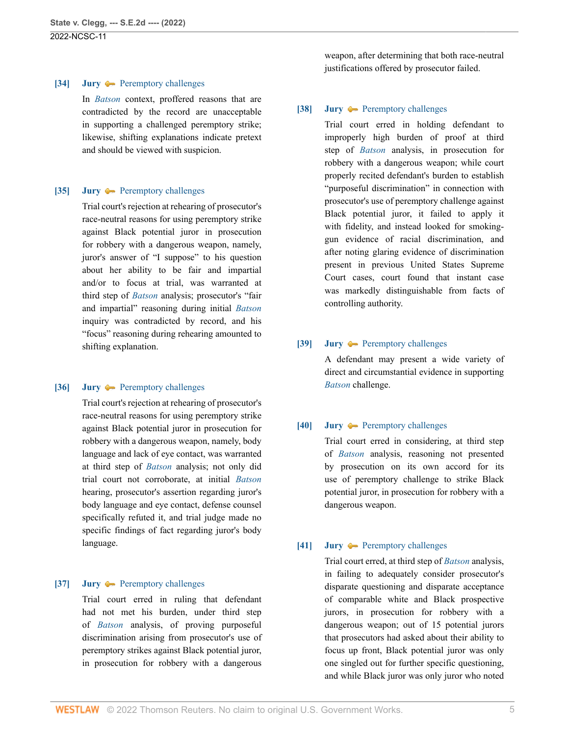## <span id="page-4-5"></span>**[\[34\]](#page-19-0) [Jury](http://www.westlaw.com/Browse/Home/KeyNumber/230/View.html?docGuid=Ie49697508b7d11ec9381ff4a09a81529&originationContext=document&vr=3.0&rs=cblt1.0&transitionType=DocumentItem&contextData=(sc.FindAndPrintPortal)) [Peremptory challenges](http://www.westlaw.com/Browse/Home/KeyNumber/230k33(5.15)/View.html?docGuid=Ie49697508b7d11ec9381ff4a09a81529&originationContext=document&vr=3.0&rs=cblt1.0&transitionType=DocumentItem&contextData=(sc.FindAndPrintPortal))**

In *[Batson](http://www.westlaw.com/Link/Document/FullText?findType=Y&serNum=1986122459&pubNum=0000708&originatingDoc=Ie49697508b7d11ec9381ff4a09a81529&refType=RP&originationContext=document&vr=3.0&rs=cblt1.0&transitionType=DocumentItem&contextData=(sc.FindAndPrintPortal))* context, proffered reasons that are contradicted by the record are unacceptable in supporting a challenged peremptory strike; likewise, shifting explanations indicate pretext and should be viewed with suspicion.

## <span id="page-4-0"></span>**[\[35\]](#page-19-1) [Jury](http://www.westlaw.com/Browse/Home/KeyNumber/230/View.html?docGuid=Ie49697508b7d11ec9381ff4a09a81529&originationContext=document&vr=3.0&rs=cblt1.0&transitionType=DocumentItem&contextData=(sc.FindAndPrintPortal)) [Peremptory challenges](http://www.westlaw.com/Browse/Home/KeyNumber/230k33(5.15)/View.html?docGuid=Ie49697508b7d11ec9381ff4a09a81529&originationContext=document&vr=3.0&rs=cblt1.0&transitionType=DocumentItem&contextData=(sc.FindAndPrintPortal))**

Trial court's rejection at rehearing of prosecutor's race-neutral reasons for using peremptory strike against Black potential juror in prosecution for robbery with a dangerous weapon, namely, juror's answer of "I suppose" to his question about her ability to be fair and impartial and/or to focus at trial, was warranted at third step of *[Batson](http://www.westlaw.com/Link/Document/FullText?findType=Y&serNum=1986122459&pubNum=0000708&originatingDoc=Ie49697508b7d11ec9381ff4a09a81529&refType=RP&originationContext=document&vr=3.0&rs=cblt1.0&transitionType=DocumentItem&contextData=(sc.FindAndPrintPortal))* analysis; prosecutor's "fair and impartial" reasoning during initial *[Batson](http://www.westlaw.com/Link/Document/FullText?findType=Y&serNum=1986122459&pubNum=0000708&originatingDoc=Ie49697508b7d11ec9381ff4a09a81529&refType=RP&originationContext=document&vr=3.0&rs=cblt1.0&transitionType=DocumentItem&contextData=(sc.FindAndPrintPortal))* inquiry was contradicted by record, and his "focus" reasoning during rehearing amounted to shifting explanation.

# <span id="page-4-6"></span>**[\[36\]](#page-20-0) [Jury](http://www.westlaw.com/Browse/Home/KeyNumber/230/View.html?docGuid=Ie49697508b7d11ec9381ff4a09a81529&originationContext=document&vr=3.0&rs=cblt1.0&transitionType=DocumentItem&contextData=(sc.FindAndPrintPortal)) [Peremptory challenges](http://www.westlaw.com/Browse/Home/KeyNumber/230k33(5.15)/View.html?docGuid=Ie49697508b7d11ec9381ff4a09a81529&originationContext=document&vr=3.0&rs=cblt1.0&transitionType=DocumentItem&contextData=(sc.FindAndPrintPortal))**

Trial court's rejection at rehearing of prosecutor's race-neutral reasons for using peremptory strike against Black potential juror in prosecution for robbery with a dangerous weapon, namely, body language and lack of eye contact, was warranted at third step of *[Batson](http://www.westlaw.com/Link/Document/FullText?findType=Y&serNum=1986122459&pubNum=0000708&originatingDoc=Ie49697508b7d11ec9381ff4a09a81529&refType=RP&originationContext=document&vr=3.0&rs=cblt1.0&transitionType=DocumentItem&contextData=(sc.FindAndPrintPortal))* analysis; not only did trial court not corroborate, at initial *[Batson](http://www.westlaw.com/Link/Document/FullText?findType=Y&serNum=1986122459&pubNum=0000708&originatingDoc=Ie49697508b7d11ec9381ff4a09a81529&refType=RP&originationContext=document&vr=3.0&rs=cblt1.0&transitionType=DocumentItem&contextData=(sc.FindAndPrintPortal))* hearing, prosecutor's assertion regarding juror's body language and eye contact, defense counsel specifically refuted it, and trial judge made no specific findings of fact regarding juror's body language.

#### <span id="page-4-1"></span>**[\[37\]](#page-21-0) [Jury](http://www.westlaw.com/Browse/Home/KeyNumber/230/View.html?docGuid=Ie49697508b7d11ec9381ff4a09a81529&originationContext=document&vr=3.0&rs=cblt1.0&transitionType=DocumentItem&contextData=(sc.FindAndPrintPortal)) -** [Peremptory challenges](http://www.westlaw.com/Browse/Home/KeyNumber/230k33(5.15)/View.html?docGuid=Ie49697508b7d11ec9381ff4a09a81529&originationContext=document&vr=3.0&rs=cblt1.0&transitionType=DocumentItem&contextData=(sc.FindAndPrintPortal))

Trial court erred in ruling that defendant had not met his burden, under third step of *[Batson](http://www.westlaw.com/Link/Document/FullText?findType=Y&serNum=1986122459&pubNum=0000708&originatingDoc=Ie49697508b7d11ec9381ff4a09a81529&refType=RP&originationContext=document&vr=3.0&rs=cblt1.0&transitionType=DocumentItem&contextData=(sc.FindAndPrintPortal))* analysis, of proving purposeful discrimination arising from prosecutor's use of peremptory strikes against Black potential juror, in prosecution for robbery with a dangerous weapon, after determining that both race-neutral justifications offered by prosecutor failed.

#### <span id="page-4-2"></span>**[\[38\]](#page-21-1) [Jury](http://www.westlaw.com/Browse/Home/KeyNumber/230/View.html?docGuid=Ie49697508b7d11ec9381ff4a09a81529&originationContext=document&vr=3.0&rs=cblt1.0&transitionType=DocumentItem&contextData=(sc.FindAndPrintPortal)) —** [Peremptory challenges](http://www.westlaw.com/Browse/Home/KeyNumber/230k33(5.15)/View.html?docGuid=Ie49697508b7d11ec9381ff4a09a81529&originationContext=document&vr=3.0&rs=cblt1.0&transitionType=DocumentItem&contextData=(sc.FindAndPrintPortal))

Trial court erred in holding defendant to improperly high burden of proof at third step of *[Batson](http://www.westlaw.com/Link/Document/FullText?findType=Y&serNum=1986122459&pubNum=0000708&originatingDoc=Ie49697508b7d11ec9381ff4a09a81529&refType=RP&originationContext=document&vr=3.0&rs=cblt1.0&transitionType=DocumentItem&contextData=(sc.FindAndPrintPortal))* analysis, in prosecution for robbery with a dangerous weapon; while court properly recited defendant's burden to establish "purposeful discrimination" in connection with prosecutor's use of peremptory challenge against Black potential juror, it failed to apply it with fidelity, and instead looked for smokinggun evidence of racial discrimination, and after noting glaring evidence of discrimination present in previous United States Supreme Court cases, court found that instant case was markedly distinguishable from facts of controlling authority.

# <span id="page-4-7"></span>**[\[39\]](#page-21-2) [Jury](http://www.westlaw.com/Browse/Home/KeyNumber/230/View.html?docGuid=Ie49697508b7d11ec9381ff4a09a81529&originationContext=document&vr=3.0&rs=cblt1.0&transitionType=DocumentItem&contextData=(sc.FindAndPrintPortal)) [Peremptory challenges](http://www.westlaw.com/Browse/Home/KeyNumber/230k33(5.15)/View.html?docGuid=Ie49697508b7d11ec9381ff4a09a81529&originationContext=document&vr=3.0&rs=cblt1.0&transitionType=DocumentItem&contextData=(sc.FindAndPrintPortal))**

A defendant may present a wide variety of direct and circumstantial evidence in supporting *[Batson](http://www.westlaw.com/Link/Document/FullText?findType=Y&serNum=1986122459&pubNum=0000708&originatingDoc=Ie49697508b7d11ec9381ff4a09a81529&refType=RP&originationContext=document&vr=3.0&rs=cblt1.0&transitionType=DocumentItem&contextData=(sc.FindAndPrintPortal))* challenge.

# <span id="page-4-3"></span>**[\[40\]](#page-22-0) [Jury](http://www.westlaw.com/Browse/Home/KeyNumber/230/View.html?docGuid=Ie49697508b7d11ec9381ff4a09a81529&originationContext=document&vr=3.0&rs=cblt1.0&transitionType=DocumentItem&contextData=(sc.FindAndPrintPortal)) A** [Peremptory challenges](http://www.westlaw.com/Browse/Home/KeyNumber/230k33(5.15)/View.html?docGuid=Ie49697508b7d11ec9381ff4a09a81529&originationContext=document&vr=3.0&rs=cblt1.0&transitionType=DocumentItem&contextData=(sc.FindAndPrintPortal))

Trial court erred in considering, at third step of *[Batson](http://www.westlaw.com/Link/Document/FullText?findType=Y&serNum=1986122459&pubNum=0000708&originatingDoc=Ie49697508b7d11ec9381ff4a09a81529&refType=RP&originationContext=document&vr=3.0&rs=cblt1.0&transitionType=DocumentItem&contextData=(sc.FindAndPrintPortal))* analysis, reasoning not presented by prosecution on its own accord for its use of peremptory challenge to strike Black potential juror, in prosecution for robbery with a dangerous weapon.

# <span id="page-4-4"></span>**[\[41\]](#page-22-1) [Jury](http://www.westlaw.com/Browse/Home/KeyNumber/230/View.html?docGuid=Ie49697508b7d11ec9381ff4a09a81529&originationContext=document&vr=3.0&rs=cblt1.0&transitionType=DocumentItem&contextData=(sc.FindAndPrintPortal))**  $\rightarrow$  [Peremptory challenges](http://www.westlaw.com/Browse/Home/KeyNumber/230k33(5.15)/View.html?docGuid=Ie49697508b7d11ec9381ff4a09a81529&originationContext=document&vr=3.0&rs=cblt1.0&transitionType=DocumentItem&contextData=(sc.FindAndPrintPortal))

Trial court erred, at third step of *[Batson](http://www.westlaw.com/Link/Document/FullText?findType=Y&serNum=1986122459&pubNum=0000708&originatingDoc=Ie49697508b7d11ec9381ff4a09a81529&refType=RP&originationContext=document&vr=3.0&rs=cblt1.0&transitionType=DocumentItem&contextData=(sc.FindAndPrintPortal))* analysis, in failing to adequately consider prosecutor's disparate questioning and disparate acceptance of comparable white and Black prospective jurors, in prosecution for robbery with a dangerous weapon; out of 15 potential jurors that prosecutors had asked about their ability to focus up front, Black potential juror was only one singled out for further specific questioning, and while Black juror was only juror who noted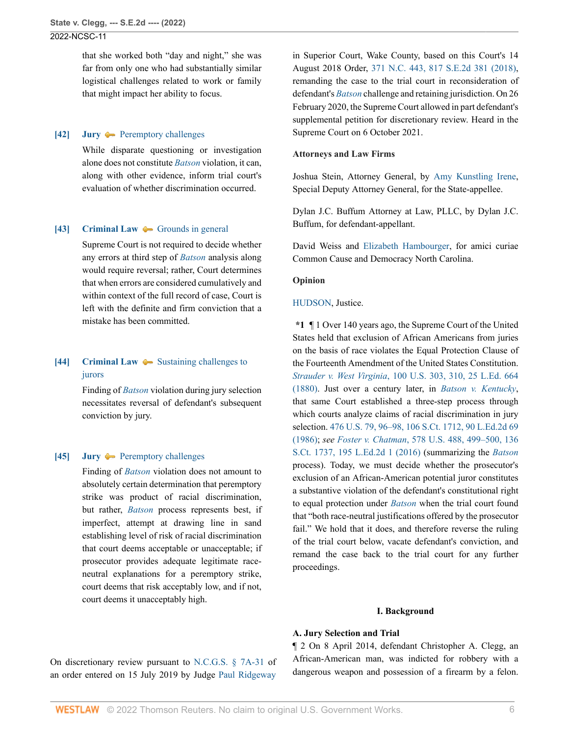that she worked both "day and night," she was far from only one who had substantially similar logistical challenges related to work or family that might impact her ability to focus.

#### <span id="page-5-0"></span>**[\[42\]](#page-24-0) [Jury](http://www.westlaw.com/Browse/Home/KeyNumber/230/View.html?docGuid=Ie49697508b7d11ec9381ff4a09a81529&originationContext=document&vr=3.0&rs=cblt1.0&transitionType=DocumentItem&contextData=(sc.FindAndPrintPortal)) A** [Peremptory challenges](http://www.westlaw.com/Browse/Home/KeyNumber/230k33(5.15)/View.html?docGuid=Ie49697508b7d11ec9381ff4a09a81529&originationContext=document&vr=3.0&rs=cblt1.0&transitionType=DocumentItem&contextData=(sc.FindAndPrintPortal))

While disparate questioning or investigation alone does not constitute *[Batson](http://www.westlaw.com/Link/Document/FullText?findType=Y&serNum=1986122459&pubNum=0000708&originatingDoc=Ie49697508b7d11ec9381ff4a09a81529&refType=RP&originationContext=document&vr=3.0&rs=cblt1.0&transitionType=DocumentItem&contextData=(sc.FindAndPrintPortal))* violation, it can, along with other evidence, inform trial court's evaluation of whether discrimination occurred.

## <span id="page-5-1"></span>**[\[43\]](#page-24-1) [Criminal Law](http://www.westlaw.com/Browse/Home/KeyNumber/110/View.html?docGuid=Ie49697508b7d11ec9381ff4a09a81529&originationContext=document&vr=3.0&rs=cblt1.0&transitionType=DocumentItem&contextData=(sc.FindAndPrintPortal))** [Grounds in general](http://www.westlaw.com/Browse/Home/KeyNumber/110k1186.1/View.html?docGuid=Ie49697508b7d11ec9381ff4a09a81529&originationContext=document&vr=3.0&rs=cblt1.0&transitionType=DocumentItem&contextData=(sc.FindAndPrintPortal))

Supreme Court is not required to decide whether any errors at third step of *[Batson](http://www.westlaw.com/Link/Document/FullText?findType=Y&serNum=1986122459&pubNum=0000708&originatingDoc=Ie49697508b7d11ec9381ff4a09a81529&refType=RP&originationContext=document&vr=3.0&rs=cblt1.0&transitionType=DocumentItem&contextData=(sc.FindAndPrintPortal))* analysis along would require reversal; rather, Court determines that when errors are considered cumulatively and within context of the full record of case, Court is left with the definite and firm conviction that a mistake has been committed.

# <span id="page-5-2"></span>**[\[44\]](#page-24-2) [Criminal Law](http://www.westlaw.com/Browse/Home/KeyNumber/110/View.html?docGuid=Ie49697508b7d11ec9381ff4a09a81529&originationContext=document&vr=3.0&rs=cblt1.0&transitionType=DocumentItem&contextData=(sc.FindAndPrintPortal))**  $\blacklozenge$  [Sustaining challenges to](http://www.westlaw.com/Browse/Home/KeyNumber/110k1166.17/View.html?docGuid=Ie49697508b7d11ec9381ff4a09a81529&originationContext=document&vr=3.0&rs=cblt1.0&transitionType=DocumentItem&contextData=(sc.FindAndPrintPortal)) [jurors](http://www.westlaw.com/Browse/Home/KeyNumber/110k1166.17/View.html?docGuid=Ie49697508b7d11ec9381ff4a09a81529&originationContext=document&vr=3.0&rs=cblt1.0&transitionType=DocumentItem&contextData=(sc.FindAndPrintPortal))

Finding of *[Batson](http://www.westlaw.com/Link/Document/FullText?findType=Y&serNum=1986122459&pubNum=0000708&originatingDoc=Ie49697508b7d11ec9381ff4a09a81529&refType=RP&originationContext=document&vr=3.0&rs=cblt1.0&transitionType=DocumentItem&contextData=(sc.FindAndPrintPortal))* violation during jury selection necessitates reversal of defendant's subsequent conviction by jury.

# <span id="page-5-3"></span>**[\[45\]](#page-24-3) [Jury](http://www.westlaw.com/Browse/Home/KeyNumber/230/View.html?docGuid=Ie49697508b7d11ec9381ff4a09a81529&originationContext=document&vr=3.0&rs=cblt1.0&transitionType=DocumentItem&contextData=(sc.FindAndPrintPortal))**  $\rightarrow$  [Peremptory challenges](http://www.westlaw.com/Browse/Home/KeyNumber/230k33(5.15)/View.html?docGuid=Ie49697508b7d11ec9381ff4a09a81529&originationContext=document&vr=3.0&rs=cblt1.0&transitionType=DocumentItem&contextData=(sc.FindAndPrintPortal))

Finding of *[Batson](http://www.westlaw.com/Link/Document/FullText?findType=Y&serNum=1986122459&pubNum=0000708&originatingDoc=Ie49697508b7d11ec9381ff4a09a81529&refType=RP&originationContext=document&vr=3.0&rs=cblt1.0&transitionType=DocumentItem&contextData=(sc.FindAndPrintPortal))* violation does not amount to absolutely certain determination that peremptory strike was product of racial discrimination, but rather, *[Batson](http://www.westlaw.com/Link/Document/FullText?findType=Y&serNum=1986122459&pubNum=0000708&originatingDoc=Ie49697508b7d11ec9381ff4a09a81529&refType=RP&originationContext=document&vr=3.0&rs=cblt1.0&transitionType=DocumentItem&contextData=(sc.FindAndPrintPortal))* process represents best, if imperfect, attempt at drawing line in sand establishing level of risk of racial discrimination that court deems acceptable or unacceptable; if prosecutor provides adequate legitimate raceneutral explanations for a peremptory strike, court deems that risk acceptably low, and if not, court deems it unacceptably high.

in Superior Court, Wake County, based on this Court's 14 August 2018 Order, [371 N.C. 443, 817 S.E.2d 381 \(2018\)](http://www.westlaw.com/Link/Document/FullText?findType=Y&serNum=2045305392&pubNum=0000711&originatingDoc=Ie49697508b7d11ec9381ff4a09a81529&refType=RP&originationContext=document&vr=3.0&rs=cblt1.0&transitionType=DocumentItem&contextData=(sc.FindAndPrintPortal)), remanding the case to the trial court in reconsideration of defendant's *[Batson](http://www.westlaw.com/Link/Document/FullText?findType=Y&serNum=1986122459&pubNum=0000708&originatingDoc=Ie49697508b7d11ec9381ff4a09a81529&refType=RP&originationContext=document&vr=3.0&rs=cblt1.0&transitionType=DocumentItem&contextData=(sc.FindAndPrintPortal))* challenge and retaining jurisdiction. On 26 February 2020, the Supreme Court allowed in part defendant's supplemental petition for discretionary review. Heard in the Supreme Court on 6 October 2021.

#### **Attorneys and Law Firms**

Joshua Stein, Attorney General, by [Amy Kunstling Irene](http://www.westlaw.com/Link/Document/FullText?findType=h&pubNum=176284&cite=0466381601&originatingDoc=Ie49697508b7d11ec9381ff4a09a81529&refType=RQ&originationContext=document&vr=3.0&rs=cblt1.0&transitionType=DocumentItem&contextData=(sc.FindAndPrintPortal)), Special Deputy Attorney General, for the State-appellee.

Dylan J.C. Buffum Attorney at Law, PLLC, by Dylan J.C. Buffum, for defendant-appellant.

David Weiss and [Elizabeth Hambourger,](http://www.westlaw.com/Link/Document/FullText?findType=h&pubNum=176284&cite=0352923201&originatingDoc=Ie49697508b7d11ec9381ff4a09a81529&refType=RQ&originationContext=document&vr=3.0&rs=cblt1.0&transitionType=DocumentItem&contextData=(sc.FindAndPrintPortal)) for amici curiae Common Cause and Democracy North Carolina.

#### **Opinion**

# [HUDSON,](http://www.westlaw.com/Link/Document/FullText?findType=h&pubNum=176284&cite=0282300201&originatingDoc=Ie49697508b7d11ec9381ff4a09a81529&refType=RQ&originationContext=document&vr=3.0&rs=cblt1.0&transitionType=DocumentItem&contextData=(sc.FindAndPrintPortal)) Justice.

**\*1** ¶ 1 Over 140 years ago, the Supreme Court of the United States held that exclusion of African Americans from juries on the basis of race violates the Equal Protection Clause of the Fourteenth Amendment of the United States Constitution. *Strauder v. West Virginia*[, 100 U.S. 303, 310, 25 L.Ed. 664](http://www.westlaw.com/Link/Document/FullText?findType=Y&serNum=1800132385&pubNum=0000780&originatingDoc=Ie49697508b7d11ec9381ff4a09a81529&refType=RP&fi=co_pp_sp_780_310&originationContext=document&vr=3.0&rs=cblt1.0&transitionType=DocumentItem&contextData=(sc.FindAndPrintPortal)#co_pp_sp_780_310) [\(1880\).](http://www.westlaw.com/Link/Document/FullText?findType=Y&serNum=1800132385&pubNum=0000780&originatingDoc=Ie49697508b7d11ec9381ff4a09a81529&refType=RP&fi=co_pp_sp_780_310&originationContext=document&vr=3.0&rs=cblt1.0&transitionType=DocumentItem&contextData=(sc.FindAndPrintPortal)#co_pp_sp_780_310) Just over a century later, in *[Batson v. Kentucky](http://www.westlaw.com/Link/Document/FullText?findType=Y&serNum=1986122459&pubNum=0000708&originatingDoc=Ie49697508b7d11ec9381ff4a09a81529&refType=RP&originationContext=document&vr=3.0&rs=cblt1.0&transitionType=DocumentItem&contextData=(sc.FindAndPrintPortal))*, that same Court established a three-step process through which courts analyze claims of racial discrimination in jury selection. [476 U.S. 79, 96–98, 106 S.Ct. 1712, 90 L.Ed.2d 69](http://www.westlaw.com/Link/Document/FullText?findType=Y&serNum=1986122459&pubNum=0000780&originatingDoc=Ie49697508b7d11ec9381ff4a09a81529&refType=RP&fi=co_pp_sp_780_96&originationContext=document&vr=3.0&rs=cblt1.0&transitionType=DocumentItem&contextData=(sc.FindAndPrintPortal)#co_pp_sp_780_96) [\(1986\);](http://www.westlaw.com/Link/Document/FullText?findType=Y&serNum=1986122459&pubNum=0000780&originatingDoc=Ie49697508b7d11ec9381ff4a09a81529&refType=RP&fi=co_pp_sp_780_96&originationContext=document&vr=3.0&rs=cblt1.0&transitionType=DocumentItem&contextData=(sc.FindAndPrintPortal)#co_pp_sp_780_96) *see Foster v. Chatman*[, 578 U.S. 488, 499–500, 136](http://www.westlaw.com/Link/Document/FullText?findType=Y&serNum=2038892556&pubNum=0000780&originatingDoc=Ie49697508b7d11ec9381ff4a09a81529&refType=RP&fi=co_pp_sp_780_499&originationContext=document&vr=3.0&rs=cblt1.0&transitionType=DocumentItem&contextData=(sc.FindAndPrintPortal)#co_pp_sp_780_499) [S.Ct. 1737, 195 L.Ed.2d 1 \(2016\)](http://www.westlaw.com/Link/Document/FullText?findType=Y&serNum=2038892556&pubNum=0000780&originatingDoc=Ie49697508b7d11ec9381ff4a09a81529&refType=RP&fi=co_pp_sp_780_499&originationContext=document&vr=3.0&rs=cblt1.0&transitionType=DocumentItem&contextData=(sc.FindAndPrintPortal)#co_pp_sp_780_499) (summarizing the *[Batson](http://www.westlaw.com/Link/Document/FullText?findType=Y&serNum=1986122459&pubNum=0000708&originatingDoc=Ie49697508b7d11ec9381ff4a09a81529&refType=RP&originationContext=document&vr=3.0&rs=cblt1.0&transitionType=DocumentItem&contextData=(sc.FindAndPrintPortal))* process). Today, we must decide whether the prosecutor's exclusion of an African-American potential juror constitutes a substantive violation of the defendant's constitutional right to equal protection under *[Batson](http://www.westlaw.com/Link/Document/FullText?findType=Y&serNum=1986122459&pubNum=0000708&originatingDoc=Ie49697508b7d11ec9381ff4a09a81529&refType=RP&originationContext=document&vr=3.0&rs=cblt1.0&transitionType=DocumentItem&contextData=(sc.FindAndPrintPortal))* when the trial court found that "both race-neutral justifications offered by the prosecutor fail." We hold that it does, and therefore reverse the ruling of the trial court below, vacate defendant's conviction, and remand the case back to the trial court for any further proceedings.

#### **I. Background**

#### **A. Jury Selection and Trial**

On discretionary review pursuant to [N.C.G.S. § 7A-31](http://www.westlaw.com/Link/Document/FullText?findType=L&pubNum=1000037&cite=NCSTS7A-31&originatingDoc=Ie49697508b7d11ec9381ff4a09a81529&refType=LQ&originationContext=document&vr=3.0&rs=cblt1.0&transitionType=DocumentItem&contextData=(sc.FindAndPrintPortal)) of an order entered on 15 July 2019 by Judge [Paul Ridgeway](http://www.westlaw.com/Link/Document/FullText?findType=h&pubNum=176284&cite=0113517701&originatingDoc=Ie49697508b7d11ec9381ff4a09a81529&refType=RQ&originationContext=document&vr=3.0&rs=cblt1.0&transitionType=DocumentItem&contextData=(sc.FindAndPrintPortal))

¶ 2 On 8 April 2014, defendant Christopher A. Clegg, an African-American man, was indicted for robbery with a dangerous weapon and possession of a firearm by a felon.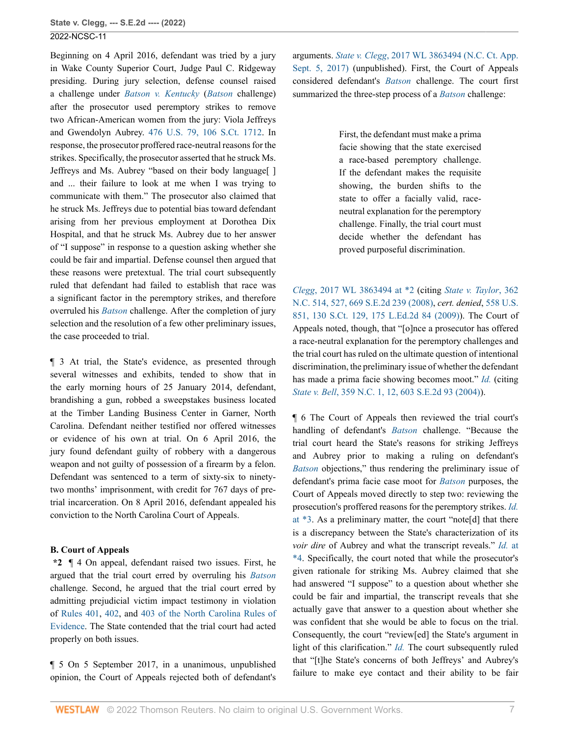Beginning on 4 April 2016, defendant was tried by a jury in Wake County Superior Court, Judge Paul C. Ridgeway presiding. During jury selection, defense counsel raised a challenge under *[Batson v. Kentucky](http://www.westlaw.com/Link/Document/FullText?findType=Y&serNum=1986122459&pubNum=0000708&originatingDoc=Ie49697508b7d11ec9381ff4a09a81529&refType=RP&originationContext=document&vr=3.0&rs=cblt1.0&transitionType=DocumentItem&contextData=(sc.FindAndPrintPortal))* (*[Batson](http://www.westlaw.com/Link/Document/FullText?findType=Y&serNum=1986122459&originatingDoc=Ie49697508b7d11ec9381ff4a09a81529&refType=RP&originationContext=document&vr=3.0&rs=cblt1.0&transitionType=DocumentItem&contextData=(sc.FindAndPrintPortal))* challenge) after the prosecutor used peremptory strikes to remove two African-American women from the jury: Viola Jeffreys and Gwendolyn Aubrey. [476 U.S. 79, 106 S.Ct. 1712.](http://www.westlaw.com/Link/Document/FullText?findType=Y&serNum=1986122459&pubNum=0000708&originatingDoc=Ie49697508b7d11ec9381ff4a09a81529&refType=RP&originationContext=document&vr=3.0&rs=cblt1.0&transitionType=DocumentItem&contextData=(sc.FindAndPrintPortal)) In response, the prosecutor proffered race-neutral reasons for the strikes. Specifically, the prosecutor asserted that he struck Ms. Jeffreys and Ms. Aubrey "based on their body language[] and ... their failure to look at me when I was trying to communicate with them." The prosecutor also claimed that he struck Ms. Jeffreys due to potential bias toward defendant arising from her previous employment at Dorothea Dix Hospital, and that he struck Ms. Aubrey due to her answer of "I suppose" in response to a question asking whether she could be fair and impartial. Defense counsel then argued that these reasons were pretextual. The trial court subsequently ruled that defendant had failed to establish that race was a significant factor in the peremptory strikes, and therefore overruled his *[Batson](http://www.westlaw.com/Link/Document/FullText?findType=Y&serNum=1986122459&pubNum=0000708&originatingDoc=Ie49697508b7d11ec9381ff4a09a81529&refType=RP&originationContext=document&vr=3.0&rs=cblt1.0&transitionType=DocumentItem&contextData=(sc.FindAndPrintPortal))* challenge. After the completion of jury selection and the resolution of a few other preliminary issues, the case proceeded to trial.

¶ 3 At trial, the State's evidence, as presented through several witnesses and exhibits, tended to show that in the early morning hours of 25 January 2014, defendant, brandishing a gun, robbed a sweepstakes business located at the Timber Landing Business Center in Garner, North Carolina. Defendant neither testified nor offered witnesses or evidence of his own at trial. On 6 April 2016, the jury found defendant guilty of robbery with a dangerous weapon and not guilty of possession of a firearm by a felon. Defendant was sentenced to a term of sixty-six to ninetytwo months' imprisonment, with credit for 767 days of pretrial incarceration. On 8 April 2016, defendant appealed his conviction to the North Carolina Court of Appeals.

#### **B. Court of Appeals**

**\*2** ¶ 4 On appeal, defendant raised two issues. First, he argued that the trial court erred by overruling his *[Batson](http://www.westlaw.com/Link/Document/FullText?findType=Y&serNum=1986122459&pubNum=0000708&originatingDoc=Ie49697508b7d11ec9381ff4a09a81529&refType=RP&originationContext=document&vr=3.0&rs=cblt1.0&transitionType=DocumentItem&contextData=(sc.FindAndPrintPortal))* challenge. Second, he argued that the trial court erred by admitting prejudicial victim impact testimony in violation of [Rules 401](http://www.westlaw.com/Link/Document/FullText?findType=L&pubNum=1000710&cite=NCSTEVS8C-1R401&originatingDoc=Ie49697508b7d11ec9381ff4a09a81529&refType=LQ&originationContext=document&vr=3.0&rs=cblt1.0&transitionType=DocumentItem&contextData=(sc.FindAndPrintPortal)), [402,](http://www.westlaw.com/Link/Document/FullText?findType=L&pubNum=1000710&cite=NCSTEVS8C-1R402&originatingDoc=Ie49697508b7d11ec9381ff4a09a81529&refType=LQ&originationContext=document&vr=3.0&rs=cblt1.0&transitionType=DocumentItem&contextData=(sc.FindAndPrintPortal)) and [403 of the North Carolina Rules of](http://www.westlaw.com/Link/Document/FullText?findType=L&pubNum=1000710&cite=NCSTEVS8C-1R403&originatingDoc=Ie49697508b7d11ec9381ff4a09a81529&refType=LQ&originationContext=document&vr=3.0&rs=cblt1.0&transitionType=DocumentItem&contextData=(sc.FindAndPrintPortal)) [Evidence](http://www.westlaw.com/Link/Document/FullText?findType=L&pubNum=1000710&cite=NCSTEVS8C-1R403&originatingDoc=Ie49697508b7d11ec9381ff4a09a81529&refType=LQ&originationContext=document&vr=3.0&rs=cblt1.0&transitionType=DocumentItem&contextData=(sc.FindAndPrintPortal)). The State contended that the trial court had acted properly on both issues.

¶ 5 On 5 September 2017, in a unanimous, unpublished opinion, the Court of Appeals rejected both of defendant's arguments. *State v. Clegg*[, 2017 WL 3863494 \(N.C. Ct. App.](http://www.westlaw.com/Link/Document/FullText?findType=Y&serNum=2042521028&pubNum=0000999&originatingDoc=Ie49697508b7d11ec9381ff4a09a81529&refType=RP&originationContext=document&vr=3.0&rs=cblt1.0&transitionType=DocumentItem&contextData=(sc.FindAndPrintPortal)) [Sept. 5, 2017\)](http://www.westlaw.com/Link/Document/FullText?findType=Y&serNum=2042521028&pubNum=0000999&originatingDoc=Ie49697508b7d11ec9381ff4a09a81529&refType=RP&originationContext=document&vr=3.0&rs=cblt1.0&transitionType=DocumentItem&contextData=(sc.FindAndPrintPortal)) (unpublished). First, the Court of Appeals considered defendant's *[Batson](http://www.westlaw.com/Link/Document/FullText?findType=Y&serNum=1986122459&pubNum=0000708&originatingDoc=Ie49697508b7d11ec9381ff4a09a81529&refType=RP&originationContext=document&vr=3.0&rs=cblt1.0&transitionType=DocumentItem&contextData=(sc.FindAndPrintPortal))* challenge. The court first summarized the three-step process of a *[Batson](http://www.westlaw.com/Link/Document/FullText?findType=Y&serNum=1986122459&pubNum=0000708&originatingDoc=Ie49697508b7d11ec9381ff4a09a81529&refType=RP&originationContext=document&vr=3.0&rs=cblt1.0&transitionType=DocumentItem&contextData=(sc.FindAndPrintPortal))* challenge:

> First, the defendant must make a prima facie showing that the state exercised a race-based peremptory challenge. If the defendant makes the requisite showing, the burden shifts to the state to offer a facially valid, raceneutral explanation for the peremptory challenge. Finally, the trial court must decide whether the defendant has proved purposeful discrimination.

*Clegg*[, 2017 WL 3863494 at \\*2](http://www.westlaw.com/Link/Document/FullText?findType=Y&serNum=2042521028&pubNum=0000999&originatingDoc=Ie49697508b7d11ec9381ff4a09a81529&refType=RP&fi=co_pp_sp_999_2&originationContext=document&vr=3.0&rs=cblt1.0&transitionType=DocumentItem&contextData=(sc.FindAndPrintPortal)#co_pp_sp_999_2) (citing *[State v. Taylor](http://www.westlaw.com/Link/Document/FullText?findType=Y&serNum=2017647771&pubNum=0000572&originatingDoc=Ie49697508b7d11ec9381ff4a09a81529&refType=RP&fi=co_pp_sp_572_527&originationContext=document&vr=3.0&rs=cblt1.0&transitionType=DocumentItem&contextData=(sc.FindAndPrintPortal)#co_pp_sp_572_527)*, 362 [N.C. 514, 527, 669 S.E.2d 239 \(2008\)](http://www.westlaw.com/Link/Document/FullText?findType=Y&serNum=2017647771&pubNum=0000572&originatingDoc=Ie49697508b7d11ec9381ff4a09a81529&refType=RP&fi=co_pp_sp_572_527&originationContext=document&vr=3.0&rs=cblt1.0&transitionType=DocumentItem&contextData=(sc.FindAndPrintPortal)#co_pp_sp_572_527), *cert. denied*, [558 U.S.](http://www.westlaw.com/Link/Document/FullText?findType=Y&serNum=2018988992&pubNum=0000708&originatingDoc=Ie49697508b7d11ec9381ff4a09a81529&refType=RP&originationContext=document&vr=3.0&rs=cblt1.0&transitionType=DocumentItem&contextData=(sc.FindAndPrintPortal)) [851, 130 S.Ct. 129, 175 L.Ed.2d 84 \(2009\)\)](http://www.westlaw.com/Link/Document/FullText?findType=Y&serNum=2018988992&pubNum=0000708&originatingDoc=Ie49697508b7d11ec9381ff4a09a81529&refType=RP&originationContext=document&vr=3.0&rs=cblt1.0&transitionType=DocumentItem&contextData=(sc.FindAndPrintPortal)). The Court of Appeals noted, though, that "[o]nce a prosecutor has offered a race-neutral explanation for the peremptory challenges and the trial court has ruled on the ultimate question of intentional discrimination, the preliminary issue of whether the defendant has made a prima facie showing becomes moot." *[Id.](http://www.westlaw.com/Link/Document/FullText?findType=Y&serNum=2042521028&pubNum=0000999&originatingDoc=Ie49697508b7d11ec9381ff4a09a81529&refType=RP&originationContext=document&vr=3.0&rs=cblt1.0&transitionType=DocumentItem&contextData=(sc.FindAndPrintPortal))* (citing *State v. Bell*[, 359 N.C. 1, 12, 603 S.E.2d 93 \(2004\)\)](http://www.westlaw.com/Link/Document/FullText?findType=Y&serNum=2005248665&pubNum=0000572&originatingDoc=Ie49697508b7d11ec9381ff4a09a81529&refType=RP&fi=co_pp_sp_572_12&originationContext=document&vr=3.0&rs=cblt1.0&transitionType=DocumentItem&contextData=(sc.FindAndPrintPortal)#co_pp_sp_572_12).

¶ 6 The Court of Appeals then reviewed the trial court's handling of defendant's *[Batson](http://www.westlaw.com/Link/Document/FullText?findType=Y&serNum=1986122459&pubNum=0000708&originatingDoc=Ie49697508b7d11ec9381ff4a09a81529&refType=RP&originationContext=document&vr=3.0&rs=cblt1.0&transitionType=DocumentItem&contextData=(sc.FindAndPrintPortal))* challenge. "Because the trial court heard the State's reasons for striking Jeffreys and Aubrey prior to making a ruling on defendant's *[Batson](http://www.westlaw.com/Link/Document/FullText?findType=Y&serNum=1986122459&pubNum=0000708&originatingDoc=Ie49697508b7d11ec9381ff4a09a81529&refType=RP&originationContext=document&vr=3.0&rs=cblt1.0&transitionType=DocumentItem&contextData=(sc.FindAndPrintPortal))* objections," thus rendering the preliminary issue of defendant's prima facie case moot for *[Batson](http://www.westlaw.com/Link/Document/FullText?findType=Y&serNum=1986122459&pubNum=0000708&originatingDoc=Ie49697508b7d11ec9381ff4a09a81529&refType=RP&originationContext=document&vr=3.0&rs=cblt1.0&transitionType=DocumentItem&contextData=(sc.FindAndPrintPortal))* purposes, the Court of Appeals moved directly to step two: reviewing the prosecution's proffered reasons for the peremptory strikes. *[Id.](http://www.westlaw.com/Link/Document/FullText?findType=Y&serNum=2042521028&pubNum=0000999&originatingDoc=Ie49697508b7d11ec9381ff4a09a81529&refType=RP&originationContext=document&vr=3.0&rs=cblt1.0&transitionType=DocumentItem&contextData=(sc.FindAndPrintPortal))* [at \\*3](http://www.westlaw.com/Link/Document/FullText?findType=Y&serNum=2042521028&pubNum=0000999&originatingDoc=Ie49697508b7d11ec9381ff4a09a81529&refType=RP&originationContext=document&vr=3.0&rs=cblt1.0&transitionType=DocumentItem&contextData=(sc.FindAndPrintPortal)). As a preliminary matter, the court "note[d] that there is a discrepancy between the State's characterization of its *voir dire* of Aubrey and what the transcript reveals." *[Id.](http://www.westlaw.com/Link/Document/FullText?findType=Y&serNum=2042521028&pubNum=0000999&originatingDoc=Ie49697508b7d11ec9381ff4a09a81529&refType=RP&originationContext=document&vr=3.0&rs=cblt1.0&transitionType=DocumentItem&contextData=(sc.FindAndPrintPortal))* at [\\*4](http://www.westlaw.com/Link/Document/FullText?findType=Y&serNum=2042521028&pubNum=0000999&originatingDoc=Ie49697508b7d11ec9381ff4a09a81529&refType=RP&originationContext=document&vr=3.0&rs=cblt1.0&transitionType=DocumentItem&contextData=(sc.FindAndPrintPortal)). Specifically, the court noted that while the prosecutor's given rationale for striking Ms. Aubrey claimed that she had answered "I suppose" to a question about whether she could be fair and impartial, the transcript reveals that she actually gave that answer to a question about whether she was confident that she would be able to focus on the trial. Consequently, the court "review[ed] the State's argument in light of this clarification." *[Id.](http://www.westlaw.com/Link/Document/FullText?findType=Y&serNum=2042521028&pubNum=0000999&originatingDoc=Ie49697508b7d11ec9381ff4a09a81529&refType=RP&originationContext=document&vr=3.0&rs=cblt1.0&transitionType=DocumentItem&contextData=(sc.FindAndPrintPortal))* The court subsequently ruled that "[t]he State's concerns of both Jeffreys' and Aubrey's failure to make eye contact and their ability to be fair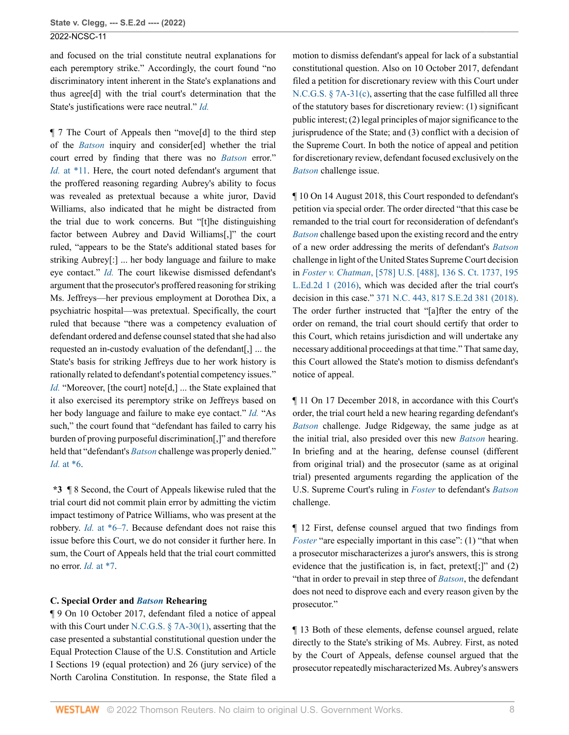and focused on the trial constitute neutral explanations for each peremptory strike." Accordingly, the court found "no discriminatory intent inherent in the State's explanations and thus agree[d] with the trial court's determination that the State's justifications were race neutral." *[Id.](http://www.westlaw.com/Link/Document/FullText?findType=Y&serNum=2042521028&pubNum=0000999&originatingDoc=Ie49697508b7d11ec9381ff4a09a81529&refType=RP&originationContext=document&vr=3.0&rs=cblt1.0&transitionType=DocumentItem&contextData=(sc.FindAndPrintPortal))*

¶ 7 The Court of Appeals then "move[d] to the third step of the *[Batson](http://www.westlaw.com/Link/Document/FullText?findType=Y&serNum=1986122459&pubNum=0000708&originatingDoc=Ie49697508b7d11ec9381ff4a09a81529&refType=RP&originationContext=document&vr=3.0&rs=cblt1.0&transitionType=DocumentItem&contextData=(sc.FindAndPrintPortal))* inquiry and consider[ed] whether the trial court erred by finding that there was no *[Batson](http://www.westlaw.com/Link/Document/FullText?findType=Y&serNum=1986122459&pubNum=0000708&originatingDoc=Ie49697508b7d11ec9381ff4a09a81529&refType=RP&originationContext=document&vr=3.0&rs=cblt1.0&transitionType=DocumentItem&contextData=(sc.FindAndPrintPortal))* error." *Id.* [at \\*11](http://www.westlaw.com/Link/Document/FullText?findType=Y&serNum=2042521028&pubNum=0000999&originatingDoc=Ie49697508b7d11ec9381ff4a09a81529&refType=RP&originationContext=document&vr=3.0&rs=cblt1.0&transitionType=DocumentItem&contextData=(sc.FindAndPrintPortal)). Here, the court noted defendant's argument that the proffered reasoning regarding Aubrey's ability to focus was revealed as pretextual because a white juror, David Williams, also indicated that he might be distracted from the trial due to work concerns. But "[t]he distinguishing factor between Aubrey and David Williams[,]" the court ruled, "appears to be the State's additional stated bases for striking Aubrey[:] ... her body language and failure to make eye contact." *[Id.](http://www.westlaw.com/Link/Document/FullText?findType=Y&serNum=2042521028&pubNum=0000999&originatingDoc=Ie49697508b7d11ec9381ff4a09a81529&refType=RP&originationContext=document&vr=3.0&rs=cblt1.0&transitionType=DocumentItem&contextData=(sc.FindAndPrintPortal))* The court likewise dismissed defendant's argument that the prosecutor's proffered reasoning for striking Ms. Jeffreys—her previous employment at Dorothea Dix, a psychiatric hospital—was pretextual. Specifically, the court ruled that because "there was a competency evaluation of defendant ordered and defense counsel stated that she had also requested an in-custody evaluation of the defendant[,] ... the State's basis for striking Jeffreys due to her work history is rationally related to defendant's potential competency issues." *[Id.](http://www.westlaw.com/Link/Document/FullText?findType=Y&serNum=2042521028&pubNum=0000572&originatingDoc=Ie49697508b7d11ec9381ff4a09a81529&refType=RP&originationContext=document&vr=3.0&rs=cblt1.0&transitionType=DocumentItem&contextData=(sc.FindAndPrintPortal))* "Moreover, [the court] note[d,] ... the State explained that it also exercised its peremptory strike on Jeffreys based on her body language and failure to make eye contact." *[Id.](http://www.westlaw.com/Link/Document/FullText?findType=Y&serNum=2042521028&pubNum=0000999&originatingDoc=Ie49697508b7d11ec9381ff4a09a81529&refType=RP&originationContext=document&vr=3.0&rs=cblt1.0&transitionType=DocumentItem&contextData=(sc.FindAndPrintPortal))* "As such," the court found that "defendant has failed to carry his burden of proving purposeful discrimination[,]" and therefore held that "defendant's *[Batson](http://www.westlaw.com/Link/Document/FullText?findType=Y&serNum=1986122459&pubNum=0000708&originatingDoc=Ie49697508b7d11ec9381ff4a09a81529&refType=RP&originationContext=document&vr=3.0&rs=cblt1.0&transitionType=DocumentItem&contextData=(sc.FindAndPrintPortal))* challenge was properly denied." *Id.* [at \\*6](http://www.westlaw.com/Link/Document/FullText?findType=Y&serNum=2042521028&pubNum=0000999&originatingDoc=Ie49697508b7d11ec9381ff4a09a81529&refType=RP&originationContext=document&vr=3.0&rs=cblt1.0&transitionType=DocumentItem&contextData=(sc.FindAndPrintPortal)).

**\*3** ¶ 8 Second, the Court of Appeals likewise ruled that the trial court did not commit plain error by admitting the victim impact testimony of Patrice Williams, who was present at the robbery. *Id.* [at \\*6–7.](http://www.westlaw.com/Link/Document/FullText?findType=Y&serNum=2042521028&pubNum=0000999&originatingDoc=Ie49697508b7d11ec9381ff4a09a81529&refType=RP&originationContext=document&vr=3.0&rs=cblt1.0&transitionType=DocumentItem&contextData=(sc.FindAndPrintPortal)) Because defendant does not raise this issue before this Court, we do not consider it further here. In sum, the Court of Appeals held that the trial court committed no error. *Id.* [at \\*7](http://www.westlaw.com/Link/Document/FullText?findType=Y&serNum=2042521028&pubNum=0000999&originatingDoc=Ie49697508b7d11ec9381ff4a09a81529&refType=RP&originationContext=document&vr=3.0&rs=cblt1.0&transitionType=DocumentItem&contextData=(sc.FindAndPrintPortal)).

#### **C. Special Order and** *[Batson](http://www.westlaw.com/Link/Document/FullText?findType=Y&serNum=1986122459&pubNum=0000708&originatingDoc=Ie49697508b7d11ec9381ff4a09a81529&refType=RP&originationContext=document&vr=3.0&rs=cblt1.0&transitionType=DocumentItem&contextData=(sc.FindAndPrintPortal))* **Rehearing**

¶ 9 On 10 October 2017, defendant filed a notice of appeal with this Court under [N.C.G.S. § 7A-30\(1\),](http://www.westlaw.com/Link/Document/FullText?findType=L&pubNum=1000037&cite=NCSTS7A-30&originatingDoc=Ie49697508b7d11ec9381ff4a09a81529&refType=SP&originationContext=document&vr=3.0&rs=cblt1.0&transitionType=DocumentItem&contextData=(sc.FindAndPrintPortal)#co_pp_f1c50000821b0) asserting that the case presented a substantial constitutional question under the Equal Protection Clause of the U.S. Constitution and Article I Sections 19 (equal protection) and 26 (jury service) of the North Carolina Constitution. In response, the State filed a motion to dismiss defendant's appeal for lack of a substantial constitutional question. Also on 10 October 2017, defendant filed a petition for discretionary review with this Court under [N.C.G.S. § 7A-31\(c\),](http://www.westlaw.com/Link/Document/FullText?findType=L&pubNum=1000037&cite=NCSTS7A-31&originatingDoc=Ie49697508b7d11ec9381ff4a09a81529&refType=SP&originationContext=document&vr=3.0&rs=cblt1.0&transitionType=DocumentItem&contextData=(sc.FindAndPrintPortal)#co_pp_4b24000003ba5) asserting that the case fulfilled all three of the statutory bases for discretionary review: (1) significant public interest; (2) legal principles of major significance to the jurisprudence of the State; and (3) conflict with a decision of the Supreme Court. In both the notice of appeal and petition for discretionary review, defendant focused exclusively on the *[Batson](http://www.westlaw.com/Link/Document/FullText?findType=Y&serNum=1986122459&pubNum=0000708&originatingDoc=Ie49697508b7d11ec9381ff4a09a81529&refType=RP&originationContext=document&vr=3.0&rs=cblt1.0&transitionType=DocumentItem&contextData=(sc.FindAndPrintPortal))* challenge issue.

¶ 10 On 14 August 2018, this Court responded to defendant's petition via special order. The order directed "that this case be remanded to the trial court for reconsideration of defendant's *[Batson](http://www.westlaw.com/Link/Document/FullText?findType=Y&serNum=1986122459&pubNum=0000708&originatingDoc=Ie49697508b7d11ec9381ff4a09a81529&refType=RP&originationContext=document&vr=3.0&rs=cblt1.0&transitionType=DocumentItem&contextData=(sc.FindAndPrintPortal))* challenge based upon the existing record and the entry of a new order addressing the merits of defendant's *[Batson](http://www.westlaw.com/Link/Document/FullText?findType=Y&serNum=1986122459&pubNum=0000708&originatingDoc=Ie49697508b7d11ec9381ff4a09a81529&refType=RP&originationContext=document&vr=3.0&rs=cblt1.0&transitionType=DocumentItem&contextData=(sc.FindAndPrintPortal))* challenge in light of the United States Supreme Court decision in *Foster v. Chatman*[, \[578\] U.S. \[488\], 136 S. Ct. 1737, 195](http://www.westlaw.com/Link/Document/FullText?findType=Y&serNum=2038892556&pubNum=0000708&originatingDoc=Ie49697508b7d11ec9381ff4a09a81529&refType=RP&originationContext=document&vr=3.0&rs=cblt1.0&transitionType=DocumentItem&contextData=(sc.FindAndPrintPortal)) [L.Ed.2d 1 \(2016\)](http://www.westlaw.com/Link/Document/FullText?findType=Y&serNum=2038892556&pubNum=0000708&originatingDoc=Ie49697508b7d11ec9381ff4a09a81529&refType=RP&originationContext=document&vr=3.0&rs=cblt1.0&transitionType=DocumentItem&contextData=(sc.FindAndPrintPortal)), which was decided after the trial court's decision in this case." [371 N.C. 443, 817 S.E.2d 381 \(2018\).](http://www.westlaw.com/Link/Document/FullText?findType=Y&serNum=2045305392&pubNum=0000711&originatingDoc=Ie49697508b7d11ec9381ff4a09a81529&refType=RP&originationContext=document&vr=3.0&rs=cblt1.0&transitionType=DocumentItem&contextData=(sc.FindAndPrintPortal)) The order further instructed that "[a]fter the entry of the order on remand, the trial court should certify that order to this Court, which retains jurisdiction and will undertake any necessary additional proceedings at that time." That same day, this Court allowed the State's motion to dismiss defendant's notice of appeal.

¶ 11 On 17 December 2018, in accordance with this Court's order, the trial court held a new hearing regarding defendant's *[Batson](http://www.westlaw.com/Link/Document/FullText?findType=Y&serNum=1986122459&pubNum=0000708&originatingDoc=Ie49697508b7d11ec9381ff4a09a81529&refType=RP&originationContext=document&vr=3.0&rs=cblt1.0&transitionType=DocumentItem&contextData=(sc.FindAndPrintPortal))* challenge. Judge Ridgeway, the same judge as at the initial trial, also presided over this new *[Batson](http://www.westlaw.com/Link/Document/FullText?findType=Y&serNum=1986122459&pubNum=0000708&originatingDoc=Ie49697508b7d11ec9381ff4a09a81529&refType=RP&originationContext=document&vr=3.0&rs=cblt1.0&transitionType=DocumentItem&contextData=(sc.FindAndPrintPortal))* hearing. In briefing and at the hearing, defense counsel (different from original trial) and the prosecutor (same as at original trial) presented arguments regarding the application of the U.S. Supreme Court's ruling in *[Foster](http://www.westlaw.com/Link/Document/FullText?findType=Y&serNum=2038892556&pubNum=0000708&originatingDoc=Ie49697508b7d11ec9381ff4a09a81529&refType=RP&originationContext=document&vr=3.0&rs=cblt1.0&transitionType=DocumentItem&contextData=(sc.FindAndPrintPortal))* to defendant's *[Batson](http://www.westlaw.com/Link/Document/FullText?findType=Y&serNum=1986122459&pubNum=0000708&originatingDoc=Ie49697508b7d11ec9381ff4a09a81529&refType=RP&originationContext=document&vr=3.0&rs=cblt1.0&transitionType=DocumentItem&contextData=(sc.FindAndPrintPortal))* challenge.

¶ 12 First, defense counsel argued that two findings from *[Foster](http://www.westlaw.com/Link/Document/FullText?findType=Y&serNum=2038892556&pubNum=0000708&originatingDoc=Ie49697508b7d11ec9381ff4a09a81529&refType=RP&originationContext=document&vr=3.0&rs=cblt1.0&transitionType=DocumentItem&contextData=(sc.FindAndPrintPortal))* "are especially important in this case": (1) "that when a prosecutor mischaracterizes a juror's answers, this is strong evidence that the justification is, in fact, pretext[;]" and (2) "that in order to prevail in step three of *[Batson](http://www.westlaw.com/Link/Document/FullText?findType=Y&serNum=1986122459&pubNum=0000708&originatingDoc=Ie49697508b7d11ec9381ff4a09a81529&refType=RP&originationContext=document&vr=3.0&rs=cblt1.0&transitionType=DocumentItem&contextData=(sc.FindAndPrintPortal))*, the defendant does not need to disprove each and every reason given by the prosecutor."

¶ 13 Both of these elements, defense counsel argued, relate directly to the State's striking of Ms. Aubrey. First, as noted by the Court of Appeals, defense counsel argued that the prosecutor repeatedly mischaracterized Ms. Aubrey's answers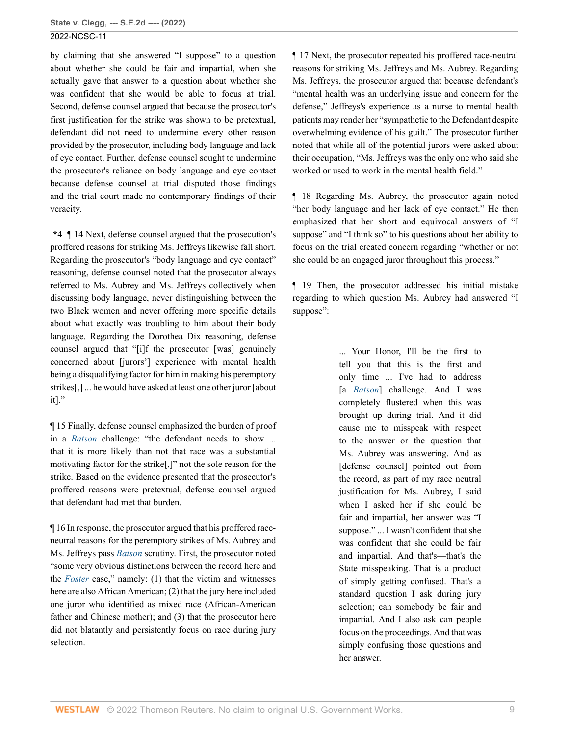by claiming that she answered "I suppose" to a question about whether she could be fair and impartial, when she actually gave that answer to a question about whether she was confident that she would be able to focus at trial. Second, defense counsel argued that because the prosecutor's first justification for the strike was shown to be pretextual, defendant did not need to undermine every other reason provided by the prosecutor, including body language and lack of eye contact. Further, defense counsel sought to undermine the prosecutor's reliance on body language and eye contact because defense counsel at trial disputed those findings and the trial court made no contemporary findings of their veracity.

**\*4** ¶ 14 Next, defense counsel argued that the prosecution's proffered reasons for striking Ms. Jeffreys likewise fall short. Regarding the prosecutor's "body language and eye contact" reasoning, defense counsel noted that the prosecutor always referred to Ms. Aubrey and Ms. Jeffreys collectively when discussing body language, never distinguishing between the two Black women and never offering more specific details about what exactly was troubling to him about their body language. Regarding the Dorothea Dix reasoning, defense counsel argued that "[i]f the prosecutor [was] genuinely concerned about [jurors'] experience with mental health being a disqualifying factor for him in making his peremptory strikes[,] ... he would have asked at least one other juror [about it]."

¶ 15 Finally, defense counsel emphasized the burden of proof in a *[Batson](http://www.westlaw.com/Link/Document/FullText?findType=Y&serNum=1986122459&pubNum=0000708&originatingDoc=Ie49697508b7d11ec9381ff4a09a81529&refType=RP&originationContext=document&vr=3.0&rs=cblt1.0&transitionType=DocumentItem&contextData=(sc.FindAndPrintPortal))* challenge: "the defendant needs to show ... that it is more likely than not that race was a substantial motivating factor for the strike[,]" not the sole reason for the strike. Based on the evidence presented that the prosecutor's proffered reasons were pretextual, defense counsel argued that defendant had met that burden.

¶ 16 In response, the prosecutor argued that his proffered raceneutral reasons for the peremptory strikes of Ms. Aubrey and Ms. Jeffreys pass *[Batson](http://www.westlaw.com/Link/Document/FullText?findType=Y&serNum=1986122459&pubNum=0000708&originatingDoc=Ie49697508b7d11ec9381ff4a09a81529&refType=RP&originationContext=document&vr=3.0&rs=cblt1.0&transitionType=DocumentItem&contextData=(sc.FindAndPrintPortal))* scrutiny. First, the prosecutor noted "some very obvious distinctions between the record here and the *[Foster](http://www.westlaw.com/Link/Document/FullText?findType=Y&serNum=2038892556&pubNum=0000708&originatingDoc=Ie49697508b7d11ec9381ff4a09a81529&refType=RP&originationContext=document&vr=3.0&rs=cblt1.0&transitionType=DocumentItem&contextData=(sc.FindAndPrintPortal))* case," namely: (1) that the victim and witnesses here are also African American; (2) that the jury here included one juror who identified as mixed race (African-American father and Chinese mother); and (3) that the prosecutor here did not blatantly and persistently focus on race during jury selection.

¶ 17 Next, the prosecutor repeated his proffered race-neutral reasons for striking Ms. Jeffreys and Ms. Aubrey. Regarding Ms. Jeffreys, the prosecutor argued that because defendant's "mental health was an underlying issue and concern for the defense," Jeffreys's experience as a nurse to mental health patients may render her "sympathetic to the Defendant despite overwhelming evidence of his guilt." The prosecutor further noted that while all of the potential jurors were asked about their occupation, "Ms. Jeffreys was the only one who said she worked or used to work in the mental health field."

¶ 18 Regarding Ms. Aubrey, the prosecutor again noted "her body language and her lack of eye contact." He then emphasized that her short and equivocal answers of "I suppose" and "I think so" to his questions about her ability to focus on the trial created concern regarding "whether or not she could be an engaged juror throughout this process."

¶ 19 Then, the prosecutor addressed his initial mistake regarding to which question Ms. Aubrey had answered "I suppose":

> ... Your Honor, I'll be the first to tell you that this is the first and only time ... I've had to address [a *[Batson](http://www.westlaw.com/Link/Document/FullText?findType=Y&serNum=1986122459&pubNum=0000708&originatingDoc=Ie49697508b7d11ec9381ff4a09a81529&refType=RP&originationContext=document&vr=3.0&rs=cblt1.0&transitionType=DocumentItem&contextData=(sc.FindAndPrintPortal))*] challenge. And I was completely flustered when this was brought up during trial. And it did cause me to misspeak with respect to the answer or the question that Ms. Aubrey was answering. And as [defense counsel] pointed out from the record, as part of my race neutral justification for Ms. Aubrey, I said when I asked her if she could be fair and impartial, her answer was "I suppose." ... I wasn't confident that she was confident that she could be fair and impartial. And that's—that's the State misspeaking. That is a product of simply getting confused. That's a standard question I ask during jury selection; can somebody be fair and impartial. And I also ask can people focus on the proceedings. And that was simply confusing those questions and her answer.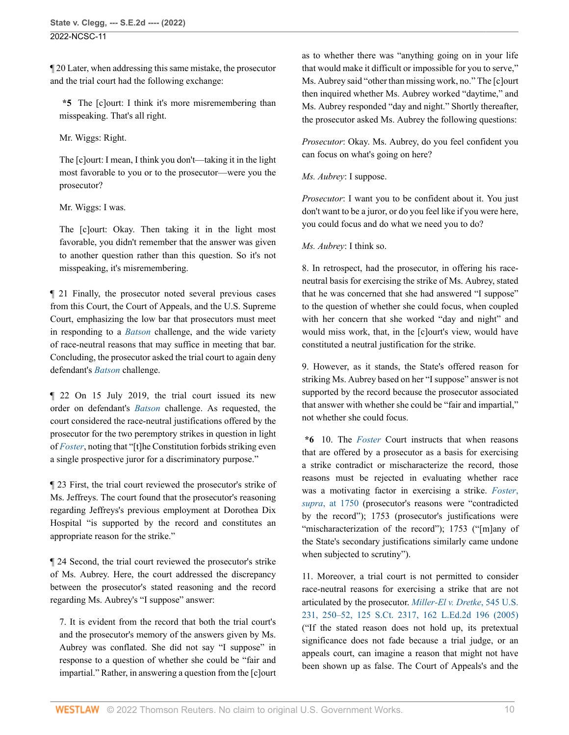¶ 20 Later, when addressing this same mistake, the prosecutor and the trial court had the following exchange:

**\*5** The [c]ourt: I think it's more misremembering than misspeaking. That's all right.

Mr. Wiggs: Right.

The [c]ourt: I mean, I think you don't—taking it in the light most favorable to you or to the prosecutor—were you the prosecutor?

Mr. Wiggs: I was.

The [c]ourt: Okay. Then taking it in the light most favorable, you didn't remember that the answer was given to another question rather than this question. So it's not misspeaking, it's misremembering.

¶ 21 Finally, the prosecutor noted several previous cases from this Court, the Court of Appeals, and the U.S. Supreme Court, emphasizing the low bar that prosecutors must meet in responding to a *[Batson](http://www.westlaw.com/Link/Document/FullText?findType=Y&serNum=1986122459&pubNum=0000708&originatingDoc=Ie49697508b7d11ec9381ff4a09a81529&refType=RP&originationContext=document&vr=3.0&rs=cblt1.0&transitionType=DocumentItem&contextData=(sc.FindAndPrintPortal))* challenge, and the wide variety of race-neutral reasons that may suffice in meeting that bar. Concluding, the prosecutor asked the trial court to again deny defendant's *[Batson](http://www.westlaw.com/Link/Document/FullText?findType=Y&serNum=1986122459&pubNum=0000708&originatingDoc=Ie49697508b7d11ec9381ff4a09a81529&refType=RP&originationContext=document&vr=3.0&rs=cblt1.0&transitionType=DocumentItem&contextData=(sc.FindAndPrintPortal))* challenge.

¶ 22 On 15 July 2019, the trial court issued its new order on defendant's *[Batson](http://www.westlaw.com/Link/Document/FullText?findType=Y&serNum=1986122459&pubNum=0000708&originatingDoc=Ie49697508b7d11ec9381ff4a09a81529&refType=RP&originationContext=document&vr=3.0&rs=cblt1.0&transitionType=DocumentItem&contextData=(sc.FindAndPrintPortal))* challenge. As requested, the court considered the race-neutral justifications offered by the prosecutor for the two peremptory strikes in question in light of *[Foster](http://www.westlaw.com/Link/Document/FullText?findType=Y&serNum=2038892556&pubNum=0000708&originatingDoc=Ie49697508b7d11ec9381ff4a09a81529&refType=RP&originationContext=document&vr=3.0&rs=cblt1.0&transitionType=DocumentItem&contextData=(sc.FindAndPrintPortal))*, noting that "[t]he Constitution forbids striking even a single prospective juror for a discriminatory purpose."

¶ 23 First, the trial court reviewed the prosecutor's strike of Ms. Jeffreys. The court found that the prosecutor's reasoning regarding Jeffreys's previous employment at Dorothea Dix Hospital "is supported by the record and constitutes an appropriate reason for the strike."

¶ 24 Second, the trial court reviewed the prosecutor's strike of Ms. Aubrey. Here, the court addressed the discrepancy between the prosecutor's stated reasoning and the record regarding Ms. Aubrey's "I suppose" answer:

7. It is evident from the record that both the trial court's and the prosecutor's memory of the answers given by Ms. Aubrey was conflated. She did not say "I suppose" in response to a question of whether she could be "fair and impartial." Rather, in answering a question from the [c]ourt as to whether there was "anything going on in your life that would make it difficult or impossible for you to serve," Ms. Aubrey said "other than missing work, no." The [c]ourt then inquired whether Ms. Aubrey worked "daytime," and Ms. Aubrey responded "day and night." Shortly thereafter, the prosecutor asked Ms. Aubrey the following questions:

*Prosecutor*: Okay. Ms. Aubrey, do you feel confident you can focus on what's going on here?

*Ms. Aubrey*: I suppose.

*Prosecutor*: I want you to be confident about it. You just don't want to be a juror, or do you feel like if you were here, you could focus and do what we need you to do?

*Ms. Aubrey*: I think so.

8. In retrospect, had the prosecutor, in offering his raceneutral basis for exercising the strike of Ms. Aubrey, stated that he was concerned that she had answered "I suppose" to the question of whether she could focus, when coupled with her concern that she worked "day and night" and would miss work, that, in the [c]ourt's view, would have constituted a neutral justification for the strike.

9. However, as it stands, the State's offered reason for striking Ms. Aubrey based on her "I suppose" answer is not supported by the record because the prosecutor associated that answer with whether she could be "fair and impartial," not whether she could focus.

**\*6** 10. The *[Foster](http://www.westlaw.com/Link/Document/FullText?findType=Y&serNum=2038892556&pubNum=0000708&originatingDoc=Ie49697508b7d11ec9381ff4a09a81529&refType=RP&originationContext=document&vr=3.0&rs=cblt1.0&transitionType=DocumentItem&contextData=(sc.FindAndPrintPortal))* Court instructs that when reasons that are offered by a prosecutor as a basis for exercising a strike contradict or mischaracterize the record, those reasons must be rejected in evaluating whether race was a motivating factor in exercising a strike. *[Foster](http://www.westlaw.com/Link/Document/FullText?findType=Y&serNum=2038892556&pubNum=0000708&originatingDoc=Ie49697508b7d11ec9381ff4a09a81529&refType=RP&fi=co_pp_sp_708_1750&originationContext=document&vr=3.0&rs=cblt1.0&transitionType=DocumentItem&contextData=(sc.FindAndPrintPortal)#co_pp_sp_708_1750)*, *supra*[, at 1750](http://www.westlaw.com/Link/Document/FullText?findType=Y&serNum=2038892556&pubNum=0000708&originatingDoc=Ie49697508b7d11ec9381ff4a09a81529&refType=RP&fi=co_pp_sp_708_1750&originationContext=document&vr=3.0&rs=cblt1.0&transitionType=DocumentItem&contextData=(sc.FindAndPrintPortal)#co_pp_sp_708_1750) (prosecutor's reasons were "contradicted by the record"); 1753 (prosecutor's justifications were "mischaracterization of the record"); 1753 ("[m]any of the State's secondary justifications similarly came undone when subjected to scrutiny").

11. Moreover, a trial court is not permitted to consider race-neutral reasons for exercising a strike that are not articulated by the prosecutor. *[Miller-El v. Dretke](http://www.westlaw.com/Link/Document/FullText?findType=Y&serNum=2006791870&pubNum=0000780&originatingDoc=Ie49697508b7d11ec9381ff4a09a81529&refType=RP&fi=co_pp_sp_780_250&originationContext=document&vr=3.0&rs=cblt1.0&transitionType=DocumentItem&contextData=(sc.FindAndPrintPortal)#co_pp_sp_780_250)*, 545 U.S. [231, 250–52, 125 S.Ct. 2317, 162 L.Ed.2d 196 \(2005\)](http://www.westlaw.com/Link/Document/FullText?findType=Y&serNum=2006791870&pubNum=0000780&originatingDoc=Ie49697508b7d11ec9381ff4a09a81529&refType=RP&fi=co_pp_sp_780_250&originationContext=document&vr=3.0&rs=cblt1.0&transitionType=DocumentItem&contextData=(sc.FindAndPrintPortal)#co_pp_sp_780_250) ("If the stated reason does not hold up, its pretextual significance does not fade because a trial judge, or an appeals court, can imagine a reason that might not have been shown up as false. The Court of Appeals's and the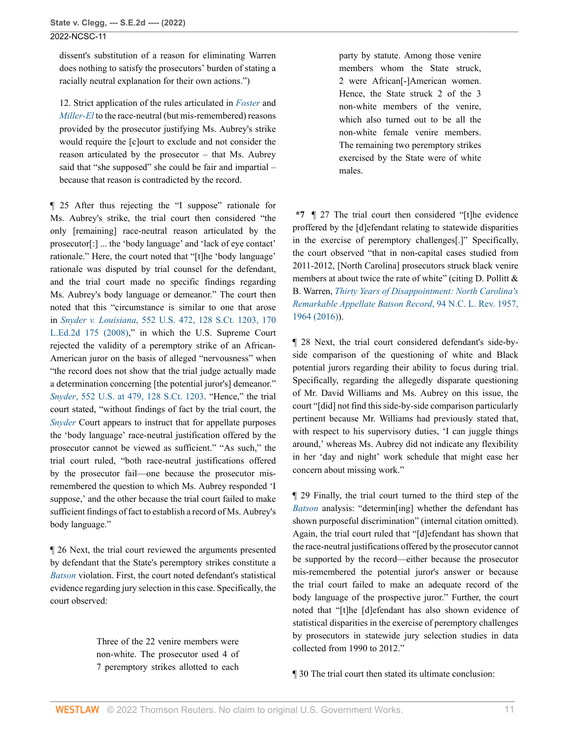dissent's substitution of a reason for eliminating Warren does nothing to satisfy the prosecutors' burden of stating a racially neutral explanation for their own actions.")

12. Strict application of the rules articulated in *[Foster](http://www.westlaw.com/Link/Document/FullText?findType=Y&serNum=2038892556&pubNum=0000708&originatingDoc=Ie49697508b7d11ec9381ff4a09a81529&refType=RP&originationContext=document&vr=3.0&rs=cblt1.0&transitionType=DocumentItem&contextData=(sc.FindAndPrintPortal))* and *[Miller-El](http://www.westlaw.com/Link/Document/FullText?findType=Y&serNum=2006791870&pubNum=0000708&originatingDoc=Ie49697508b7d11ec9381ff4a09a81529&refType=RP&originationContext=document&vr=3.0&rs=cblt1.0&transitionType=DocumentItem&contextData=(sc.FindAndPrintPortal))* to the race-neutral (but mis-remembered) reasons provided by the prosecutor justifying Ms. Aubrey's strike would require the [c]ourt to exclude and not consider the reason articulated by the prosecutor – that Ms. Aubrey said that "she supposed" she could be fair and impartial – because that reason is contradicted by the record.

¶ 25 After thus rejecting the "I suppose" rationale for Ms. Aubrey's strike, the trial court then considered "the only [remaining] race-neutral reason articulated by the prosecutor[:] ... the 'body language' and 'lack of eye contact' rationale." Here, the court noted that "[t]he 'body language' rationale was disputed by trial counsel for the defendant, and the trial court made no specific findings regarding Ms. Aubrey's body language or demeanor." The court then noted that this "circumstance is similar to one that arose in *Snyder v. Louisiana*[, 552 U.S. 472, 128 S.Ct. 1203, 170](http://www.westlaw.com/Link/Document/FullText?findType=Y&serNum=2015520672&pubNum=0000708&originatingDoc=Ie49697508b7d11ec9381ff4a09a81529&refType=RP&originationContext=document&vr=3.0&rs=cblt1.0&transitionType=DocumentItem&contextData=(sc.FindAndPrintPortal)) [L.Ed.2d 175 \(2008\)](http://www.westlaw.com/Link/Document/FullText?findType=Y&serNum=2015520672&pubNum=0000708&originatingDoc=Ie49697508b7d11ec9381ff4a09a81529&refType=RP&originationContext=document&vr=3.0&rs=cblt1.0&transitionType=DocumentItem&contextData=(sc.FindAndPrintPortal))," in which the U.S. Supreme Court rejected the validity of a peremptory strike of an African-American juror on the basis of alleged "nervousness" when "the record does not show that the trial judge actually made a determination concerning [the potential juror's] demeanor." *Snyder*[, 552 U.S. at 479, 128 S.Ct. 1203.](http://www.westlaw.com/Link/Document/FullText?findType=Y&serNum=2015520672&pubNum=0000780&originatingDoc=Ie49697508b7d11ec9381ff4a09a81529&refType=RP&fi=co_pp_sp_780_479&originationContext=document&vr=3.0&rs=cblt1.0&transitionType=DocumentItem&contextData=(sc.FindAndPrintPortal)#co_pp_sp_780_479) "Hence," the trial court stated, "without findings of fact by the trial court, the *[Snyder](http://www.westlaw.com/Link/Document/FullText?findType=Y&serNum=2015520672&pubNum=0000708&originatingDoc=Ie49697508b7d11ec9381ff4a09a81529&refType=RP&originationContext=document&vr=3.0&rs=cblt1.0&transitionType=DocumentItem&contextData=(sc.FindAndPrintPortal))* Court appears to instruct that for appellate purposes the 'body language' race-neutral justification offered by the prosecutor cannot be viewed as sufficient." "As such," the trial court ruled, "both race-neutral justifications offered by the prosecutor fail—one because the prosecutor misremembered the question to which Ms. Aubrey responded 'I suppose,' and the other because the trial court failed to make sufficient findings of fact to establish a record of Ms. Aubrey's body language."

¶ 26 Next, the trial court reviewed the arguments presented by defendant that the State's peremptory strikes constitute a *[Batson](http://www.westlaw.com/Link/Document/FullText?findType=Y&serNum=1986122459&pubNum=0000708&originatingDoc=Ie49697508b7d11ec9381ff4a09a81529&refType=RP&originationContext=document&vr=3.0&rs=cblt1.0&transitionType=DocumentItem&contextData=(sc.FindAndPrintPortal))* violation. First, the court noted defendant's statistical evidence regarding jury selection in this case. Specifically, the court observed:

> Three of the 22 venire members were non-white. The prosecutor used 4 of 7 peremptory strikes allotted to each

party by statute. Among those venire members whom the State struck, 2 were African[-]American women. Hence, the State struck 2 of the 3 non-white members of the venire, which also turned out to be all the non-white female venire members. The remaining two peremptory strikes exercised by the State were of white males.

**\*7** ¶ 27 The trial court then considered "[t]he evidence proffered by the [d]efendant relating to statewide disparities in the exercise of peremptory challenges[.]" Specifically, the court observed "that in non-capital cases studied from 2011-2012, [North Carolina] prosecutors struck black venire members at about twice the rate of white" (citing D. Pollitt & B. Warren, *[Thirty Years of Disappointment: North Carolina's](http://www.westlaw.com/Link/Document/FullText?findType=Y&serNum=0452013574&pubNum=0001199&originatingDoc=Ie49697508b7d11ec9381ff4a09a81529&refType=LR&fi=co_pp_sp_1199_1964&originationContext=document&vr=3.0&rs=cblt1.0&transitionType=DocumentItem&contextData=(sc.FindAndPrintPortal)#co_pp_sp_1199_1964) [Remarkable Appellate Batson Record](http://www.westlaw.com/Link/Document/FullText?findType=Y&serNum=0452013574&pubNum=0001199&originatingDoc=Ie49697508b7d11ec9381ff4a09a81529&refType=LR&fi=co_pp_sp_1199_1964&originationContext=document&vr=3.0&rs=cblt1.0&transitionType=DocumentItem&contextData=(sc.FindAndPrintPortal)#co_pp_sp_1199_1964)*, 94 N.C. L. Rev. 1957, [1964 \(2016\)](http://www.westlaw.com/Link/Document/FullText?findType=Y&serNum=0452013574&pubNum=0001199&originatingDoc=Ie49697508b7d11ec9381ff4a09a81529&refType=LR&fi=co_pp_sp_1199_1964&originationContext=document&vr=3.0&rs=cblt1.0&transitionType=DocumentItem&contextData=(sc.FindAndPrintPortal)#co_pp_sp_1199_1964)).

¶ 28 Next, the trial court considered defendant's side-byside comparison of the questioning of white and Black potential jurors regarding their ability to focus during trial. Specifically, regarding the allegedly disparate questioning of Mr. David Williams and Ms. Aubrey on this issue, the court "[did] not find this side-by-side comparison particularly pertinent because Mr. Williams had previously stated that, with respect to his supervisory duties, 'I can juggle things around,' whereas Ms. Aubrey did not indicate any flexibility in her 'day and night' work schedule that might ease her concern about missing work."

¶ 29 Finally, the trial court turned to the third step of the *[Batson](http://www.westlaw.com/Link/Document/FullText?findType=Y&serNum=1986122459&pubNum=0000708&originatingDoc=Ie49697508b7d11ec9381ff4a09a81529&refType=RP&originationContext=document&vr=3.0&rs=cblt1.0&transitionType=DocumentItem&contextData=(sc.FindAndPrintPortal))* analysis: "determin[ing] whether the defendant has shown purposeful discrimination" (internal citation omitted). Again, the trial court ruled that "[d]efendant has shown that the race-neutral justifications offered by the prosecutor cannot be supported by the record—either because the prosecutor mis-remembered the potential juror's answer or because the trial court failed to make an adequate record of the body language of the prospective juror." Further, the court noted that "[t]he [d]efendant has also shown evidence of statistical disparities in the exercise of peremptory challenges by prosecutors in statewide jury selection studies in data collected from 1990 to 2012."

¶ 30 The trial court then stated its ultimate conclusion: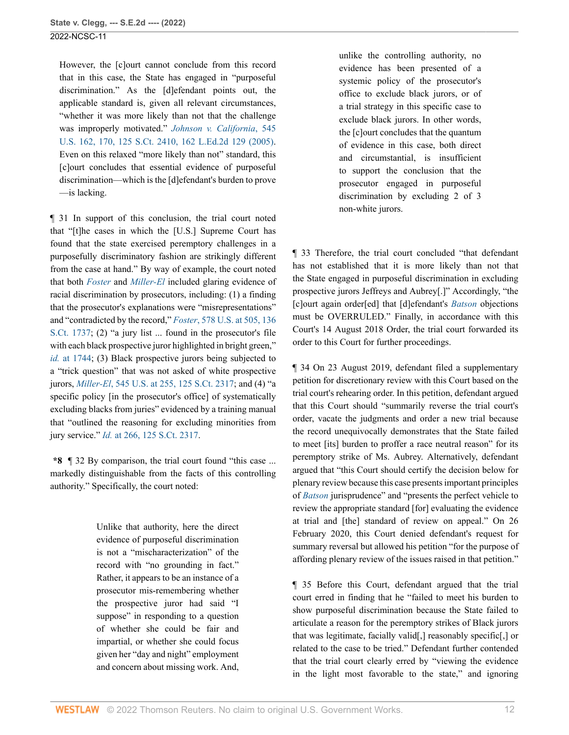However, the [c]ourt cannot conclude from this record that in this case, the State has engaged in "purposeful discrimination." As the [d]efendant points out, the applicable standard is, given all relevant circumstances, "whether it was more likely than not that the challenge was improperly motivated." *[Johnson v. California](http://www.westlaw.com/Link/Document/FullText?findType=Y&serNum=2006791983&pubNum=0000780&originatingDoc=Ie49697508b7d11ec9381ff4a09a81529&refType=RP&fi=co_pp_sp_780_170&originationContext=document&vr=3.0&rs=cblt1.0&transitionType=DocumentItem&contextData=(sc.FindAndPrintPortal)#co_pp_sp_780_170)*, 545 [U.S. 162, 170, 125 S.Ct. 2410, 162 L.Ed.2d 129 \(2005\)](http://www.westlaw.com/Link/Document/FullText?findType=Y&serNum=2006791983&pubNum=0000780&originatingDoc=Ie49697508b7d11ec9381ff4a09a81529&refType=RP&fi=co_pp_sp_780_170&originationContext=document&vr=3.0&rs=cblt1.0&transitionType=DocumentItem&contextData=(sc.FindAndPrintPortal)#co_pp_sp_780_170). Even on this relaxed "more likely than not" standard, this [c]ourt concludes that essential evidence of purposeful discrimination—which is the [d]efendant's burden to prove —is lacking.

¶ 31 In support of this conclusion, the trial court noted that "[t]he cases in which the [U.S.] Supreme Court has found that the state exercised peremptory challenges in a purposefully discriminatory fashion are strikingly different from the case at hand." By way of example, the court noted that both *[Foster](http://www.westlaw.com/Link/Document/FullText?findType=Y&serNum=2038892556&pubNum=0000708&originatingDoc=Ie49697508b7d11ec9381ff4a09a81529&refType=RP&originationContext=document&vr=3.0&rs=cblt1.0&transitionType=DocumentItem&contextData=(sc.FindAndPrintPortal))* and *[Miller-El](http://www.westlaw.com/Link/Document/FullText?findType=Y&serNum=2006791870&pubNum=0000708&originatingDoc=Ie49697508b7d11ec9381ff4a09a81529&refType=RP&originationContext=document&vr=3.0&rs=cblt1.0&transitionType=DocumentItem&contextData=(sc.FindAndPrintPortal))* included glaring evidence of racial discrimination by prosecutors, including: (1) a finding that the prosecutor's explanations were "misrepresentations" and "contradicted by the record," *Foster*[, 578 U.S. at 505, 136](http://www.westlaw.com/Link/Document/FullText?findType=Y&serNum=2038892556&pubNum=0000780&originatingDoc=Ie49697508b7d11ec9381ff4a09a81529&refType=RP&fi=co_pp_sp_780_505&originationContext=document&vr=3.0&rs=cblt1.0&transitionType=DocumentItem&contextData=(sc.FindAndPrintPortal)#co_pp_sp_780_505) [S.Ct. 1737;](http://www.westlaw.com/Link/Document/FullText?findType=Y&serNum=2038892556&pubNum=0000780&originatingDoc=Ie49697508b7d11ec9381ff4a09a81529&refType=RP&fi=co_pp_sp_780_505&originationContext=document&vr=3.0&rs=cblt1.0&transitionType=DocumentItem&contextData=(sc.FindAndPrintPortal)#co_pp_sp_780_505) (2) "a jury list ... found in the prosecutor's file with each black prospective juror highlighted in bright green," *id.* [at 1744](http://www.westlaw.com/Link/Document/FullText?findType=Y&serNum=2038892556&pubNum=0000708&originatingDoc=Ie49697508b7d11ec9381ff4a09a81529&refType=RP&fi=co_pp_sp_708_1744&originationContext=document&vr=3.0&rs=cblt1.0&transitionType=DocumentItem&contextData=(sc.FindAndPrintPortal)#co_pp_sp_708_1744); (3) Black prospective jurors being subjected to a "trick question" that was not asked of white prospective jurors, *Miller-El*[, 545 U.S. at 255, 125 S.Ct. 2317;](http://www.westlaw.com/Link/Document/FullText?findType=Y&serNum=2006791870&pubNum=0000780&originatingDoc=Ie49697508b7d11ec9381ff4a09a81529&refType=RP&fi=co_pp_sp_780_255&originationContext=document&vr=3.0&rs=cblt1.0&transitionType=DocumentItem&contextData=(sc.FindAndPrintPortal)#co_pp_sp_780_255) and (4) "a specific policy [in the prosecutor's office] of systematically excluding blacks from juries" evidenced by a training manual that "outlined the reasoning for excluding minorities from jury service." *Id.* [at 266, 125 S.Ct. 2317](http://www.westlaw.com/Link/Document/FullText?findType=Y&serNum=2006791870&pubNum=0000708&originatingDoc=Ie49697508b7d11ec9381ff4a09a81529&refType=RP&originationContext=document&vr=3.0&rs=cblt1.0&transitionType=DocumentItem&contextData=(sc.FindAndPrintPortal)).

**\*8** ¶ 32 By comparison, the trial court found "this case ... markedly distinguishable from the facts of this controlling authority." Specifically, the court noted:

> Unlike that authority, here the direct evidence of purposeful discrimination is not a "mischaracterization" of the record with "no grounding in fact." Rather, it appears to be an instance of a prosecutor mis-remembering whether the prospective juror had said "I suppose" in responding to a question of whether she could be fair and impartial, or whether she could focus given her "day and night" employment and concern about missing work. And,

unlike the controlling authority, no evidence has been presented of a systemic policy of the prosecutor's office to exclude black jurors, or of a trial strategy in this specific case to exclude black jurors. In other words, the [c]ourt concludes that the quantum of evidence in this case, both direct and circumstantial, is insufficient to support the conclusion that the prosecutor engaged in purposeful discrimination by excluding 2 of 3 non-white jurors.

¶ 33 Therefore, the trial court concluded "that defendant has not established that it is more likely than not that the State engaged in purposeful discrimination in excluding prospective jurors Jeffreys and Aubrey[.]" Accordingly, "the [c]ourt again order[ed] that [d]efendant's *[Batson](http://www.westlaw.com/Link/Document/FullText?findType=Y&serNum=1986122459&pubNum=0000708&originatingDoc=Ie49697508b7d11ec9381ff4a09a81529&refType=RP&originationContext=document&vr=3.0&rs=cblt1.0&transitionType=DocumentItem&contextData=(sc.FindAndPrintPortal))* objections must be OVERRULED." Finally, in accordance with this Court's 14 August 2018 Order, the trial court forwarded its order to this Court for further proceedings.

¶ 34 On 23 August 2019, defendant filed a supplementary petition for discretionary review with this Court based on the trial court's rehearing order. In this petition, defendant argued that this Court should "summarily reverse the trial court's order, vacate the judgments and order a new trial because the record unequivocally demonstrates that the State failed to meet [its] burden to proffer a race neutral reason" for its peremptory strike of Ms. Aubrey. Alternatively, defendant argued that "this Court should certify the decision below for plenary review because this case presents important principles of *[Batson](http://www.westlaw.com/Link/Document/FullText?findType=Y&serNum=1986122459&pubNum=0000708&originatingDoc=Ie49697508b7d11ec9381ff4a09a81529&refType=RP&originationContext=document&vr=3.0&rs=cblt1.0&transitionType=DocumentItem&contextData=(sc.FindAndPrintPortal))* jurisprudence" and "presents the perfect vehicle to review the appropriate standard [for] evaluating the evidence at trial and [the] standard of review on appeal." On 26 February 2020, this Court denied defendant's request for summary reversal but allowed his petition "for the purpose of affording plenary review of the issues raised in that petition."

¶ 35 Before this Court, defendant argued that the trial court erred in finding that he "failed to meet his burden to show purposeful discrimination because the State failed to articulate a reason for the peremptory strikes of Black jurors that was legitimate, facially valid[,] reasonably specific[,] or related to the case to be tried." Defendant further contended that the trial court clearly erred by "viewing the evidence in the light most favorable to the state," and ignoring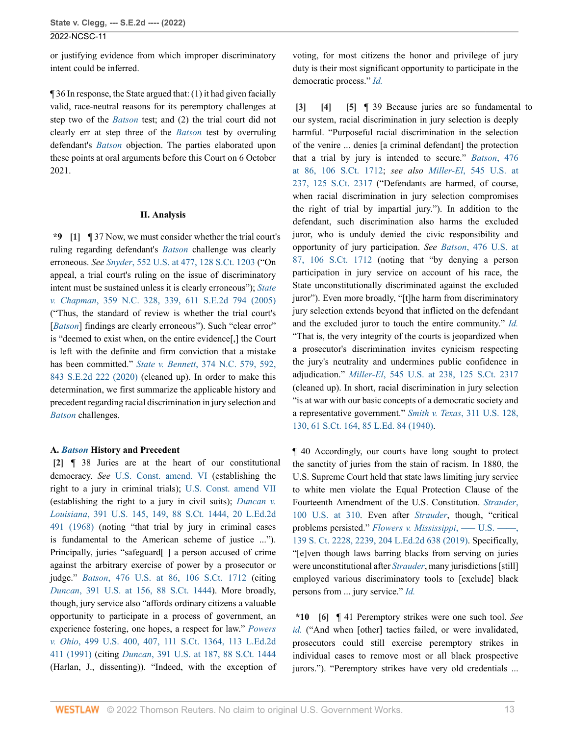or justifying evidence from which improper discriminatory intent could be inferred.

¶ 36 In response, the State argued that: (1) it had given facially valid, race-neutral reasons for its peremptory challenges at step two of the *[Batson](http://www.westlaw.com/Link/Document/FullText?findType=Y&serNum=1986122459&pubNum=0000708&originatingDoc=Ie49697508b7d11ec9381ff4a09a81529&refType=RP&originationContext=document&vr=3.0&rs=cblt1.0&transitionType=DocumentItem&contextData=(sc.FindAndPrintPortal))* test; and (2) the trial court did not clearly err at step three of the *[Batson](http://www.westlaw.com/Link/Document/FullText?findType=Y&serNum=1986122459&pubNum=0000708&originatingDoc=Ie49697508b7d11ec9381ff4a09a81529&refType=RP&originationContext=document&vr=3.0&rs=cblt1.0&transitionType=DocumentItem&contextData=(sc.FindAndPrintPortal))* test by overruling defendant's *[Batson](http://www.westlaw.com/Link/Document/FullText?findType=Y&serNum=1986122459&pubNum=0000708&originatingDoc=Ie49697508b7d11ec9381ff4a09a81529&refType=RP&originationContext=document&vr=3.0&rs=cblt1.0&transitionType=DocumentItem&contextData=(sc.FindAndPrintPortal))* objection. The parties elaborated upon these points at oral arguments before this Court on 6 October 2021.

#### **II. Analysis**

<span id="page-12-0"></span>**\*9 [\[1\]](#page-0-0)** ¶ 37 Now, we must consider whether the trial court's ruling regarding defendant's *[Batson](http://www.westlaw.com/Link/Document/FullText?findType=Y&serNum=1986122459&pubNum=0000708&originatingDoc=Ie49697508b7d11ec9381ff4a09a81529&refType=RP&originationContext=document&vr=3.0&rs=cblt1.0&transitionType=DocumentItem&contextData=(sc.FindAndPrintPortal))* challenge was clearly erroneous. *See Snyder*[, 552 U.S. at 477, 128 S.Ct. 1203](http://www.westlaw.com/Link/Document/FullText?findType=Y&serNum=2015520672&pubNum=0000780&originatingDoc=Ie49697508b7d11ec9381ff4a09a81529&refType=RP&fi=co_pp_sp_780_477&originationContext=document&vr=3.0&rs=cblt1.0&transitionType=DocumentItem&contextData=(sc.FindAndPrintPortal)#co_pp_sp_780_477) ("On appeal, a trial court's ruling on the issue of discriminatory intent must be sustained unless it is clearly erroneous"); *[State](http://www.westlaw.com/Link/Document/FullText?findType=Y&serNum=2006431038&pubNum=0000572&originatingDoc=Ie49697508b7d11ec9381ff4a09a81529&refType=RP&fi=co_pp_sp_572_339&originationContext=document&vr=3.0&rs=cblt1.0&transitionType=DocumentItem&contextData=(sc.FindAndPrintPortal)#co_pp_sp_572_339) v. Chapman*[, 359 N.C. 328, 339, 611 S.E.2d 794 \(2005\)](http://www.westlaw.com/Link/Document/FullText?findType=Y&serNum=2006431038&pubNum=0000572&originatingDoc=Ie49697508b7d11ec9381ff4a09a81529&refType=RP&fi=co_pp_sp_572_339&originationContext=document&vr=3.0&rs=cblt1.0&transitionType=DocumentItem&contextData=(sc.FindAndPrintPortal)#co_pp_sp_572_339) ("Thus, the standard of review is whether the trial court's [*[Batson](http://www.westlaw.com/Link/Document/FullText?findType=Y&serNum=1986122459&pubNum=0000708&originatingDoc=Ie49697508b7d11ec9381ff4a09a81529&refType=RP&originationContext=document&vr=3.0&rs=cblt1.0&transitionType=DocumentItem&contextData=(sc.FindAndPrintPortal))*] findings are clearly erroneous"). Such "clear error" is "deemed to exist when, on the entire evidence[,] the Court is left with the definite and firm conviction that a mistake has been committed." *State v. Bennett*[, 374 N.C. 579, 592,](http://www.westlaw.com/Link/Document/FullText?findType=Y&serNum=2051204528&pubNum=0000572&originatingDoc=Ie49697508b7d11ec9381ff4a09a81529&refType=RP&fi=co_pp_sp_572_592&originationContext=document&vr=3.0&rs=cblt1.0&transitionType=DocumentItem&contextData=(sc.FindAndPrintPortal)#co_pp_sp_572_592) [843 S.E.2d 222 \(2020\)](http://www.westlaw.com/Link/Document/FullText?findType=Y&serNum=2051204528&pubNum=0000572&originatingDoc=Ie49697508b7d11ec9381ff4a09a81529&refType=RP&fi=co_pp_sp_572_592&originationContext=document&vr=3.0&rs=cblt1.0&transitionType=DocumentItem&contextData=(sc.FindAndPrintPortal)#co_pp_sp_572_592) (cleaned up). In order to make this determination, we first summarize the applicable history and precedent regarding racial discrimination in jury selection and *[Batson](http://www.westlaw.com/Link/Document/FullText?findType=Y&serNum=1986122459&pubNum=0000708&originatingDoc=Ie49697508b7d11ec9381ff4a09a81529&refType=RP&originationContext=document&vr=3.0&rs=cblt1.0&transitionType=DocumentItem&contextData=(sc.FindAndPrintPortal))* challenges.

# **A.** *[Batson](http://www.westlaw.com/Link/Document/FullText?findType=Y&serNum=1986122459&pubNum=0000708&originatingDoc=Ie49697508b7d11ec9381ff4a09a81529&refType=RP&originationContext=document&vr=3.0&rs=cblt1.0&transitionType=DocumentItem&contextData=(sc.FindAndPrintPortal))* **History and Precedent**

<span id="page-12-1"></span>**[\[2\]](#page-0-1)** ¶ 38 Juries are at the heart of our constitutional democracy. *See* [U.S. Const. amend. VI](http://www.westlaw.com/Link/Document/FullText?findType=L&pubNum=1000583&cite=USCOAMENDVI&originatingDoc=Ie49697508b7d11ec9381ff4a09a81529&refType=LQ&originationContext=document&vr=3.0&rs=cblt1.0&transitionType=DocumentItem&contextData=(sc.FindAndPrintPortal)) (establishing the right to a jury in criminal trials); [U.S. Const. amend VII](http://www.westlaw.com/Link/Document/FullText?findType=L&pubNum=1000583&cite=USCOAMENDVII&originatingDoc=Ie49697508b7d11ec9381ff4a09a81529&refType=LQ&originationContext=document&vr=3.0&rs=cblt1.0&transitionType=DocumentItem&contextData=(sc.FindAndPrintPortal)) (establishing the right to a jury in civil suits); *[Duncan v.](http://www.westlaw.com/Link/Document/FullText?findType=Y&serNum=1968131174&pubNum=0000780&originatingDoc=Ie49697508b7d11ec9381ff4a09a81529&refType=RP&fi=co_pp_sp_780_149&originationContext=document&vr=3.0&rs=cblt1.0&transitionType=DocumentItem&contextData=(sc.FindAndPrintPortal)#co_pp_sp_780_149) Louisiana*[, 391 U.S. 145, 149, 88 S.Ct. 1444, 20 L.Ed.2d](http://www.westlaw.com/Link/Document/FullText?findType=Y&serNum=1968131174&pubNum=0000780&originatingDoc=Ie49697508b7d11ec9381ff4a09a81529&refType=RP&fi=co_pp_sp_780_149&originationContext=document&vr=3.0&rs=cblt1.0&transitionType=DocumentItem&contextData=(sc.FindAndPrintPortal)#co_pp_sp_780_149) [491 \(1968\)](http://www.westlaw.com/Link/Document/FullText?findType=Y&serNum=1968131174&pubNum=0000780&originatingDoc=Ie49697508b7d11ec9381ff4a09a81529&refType=RP&fi=co_pp_sp_780_149&originationContext=document&vr=3.0&rs=cblt1.0&transitionType=DocumentItem&contextData=(sc.FindAndPrintPortal)#co_pp_sp_780_149) (noting "that trial by jury in criminal cases is fundamental to the American scheme of justice ..."). Principally, juries "safeguard[ ] a person accused of crime against the arbitrary exercise of power by a prosecutor or judge." *Batson*[, 476 U.S. at 86, 106 S.Ct. 1712](http://www.westlaw.com/Link/Document/FullText?findType=Y&serNum=1986122459&pubNum=0000780&originatingDoc=Ie49697508b7d11ec9381ff4a09a81529&refType=RP&fi=co_pp_sp_780_86&originationContext=document&vr=3.0&rs=cblt1.0&transitionType=DocumentItem&contextData=(sc.FindAndPrintPortal)#co_pp_sp_780_86) (citing *Duncan*[, 391 U.S. at 156, 88 S.Ct. 1444\)](http://www.westlaw.com/Link/Document/FullText?findType=Y&serNum=1968131174&pubNum=0000780&originatingDoc=Ie49697508b7d11ec9381ff4a09a81529&refType=RP&fi=co_pp_sp_780_156&originationContext=document&vr=3.0&rs=cblt1.0&transitionType=DocumentItem&contextData=(sc.FindAndPrintPortal)#co_pp_sp_780_156). More broadly, though, jury service also "affords ordinary citizens a valuable opportunity to participate in a process of government, an experience fostering, one hopes, a respect for law." *[Powers](http://www.westlaw.com/Link/Document/FullText?findType=Y&serNum=1991062987&pubNum=0000780&originatingDoc=Ie49697508b7d11ec9381ff4a09a81529&refType=RP&fi=co_pp_sp_780_407&originationContext=document&vr=3.0&rs=cblt1.0&transitionType=DocumentItem&contextData=(sc.FindAndPrintPortal)#co_pp_sp_780_407) v. Ohio*[, 499 U.S. 400, 407, 111 S.Ct. 1364, 113 L.Ed.2d](http://www.westlaw.com/Link/Document/FullText?findType=Y&serNum=1991062987&pubNum=0000780&originatingDoc=Ie49697508b7d11ec9381ff4a09a81529&refType=RP&fi=co_pp_sp_780_407&originationContext=document&vr=3.0&rs=cblt1.0&transitionType=DocumentItem&contextData=(sc.FindAndPrintPortal)#co_pp_sp_780_407) [411 \(1991\)](http://www.westlaw.com/Link/Document/FullText?findType=Y&serNum=1991062987&pubNum=0000780&originatingDoc=Ie49697508b7d11ec9381ff4a09a81529&refType=RP&fi=co_pp_sp_780_407&originationContext=document&vr=3.0&rs=cblt1.0&transitionType=DocumentItem&contextData=(sc.FindAndPrintPortal)#co_pp_sp_780_407) (citing *Duncan*[, 391 U.S. at 187, 88 S.Ct. 1444](http://www.westlaw.com/Link/Document/FullText?findType=Y&serNum=1968131174&pubNum=0000780&originatingDoc=Ie49697508b7d11ec9381ff4a09a81529&refType=RP&fi=co_pp_sp_780_187&originationContext=document&vr=3.0&rs=cblt1.0&transitionType=DocumentItem&contextData=(sc.FindAndPrintPortal)#co_pp_sp_780_187) (Harlan, J., dissenting)). "Indeed, with the exception of

voting, for most citizens the honor and privilege of jury duty is their most significant opportunity to participate in the democratic process." *[Id.](http://www.westlaw.com/Link/Document/FullText?findType=Y&serNum=1991062987&pubNum=0000780&originatingDoc=Ie49697508b7d11ec9381ff4a09a81529&refType=RP&originationContext=document&vr=3.0&rs=cblt1.0&transitionType=DocumentItem&contextData=(sc.FindAndPrintPortal))*

<span id="page-12-4"></span><span id="page-12-3"></span><span id="page-12-2"></span>**[\[3\]](#page-0-2) [\[4\]](#page-0-3) [\[5\]](#page-0-4)** ¶ 39 Because juries are so fundamental to our system, racial discrimination in jury selection is deeply harmful. "Purposeful racial discrimination in the selection of the venire ... denies [a criminal defendant] the protection that a trial by jury is intended to secure." *[Batson](http://www.westlaw.com/Link/Document/FullText?findType=Y&serNum=1986122459&pubNum=0000708&originatingDoc=Ie49697508b7d11ec9381ff4a09a81529&refType=RP&originationContext=document&vr=3.0&rs=cblt1.0&transitionType=DocumentItem&contextData=(sc.FindAndPrintPortal))*, 476 [at 86, 106 S.Ct. 1712](http://www.westlaw.com/Link/Document/FullText?findType=Y&serNum=1986122459&pubNum=0000708&originatingDoc=Ie49697508b7d11ec9381ff4a09a81529&refType=RP&originationContext=document&vr=3.0&rs=cblt1.0&transitionType=DocumentItem&contextData=(sc.FindAndPrintPortal)); *see also Miller-El*[, 545 U.S. at](http://www.westlaw.com/Link/Document/FullText?findType=Y&serNum=2006791870&pubNum=0000780&originatingDoc=Ie49697508b7d11ec9381ff4a09a81529&refType=RP&fi=co_pp_sp_780_237&originationContext=document&vr=3.0&rs=cblt1.0&transitionType=DocumentItem&contextData=(sc.FindAndPrintPortal)#co_pp_sp_780_237) [237, 125 S.Ct. 2317](http://www.westlaw.com/Link/Document/FullText?findType=Y&serNum=2006791870&pubNum=0000780&originatingDoc=Ie49697508b7d11ec9381ff4a09a81529&refType=RP&fi=co_pp_sp_780_237&originationContext=document&vr=3.0&rs=cblt1.0&transitionType=DocumentItem&contextData=(sc.FindAndPrintPortal)#co_pp_sp_780_237) ("Defendants are harmed, of course, when racial discrimination in jury selection compromises the right of trial by impartial jury."). In addition to the defendant, such discrimination also harms the excluded juror, who is unduly denied the civic responsibility and opportunity of jury participation. *See Batson*[, 476 U.S. at](http://www.westlaw.com/Link/Document/FullText?findType=Y&serNum=1986122459&pubNum=0000780&originatingDoc=Ie49697508b7d11ec9381ff4a09a81529&refType=RP&fi=co_pp_sp_780_87&originationContext=document&vr=3.0&rs=cblt1.0&transitionType=DocumentItem&contextData=(sc.FindAndPrintPortal)#co_pp_sp_780_87) [87, 106 S.Ct. 1712](http://www.westlaw.com/Link/Document/FullText?findType=Y&serNum=1986122459&pubNum=0000780&originatingDoc=Ie49697508b7d11ec9381ff4a09a81529&refType=RP&fi=co_pp_sp_780_87&originationContext=document&vr=3.0&rs=cblt1.0&transitionType=DocumentItem&contextData=(sc.FindAndPrintPortal)#co_pp_sp_780_87) (noting that "by denying a person participation in jury service on account of his race, the State unconstitutionally discriminated against the excluded juror"). Even more broadly, "[t]he harm from discriminatory jury selection extends beyond that inflicted on the defendant and the excluded juror to touch the entire community." *[Id.](http://www.westlaw.com/Link/Document/FullText?findType=Y&serNum=1986122459&pubNum=0000780&originatingDoc=Ie49697508b7d11ec9381ff4a09a81529&refType=RP&originationContext=document&vr=3.0&rs=cblt1.0&transitionType=DocumentItem&contextData=(sc.FindAndPrintPortal))* "That is, the very integrity of the courts is jeopardized when a prosecutor's discrimination invites cynicism respecting the jury's neutrality and undermines public confidence in adjudication." *Miller-El*[, 545 U.S. at 238, 125 S.Ct. 2317](http://www.westlaw.com/Link/Document/FullText?findType=Y&serNum=2006791870&pubNum=0000780&originatingDoc=Ie49697508b7d11ec9381ff4a09a81529&refType=RP&fi=co_pp_sp_780_238&originationContext=document&vr=3.0&rs=cblt1.0&transitionType=DocumentItem&contextData=(sc.FindAndPrintPortal)#co_pp_sp_780_238) (cleaned up). In short, racial discrimination in jury selection "is at war with our basic concepts of a democratic society and a representative government." *Smith v. Texas*[, 311 U.S. 128,](http://www.westlaw.com/Link/Document/FullText?findType=Y&serNum=1940125359&pubNum=0000780&originatingDoc=Ie49697508b7d11ec9381ff4a09a81529&refType=RP&fi=co_pp_sp_780_130&originationContext=document&vr=3.0&rs=cblt1.0&transitionType=DocumentItem&contextData=(sc.FindAndPrintPortal)#co_pp_sp_780_130) [130, 61 S.Ct. 164, 85 L.Ed. 84 \(1940\)](http://www.westlaw.com/Link/Document/FullText?findType=Y&serNum=1940125359&pubNum=0000780&originatingDoc=Ie49697508b7d11ec9381ff4a09a81529&refType=RP&fi=co_pp_sp_780_130&originationContext=document&vr=3.0&rs=cblt1.0&transitionType=DocumentItem&contextData=(sc.FindAndPrintPortal)#co_pp_sp_780_130).

¶ 40 Accordingly, our courts have long sought to protect the sanctity of juries from the stain of racism. In 1880, the U.S. Supreme Court held that state laws limiting jury service to white men violate the Equal Protection Clause of the Fourteenth Amendment of the U.S. Constitution. *[Strauder](http://www.westlaw.com/Link/Document/FullText?findType=Y&serNum=1800132385&pubNum=0000780&originatingDoc=Ie49697508b7d11ec9381ff4a09a81529&refType=RP&fi=co_pp_sp_780_310&originationContext=document&vr=3.0&rs=cblt1.0&transitionType=DocumentItem&contextData=(sc.FindAndPrintPortal)#co_pp_sp_780_310)*, [100 U.S. at 310.](http://www.westlaw.com/Link/Document/FullText?findType=Y&serNum=1800132385&pubNum=0000780&originatingDoc=Ie49697508b7d11ec9381ff4a09a81529&refType=RP&fi=co_pp_sp_780_310&originationContext=document&vr=3.0&rs=cblt1.0&transitionType=DocumentItem&contextData=(sc.FindAndPrintPortal)#co_pp_sp_780_310) Even after *[Strauder](http://www.westlaw.com/Link/Document/FullText?findType=Y&serNum=1800132385&pubNum=0000780&originatingDoc=Ie49697508b7d11ec9381ff4a09a81529&refType=RP&originationContext=document&vr=3.0&rs=cblt1.0&transitionType=DocumentItem&contextData=(sc.FindAndPrintPortal))*, though, "critical problems persisted." *[Flowers v. Mississippi](http://www.westlaw.com/Link/Document/FullText?findType=Y&serNum=2048538049&pubNum=0000708&originatingDoc=Ie49697508b7d11ec9381ff4a09a81529&refType=RP&fi=co_pp_sp_708_2239&originationContext=document&vr=3.0&rs=cblt1.0&transitionType=DocumentItem&contextData=(sc.FindAndPrintPortal)#co_pp_sp_708_2239)*, — U.S. – [139 S. Ct. 2228, 2239, 204 L.Ed.2d 638 \(2019\)](http://www.westlaw.com/Link/Document/FullText?findType=Y&serNum=2048538049&pubNum=0000708&originatingDoc=Ie49697508b7d11ec9381ff4a09a81529&refType=RP&fi=co_pp_sp_708_2239&originationContext=document&vr=3.0&rs=cblt1.0&transitionType=DocumentItem&contextData=(sc.FindAndPrintPortal)#co_pp_sp_708_2239). Specifically, "[e]ven though laws barring blacks from serving on juries were unconstitutional after *[Strauder](http://www.westlaw.com/Link/Document/FullText?findType=Y&serNum=1800132385&pubNum=0000780&originatingDoc=Ie49697508b7d11ec9381ff4a09a81529&refType=RP&originationContext=document&vr=3.0&rs=cblt1.0&transitionType=DocumentItem&contextData=(sc.FindAndPrintPortal))*, many jurisdictions [still] employed various discriminatory tools to [exclude] black persons from ... jury service." *[Id.](http://www.westlaw.com/Link/Document/FullText?findType=Y&serNum=2048538049&pubNum=0000708&originatingDoc=Ie49697508b7d11ec9381ff4a09a81529&refType=RP&originationContext=document&vr=3.0&rs=cblt1.0&transitionType=DocumentItem&contextData=(sc.FindAndPrintPortal))*

<span id="page-12-5"></span>**\*10 [\[6](#page-1-0)]** ¶ 41 Peremptory strikes were one such tool. *See [id.](http://www.westlaw.com/Link/Document/FullText?findType=Y&serNum=2048538049&pubNum=0000708&originatingDoc=Ie49697508b7d11ec9381ff4a09a81529&refType=RP&originationContext=document&vr=3.0&rs=cblt1.0&transitionType=DocumentItem&contextData=(sc.FindAndPrintPortal))* ("And when [other] tactics failed, or were invalidated, prosecutors could still exercise peremptory strikes in individual cases to remove most or all black prospective jurors."). "Peremptory strikes have very old credentials ...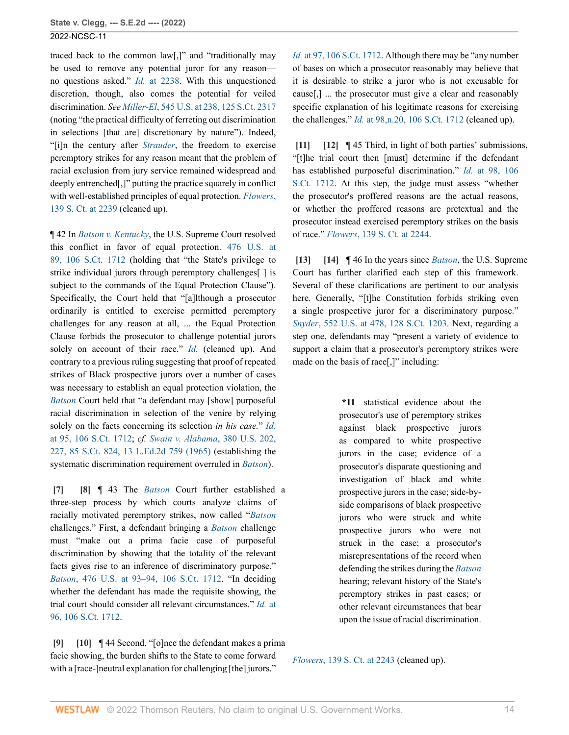traced back to the common law[,]" and "traditionally may be used to remove any potential juror for any reason no questions asked." *Id.* [at 2238](http://www.westlaw.com/Link/Document/FullText?findType=Y&serNum=2048538049&pubNum=0000708&originatingDoc=Ie49697508b7d11ec9381ff4a09a81529&refType=RP&fi=co_pp_sp_708_2238&originationContext=document&vr=3.0&rs=cblt1.0&transitionType=DocumentItem&contextData=(sc.FindAndPrintPortal)#co_pp_sp_708_2238). With this unquestioned discretion, though, also comes the potential for veiled discrimination. *See Miller-El*[, 545 U.S. at 238, 125 S.Ct. 2317](http://www.westlaw.com/Link/Document/FullText?findType=Y&serNum=2006791870&pubNum=0000780&originatingDoc=Ie49697508b7d11ec9381ff4a09a81529&refType=RP&fi=co_pp_sp_780_238&originationContext=document&vr=3.0&rs=cblt1.0&transitionType=DocumentItem&contextData=(sc.FindAndPrintPortal)#co_pp_sp_780_238) (noting "the practical difficulty of ferreting out discrimination in selections [that are] discretionary by nature"). Indeed, "[i]n the century after *[Strauder](http://www.westlaw.com/Link/Document/FullText?findType=Y&serNum=1800132385&pubNum=0000780&originatingDoc=Ie49697508b7d11ec9381ff4a09a81529&refType=RP&originationContext=document&vr=3.0&rs=cblt1.0&transitionType=DocumentItem&contextData=(sc.FindAndPrintPortal))*, the freedom to exercise peremptory strikes for any reason meant that the problem of racial exclusion from jury service remained widespread and deeply entrenched[,]" putting the practice squarely in conflict with well-established principles of equal protection. *[Flowers](http://www.westlaw.com/Link/Document/FullText?findType=Y&serNum=2048538049&pubNum=0000708&originatingDoc=Ie49697508b7d11ec9381ff4a09a81529&refType=RP&fi=co_pp_sp_708_2239&originationContext=document&vr=3.0&rs=cblt1.0&transitionType=DocumentItem&contextData=(sc.FindAndPrintPortal)#co_pp_sp_708_2239)*, [139 S. Ct. at 2239](http://www.westlaw.com/Link/Document/FullText?findType=Y&serNum=2048538049&pubNum=0000708&originatingDoc=Ie49697508b7d11ec9381ff4a09a81529&refType=RP&fi=co_pp_sp_708_2239&originationContext=document&vr=3.0&rs=cblt1.0&transitionType=DocumentItem&contextData=(sc.FindAndPrintPortal)#co_pp_sp_708_2239) (cleaned up).

¶ 42 In *[Batson v. Kentucky](http://www.westlaw.com/Link/Document/FullText?findType=Y&serNum=1986122459&pubNum=0000708&originatingDoc=Ie49697508b7d11ec9381ff4a09a81529&refType=RP&originationContext=document&vr=3.0&rs=cblt1.0&transitionType=DocumentItem&contextData=(sc.FindAndPrintPortal))*, the U.S. Supreme Court resolved this conflict in favor of equal protection. [476 U.S. at](http://www.westlaw.com/Link/Document/FullText?findType=Y&serNum=1986122459&pubNum=0000780&originatingDoc=Ie49697508b7d11ec9381ff4a09a81529&refType=RP&fi=co_pp_sp_780_89&originationContext=document&vr=3.0&rs=cblt1.0&transitionType=DocumentItem&contextData=(sc.FindAndPrintPortal)#co_pp_sp_780_89) [89, 106 S.Ct. 1712](http://www.westlaw.com/Link/Document/FullText?findType=Y&serNum=1986122459&pubNum=0000780&originatingDoc=Ie49697508b7d11ec9381ff4a09a81529&refType=RP&fi=co_pp_sp_780_89&originationContext=document&vr=3.0&rs=cblt1.0&transitionType=DocumentItem&contextData=(sc.FindAndPrintPortal)#co_pp_sp_780_89) (holding that "the State's privilege to strike individual jurors through peremptory challenges[] is subject to the commands of the Equal Protection Clause"). Specifically, the Court held that "[a]lthough a prosecutor ordinarily is entitled to exercise permitted peremptory challenges for any reason at all, ... the Equal Protection Clause forbids the prosecutor to challenge potential jurors solely on account of their race." *[Id.](http://www.westlaw.com/Link/Document/FullText?findType=Y&serNum=1986122459&pubNum=0000780&originatingDoc=Ie49697508b7d11ec9381ff4a09a81529&refType=RP&originationContext=document&vr=3.0&rs=cblt1.0&transitionType=DocumentItem&contextData=(sc.FindAndPrintPortal))* (cleaned up). And contrary to a previous ruling suggesting that proof of repeated strikes of Black prospective jurors over a number of cases was necessary to establish an equal protection violation, the *[Batson](http://www.westlaw.com/Link/Document/FullText?findType=Y&serNum=1986122459&pubNum=0000708&originatingDoc=Ie49697508b7d11ec9381ff4a09a81529&refType=RP&originationContext=document&vr=3.0&rs=cblt1.0&transitionType=DocumentItem&contextData=(sc.FindAndPrintPortal))* Court held that "a defendant may [show] purposeful racial discrimination in selection of the venire by relying solely on the facts concerning its selection *in his case.*" *[Id.](http://www.westlaw.com/Link/Document/FullText?findType=Y&serNum=1986122459&pubNum=0000708&originatingDoc=Ie49697508b7d11ec9381ff4a09a81529&refType=RP&originationContext=document&vr=3.0&rs=cblt1.0&transitionType=DocumentItem&contextData=(sc.FindAndPrintPortal))* [at 95, 106 S.Ct. 1712;](http://www.westlaw.com/Link/Document/FullText?findType=Y&serNum=1986122459&pubNum=0000708&originatingDoc=Ie49697508b7d11ec9381ff4a09a81529&refType=RP&originationContext=document&vr=3.0&rs=cblt1.0&transitionType=DocumentItem&contextData=(sc.FindAndPrintPortal)) *cf. [Swain v. Alabama](http://www.westlaw.com/Link/Document/FullText?findType=Y&serNum=1965125035&pubNum=0000780&originatingDoc=Ie49697508b7d11ec9381ff4a09a81529&refType=RP&fi=co_pp_sp_780_227&originationContext=document&vr=3.0&rs=cblt1.0&transitionType=DocumentItem&contextData=(sc.FindAndPrintPortal)#co_pp_sp_780_227)*, 380 U.S. 202, [227, 85 S.Ct. 824, 13 L.Ed.2d 759 \(1965\)](http://www.westlaw.com/Link/Document/FullText?findType=Y&serNum=1965125035&pubNum=0000780&originatingDoc=Ie49697508b7d11ec9381ff4a09a81529&refType=RP&fi=co_pp_sp_780_227&originationContext=document&vr=3.0&rs=cblt1.0&transitionType=DocumentItem&contextData=(sc.FindAndPrintPortal)#co_pp_sp_780_227) (establishing the systematic discrimination requirement overruled in *[Batson](http://www.westlaw.com/Link/Document/FullText?findType=Y&serNum=1986122459&pubNum=0000708&originatingDoc=Ie49697508b7d11ec9381ff4a09a81529&refType=RP&originationContext=document&vr=3.0&rs=cblt1.0&transitionType=DocumentItem&contextData=(sc.FindAndPrintPortal))*).

<span id="page-13-1"></span><span id="page-13-0"></span>**[\[7\]](#page-1-1) [\[8\]](#page-1-2)** ¶ 43 The *[Batson](http://www.westlaw.com/Link/Document/FullText?findType=Y&serNum=1986122459&pubNum=0000708&originatingDoc=Ie49697508b7d11ec9381ff4a09a81529&refType=RP&originationContext=document&vr=3.0&rs=cblt1.0&transitionType=DocumentItem&contextData=(sc.FindAndPrintPortal))* Court further established a three-step process by which courts analyze claims of racially motivated peremptory strikes, now called "*[Batson](http://www.westlaw.com/Link/Document/FullText?findType=Y&serNum=1986122459&pubNum=0000708&originatingDoc=Ie49697508b7d11ec9381ff4a09a81529&refType=RP&originationContext=document&vr=3.0&rs=cblt1.0&transitionType=DocumentItem&contextData=(sc.FindAndPrintPortal))* challenges." First, a defendant bringing a *[Batson](http://www.westlaw.com/Link/Document/FullText?findType=Y&serNum=1986122459&pubNum=0000708&originatingDoc=Ie49697508b7d11ec9381ff4a09a81529&refType=RP&originationContext=document&vr=3.0&rs=cblt1.0&transitionType=DocumentItem&contextData=(sc.FindAndPrintPortal))* challenge must "make out a prima facie case of purposeful discrimination by showing that the totality of the relevant facts gives rise to an inference of discriminatory purpose." *Batson*[, 476 U.S. at 93–94, 106 S.Ct. 1712](http://www.westlaw.com/Link/Document/FullText?findType=Y&serNum=1986122459&pubNum=0000780&originatingDoc=Ie49697508b7d11ec9381ff4a09a81529&refType=RP&fi=co_pp_sp_780_93&originationContext=document&vr=3.0&rs=cblt1.0&transitionType=DocumentItem&contextData=(sc.FindAndPrintPortal)#co_pp_sp_780_93). "In deciding whether the defendant has made the requisite showing, the trial court should consider all relevant circumstances." *[Id.](http://www.westlaw.com/Link/Document/FullText?findType=Y&serNum=1986122459&pubNum=0000708&originatingDoc=Ie49697508b7d11ec9381ff4a09a81529&refType=RP&originationContext=document&vr=3.0&rs=cblt1.0&transitionType=DocumentItem&contextData=(sc.FindAndPrintPortal))* at [96, 106 S.Ct. 1712.](http://www.westlaw.com/Link/Document/FullText?findType=Y&serNum=1986122459&pubNum=0000708&originatingDoc=Ie49697508b7d11ec9381ff4a09a81529&refType=RP&originationContext=document&vr=3.0&rs=cblt1.0&transitionType=DocumentItem&contextData=(sc.FindAndPrintPortal))

<span id="page-13-3"></span><span id="page-13-2"></span>**[\[9\]](#page-1-3) [\[10\]](#page-1-4)** ¶ 44 Second, "[o]nce the defendant makes a prima facie showing, the burden shifts to the State to come forward with a [race-]neutral explanation for challenging [the] jurors."

*Id.* [at 97, 106 S.Ct. 1712](http://www.westlaw.com/Link/Document/FullText?findType=Y&serNum=1986122459&pubNum=0000708&originatingDoc=Ie49697508b7d11ec9381ff4a09a81529&refType=RP&originationContext=document&vr=3.0&rs=cblt1.0&transitionType=DocumentItem&contextData=(sc.FindAndPrintPortal)). Although there may be "any number of bases on which a prosecutor reasonably may believe that it is desirable to strike a juror who is not excusable for cause[,] ... the prosecutor must give a clear and reasonably specific explanation of his legitimate reasons for exercising the challenges." *Id.* [at 98,n.20, 106 S.Ct. 1712](http://www.westlaw.com/Link/Document/FullText?findType=Y&serNum=1986122459&pubNum=0000708&originatingDoc=Ie49697508b7d11ec9381ff4a09a81529&refType=RP&originationContext=document&vr=3.0&rs=cblt1.0&transitionType=DocumentItem&contextData=(sc.FindAndPrintPortal)) (cleaned up).

<span id="page-13-5"></span><span id="page-13-4"></span>**[\[11\]](#page-1-5) [\[12\]](#page-1-6)** ¶ 45 Third, in light of both parties' submissions, "[t]he trial court then [must] determine if the defendant has established purposeful discrimination." *Id.* [at 98, 106](http://www.westlaw.com/Link/Document/FullText?findType=Y&serNum=1986122459&pubNum=0000708&originatingDoc=Ie49697508b7d11ec9381ff4a09a81529&refType=RP&fi=co_pp_sp_708_98&originationContext=document&vr=3.0&rs=cblt1.0&transitionType=DocumentItem&contextData=(sc.FindAndPrintPortal)#co_pp_sp_708_98) [S.Ct. 1712.](http://www.westlaw.com/Link/Document/FullText?findType=Y&serNum=1986122459&pubNum=0000708&originatingDoc=Ie49697508b7d11ec9381ff4a09a81529&refType=RP&fi=co_pp_sp_708_98&originationContext=document&vr=3.0&rs=cblt1.0&transitionType=DocumentItem&contextData=(sc.FindAndPrintPortal)#co_pp_sp_708_98) At this step, the judge must assess "whether the prosecutor's proffered reasons are the actual reasons, or whether the proffered reasons are pretextual and the prosecutor instead exercised peremptory strikes on the basis of race." *Flowers*[, 139 S. Ct. at 2244.](http://www.westlaw.com/Link/Document/FullText?findType=Y&serNum=2048538049&pubNum=0000708&originatingDoc=Ie49697508b7d11ec9381ff4a09a81529&refType=RP&fi=co_pp_sp_708_2244&originationContext=document&vr=3.0&rs=cblt1.0&transitionType=DocumentItem&contextData=(sc.FindAndPrintPortal)#co_pp_sp_708_2244)

<span id="page-13-7"></span><span id="page-13-6"></span>**[\[13\]](#page-1-7) [\[14\]](#page-1-8)** ¶ 46 In the years since *[Batson](http://www.westlaw.com/Link/Document/FullText?findType=Y&serNum=1986122459&pubNum=0000708&originatingDoc=Ie49697508b7d11ec9381ff4a09a81529&refType=RP&originationContext=document&vr=3.0&rs=cblt1.0&transitionType=DocumentItem&contextData=(sc.FindAndPrintPortal))*, the U.S. Supreme Court has further clarified each step of this framework. Several of these clarifications are pertinent to our analysis here. Generally, "[t]he Constitution forbids striking even a single prospective juror for a discriminatory purpose." *Snyder*[, 552 U.S. at 478, 128 S.Ct. 1203.](http://www.westlaw.com/Link/Document/FullText?findType=Y&serNum=2015520672&pubNum=0000780&originatingDoc=Ie49697508b7d11ec9381ff4a09a81529&refType=RP&fi=co_pp_sp_780_478&originationContext=document&vr=3.0&rs=cblt1.0&transitionType=DocumentItem&contextData=(sc.FindAndPrintPortal)#co_pp_sp_780_478) Next, regarding a step one, defendants may "present a variety of evidence to support a claim that a prosecutor's peremptory strikes were made on the basis of race[,]" including:

> **\*11** statistical evidence about the prosecutor's use of peremptory strikes against black prospective jurors as compared to white prospective jurors in the case; evidence of a prosecutor's disparate questioning and investigation of black and white prospective jurors in the case; side-byside comparisons of black prospective jurors who were struck and white prospective jurors who were not struck in the case; a prosecutor's misrepresentations of the record when defending the strikes during the *[Batson](http://www.westlaw.com/Link/Document/FullText?findType=Y&serNum=1986122459&pubNum=0000708&originatingDoc=Ie49697508b7d11ec9381ff4a09a81529&refType=RP&originationContext=document&vr=3.0&rs=cblt1.0&transitionType=DocumentItem&contextData=(sc.FindAndPrintPortal))* hearing; relevant history of the State's peremptory strikes in past cases; or other relevant circumstances that bear upon the issue of racial discrimination.

*Flowers*[, 139 S. Ct. at 2243](http://www.westlaw.com/Link/Document/FullText?findType=Y&serNum=2048538049&pubNum=0000708&originatingDoc=Ie49697508b7d11ec9381ff4a09a81529&refType=RP&fi=co_pp_sp_708_2243&originationContext=document&vr=3.0&rs=cblt1.0&transitionType=DocumentItem&contextData=(sc.FindAndPrintPortal)#co_pp_sp_708_2243) (cleaned up).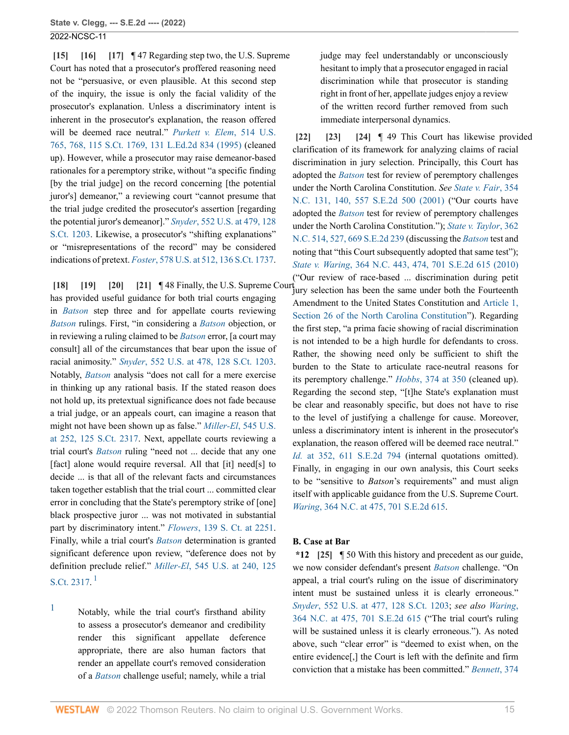<span id="page-14-2"></span><span id="page-14-1"></span><span id="page-14-0"></span>**[\[15\]](#page-2-0) [\[16\]](#page-2-1) [\[17](#page-2-2)]** ¶ 47 Regarding step two, the U.S. Supreme Court has noted that a prosecutor's proffered reasoning need not be "persuasive, or even plausible. At this second step of the inquiry, the issue is only the facial validity of the prosecutor's explanation. Unless a discriminatory intent is inherent in the prosecutor's explanation, the reason offered will be deemed race neutral." *[Purkett v. Elem](http://www.westlaw.com/Link/Document/FullText?findType=Y&serNum=1995107859&pubNum=0000780&originatingDoc=Ie49697508b7d11ec9381ff4a09a81529&refType=RP&fi=co_pp_sp_780_768&originationContext=document&vr=3.0&rs=cblt1.0&transitionType=DocumentItem&contextData=(sc.FindAndPrintPortal)#co_pp_sp_780_768)*, 514 U.S. [765, 768, 115 S.Ct. 1769, 131 L.Ed.2d 834 \(1995\)](http://www.westlaw.com/Link/Document/FullText?findType=Y&serNum=1995107859&pubNum=0000780&originatingDoc=Ie49697508b7d11ec9381ff4a09a81529&refType=RP&fi=co_pp_sp_780_768&originationContext=document&vr=3.0&rs=cblt1.0&transitionType=DocumentItem&contextData=(sc.FindAndPrintPortal)#co_pp_sp_780_768) (cleaned up). However, while a prosecutor may raise demeanor-based rationales for a peremptory strike, without "a specific finding [by the trial judge] on the record concerning [the potential juror's] demeanor," a reviewing court "cannot presume that the trial judge credited the prosecutor's assertion [regarding the potential juror's demeanor]." *Snyder*[, 552 U.S. at 479, 128](http://www.westlaw.com/Link/Document/FullText?findType=Y&serNum=2015520672&pubNum=0000780&originatingDoc=Ie49697508b7d11ec9381ff4a09a81529&refType=RP&fi=co_pp_sp_780_479&originationContext=document&vr=3.0&rs=cblt1.0&transitionType=DocumentItem&contextData=(sc.FindAndPrintPortal)#co_pp_sp_780_479) [S.Ct. 1203](http://www.westlaw.com/Link/Document/FullText?findType=Y&serNum=2015520672&pubNum=0000780&originatingDoc=Ie49697508b7d11ec9381ff4a09a81529&refType=RP&fi=co_pp_sp_780_479&originationContext=document&vr=3.0&rs=cblt1.0&transitionType=DocumentItem&contextData=(sc.FindAndPrintPortal)#co_pp_sp_780_479). Likewise, a prosecutor's "shifting explanations" or "misrepresentations of the record" may be considered indications of pretext. *Foster*[, 578 U.S. at 512, 136 S.Ct. 1737](http://www.westlaw.com/Link/Document/FullText?findType=Y&serNum=2038892556&pubNum=0000780&originatingDoc=Ie49697508b7d11ec9381ff4a09a81529&refType=RP&fi=co_pp_sp_780_512&originationContext=document&vr=3.0&rs=cblt1.0&transitionType=DocumentItem&contextData=(sc.FindAndPrintPortal)#co_pp_sp_780_512).

<span id="page-14-6"></span><span id="page-14-5"></span><span id="page-14-4"></span><span id="page-14-3"></span>**[\[18\]](#page-2-3) [\[19](#page-2-4)] [\[20\]](#page-2-5) [\[21\]](#page-2-6)** ¶ 48 Finally, the U.S. Supreme Court jury selection has been the same under both the Fourteenth has provided useful guidance for both trial courts engaging in *[Batson](http://www.westlaw.com/Link/Document/FullText?findType=Y&serNum=1986122459&pubNum=0000708&originatingDoc=Ie49697508b7d11ec9381ff4a09a81529&refType=RP&originationContext=document&vr=3.0&rs=cblt1.0&transitionType=DocumentItem&contextData=(sc.FindAndPrintPortal))* step three and for appellate courts reviewing *[Batson](http://www.westlaw.com/Link/Document/FullText?findType=Y&serNum=1986122459&pubNum=0000708&originatingDoc=Ie49697508b7d11ec9381ff4a09a81529&refType=RP&originationContext=document&vr=3.0&rs=cblt1.0&transitionType=DocumentItem&contextData=(sc.FindAndPrintPortal))* rulings. First, "in considering a *[Batson](http://www.westlaw.com/Link/Document/FullText?findType=Y&serNum=1986122459&pubNum=0000708&originatingDoc=Ie49697508b7d11ec9381ff4a09a81529&refType=RP&originationContext=document&vr=3.0&rs=cblt1.0&transitionType=DocumentItem&contextData=(sc.FindAndPrintPortal))* objection, or in reviewing a ruling claimed to be *[Batson](http://www.westlaw.com/Link/Document/FullText?findType=Y&serNum=1986122459&pubNum=0000708&originatingDoc=Ie49697508b7d11ec9381ff4a09a81529&refType=RP&originationContext=document&vr=3.0&rs=cblt1.0&transitionType=DocumentItem&contextData=(sc.FindAndPrintPortal))* error, [a court may consult] all of the circumstances that bear upon the issue of racial animosity." *Snyder*[, 552 U.S. at 478, 128 S.Ct. 1203](http://www.westlaw.com/Link/Document/FullText?findType=Y&serNum=2015520672&pubNum=0000780&originatingDoc=Ie49697508b7d11ec9381ff4a09a81529&refType=RP&fi=co_pp_sp_780_478&originationContext=document&vr=3.0&rs=cblt1.0&transitionType=DocumentItem&contextData=(sc.FindAndPrintPortal)#co_pp_sp_780_478). Notably, *[Batson](http://www.westlaw.com/Link/Document/FullText?findType=Y&serNum=1986122459&pubNum=0000708&originatingDoc=Ie49697508b7d11ec9381ff4a09a81529&refType=RP&originationContext=document&vr=3.0&rs=cblt1.0&transitionType=DocumentItem&contextData=(sc.FindAndPrintPortal))* analysis "does not call for a mere exercise in thinking up any rational basis. If the stated reason does not hold up, its pretextual significance does not fade because a trial judge, or an appeals court, can imagine a reason that might not have been shown up as false." *Miller-El*[, 545 U.S.](http://www.westlaw.com/Link/Document/FullText?findType=Y&serNum=2006791870&pubNum=0000780&originatingDoc=Ie49697508b7d11ec9381ff4a09a81529&refType=RP&fi=co_pp_sp_780_252&originationContext=document&vr=3.0&rs=cblt1.0&transitionType=DocumentItem&contextData=(sc.FindAndPrintPortal)#co_pp_sp_780_252) [at 252, 125 S.Ct. 2317.](http://www.westlaw.com/Link/Document/FullText?findType=Y&serNum=2006791870&pubNum=0000780&originatingDoc=Ie49697508b7d11ec9381ff4a09a81529&refType=RP&fi=co_pp_sp_780_252&originationContext=document&vr=3.0&rs=cblt1.0&transitionType=DocumentItem&contextData=(sc.FindAndPrintPortal)#co_pp_sp_780_252) Next, appellate courts reviewing a trial court's *[Batson](http://www.westlaw.com/Link/Document/FullText?findType=Y&serNum=1986122459&pubNum=0000708&originatingDoc=Ie49697508b7d11ec9381ff4a09a81529&refType=RP&originationContext=document&vr=3.0&rs=cblt1.0&transitionType=DocumentItem&contextData=(sc.FindAndPrintPortal))* ruling "need not ... decide that any one [fact] alone would require reversal. All that [it] need[s] to decide ... is that all of the relevant facts and circumstances taken together establish that the trial court ... committed clear error in concluding that the State's peremptory strike of [one] black prospective juror ... was not motivated in substantial part by discriminatory intent." *Flowers*[, 139 S. Ct. at 2251](http://www.westlaw.com/Link/Document/FullText?findType=Y&serNum=2048538049&pubNum=0000708&originatingDoc=Ie49697508b7d11ec9381ff4a09a81529&refType=RP&fi=co_pp_sp_708_2251&originationContext=document&vr=3.0&rs=cblt1.0&transitionType=DocumentItem&contextData=(sc.FindAndPrintPortal)#co_pp_sp_708_2251). Finally, while a trial court's *[Batson](http://www.westlaw.com/Link/Document/FullText?findType=Y&serNum=1986122459&pubNum=0000708&originatingDoc=Ie49697508b7d11ec9381ff4a09a81529&refType=RP&originationContext=document&vr=3.0&rs=cblt1.0&transitionType=DocumentItem&contextData=(sc.FindAndPrintPortal))* determination is granted significant deference upon review, "deference does not by definition preclude relief." *Miller-El*[, 545 U.S. at 240, 125](http://www.westlaw.com/Link/Document/FullText?findType=Y&serNum=2006791870&pubNum=0000780&originatingDoc=Ie49697508b7d11ec9381ff4a09a81529&refType=RP&fi=co_pp_sp_780_240&originationContext=document&vr=3.0&rs=cblt1.0&transitionType=DocumentItem&contextData=(sc.FindAndPrintPortal)#co_pp_sp_780_240) [S.Ct. 2317](http://www.westlaw.com/Link/Document/FullText?findType=Y&serNum=2006791870&pubNum=0000780&originatingDoc=Ie49697508b7d11ec9381ff4a09a81529&refType=RP&fi=co_pp_sp_780_240&originationContext=document&vr=3.0&rs=cblt1.0&transitionType=DocumentItem&contextData=(sc.FindAndPrintPortal)#co_pp_sp_780_240). $^1$  $^1$ 

<span id="page-14-12"></span><span id="page-14-11"></span> $1$  Notably, while the trial court's firsthand ability to assess a prosecutor's demeanor and credibility render this significant appellate deference appropriate, there are also human factors that render an appellate court's removed consideration of a *[Batson](http://www.westlaw.com/Link/Document/FullText?findType=Y&serNum=1986122459&pubNum=0000708&originatingDoc=Ie49697508b7d11ec9381ff4a09a81529&refType=RP&originationContext=document&vr=3.0&rs=cblt1.0&transitionType=DocumentItem&contextData=(sc.FindAndPrintPortal))* challenge useful; namely, while a trial judge may feel understandably or unconsciously hesitant to imply that a prosecutor engaged in racial discrimination while that prosecutor is standing right in front of her, appellate judges enjoy a review of the written record further removed from such immediate interpersonal dynamics.

<span id="page-14-9"></span><span id="page-14-8"></span><span id="page-14-7"></span>**[\[22\]](#page-2-7) [\[23\]](#page-2-8) [\[24](#page-3-1)]** ¶ 49 This Court has likewise provided clarification of its framework for analyzing claims of racial discrimination in jury selection. Principally, this Court has adopted the *[Batson](http://www.westlaw.com/Link/Document/FullText?findType=Y&serNum=1986122459&pubNum=0000708&originatingDoc=Ie49697508b7d11ec9381ff4a09a81529&refType=RP&originationContext=document&vr=3.0&rs=cblt1.0&transitionType=DocumentItem&contextData=(sc.FindAndPrintPortal))* test for review of peremptory challenges under the North Carolina Constitution. *See [State v. Fair](http://www.westlaw.com/Link/Document/FullText?findType=Y&serNum=2002084135&pubNum=0000711&originatingDoc=Ie49697508b7d11ec9381ff4a09a81529&refType=RP&fi=co_pp_sp_711_140&originationContext=document&vr=3.0&rs=cblt1.0&transitionType=DocumentItem&contextData=(sc.FindAndPrintPortal)#co_pp_sp_711_140)*, 354 [N.C. 131, 140, 557 S.E.2d 500 \(2001\)](http://www.westlaw.com/Link/Document/FullText?findType=Y&serNum=2002084135&pubNum=0000711&originatingDoc=Ie49697508b7d11ec9381ff4a09a81529&refType=RP&fi=co_pp_sp_711_140&originationContext=document&vr=3.0&rs=cblt1.0&transitionType=DocumentItem&contextData=(sc.FindAndPrintPortal)#co_pp_sp_711_140) ("Our courts have adopted the *[Batson](http://www.westlaw.com/Link/Document/FullText?findType=Y&serNum=1986122459&pubNum=0000708&originatingDoc=Ie49697508b7d11ec9381ff4a09a81529&refType=RP&originationContext=document&vr=3.0&rs=cblt1.0&transitionType=DocumentItem&contextData=(sc.FindAndPrintPortal))* test for review of peremptory challenges under the North Carolina Constitution."); *[State v. Taylor](http://www.westlaw.com/Link/Document/FullText?findType=Y&serNum=2017647771&pubNum=0000572&originatingDoc=Ie49697508b7d11ec9381ff4a09a81529&refType=RP&fi=co_pp_sp_572_527&originationContext=document&vr=3.0&rs=cblt1.0&transitionType=DocumentItem&contextData=(sc.FindAndPrintPortal)#co_pp_sp_572_527)*, 362 [N.C. 514, 527, 669 S.E.2d 239](http://www.westlaw.com/Link/Document/FullText?findType=Y&serNum=2017647771&pubNum=0000572&originatingDoc=Ie49697508b7d11ec9381ff4a09a81529&refType=RP&fi=co_pp_sp_572_527&originationContext=document&vr=3.0&rs=cblt1.0&transitionType=DocumentItem&contextData=(sc.FindAndPrintPortal)#co_pp_sp_572_527) (discussing the *[Batson](http://www.westlaw.com/Link/Document/FullText?findType=Y&serNum=1986122459&pubNum=0000708&originatingDoc=Ie49697508b7d11ec9381ff4a09a81529&refType=RP&originationContext=document&vr=3.0&rs=cblt1.0&transitionType=DocumentItem&contextData=(sc.FindAndPrintPortal))* test and noting that "this Court subsequently adopted that same test"); *State v. Waring*[, 364 N.C. 443, 474, 701 S.E.2d 615 \(2010\)](http://www.westlaw.com/Link/Document/FullText?findType=Y&serNum=2023622980&pubNum=0000572&originatingDoc=Ie49697508b7d11ec9381ff4a09a81529&refType=RP&fi=co_pp_sp_572_474&originationContext=document&vr=3.0&rs=cblt1.0&transitionType=DocumentItem&contextData=(sc.FindAndPrintPortal)#co_pp_sp_572_474) ("Our review of race-based ... discrimination during petit Amendment to the United States Constitution and [Article 1,](http://www.westlaw.com/Link/Document/FullText?findType=L&pubNum=1000501&cite=NCCNARTIS26&originatingDoc=Ie49697508b7d11ec9381ff4a09a81529&refType=LQ&originationContext=document&vr=3.0&rs=cblt1.0&transitionType=DocumentItem&contextData=(sc.FindAndPrintPortal)) [Section 26 of the North Carolina Constitution"](http://www.westlaw.com/Link/Document/FullText?findType=L&pubNum=1000501&cite=NCCNARTIS26&originatingDoc=Ie49697508b7d11ec9381ff4a09a81529&refType=LQ&originationContext=document&vr=3.0&rs=cblt1.0&transitionType=DocumentItem&contextData=(sc.FindAndPrintPortal))). Regarding the first step, "a prima facie showing of racial discrimination is not intended to be a high hurdle for defendants to cross. Rather, the showing need only be sufficient to shift the burden to the State to articulate race-neutral reasons for its peremptory challenge." *Hobbs*[, 374 at 350](http://www.westlaw.com/Link/Document/FullText?findType=Y&serNum=2050891787&pubNum=0000711&originatingDoc=Ie49697508b7d11ec9381ff4a09a81529&refType=RP&originationContext=document&vr=3.0&rs=cblt1.0&transitionType=DocumentItem&contextData=(sc.FindAndPrintPortal)) (cleaned up). Regarding the second step, "[t]he State's explanation must be clear and reasonably specific, but does not have to rise to the level of justifying a challenge for cause. Moreover, unless a discriminatory intent is inherent in the prosecutor's explanation, the reason offered will be deemed race neutral." *Id.* [at 352, 611 S.E.2d 794](http://www.westlaw.com/Link/Document/FullText?findType=Y&serNum=2006431038&pubNum=0000572&originatingDoc=Ie49697508b7d11ec9381ff4a09a81529&refType=RP&fi=co_pp_sp_572_352&originationContext=document&vr=3.0&rs=cblt1.0&transitionType=DocumentItem&contextData=(sc.FindAndPrintPortal)#co_pp_sp_572_352) (internal quotations omitted). Finally, in engaging in our own analysis, this Court seeks to be "sensitive to *Batson*'s requirements" and must align itself with applicable guidance from the U.S. Supreme Court. *Waring*[, 364 N.C. at 475, 701 S.E.2d 615](http://www.westlaw.com/Link/Document/FullText?findType=Y&serNum=2023622980&pubNum=0000572&originatingDoc=Ie49697508b7d11ec9381ff4a09a81529&refType=RP&fi=co_pp_sp_572_475&originationContext=document&vr=3.0&rs=cblt1.0&transitionType=DocumentItem&contextData=(sc.FindAndPrintPortal)#co_pp_sp_572_475).

#### **B. Case at Bar**

<span id="page-14-10"></span>**\*12 [\[25\]](#page-3-2)** ¶ 50 With this history and precedent as our guide, we now consider defendant's present *[Batson](http://www.westlaw.com/Link/Document/FullText?findType=Y&serNum=1986122459&pubNum=0000708&originatingDoc=Ie49697508b7d11ec9381ff4a09a81529&refType=RP&originationContext=document&vr=3.0&rs=cblt1.0&transitionType=DocumentItem&contextData=(sc.FindAndPrintPortal))* challenge. "On appeal, a trial court's ruling on the issue of discriminatory intent must be sustained unless it is clearly erroneous." *Snyder*[, 552 U.S. at 477, 128 S.Ct. 1203](http://www.westlaw.com/Link/Document/FullText?findType=Y&serNum=2015520672&pubNum=0000780&originatingDoc=Ie49697508b7d11ec9381ff4a09a81529&refType=RP&fi=co_pp_sp_780_477&originationContext=document&vr=3.0&rs=cblt1.0&transitionType=DocumentItem&contextData=(sc.FindAndPrintPortal)#co_pp_sp_780_477); *see also [Waring](http://www.westlaw.com/Link/Document/FullText?findType=Y&serNum=2023622980&pubNum=0000572&originatingDoc=Ie49697508b7d11ec9381ff4a09a81529&refType=RP&fi=co_pp_sp_572_475&originationContext=document&vr=3.0&rs=cblt1.0&transitionType=DocumentItem&contextData=(sc.FindAndPrintPortal)#co_pp_sp_572_475)*, [364 N.C. at 475, 701 S.E.2d 615](http://www.westlaw.com/Link/Document/FullText?findType=Y&serNum=2023622980&pubNum=0000572&originatingDoc=Ie49697508b7d11ec9381ff4a09a81529&refType=RP&fi=co_pp_sp_572_475&originationContext=document&vr=3.0&rs=cblt1.0&transitionType=DocumentItem&contextData=(sc.FindAndPrintPortal)#co_pp_sp_572_475) ("The trial court's ruling will be sustained unless it is clearly erroneous."). As noted above, such "clear error" is "deemed to exist when, on the entire evidence[,] the Court is left with the definite and firm conviction that a mistake has been committed." *[Bennett](http://www.westlaw.com/Link/Document/FullText?findType=Y&serNum=2051204528&pubNum=0000572&originatingDoc=Ie49697508b7d11ec9381ff4a09a81529&refType=RP&fi=co_pp_sp_572_592&originationContext=document&vr=3.0&rs=cblt1.0&transitionType=DocumentItem&contextData=(sc.FindAndPrintPortal)#co_pp_sp_572_592)*, 374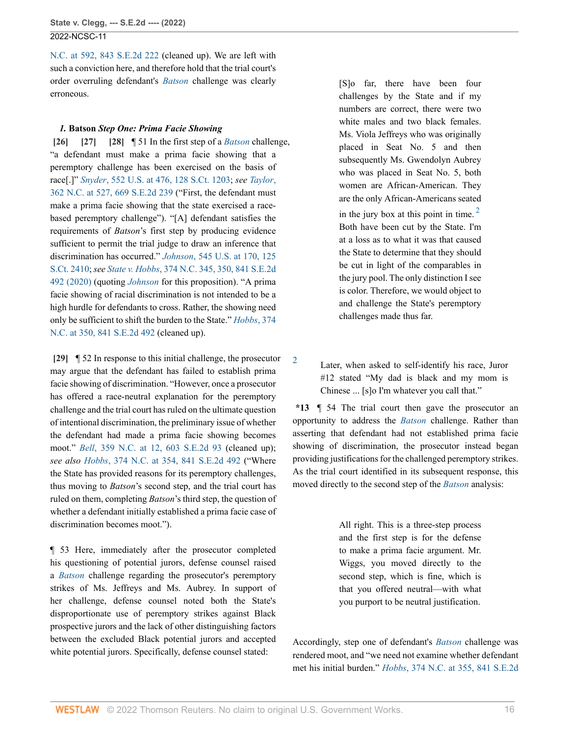[N.C. at 592, 843 S.E.2d 222](http://www.westlaw.com/Link/Document/FullText?findType=Y&serNum=2051204528&pubNum=0000572&originatingDoc=Ie49697508b7d11ec9381ff4a09a81529&refType=RP&fi=co_pp_sp_572_592&originationContext=document&vr=3.0&rs=cblt1.0&transitionType=DocumentItem&contextData=(sc.FindAndPrintPortal)#co_pp_sp_572_592) (cleaned up). We are left with such a conviction here, and therefore hold that the trial court's order overruling defendant's *[Batson](http://www.westlaw.com/Link/Document/FullText?findType=Y&serNum=1986122459&pubNum=0000708&originatingDoc=Ie49697508b7d11ec9381ff4a09a81529&refType=RP&originationContext=document&vr=3.0&rs=cblt1.0&transitionType=DocumentItem&contextData=(sc.FindAndPrintPortal))* challenge was clearly erroneous.

# <span id="page-15-2"></span><span id="page-15-1"></span><span id="page-15-0"></span>*1.* **Batson** *Step One: Prima Facie Showing*

**[\[26\]](#page-3-3) [\[27\]](#page-3-4) [\[28\]](#page-3-5)** ¶ 51 In the first step of a *[Batson](http://www.westlaw.com/Link/Document/FullText?findType=Y&serNum=1986122459&pubNum=0000708&originatingDoc=Ie49697508b7d11ec9381ff4a09a81529&refType=RP&originationContext=document&vr=3.0&rs=cblt1.0&transitionType=DocumentItem&contextData=(sc.FindAndPrintPortal))* challenge, "a defendant must make a prima facie showing that a peremptory challenge has been exercised on the basis of race[.]" *Snyder*[, 552 U.S. at 476, 128 S.Ct. 1203;](http://www.westlaw.com/Link/Document/FullText?findType=Y&serNum=2015520672&pubNum=0000780&originatingDoc=Ie49697508b7d11ec9381ff4a09a81529&refType=RP&fi=co_pp_sp_780_476&originationContext=document&vr=3.0&rs=cblt1.0&transitionType=DocumentItem&contextData=(sc.FindAndPrintPortal)#co_pp_sp_780_476) *see [Taylor](http://www.westlaw.com/Link/Document/FullText?findType=Y&serNum=2017647771&pubNum=0000572&originatingDoc=Ie49697508b7d11ec9381ff4a09a81529&refType=RP&fi=co_pp_sp_572_527&originationContext=document&vr=3.0&rs=cblt1.0&transitionType=DocumentItem&contextData=(sc.FindAndPrintPortal)#co_pp_sp_572_527)*, [362 N.C. at 527, 669 S.E.2d 239](http://www.westlaw.com/Link/Document/FullText?findType=Y&serNum=2017647771&pubNum=0000572&originatingDoc=Ie49697508b7d11ec9381ff4a09a81529&refType=RP&fi=co_pp_sp_572_527&originationContext=document&vr=3.0&rs=cblt1.0&transitionType=DocumentItem&contextData=(sc.FindAndPrintPortal)#co_pp_sp_572_527) ("First, the defendant must make a prima facie showing that the state exercised a racebased peremptory challenge"). "[A] defendant satisfies the requirements of *Batson*'s first step by producing evidence sufficient to permit the trial judge to draw an inference that discrimination has occurred." *Johnson*[, 545 U.S. at 170, 125](http://www.westlaw.com/Link/Document/FullText?findType=Y&serNum=2006791983&pubNum=0000780&originatingDoc=Ie49697508b7d11ec9381ff4a09a81529&refType=RP&fi=co_pp_sp_780_170&originationContext=document&vr=3.0&rs=cblt1.0&transitionType=DocumentItem&contextData=(sc.FindAndPrintPortal)#co_pp_sp_780_170) [S.Ct. 2410](http://www.westlaw.com/Link/Document/FullText?findType=Y&serNum=2006791983&pubNum=0000780&originatingDoc=Ie49697508b7d11ec9381ff4a09a81529&refType=RP&fi=co_pp_sp_780_170&originationContext=document&vr=3.0&rs=cblt1.0&transitionType=DocumentItem&contextData=(sc.FindAndPrintPortal)#co_pp_sp_780_170); *see State v. Hobbs*[, 374 N.C. 345, 350, 841 S.E.2d](http://www.westlaw.com/Link/Document/FullText?findType=Y&serNum=2050891787&pubNum=0000572&originatingDoc=Ie49697508b7d11ec9381ff4a09a81529&refType=RP&fi=co_pp_sp_572_350&originationContext=document&vr=3.0&rs=cblt1.0&transitionType=DocumentItem&contextData=(sc.FindAndPrintPortal)#co_pp_sp_572_350) [492 \(2020\)](http://www.westlaw.com/Link/Document/FullText?findType=Y&serNum=2050891787&pubNum=0000572&originatingDoc=Ie49697508b7d11ec9381ff4a09a81529&refType=RP&fi=co_pp_sp_572_350&originationContext=document&vr=3.0&rs=cblt1.0&transitionType=DocumentItem&contextData=(sc.FindAndPrintPortal)#co_pp_sp_572_350) (quoting *[Johnson](http://www.westlaw.com/Link/Document/FullText?findType=Y&serNum=2006791983&pubNum=0000708&originatingDoc=Ie49697508b7d11ec9381ff4a09a81529&refType=RP&originationContext=document&vr=3.0&rs=cblt1.0&transitionType=DocumentItem&contextData=(sc.FindAndPrintPortal))* for this proposition). "A prima facie showing of racial discrimination is not intended to be a high hurdle for defendants to cross. Rather, the showing need only be sufficient to shift the burden to the State." *[Hobbs](http://www.westlaw.com/Link/Document/FullText?findType=Y&serNum=2050891787&pubNum=0000572&originatingDoc=Ie49697508b7d11ec9381ff4a09a81529&refType=RP&fi=co_pp_sp_572_350&originationContext=document&vr=3.0&rs=cblt1.0&transitionType=DocumentItem&contextData=(sc.FindAndPrintPortal)#co_pp_sp_572_350)*, 374 [N.C. at 350, 841 S.E.2d 492](http://www.westlaw.com/Link/Document/FullText?findType=Y&serNum=2050891787&pubNum=0000572&originatingDoc=Ie49697508b7d11ec9381ff4a09a81529&refType=RP&fi=co_pp_sp_572_350&originationContext=document&vr=3.0&rs=cblt1.0&transitionType=DocumentItem&contextData=(sc.FindAndPrintPortal)#co_pp_sp_572_350) (cleaned up).

<span id="page-15-3"></span>**[\[29\]](#page-3-6)** ¶ 52 In response to this initial challenge, the prosecutor may argue that the defendant has failed to establish prima facie showing of discrimination. "However, once a prosecutor has offered a race-neutral explanation for the peremptory challenge and the trial court has ruled on the ultimate question of intentional discrimination, the preliminary issue of whether the defendant had made a prima facie showing becomes moot." *Bell*[, 359 N.C. at 12, 603 S.E.2d 93](http://www.westlaw.com/Link/Document/FullText?findType=Y&serNum=2005248665&pubNum=0000572&originatingDoc=Ie49697508b7d11ec9381ff4a09a81529&refType=RP&fi=co_pp_sp_572_12&originationContext=document&vr=3.0&rs=cblt1.0&transitionType=DocumentItem&contextData=(sc.FindAndPrintPortal)#co_pp_sp_572_12) (cleaned up); *see also Hobbs*[, 374 N.C. at 354, 841 S.E.2d 492](http://www.westlaw.com/Link/Document/FullText?findType=Y&serNum=2050891787&pubNum=0000572&originatingDoc=Ie49697508b7d11ec9381ff4a09a81529&refType=RP&fi=co_pp_sp_572_354&originationContext=document&vr=3.0&rs=cblt1.0&transitionType=DocumentItem&contextData=(sc.FindAndPrintPortal)#co_pp_sp_572_354) ("Where the State has provided reasons for its peremptory challenges, thus moving to *Batson*'s second step, and the trial court has ruled on them, completing *Batson*'s third step, the question of whether a defendant initially established a prima facie case of discrimination becomes moot.").

¶ 53 Here, immediately after the prosecutor completed his questioning of potential jurors, defense counsel raised a *[Batson](http://www.westlaw.com/Link/Document/FullText?findType=Y&serNum=1986122459&pubNum=0000708&originatingDoc=Ie49697508b7d11ec9381ff4a09a81529&refType=RP&originationContext=document&vr=3.0&rs=cblt1.0&transitionType=DocumentItem&contextData=(sc.FindAndPrintPortal))* challenge regarding the prosecutor's peremptory strikes of Ms. Jeffreys and Ms. Aubrey. In support of her challenge, defense counsel noted both the State's disproportionate use of peremptory strikes against Black prospective jurors and the lack of other distinguishing factors between the excluded Black potential jurors and accepted white potential jurors. Specifically, defense counsel stated:

[S]o far, there have been four challenges by the State and if my numbers are correct, there were two white males and two black females. Ms. Viola Jeffreys who was originally placed in Seat No. 5 and then subsequently Ms. Gwendolyn Aubrey who was placed in Seat No. 5, both women are African-American. They are the only African-Americans seated

<span id="page-15-5"></span>in the jury box at this point in time.  $2$ Both have been cut by the State. I'm at a loss as to what it was that caused the State to determine that they should be cut in light of the comparables in the jury pool. The only distinction I see is color. Therefore, we would object to and challenge the State's peremptory challenges made thus far.

Later, when asked to self-identify his race, Juror #12 stated "My dad is black and my mom is Chinese ... [s]o I'm whatever you call that."

<span id="page-15-4"></span>[2](#page-15-5)

**\*13** ¶ 54 The trial court then gave the prosecutor an opportunity to address the *[Batson](http://www.westlaw.com/Link/Document/FullText?findType=Y&serNum=1986122459&pubNum=0000708&originatingDoc=Ie49697508b7d11ec9381ff4a09a81529&refType=RP&originationContext=document&vr=3.0&rs=cblt1.0&transitionType=DocumentItem&contextData=(sc.FindAndPrintPortal))* challenge. Rather than asserting that defendant had not established prima facie showing of discrimination, the prosecutor instead began providing justifications for the challenged peremptory strikes. As the trial court identified in its subsequent response, this moved directly to the second step of the *[Batson](http://www.westlaw.com/Link/Document/FullText?findType=Y&serNum=1986122459&pubNum=0000708&originatingDoc=Ie49697508b7d11ec9381ff4a09a81529&refType=RP&originationContext=document&vr=3.0&rs=cblt1.0&transitionType=DocumentItem&contextData=(sc.FindAndPrintPortal))* analysis:

> All right. This is a three-step process and the first step is for the defense to make a prima facie argument. Mr. Wiggs, you moved directly to the second step, which is fine, which is that you offered neutral—with what you purport to be neutral justification.

Accordingly, step one of defendant's *[Batson](http://www.westlaw.com/Link/Document/FullText?findType=Y&serNum=1986122459&pubNum=0000708&originatingDoc=Ie49697508b7d11ec9381ff4a09a81529&refType=RP&originationContext=document&vr=3.0&rs=cblt1.0&transitionType=DocumentItem&contextData=(sc.FindAndPrintPortal))* challenge was rendered moot, and "we need not examine whether defendant met his initial burden." *Hobbs*[, 374 N.C. at 355, 841 S.E.2d](http://www.westlaw.com/Link/Document/FullText?findType=Y&serNum=2050891787&pubNum=0000572&originatingDoc=Ie49697508b7d11ec9381ff4a09a81529&refType=RP&fi=co_pp_sp_572_355&originationContext=document&vr=3.0&rs=cblt1.0&transitionType=DocumentItem&contextData=(sc.FindAndPrintPortal)#co_pp_sp_572_355)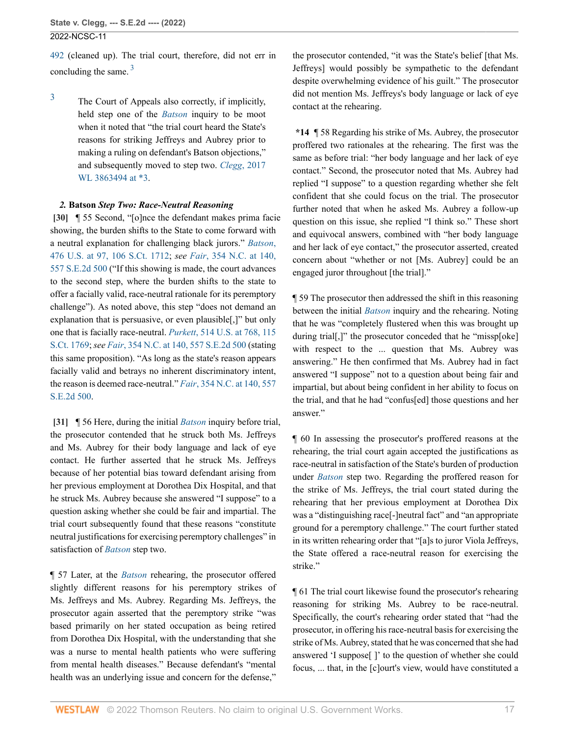[492](http://www.westlaw.com/Link/Document/FullText?findType=Y&serNum=2050891787&pubNum=0000572&originatingDoc=Ie49697508b7d11ec9381ff4a09a81529&refType=RP&fi=co_pp_sp_572_355&originationContext=document&vr=3.0&rs=cblt1.0&transitionType=DocumentItem&contextData=(sc.FindAndPrintPortal)#co_pp_sp_572_355) (cleaned up). The trial court, therefore, did not err in concluding the same.<sup>[3](#page-16-2)</sup>

<span id="page-16-2"></span>[3](#page-16-3)

<span id="page-16-3"></span>The Court of Appeals also correctly, if implicitly, held step one of the *[Batson](http://www.westlaw.com/Link/Document/FullText?findType=Y&serNum=1986122459&pubNum=0000708&originatingDoc=Ie49697508b7d11ec9381ff4a09a81529&refType=RP&originationContext=document&vr=3.0&rs=cblt1.0&transitionType=DocumentItem&contextData=(sc.FindAndPrintPortal))* inquiry to be moot when it noted that "the trial court heard the State's reasons for striking Jeffreys and Aubrey prior to making a ruling on defendant's Batson objections," and subsequently moved to step two. *Clegg*[, 2017](http://www.westlaw.com/Link/Document/FullText?findType=Y&serNum=2042521028&pubNum=0000999&originatingDoc=Ie49697508b7d11ec9381ff4a09a81529&refType=RP&fi=co_pp_sp_999_3&originationContext=document&vr=3.0&rs=cblt1.0&transitionType=DocumentItem&contextData=(sc.FindAndPrintPortal)#co_pp_sp_999_3) [WL 3863494 at \\*3](http://www.westlaw.com/Link/Document/FullText?findType=Y&serNum=2042521028&pubNum=0000999&originatingDoc=Ie49697508b7d11ec9381ff4a09a81529&refType=RP&fi=co_pp_sp_999_3&originationContext=document&vr=3.0&rs=cblt1.0&transitionType=DocumentItem&contextData=(sc.FindAndPrintPortal)#co_pp_sp_999_3).

# <span id="page-16-0"></span>*2.* **Batson** *Step Two: Race-Neutral Reasoning*

**[\[30\]](#page-3-7)** ¶ 55 Second, "[o]nce the defendant makes prima facie showing, the burden shifts to the State to come forward with a neutral explanation for challenging black jurors." *[Batson](http://www.westlaw.com/Link/Document/FullText?findType=Y&serNum=1986122459&pubNum=0000780&originatingDoc=Ie49697508b7d11ec9381ff4a09a81529&refType=RP&fi=co_pp_sp_780_97&originationContext=document&vr=3.0&rs=cblt1.0&transitionType=DocumentItem&contextData=(sc.FindAndPrintPortal)#co_pp_sp_780_97)*, [476 U.S. at 97, 106 S.Ct. 1712](http://www.westlaw.com/Link/Document/FullText?findType=Y&serNum=1986122459&pubNum=0000780&originatingDoc=Ie49697508b7d11ec9381ff4a09a81529&refType=RP&fi=co_pp_sp_780_97&originationContext=document&vr=3.0&rs=cblt1.0&transitionType=DocumentItem&contextData=(sc.FindAndPrintPortal)#co_pp_sp_780_97); *see Fair*[, 354 N.C. at 140,](http://www.westlaw.com/Link/Document/FullText?findType=Y&serNum=2002084135&pubNum=0000711&originatingDoc=Ie49697508b7d11ec9381ff4a09a81529&refType=RP&fi=co_pp_sp_711_140&originationContext=document&vr=3.0&rs=cblt1.0&transitionType=DocumentItem&contextData=(sc.FindAndPrintPortal)#co_pp_sp_711_140) [557 S.E.2d 500](http://www.westlaw.com/Link/Document/FullText?findType=Y&serNum=2002084135&pubNum=0000711&originatingDoc=Ie49697508b7d11ec9381ff4a09a81529&refType=RP&fi=co_pp_sp_711_140&originationContext=document&vr=3.0&rs=cblt1.0&transitionType=DocumentItem&contextData=(sc.FindAndPrintPortal)#co_pp_sp_711_140) ("If this showing is made, the court advances to the second step, where the burden shifts to the state to offer a facially valid, race-neutral rationale for its peremptory challenge"). As noted above, this step "does not demand an explanation that is persuasive, or even plausible[,]" but only one that is facially race-neutral. *Purkett*[, 514 U.S. at 768, 115](http://www.westlaw.com/Link/Document/FullText?findType=Y&serNum=1995107859&pubNum=0000780&originatingDoc=Ie49697508b7d11ec9381ff4a09a81529&refType=RP&fi=co_pp_sp_780_768&originationContext=document&vr=3.0&rs=cblt1.0&transitionType=DocumentItem&contextData=(sc.FindAndPrintPortal)#co_pp_sp_780_768) [S.Ct. 1769;](http://www.westlaw.com/Link/Document/FullText?findType=Y&serNum=1995107859&pubNum=0000780&originatingDoc=Ie49697508b7d11ec9381ff4a09a81529&refType=RP&fi=co_pp_sp_780_768&originationContext=document&vr=3.0&rs=cblt1.0&transitionType=DocumentItem&contextData=(sc.FindAndPrintPortal)#co_pp_sp_780_768) *see Fair*[, 354 N.C. at 140, 557 S.E.2d 500](http://www.westlaw.com/Link/Document/FullText?findType=Y&serNum=2002084135&pubNum=0000711&originatingDoc=Ie49697508b7d11ec9381ff4a09a81529&refType=RP&fi=co_pp_sp_711_140&originationContext=document&vr=3.0&rs=cblt1.0&transitionType=DocumentItem&contextData=(sc.FindAndPrintPortal)#co_pp_sp_711_140) (stating this same proposition). "As long as the state's reason appears facially valid and betrays no inherent discriminatory intent, the reason is deemed race-neutral." *Fair*[, 354 N.C. at 140, 557](http://www.westlaw.com/Link/Document/FullText?findType=Y&serNum=2002084135&pubNum=0000711&originatingDoc=Ie49697508b7d11ec9381ff4a09a81529&refType=RP&fi=co_pp_sp_711_140&originationContext=document&vr=3.0&rs=cblt1.0&transitionType=DocumentItem&contextData=(sc.FindAndPrintPortal)#co_pp_sp_711_140) [S.E.2d 500](http://www.westlaw.com/Link/Document/FullText?findType=Y&serNum=2002084135&pubNum=0000711&originatingDoc=Ie49697508b7d11ec9381ff4a09a81529&refType=RP&fi=co_pp_sp_711_140&originationContext=document&vr=3.0&rs=cblt1.0&transitionType=DocumentItem&contextData=(sc.FindAndPrintPortal)#co_pp_sp_711_140).

<span id="page-16-1"></span>**[\[31\]](#page-3-0)** ¶ 56 Here, during the initial *[Batson](http://www.westlaw.com/Link/Document/FullText?findType=Y&serNum=1986122459&pubNum=0000708&originatingDoc=Ie49697508b7d11ec9381ff4a09a81529&refType=RP&originationContext=document&vr=3.0&rs=cblt1.0&transitionType=DocumentItem&contextData=(sc.FindAndPrintPortal))* inquiry before trial, the prosecutor contended that he struck both Ms. Jeffreys and Ms. Aubrey for their body language and lack of eye contact. He further asserted that he struck Ms. Jeffreys because of her potential bias toward defendant arising from her previous employment at Dorothea Dix Hospital, and that he struck Ms. Aubrey because she answered "I suppose" to a question asking whether she could be fair and impartial. The trial court subsequently found that these reasons "constitute neutral justifications for exercising peremptory challenges" in satisfaction of *[Batson](http://www.westlaw.com/Link/Document/FullText?findType=Y&serNum=1986122459&pubNum=0000708&originatingDoc=Ie49697508b7d11ec9381ff4a09a81529&refType=RP&originationContext=document&vr=3.0&rs=cblt1.0&transitionType=DocumentItem&contextData=(sc.FindAndPrintPortal))* step two.

¶ 57 Later, at the *[Batson](http://www.westlaw.com/Link/Document/FullText?findType=Y&serNum=1986122459&pubNum=0000708&originatingDoc=Ie49697508b7d11ec9381ff4a09a81529&refType=RP&originationContext=document&vr=3.0&rs=cblt1.0&transitionType=DocumentItem&contextData=(sc.FindAndPrintPortal))* rehearing, the prosecutor offered slightly different reasons for his peremptory strikes of Ms. Jeffreys and Ms. Aubrey. Regarding Ms. Jeffreys, the prosecutor again asserted that the peremptory strike "was based primarily on her stated occupation as being retired from Dorothea Dix Hospital, with the understanding that she was a nurse to mental health patients who were suffering from mental health diseases." Because defendant's "mental health was an underlying issue and concern for the defense,"

the prosecutor contended, "it was the State's belief [that Ms. Jeffreys] would possibly be sympathetic to the defendant despite overwhelming evidence of his guilt." The prosecutor did not mention Ms. Jeffreys's body language or lack of eye contact at the rehearing.

**\*14** ¶ 58 Regarding his strike of Ms. Aubrey, the prosecutor proffered two rationales at the rehearing. The first was the same as before trial: "her body language and her lack of eye contact." Second, the prosecutor noted that Ms. Aubrey had replied "I suppose" to a question regarding whether she felt confident that she could focus on the trial. The prosecutor further noted that when he asked Ms. Aubrey a follow-up question on this issue, she replied "I think so." These short and equivocal answers, combined with "her body language and her lack of eye contact," the prosecutor asserted, created concern about "whether or not [Ms. Aubrey] could be an engaged juror throughout [the trial]."

¶ 59 The prosecutor then addressed the shift in this reasoning between the initial *[Batson](http://www.westlaw.com/Link/Document/FullText?findType=Y&serNum=1986122459&pubNum=0000708&originatingDoc=Ie49697508b7d11ec9381ff4a09a81529&refType=RP&originationContext=document&vr=3.0&rs=cblt1.0&transitionType=DocumentItem&contextData=(sc.FindAndPrintPortal))* inquiry and the rehearing. Noting that he was "completely flustered when this was brought up during trial[,]" the prosecutor conceded that he "missp[oke] with respect to the ... question that Ms. Aubrey was answering." He then confirmed that Ms. Aubrey had in fact answered "I suppose" not to a question about being fair and impartial, but about being confident in her ability to focus on the trial, and that he had "confus[ed] those questions and her answer."

¶ 60 In assessing the prosecutor's proffered reasons at the rehearing, the trial court again accepted the justifications as race-neutral in satisfaction of the State's burden of production under *[Batson](http://www.westlaw.com/Link/Document/FullText?findType=Y&serNum=1986122459&pubNum=0000708&originatingDoc=Ie49697508b7d11ec9381ff4a09a81529&refType=RP&originationContext=document&vr=3.0&rs=cblt1.0&transitionType=DocumentItem&contextData=(sc.FindAndPrintPortal))* step two. Regarding the proffered reason for the strike of Ms. Jeffreys, the trial court stated during the rehearing that her previous employment at Dorothea Dix was a "distinguishing race[-]neutral fact" and "an appropriate ground for a peremptory challenge." The court further stated in its written rehearing order that "[a]s to juror Viola Jeffreys, the State offered a race-neutral reason for exercising the strike."

¶ 61 The trial court likewise found the prosecutor's rehearing reasoning for striking Ms. Aubrey to be race-neutral. Specifically, the court's rehearing order stated that "had the prosecutor, in offering his race-neutral basis for exercising the strike of Ms. Aubrey, stated that he was concerned that she had answered 'I suppose[ ]' to the question of whether she could focus, ... that, in the [c]ourt's view, would have constituted a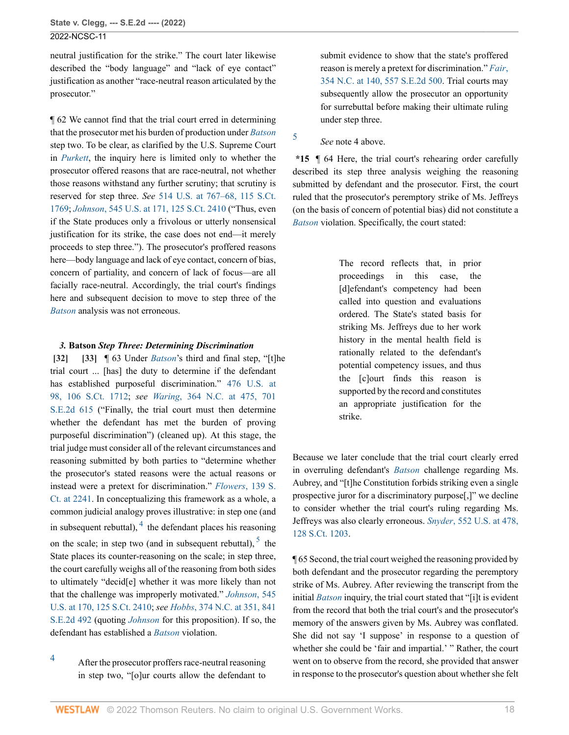neutral justification for the strike." The court later likewise described the "body language" and "lack of eye contact" justification as another "race-neutral reason articulated by the prosecutor."

¶ 62 We cannot find that the trial court erred in determining that the prosecutor met his burden of production under *[Batson](http://www.westlaw.com/Link/Document/FullText?findType=Y&serNum=1986122459&pubNum=0000708&originatingDoc=Ie49697508b7d11ec9381ff4a09a81529&refType=RP&originationContext=document&vr=3.0&rs=cblt1.0&transitionType=DocumentItem&contextData=(sc.FindAndPrintPortal))* step two. To be clear, as clarified by the U.S. Supreme Court in *[Purkett](http://www.westlaw.com/Link/Document/FullText?findType=Y&serNum=1995107859&pubNum=0000708&originatingDoc=Ie49697508b7d11ec9381ff4a09a81529&refType=RP&originationContext=document&vr=3.0&rs=cblt1.0&transitionType=DocumentItem&contextData=(sc.FindAndPrintPortal))*, the inquiry here is limited only to whether the prosecutor offered reasons that are race-neutral, not whether those reasons withstand any further scrutiny; that scrutiny is reserved for step three. *See* [514 U.S. at 767–68, 115 S.Ct.](http://www.westlaw.com/Link/Document/FullText?findType=Y&serNum=1995107859&pubNum=0000780&originatingDoc=Ie49697508b7d11ec9381ff4a09a81529&refType=RP&fi=co_pp_sp_780_767&originationContext=document&vr=3.0&rs=cblt1.0&transitionType=DocumentItem&contextData=(sc.FindAndPrintPortal)#co_pp_sp_780_767) [1769](http://www.westlaw.com/Link/Document/FullText?findType=Y&serNum=1995107859&pubNum=0000780&originatingDoc=Ie49697508b7d11ec9381ff4a09a81529&refType=RP&fi=co_pp_sp_780_767&originationContext=document&vr=3.0&rs=cblt1.0&transitionType=DocumentItem&contextData=(sc.FindAndPrintPortal)#co_pp_sp_780_767); *Johnson*[, 545 U.S. at 171, 125 S.Ct. 2410](http://www.westlaw.com/Link/Document/FullText?findType=Y&serNum=2006791983&pubNum=0000780&originatingDoc=Ie49697508b7d11ec9381ff4a09a81529&refType=RP&fi=co_pp_sp_780_171&originationContext=document&vr=3.0&rs=cblt1.0&transitionType=DocumentItem&contextData=(sc.FindAndPrintPortal)#co_pp_sp_780_171) ("Thus, even if the State produces only a frivolous or utterly nonsensical justification for its strike, the case does not end—it merely proceeds to step three."). The prosecutor's proffered reasons here—body language and lack of eye contact, concern of bias, concern of partiality, and concern of lack of focus—are all facially race-neutral. Accordingly, the trial court's findings here and subsequent decision to move to step three of the *[Batson](http://www.westlaw.com/Link/Document/FullText?findType=Y&serNum=1986122459&pubNum=0000708&originatingDoc=Ie49697508b7d11ec9381ff4a09a81529&refType=RP&originationContext=document&vr=3.0&rs=cblt1.0&transitionType=DocumentItem&contextData=(sc.FindAndPrintPortal))* analysis was not erroneous.

#### <span id="page-17-1"></span><span id="page-17-0"></span>*3.* **Batson** *Step Three: Determining Discrimination*

**[\[32\]](#page-3-8) [\[33\]](#page-3-9)** ¶ 63 Under *[Batson](http://www.westlaw.com/Link/Document/FullText?findType=Y&serNum=1986122459&pubNum=0000708&originatingDoc=Ie49697508b7d11ec9381ff4a09a81529&refType=RP&originationContext=document&vr=3.0&rs=cblt1.0&transitionType=DocumentItem&contextData=(sc.FindAndPrintPortal))*'s third and final step, "[t]he trial court ... [has] the duty to determine if the defendant has established purposeful discrimination." [476 U.S. at](http://www.westlaw.com/Link/Document/FullText?findType=Y&serNum=1986122459&pubNum=0000780&originatingDoc=Ie49697508b7d11ec9381ff4a09a81529&refType=RP&fi=co_pp_sp_780_98&originationContext=document&vr=3.0&rs=cblt1.0&transitionType=DocumentItem&contextData=(sc.FindAndPrintPortal)#co_pp_sp_780_98) [98, 106 S.Ct. 1712;](http://www.westlaw.com/Link/Document/FullText?findType=Y&serNum=1986122459&pubNum=0000780&originatingDoc=Ie49697508b7d11ec9381ff4a09a81529&refType=RP&fi=co_pp_sp_780_98&originationContext=document&vr=3.0&rs=cblt1.0&transitionType=DocumentItem&contextData=(sc.FindAndPrintPortal)#co_pp_sp_780_98) *see Waring*[, 364 N.C. at 475, 701](http://www.westlaw.com/Link/Document/FullText?findType=Y&serNum=2023622980&pubNum=0000572&originatingDoc=Ie49697508b7d11ec9381ff4a09a81529&refType=RP&fi=co_pp_sp_572_475&originationContext=document&vr=3.0&rs=cblt1.0&transitionType=DocumentItem&contextData=(sc.FindAndPrintPortal)#co_pp_sp_572_475) [S.E.2d 615](http://www.westlaw.com/Link/Document/FullText?findType=Y&serNum=2023622980&pubNum=0000572&originatingDoc=Ie49697508b7d11ec9381ff4a09a81529&refType=RP&fi=co_pp_sp_572_475&originationContext=document&vr=3.0&rs=cblt1.0&transitionType=DocumentItem&contextData=(sc.FindAndPrintPortal)#co_pp_sp_572_475) ("Finally, the trial court must then determine whether the defendant has met the burden of proving purposeful discrimination") (cleaned up). At this stage, the trial judge must consider all of the relevant circumstances and reasoning submitted by both parties to "determine whether the prosecutor's stated reasons were the actual reasons or instead were a pretext for discrimination." *Flowers*[, 139 S.](http://www.westlaw.com/Link/Document/FullText?findType=Y&serNum=2048538049&pubNum=0000708&originatingDoc=Ie49697508b7d11ec9381ff4a09a81529&refType=RP&fi=co_pp_sp_708_2241&originationContext=document&vr=3.0&rs=cblt1.0&transitionType=DocumentItem&contextData=(sc.FindAndPrintPortal)#co_pp_sp_708_2241) [Ct. at 2241.](http://www.westlaw.com/Link/Document/FullText?findType=Y&serNum=2048538049&pubNum=0000708&originatingDoc=Ie49697508b7d11ec9381ff4a09a81529&refType=RP&fi=co_pp_sp_708_2241&originationContext=document&vr=3.0&rs=cblt1.0&transitionType=DocumentItem&contextData=(sc.FindAndPrintPortal)#co_pp_sp_708_2241) In conceptualizing this framework as a whole, a common judicial analogy proves illustrative: in step one (and in subsequent rebuttal),  $4$  the defendant places his reasoning on the scale; in step two (and in subsequent rebuttal),  $5$  the State places its counter-reasoning on the scale; in step three, the court carefully weighs all of the reasoning from both sides to ultimately "decid[e] whether it was more likely than not that the challenge was improperly motivated." *[Johnson](http://www.westlaw.com/Link/Document/FullText?findType=Y&serNum=2006791983&pubNum=0000780&originatingDoc=Ie49697508b7d11ec9381ff4a09a81529&refType=RP&fi=co_pp_sp_780_170&originationContext=document&vr=3.0&rs=cblt1.0&transitionType=DocumentItem&contextData=(sc.FindAndPrintPortal)#co_pp_sp_780_170)*, 545 [U.S. at 170, 125 S.Ct. 2410](http://www.westlaw.com/Link/Document/FullText?findType=Y&serNum=2006791983&pubNum=0000780&originatingDoc=Ie49697508b7d11ec9381ff4a09a81529&refType=RP&fi=co_pp_sp_780_170&originationContext=document&vr=3.0&rs=cblt1.0&transitionType=DocumentItem&contextData=(sc.FindAndPrintPortal)#co_pp_sp_780_170); *see Hobbs*[, 374 N.C. at 351, 841](http://www.westlaw.com/Link/Document/FullText?findType=Y&serNum=2050891787&pubNum=0000572&originatingDoc=Ie49697508b7d11ec9381ff4a09a81529&refType=RP&fi=co_pp_sp_572_351&originationContext=document&vr=3.0&rs=cblt1.0&transitionType=DocumentItem&contextData=(sc.FindAndPrintPortal)#co_pp_sp_572_351) [S.E.2d 492](http://www.westlaw.com/Link/Document/FullText?findType=Y&serNum=2050891787&pubNum=0000572&originatingDoc=Ie49697508b7d11ec9381ff4a09a81529&refType=RP&fi=co_pp_sp_572_351&originationContext=document&vr=3.0&rs=cblt1.0&transitionType=DocumentItem&contextData=(sc.FindAndPrintPortal)#co_pp_sp_572_351) (quoting *[Johnson](http://www.westlaw.com/Link/Document/FullText?findType=Y&serNum=2006791983&pubNum=0000708&originatingDoc=Ie49697508b7d11ec9381ff4a09a81529&refType=RP&originationContext=document&vr=3.0&rs=cblt1.0&transitionType=DocumentItem&contextData=(sc.FindAndPrintPortal))* for this proposition). If so, the defendant has established a *[Batson](http://www.westlaw.com/Link/Document/FullText?findType=Y&serNum=1986122459&pubNum=0000708&originatingDoc=Ie49697508b7d11ec9381ff4a09a81529&refType=RP&originationContext=document&vr=3.0&rs=cblt1.0&transitionType=DocumentItem&contextData=(sc.FindAndPrintPortal))* violation.

<span id="page-17-2"></span>[4](#page-17-4) After the prosecutor proffers race-neutral reasoning in step two, "[o]ur courts allow the defendant to

submit evidence to show that the state's proffered reason is merely a pretext for discrimination." *[Fair](http://www.westlaw.com/Link/Document/FullText?findType=Y&serNum=2002084135&pubNum=0000711&originatingDoc=Ie49697508b7d11ec9381ff4a09a81529&refType=RP&fi=co_pp_sp_711_140&originationContext=document&vr=3.0&rs=cblt1.0&transitionType=DocumentItem&contextData=(sc.FindAndPrintPortal)#co_pp_sp_711_140)*, [354 N.C. at 140, 557 S.E.2d 500.](http://www.westlaw.com/Link/Document/FullText?findType=Y&serNum=2002084135&pubNum=0000711&originatingDoc=Ie49697508b7d11ec9381ff4a09a81529&refType=RP&fi=co_pp_sp_711_140&originationContext=document&vr=3.0&rs=cblt1.0&transitionType=DocumentItem&contextData=(sc.FindAndPrintPortal)#co_pp_sp_711_140) Trial courts may subsequently allow the prosecutor an opportunity for surrebuttal before making their ultimate ruling under step three.

<span id="page-17-3"></span>[5](#page-17-5) *See* note 4 above.

**\*15** ¶ 64 Here, the trial court's rehearing order carefully described its step three analysis weighing the reasoning submitted by defendant and the prosecutor. First, the court ruled that the prosecutor's peremptory strike of Ms. Jeffreys (on the basis of concern of potential bias) did not constitute a *[Batson](http://www.westlaw.com/Link/Document/FullText?findType=Y&serNum=1986122459&pubNum=0000708&originatingDoc=Ie49697508b7d11ec9381ff4a09a81529&refType=RP&originationContext=document&vr=3.0&rs=cblt1.0&transitionType=DocumentItem&contextData=(sc.FindAndPrintPortal))* violation. Specifically, the court stated:

> The record reflects that, in prior proceedings in this case, the [d]efendant's competency had been called into question and evaluations ordered. The State's stated basis for striking Ms. Jeffreys due to her work history in the mental health field is rationally related to the defendant's potential competency issues, and thus the [c]ourt finds this reason is supported by the record and constitutes an appropriate justification for the strike.

Because we later conclude that the trial court clearly erred in overruling defendant's *[Batson](http://www.westlaw.com/Link/Document/FullText?findType=Y&serNum=1986122459&pubNum=0000708&originatingDoc=Ie49697508b7d11ec9381ff4a09a81529&refType=RP&originationContext=document&vr=3.0&rs=cblt1.0&transitionType=DocumentItem&contextData=(sc.FindAndPrintPortal))* challenge regarding Ms. Aubrey, and "[t]he Constitution forbids striking even a single prospective juror for a discriminatory purpose[,]" we decline to consider whether the trial court's ruling regarding Ms. Jeffreys was also clearly erroneous. *Snyder*[, 552 U.S. at 478,](http://www.westlaw.com/Link/Document/FullText?findType=Y&serNum=2015520672&pubNum=0000780&originatingDoc=Ie49697508b7d11ec9381ff4a09a81529&refType=RP&fi=co_pp_sp_780_478&originationContext=document&vr=3.0&rs=cblt1.0&transitionType=DocumentItem&contextData=(sc.FindAndPrintPortal)#co_pp_sp_780_478) [128 S.Ct. 1203.](http://www.westlaw.com/Link/Document/FullText?findType=Y&serNum=2015520672&pubNum=0000780&originatingDoc=Ie49697508b7d11ec9381ff4a09a81529&refType=RP&fi=co_pp_sp_780_478&originationContext=document&vr=3.0&rs=cblt1.0&transitionType=DocumentItem&contextData=(sc.FindAndPrintPortal)#co_pp_sp_780_478)

<span id="page-17-5"></span><span id="page-17-4"></span>¶ 65 Second, the trial court weighed the reasoning provided by both defendant and the prosecutor regarding the peremptory strike of Ms. Aubrey. After reviewing the transcript from the initial *[Batson](http://www.westlaw.com/Link/Document/FullText?findType=Y&serNum=1986122459&pubNum=0000708&originatingDoc=Ie49697508b7d11ec9381ff4a09a81529&refType=RP&originationContext=document&vr=3.0&rs=cblt1.0&transitionType=DocumentItem&contextData=(sc.FindAndPrintPortal))* inquiry, the trial court stated that "[i]t is evident from the record that both the trial court's and the prosecutor's memory of the answers given by Ms. Aubrey was conflated. She did not say 'I suppose' in response to a question of whether she could be 'fair and impartial.' " Rather, the court went on to observe from the record, she provided that answer in response to the prosecutor's question about whether she felt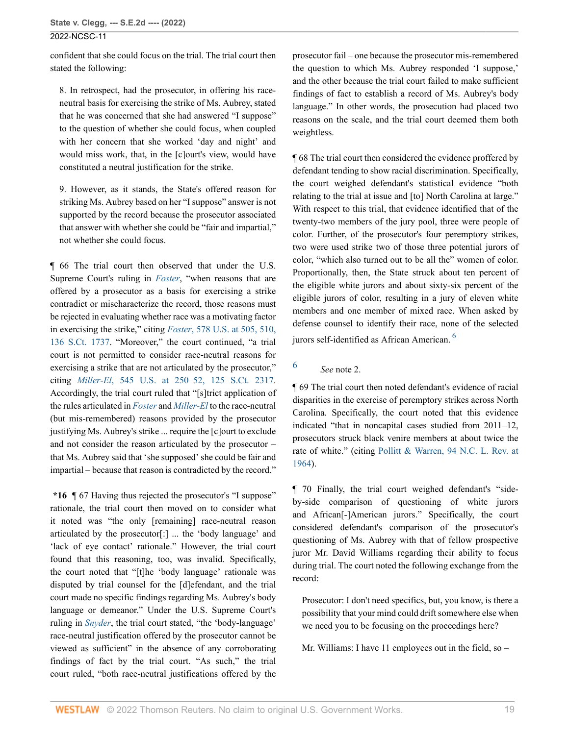confident that she could focus on the trial. The trial court then stated the following:

8. In retrospect, had the prosecutor, in offering his raceneutral basis for exercising the strike of Ms. Aubrey, stated that he was concerned that she had answered "I suppose" to the question of whether she could focus, when coupled with her concern that she worked 'day and night' and would miss work, that, in the [c]ourt's view, would have constituted a neutral justification for the strike.

9. However, as it stands, the State's offered reason for striking Ms. Aubrey based on her "I suppose" answer is not supported by the record because the prosecutor associated that answer with whether she could be "fair and impartial," not whether she could focus.

¶ 66 The trial court then observed that under the U.S. Supreme Court's ruling in *[Foster](http://www.westlaw.com/Link/Document/FullText?findType=Y&serNum=2038892556&pubNum=0000708&originatingDoc=Ie49697508b7d11ec9381ff4a09a81529&refType=RP&originationContext=document&vr=3.0&rs=cblt1.0&transitionType=DocumentItem&contextData=(sc.FindAndPrintPortal))*, "when reasons that are offered by a prosecutor as a basis for exercising a strike contradict or mischaracterize the record, those reasons must be rejected in evaluating whether race was a motivating factor in exercising the strike," citing *Foster*[, 578 U.S. at 505, 510,](http://www.westlaw.com/Link/Document/FullText?findType=Y&serNum=2038892556&pubNum=0000780&originatingDoc=Ie49697508b7d11ec9381ff4a09a81529&refType=RP&fi=co_pp_sp_780_505&originationContext=document&vr=3.0&rs=cblt1.0&transitionType=DocumentItem&contextData=(sc.FindAndPrintPortal)#co_pp_sp_780_505) [136 S.Ct. 1737.](http://www.westlaw.com/Link/Document/FullText?findType=Y&serNum=2038892556&pubNum=0000780&originatingDoc=Ie49697508b7d11ec9381ff4a09a81529&refType=RP&fi=co_pp_sp_780_505&originationContext=document&vr=3.0&rs=cblt1.0&transitionType=DocumentItem&contextData=(sc.FindAndPrintPortal)#co_pp_sp_780_505) "Moreover," the court continued, "a trial court is not permitted to consider race-neutral reasons for exercising a strike that are not articulated by the prosecutor," citing *Miller-El*[, 545 U.S. at 250–52, 125 S.Ct. 2317](http://www.westlaw.com/Link/Document/FullText?findType=Y&serNum=2006791870&pubNum=0000780&originatingDoc=Ie49697508b7d11ec9381ff4a09a81529&refType=RP&fi=co_pp_sp_780_250&originationContext=document&vr=3.0&rs=cblt1.0&transitionType=DocumentItem&contextData=(sc.FindAndPrintPortal)#co_pp_sp_780_250). Accordingly, the trial court ruled that "[s]trict application of the rules articulated in *[Foster](http://www.westlaw.com/Link/Document/FullText?findType=Y&serNum=2038892556&pubNum=0000708&originatingDoc=Ie49697508b7d11ec9381ff4a09a81529&refType=RP&originationContext=document&vr=3.0&rs=cblt1.0&transitionType=DocumentItem&contextData=(sc.FindAndPrintPortal))* and *[Miller-El](http://www.westlaw.com/Link/Document/FullText?findType=Y&serNum=2006791870&pubNum=0000708&originatingDoc=Ie49697508b7d11ec9381ff4a09a81529&refType=RP&originationContext=document&vr=3.0&rs=cblt1.0&transitionType=DocumentItem&contextData=(sc.FindAndPrintPortal))* to the race-neutral (but mis-remembered) reasons provided by the prosecutor justifying Ms. Aubrey's strike ... require the [c]ourt to exclude and not consider the reason articulated by the prosecutor – that Ms. Aubrey said that 'she supposed' she could be fair and impartial – because that reason is contradicted by the record."

**\*16** ¶ 67 Having thus rejected the prosecutor's "I suppose" rationale, the trial court then moved on to consider what it noted was "the only [remaining] race-neutral reason articulated by the prosecutor[:] ... the 'body language' and 'lack of eye contact' rationale." However, the trial court found that this reasoning, too, was invalid. Specifically, the court noted that "[t]he 'body language' rationale was disputed by trial counsel for the [d]efendant, and the trial court made no specific findings regarding Ms. Aubrey's body language or demeanor." Under the U.S. Supreme Court's ruling in *[Snyder](http://www.westlaw.com/Link/Document/FullText?findType=Y&serNum=2015520672&pubNum=0000708&originatingDoc=Ie49697508b7d11ec9381ff4a09a81529&refType=RP&originationContext=document&vr=3.0&rs=cblt1.0&transitionType=DocumentItem&contextData=(sc.FindAndPrintPortal))*, the trial court stated, "the 'body-language' race-neutral justification offered by the prosecutor cannot be viewed as sufficient" in the absence of any corroborating findings of fact by the trial court. "As such," the trial court ruled, "both race-neutral justifications offered by the

prosecutor fail – one because the prosecutor mis-remembered the question to which Ms. Aubrey responded 'I suppose,' and the other because the trial court failed to make sufficient findings of fact to establish a record of Ms. Aubrey's body language." In other words, the prosecution had placed two reasons on the scale, and the trial court deemed them both weightless.

¶ 68 The trial court then considered the evidence proffered by defendant tending to show racial discrimination. Specifically, the court weighed defendant's statistical evidence "both relating to the trial at issue and [to] North Carolina at large." With respect to this trial, that evidence identified that of the twenty-two members of the jury pool, three were people of color. Further, of the prosecutor's four peremptory strikes, two were used strike two of those three potential jurors of color, "which also turned out to be all the" women of color. Proportionally, then, the State struck about ten percent of the eligible white jurors and about sixty-six percent of the eligible jurors of color, resulting in a jury of eleven white members and one member of mixed race. When asked by defense counsel to identify their race, none of the selected jurors self-identified as African American. [6](#page-18-0)

#### <span id="page-18-1"></span><span id="page-18-0"></span>[6](#page-18-1) *See* note 2.

¶ 69 The trial court then noted defendant's evidence of racial disparities in the exercise of peremptory strikes across North Carolina. Specifically, the court noted that this evidence indicated "that in noncapital cases studied from 2011–12, prosecutors struck black venire members at about twice the rate of white." (citing [Pollitt & Warren, 94 N.C. L. Rev. at](http://www.westlaw.com/Link/Document/FullText?findType=Y&serNum=0452013574&pubNum=0001199&originatingDoc=Ie49697508b7d11ec9381ff4a09a81529&refType=LR&fi=co_pp_sp_1199_1964&originationContext=document&vr=3.0&rs=cblt1.0&transitionType=DocumentItem&contextData=(sc.FindAndPrintPortal)#co_pp_sp_1199_1964) [1964](http://www.westlaw.com/Link/Document/FullText?findType=Y&serNum=0452013574&pubNum=0001199&originatingDoc=Ie49697508b7d11ec9381ff4a09a81529&refType=LR&fi=co_pp_sp_1199_1964&originationContext=document&vr=3.0&rs=cblt1.0&transitionType=DocumentItem&contextData=(sc.FindAndPrintPortal)#co_pp_sp_1199_1964)).

¶ 70 Finally, the trial court weighed defendant's "sideby-side comparison of questioning of white jurors and African[-]American jurors." Specifically, the court considered defendant's comparison of the prosecutor's questioning of Ms. Aubrey with that of fellow prospective juror Mr. David Williams regarding their ability to focus during trial. The court noted the following exchange from the record:

Prosecutor: I don't need specifics, but, you know, is there a possibility that your mind could drift somewhere else when we need you to be focusing on the proceedings here?

Mr. Williams: I have 11 employees out in the field, so –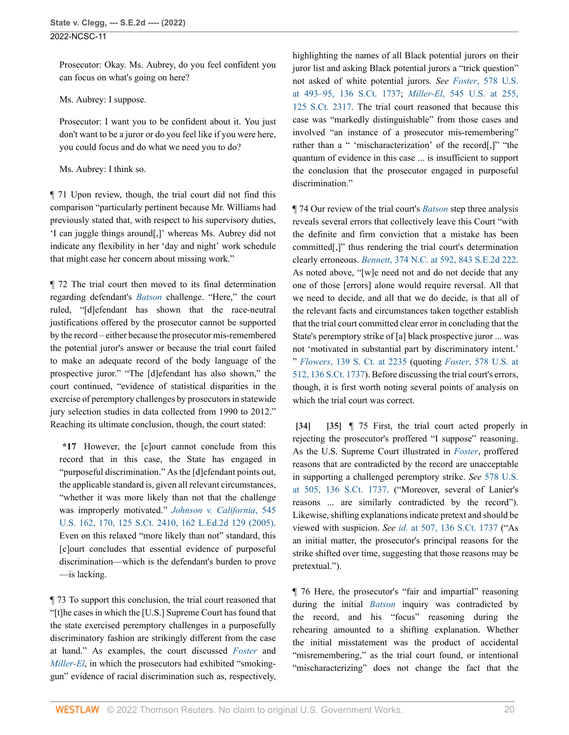Prosecutor: Okay. Ms. Aubrey, do you feel confident you can focus on what's going on here?

Ms. Aubrey: I suppose.

Prosecutor: I want you to be confident about it. You just don't want to be a juror or do you feel like if you were here, you could focus and do what we need you to do?

Ms. Aubrey: I think so.

¶ 71 Upon review, though, the trial court did not find this comparison "particularly pertinent because Mr. Williams had previously stated that, with respect to his supervisory duties, 'I can juggle things around[,]' whereas Ms. Aubrey did not indicate any flexibility in her 'day and night' work schedule that might ease her concern about missing work."

¶ 72 The trial court then moved to its final determination regarding defendant's *[Batson](http://www.westlaw.com/Link/Document/FullText?findType=Y&serNum=1986122459&pubNum=0000708&originatingDoc=Ie49697508b7d11ec9381ff4a09a81529&refType=RP&originationContext=document&vr=3.0&rs=cblt1.0&transitionType=DocumentItem&contextData=(sc.FindAndPrintPortal))* challenge. "Here," the court ruled, "[d]efendant has shown that the race-neutral justifications offered by the prosecutor cannot be supported by the record – either because the prosecutor mis-remembered the potential juror's answer or because the trial court failed to make an adequate record of the body language of the prospective juror." "The [d]efendant has also shown," the court continued, "evidence of statistical disparities in the exercise of peremptory challenges by prosecutors in statewide jury selection studies in data collected from 1990 to 2012." Reaching its ultimate conclusion, though, the court stated:

**\*17** However, the [c]ourt cannot conclude from this record that in this case, the State has engaged in "purposeful discrimination." As the [d]efendant points out, the applicable standard is, given all relevant circumstances, "whether it was more likely than not that the challenge was improperly motivated." *[Johnson v. California](http://www.westlaw.com/Link/Document/FullText?findType=Y&serNum=2006791983&pubNum=0000780&originatingDoc=Ie49697508b7d11ec9381ff4a09a81529&refType=RP&fi=co_pp_sp_780_170&originationContext=document&vr=3.0&rs=cblt1.0&transitionType=DocumentItem&contextData=(sc.FindAndPrintPortal)#co_pp_sp_780_170)*, 545 [U.S. 162, 170, 125 S.Ct. 2410, 162 L.Ed.2d 129 \(2005\)](http://www.westlaw.com/Link/Document/FullText?findType=Y&serNum=2006791983&pubNum=0000780&originatingDoc=Ie49697508b7d11ec9381ff4a09a81529&refType=RP&fi=co_pp_sp_780_170&originationContext=document&vr=3.0&rs=cblt1.0&transitionType=DocumentItem&contextData=(sc.FindAndPrintPortal)#co_pp_sp_780_170). Even on this relaxed "more likely than not" standard, this [c]ourt concludes that essential evidence of purposeful discrimination—which is the defendant's burden to prove —is lacking.

¶ 73 To support this conclusion, the trial court reasoned that "[t]he cases in which the [U.S.] Supreme Court has found that the state exercised peremptory challenges in a purposefully discriminatory fashion are strikingly different from the case at hand." As examples, the court discussed *[Foster](http://www.westlaw.com/Link/Document/FullText?findType=Y&serNum=2038892556&pubNum=0000708&originatingDoc=Ie49697508b7d11ec9381ff4a09a81529&refType=RP&originationContext=document&vr=3.0&rs=cblt1.0&transitionType=DocumentItem&contextData=(sc.FindAndPrintPortal))* and *[Miller-El](http://www.westlaw.com/Link/Document/FullText?findType=Y&serNum=2006791870&pubNum=0000708&originatingDoc=Ie49697508b7d11ec9381ff4a09a81529&refType=RP&originationContext=document&vr=3.0&rs=cblt1.0&transitionType=DocumentItem&contextData=(sc.FindAndPrintPortal))*, in which the prosecutors had exhibited "smokinggun" evidence of racial discrimination such as, respectively, highlighting the names of all Black potential jurors on their juror list and asking Black potential jurors a "trick question" not asked of white potential jurors. *See Foster*[, 578 U.S.](http://www.westlaw.com/Link/Document/FullText?findType=Y&serNum=2038892556&pubNum=0000780&originatingDoc=Ie49697508b7d11ec9381ff4a09a81529&refType=RP&fi=co_pp_sp_780_493&originationContext=document&vr=3.0&rs=cblt1.0&transitionType=DocumentItem&contextData=(sc.FindAndPrintPortal)#co_pp_sp_780_493) [at 493–95, 136 S.Ct. 1737](http://www.westlaw.com/Link/Document/FullText?findType=Y&serNum=2038892556&pubNum=0000780&originatingDoc=Ie49697508b7d11ec9381ff4a09a81529&refType=RP&fi=co_pp_sp_780_493&originationContext=document&vr=3.0&rs=cblt1.0&transitionType=DocumentItem&contextData=(sc.FindAndPrintPortal)#co_pp_sp_780_493); *Miller-El*[, 545 U.S. at 255,](http://www.westlaw.com/Link/Document/FullText?findType=Y&serNum=2006791870&pubNum=0000780&originatingDoc=Ie49697508b7d11ec9381ff4a09a81529&refType=RP&fi=co_pp_sp_780_255&originationContext=document&vr=3.0&rs=cblt1.0&transitionType=DocumentItem&contextData=(sc.FindAndPrintPortal)#co_pp_sp_780_255) [125 S.Ct. 2317](http://www.westlaw.com/Link/Document/FullText?findType=Y&serNum=2006791870&pubNum=0000780&originatingDoc=Ie49697508b7d11ec9381ff4a09a81529&refType=RP&fi=co_pp_sp_780_255&originationContext=document&vr=3.0&rs=cblt1.0&transitionType=DocumentItem&contextData=(sc.FindAndPrintPortal)#co_pp_sp_780_255). The trial court reasoned that because this case was "markedly distinguishable" from those cases and involved "an instance of a prosecutor mis-remembering" rather than a " 'mischaracterization' of the record[,]" "the quantum of evidence in this case ... is insufficient to support the conclusion that the prosecutor engaged in purposeful discrimination."

¶ 74 Our review of the trial court's *[Batson](http://www.westlaw.com/Link/Document/FullText?findType=Y&serNum=1986122459&pubNum=0000708&originatingDoc=Ie49697508b7d11ec9381ff4a09a81529&refType=RP&originationContext=document&vr=3.0&rs=cblt1.0&transitionType=DocumentItem&contextData=(sc.FindAndPrintPortal))* step three analysis reveals several errors that collectively leave this Court "with the definite and firm conviction that a mistake has been committed[,]" thus rendering the trial court's determination clearly erroneous. *Bennett*[, 374 N.C. at 592, 843 S.E.2d 222](http://www.westlaw.com/Link/Document/FullText?findType=Y&serNum=2051204528&pubNum=0000572&originatingDoc=Ie49697508b7d11ec9381ff4a09a81529&refType=RP&fi=co_pp_sp_572_592&originationContext=document&vr=3.0&rs=cblt1.0&transitionType=DocumentItem&contextData=(sc.FindAndPrintPortal)#co_pp_sp_572_592). As noted above, "[w]e need not and do not decide that any one of those [errors] alone would require reversal. All that we need to decide, and all that we do decide, is that all of the relevant facts and circumstances taken together establish that the trial court committed clear error in concluding that the State's peremptory strike of [a] black prospective juror ... was not 'motivated in substantial part by discriminatory intent.' " *Flowers*[, 139 S. Ct. at 2235](http://www.westlaw.com/Link/Document/FullText?findType=Y&serNum=2048538049&pubNum=0000708&originatingDoc=Ie49697508b7d11ec9381ff4a09a81529&refType=RP&fi=co_pp_sp_708_2235&originationContext=document&vr=3.0&rs=cblt1.0&transitionType=DocumentItem&contextData=(sc.FindAndPrintPortal)#co_pp_sp_708_2235) (quoting *Foster*[, 578 U.S. at](http://www.westlaw.com/Link/Document/FullText?findType=Y&serNum=2038892556&pubNum=0000780&originatingDoc=Ie49697508b7d11ec9381ff4a09a81529&refType=RP&fi=co_pp_sp_780_512&originationContext=document&vr=3.0&rs=cblt1.0&transitionType=DocumentItem&contextData=(sc.FindAndPrintPortal)#co_pp_sp_780_512) [512, 136 S.Ct. 1737\)](http://www.westlaw.com/Link/Document/FullText?findType=Y&serNum=2038892556&pubNum=0000780&originatingDoc=Ie49697508b7d11ec9381ff4a09a81529&refType=RP&fi=co_pp_sp_780_512&originationContext=document&vr=3.0&rs=cblt1.0&transitionType=DocumentItem&contextData=(sc.FindAndPrintPortal)#co_pp_sp_780_512). Before discussing the trial court's errors, though, it is first worth noting several points of analysis on which the trial court was correct.

<span id="page-19-1"></span><span id="page-19-0"></span>**[\[34\]](#page-4-5) [\[35\]](#page-4-0)** ¶ 75 First, the trial court acted properly in rejecting the prosecutor's proffered "I suppose" reasoning. As the U.S. Supreme Court illustrated in *[Foster](http://www.westlaw.com/Link/Document/FullText?findType=Y&serNum=2038892556&pubNum=0000708&originatingDoc=Ie49697508b7d11ec9381ff4a09a81529&refType=RP&originationContext=document&vr=3.0&rs=cblt1.0&transitionType=DocumentItem&contextData=(sc.FindAndPrintPortal))*, proffered reasons that are contradicted by the record are unacceptable in supporting a challenged peremptory strike. *See* [578 U.S.](http://www.westlaw.com/Link/Document/FullText?findType=Y&serNum=2038892556&pubNum=0000780&originatingDoc=Ie49697508b7d11ec9381ff4a09a81529&refType=RP&fi=co_pp_sp_780_505&originationContext=document&vr=3.0&rs=cblt1.0&transitionType=DocumentItem&contextData=(sc.FindAndPrintPortal)#co_pp_sp_780_505) [at 505, 136 S.Ct. 1737](http://www.westlaw.com/Link/Document/FullText?findType=Y&serNum=2038892556&pubNum=0000780&originatingDoc=Ie49697508b7d11ec9381ff4a09a81529&refType=RP&fi=co_pp_sp_780_505&originationContext=document&vr=3.0&rs=cblt1.0&transitionType=DocumentItem&contextData=(sc.FindAndPrintPortal)#co_pp_sp_780_505). ("Moreover, several of Lanier's reasons ... are similarly contradicted by the record"). Likewise, shifting explanations indicate pretext and should be viewed with suspicion. *See id.* [at 507, 136 S.Ct. 1737](http://www.westlaw.com/Link/Document/FullText?findType=Y&serNum=2038892556&pubNum=0000708&originatingDoc=Ie49697508b7d11ec9381ff4a09a81529&refType=RP&originationContext=document&vr=3.0&rs=cblt1.0&transitionType=DocumentItem&contextData=(sc.FindAndPrintPortal)) ("As an initial matter, the prosecutor's principal reasons for the strike shifted over time, suggesting that those reasons may be pretextual.").

¶ 76 Here, the prosecutor's "fair and impartial" reasoning during the initial *[Batson](http://www.westlaw.com/Link/Document/FullText?findType=Y&serNum=1986122459&pubNum=0000708&originatingDoc=Ie49697508b7d11ec9381ff4a09a81529&refType=RP&originationContext=document&vr=3.0&rs=cblt1.0&transitionType=DocumentItem&contextData=(sc.FindAndPrintPortal))* inquiry was contradicted by the record, and his "focus" reasoning during the rehearing amounted to a shifting explanation. Whether the initial misstatement was the product of accidental "misremembering," as the trial court found, or intentional "mischaracterizing" does not change the fact that the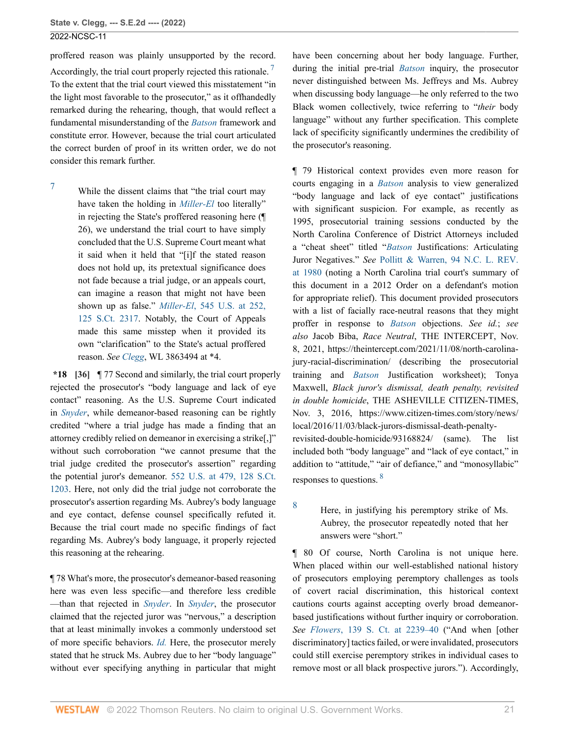**State v. Clegg, --- S.E.2d ---- (2022)**

2022-NCSC-11

proffered reason was plainly unsupported by the record. Accordingly, the trial court properly rejected this rationale.<sup>[7](#page-20-1)</sup> To the extent that the trial court viewed this misstatement "in the light most favorable to the prosecutor," as it offhandedly remarked during the rehearing, though, that would reflect a fundamental misunderstanding of the *[Batson](http://www.westlaw.com/Link/Document/FullText?findType=Y&serNum=1986122459&pubNum=0000708&originatingDoc=Ie49697508b7d11ec9381ff4a09a81529&refType=RP&originationContext=document&vr=3.0&rs=cblt1.0&transitionType=DocumentItem&contextData=(sc.FindAndPrintPortal))* framework and constitute error. However, because the trial court articulated the correct burden of proof in its written order, we do not consider this remark further.

<span id="page-20-1"></span> $7$  While the dissent claims that "the trial court may" have taken the holding in *[Miller-El](http://www.westlaw.com/Link/Document/FullText?findType=Y&serNum=2006791870&pubNum=0000708&originatingDoc=Ie49697508b7d11ec9381ff4a09a81529&refType=RP&originationContext=document&vr=3.0&rs=cblt1.0&transitionType=DocumentItem&contextData=(sc.FindAndPrintPortal))* too literally" in rejecting the State's proffered reasoning here (¶ 26), we understand the trial court to have simply concluded that the U.S. Supreme Court meant what it said when it held that "[i]f the stated reason does not hold up, its pretextual significance does not fade because a trial judge, or an appeals court, can imagine a reason that might not have been shown up as false." *Miller-El*[, 545 U.S. at 252,](http://www.westlaw.com/Link/Document/FullText?findType=Y&serNum=2006791870&pubNum=0000780&originatingDoc=Ie49697508b7d11ec9381ff4a09a81529&refType=RP&fi=co_pp_sp_780_252&originationContext=document&vr=3.0&rs=cblt1.0&transitionType=DocumentItem&contextData=(sc.FindAndPrintPortal)#co_pp_sp_780_252) [125 S.Ct. 2317.](http://www.westlaw.com/Link/Document/FullText?findType=Y&serNum=2006791870&pubNum=0000780&originatingDoc=Ie49697508b7d11ec9381ff4a09a81529&refType=RP&fi=co_pp_sp_780_252&originationContext=document&vr=3.0&rs=cblt1.0&transitionType=DocumentItem&contextData=(sc.FindAndPrintPortal)#co_pp_sp_780_252) Notably, the Court of Appeals made this same misstep when it provided its own "clarification" to the State's actual proffered reason. *See [Clegg](http://www.westlaw.com/Link/Document/FullText?findType=Y&serNum=2042521028&pubNum=0000999&originatingDoc=Ie49697508b7d11ec9381ff4a09a81529&refType=RP&originationContext=document&vr=3.0&rs=cblt1.0&transitionType=DocumentItem&contextData=(sc.FindAndPrintPortal))*, WL 3863494 at \*4.

<span id="page-20-0"></span>**\*18 [\[36\]](#page-4-6)** ¶ 77 Second and similarly, the trial court properly rejected the prosecutor's "body language and lack of eye contact" reasoning. As the U.S. Supreme Court indicated in *[Snyder](http://www.westlaw.com/Link/Document/FullText?findType=Y&serNum=2015520672&pubNum=0000708&originatingDoc=Ie49697508b7d11ec9381ff4a09a81529&refType=RP&originationContext=document&vr=3.0&rs=cblt1.0&transitionType=DocumentItem&contextData=(sc.FindAndPrintPortal))*, while demeanor-based reasoning can be rightly credited "where a trial judge has made a finding that an attorney credibly relied on demeanor in exercising a strike[,]" without such corroboration "we cannot presume that the trial judge credited the prosecutor's assertion" regarding the potential juror's demeanor. [552 U.S. at 479, 128 S.Ct.](http://www.westlaw.com/Link/Document/FullText?findType=Y&serNum=2015520672&pubNum=0000780&originatingDoc=Ie49697508b7d11ec9381ff4a09a81529&refType=RP&fi=co_pp_sp_780_479&originationContext=document&vr=3.0&rs=cblt1.0&transitionType=DocumentItem&contextData=(sc.FindAndPrintPortal)#co_pp_sp_780_479) [1203](http://www.westlaw.com/Link/Document/FullText?findType=Y&serNum=2015520672&pubNum=0000780&originatingDoc=Ie49697508b7d11ec9381ff4a09a81529&refType=RP&fi=co_pp_sp_780_479&originationContext=document&vr=3.0&rs=cblt1.0&transitionType=DocumentItem&contextData=(sc.FindAndPrintPortal)#co_pp_sp_780_479). Here, not only did the trial judge not corroborate the prosecutor's assertion regarding Ms. Aubrey's body language and eye contact, defense counsel specifically refuted it. Because the trial court made no specific findings of fact regarding Ms. Aubrey's body language, it properly rejected this reasoning at the rehearing.

¶ 78 What's more, the prosecutor's demeanor-based reasoning here was even less specific—and therefore less credible —than that rejected in *[Snyder](http://www.westlaw.com/Link/Document/FullText?findType=Y&serNum=2015520672&pubNum=0000708&originatingDoc=Ie49697508b7d11ec9381ff4a09a81529&refType=RP&originationContext=document&vr=3.0&rs=cblt1.0&transitionType=DocumentItem&contextData=(sc.FindAndPrintPortal))*. In *[Snyder](http://www.westlaw.com/Link/Document/FullText?findType=Y&serNum=2015520672&pubNum=0000708&originatingDoc=Ie49697508b7d11ec9381ff4a09a81529&refType=RP&originationContext=document&vr=3.0&rs=cblt1.0&transitionType=DocumentItem&contextData=(sc.FindAndPrintPortal))*, the prosecutor claimed that the rejected juror was "nervous," a description that at least minimally invokes a commonly understood set of more specific behaviors. *[Id.](http://www.westlaw.com/Link/Document/FullText?findType=Y&serNum=2015520672&pubNum=0000780&originatingDoc=Ie49697508b7d11ec9381ff4a09a81529&refType=RP&originationContext=document&vr=3.0&rs=cblt1.0&transitionType=DocumentItem&contextData=(sc.FindAndPrintPortal))* Here, the prosecutor merely stated that he struck Ms. Aubrey due to her "body language" without ever specifying anything in particular that might <span id="page-20-2"></span>have been concerning about her body language. Further, during the initial pre-trial *[Batson](http://www.westlaw.com/Link/Document/FullText?findType=Y&serNum=1986122459&pubNum=0000708&originatingDoc=Ie49697508b7d11ec9381ff4a09a81529&refType=RP&originationContext=document&vr=3.0&rs=cblt1.0&transitionType=DocumentItem&contextData=(sc.FindAndPrintPortal))* inquiry, the prosecutor never distinguished between Ms. Jeffreys and Ms. Aubrey when discussing body language—he only referred to the two Black women collectively, twice referring to "*their* body language" without any further specification. This complete lack of specificity significantly undermines the credibility of the prosecutor's reasoning.

¶ 79 Historical context provides even more reason for courts engaging in a *[Batson](http://www.westlaw.com/Link/Document/FullText?findType=Y&serNum=1986122459&pubNum=0000708&originatingDoc=Ie49697508b7d11ec9381ff4a09a81529&refType=RP&originationContext=document&vr=3.0&rs=cblt1.0&transitionType=DocumentItem&contextData=(sc.FindAndPrintPortal))* analysis to view generalized "body language and lack of eye contact" justifications with significant suspicion. For example, as recently as 1995, prosecutorial training sessions conducted by the North Carolina Conference of District Attorneys included a "cheat sheet" titled "*[Batson](http://www.westlaw.com/Link/Document/FullText?findType=Y&serNum=1986122459&pubNum=0000708&originatingDoc=Ie49697508b7d11ec9381ff4a09a81529&refType=RP&originationContext=document&vr=3.0&rs=cblt1.0&transitionType=DocumentItem&contextData=(sc.FindAndPrintPortal))* Justifications: Articulating Juror Negatives." *See* [Pollitt & Warren, 94 N.C. L. REV.](http://www.westlaw.com/Link/Document/FullText?findType=Y&serNum=0452013574&pubNum=0001199&originatingDoc=Ie49697508b7d11ec9381ff4a09a81529&refType=LR&fi=co_pp_sp_1199_1980&originationContext=document&vr=3.0&rs=cblt1.0&transitionType=DocumentItem&contextData=(sc.FindAndPrintPortal)#co_pp_sp_1199_1980) [at 1980](http://www.westlaw.com/Link/Document/FullText?findType=Y&serNum=0452013574&pubNum=0001199&originatingDoc=Ie49697508b7d11ec9381ff4a09a81529&refType=LR&fi=co_pp_sp_1199_1980&originationContext=document&vr=3.0&rs=cblt1.0&transitionType=DocumentItem&contextData=(sc.FindAndPrintPortal)#co_pp_sp_1199_1980) (noting a North Carolina trial court's summary of this document in a 2012 Order on a defendant's motion for appropriate relief). This document provided prosecutors with a list of facially race-neutral reasons that they might proffer in response to *[Batson](http://www.westlaw.com/Link/Document/FullText?findType=Y&serNum=1986122459&pubNum=0000708&originatingDoc=Ie49697508b7d11ec9381ff4a09a81529&refType=RP&originationContext=document&vr=3.0&rs=cblt1.0&transitionType=DocumentItem&contextData=(sc.FindAndPrintPortal))* objections. *See id.*; *see also* Jacob Biba, *Race Neutral*, THE INTERCEPT, Nov. 8, 2021, https://theintercept.com/2021/11/08/north-carolinajury-racial-discrimination/ (describing the prosecutorial training and *[Batson](http://www.westlaw.com/Link/Document/FullText?findType=Y&serNum=1986122459&pubNum=0000708&originatingDoc=Ie49697508b7d11ec9381ff4a09a81529&refType=RP&originationContext=document&vr=3.0&rs=cblt1.0&transitionType=DocumentItem&contextData=(sc.FindAndPrintPortal))* Justification worksheet); Tonya Maxwell, *Black juror's dismissal, death penalty, revisited in double homicide*, THE ASHEVILLE CITIZEN-TIMES, Nov. 3, 2016, https://www.citizen-times.com/story/news/ local/2016/11/03/black-jurors-dismissal-death-penaltyrevisited-double-homicide/93168824/ (same). The list included both "body language" and "lack of eye contact," in addition to "attitude," "air of defiance," and "monosyllabic" responses to questions. [8](#page-20-3)

# <span id="page-20-4"></span><span id="page-20-3"></span>[8](#page-20-4) Here, in justifying his peremptory strike of Ms. Aubrey, the prosecutor repeatedly noted that her answers were "short."

¶ 80 Of course, North Carolina is not unique here. When placed within our well-established national history of prosecutors employing peremptory challenges as tools of covert racial discrimination, this historical context cautions courts against accepting overly broad demeanorbased justifications without further inquiry or corroboration. *See Flowers*[, 139 S. Ct. at 2239–40](http://www.westlaw.com/Link/Document/FullText?findType=Y&serNum=2048538049&pubNum=0000708&originatingDoc=Ie49697508b7d11ec9381ff4a09a81529&refType=RP&fi=co_pp_sp_708_2239&originationContext=document&vr=3.0&rs=cblt1.0&transitionType=DocumentItem&contextData=(sc.FindAndPrintPortal)#co_pp_sp_708_2239) ("And when [other discriminatory] tactics failed, or were invalidated, prosecutors could still exercise peremptory strikes in individual cases to remove most or all black prospective jurors."). Accordingly,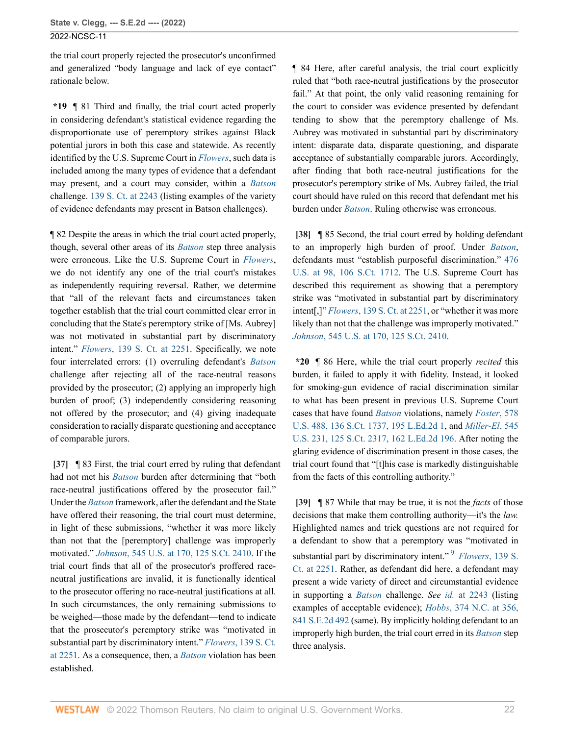the trial court properly rejected the prosecutor's unconfirmed and generalized "body language and lack of eye contact" rationale below.

**\*19** ¶ 81 Third and finally, the trial court acted properly in considering defendant's statistical evidence regarding the disproportionate use of peremptory strikes against Black potential jurors in both this case and statewide. As recently identified by the U.S. Supreme Court in *[Flowers](http://www.westlaw.com/Link/Document/FullText?findType=Y&serNum=2048538049&pubNum=0000708&originatingDoc=Ie49697508b7d11ec9381ff4a09a81529&refType=RP&originationContext=document&vr=3.0&rs=cblt1.0&transitionType=DocumentItem&contextData=(sc.FindAndPrintPortal))*, such data is included among the many types of evidence that a defendant may present, and a court may consider, within a *[Batson](http://www.westlaw.com/Link/Document/FullText?findType=Y&serNum=1986122459&pubNum=0000708&originatingDoc=Ie49697508b7d11ec9381ff4a09a81529&refType=RP&originationContext=document&vr=3.0&rs=cblt1.0&transitionType=DocumentItem&contextData=(sc.FindAndPrintPortal))* challenge. [139 S. Ct. at 2243](http://www.westlaw.com/Link/Document/FullText?findType=Y&serNum=2048538049&pubNum=0000708&originatingDoc=Ie49697508b7d11ec9381ff4a09a81529&refType=RP&fi=co_pp_sp_708_2243&originationContext=document&vr=3.0&rs=cblt1.0&transitionType=DocumentItem&contextData=(sc.FindAndPrintPortal)#co_pp_sp_708_2243) (listing examples of the variety of evidence defendants may present in Batson challenges).

¶ 82 Despite the areas in which the trial court acted properly, though, several other areas of its *[Batson](http://www.westlaw.com/Link/Document/FullText?findType=Y&serNum=1986122459&pubNum=0000708&originatingDoc=Ie49697508b7d11ec9381ff4a09a81529&refType=RP&originationContext=document&vr=3.0&rs=cblt1.0&transitionType=DocumentItem&contextData=(sc.FindAndPrintPortal))* step three analysis were erroneous. Like the U.S. Supreme Court in *[Flowers](http://www.westlaw.com/Link/Document/FullText?findType=Y&serNum=2048538049&pubNum=0000708&originatingDoc=Ie49697508b7d11ec9381ff4a09a81529&refType=RP&originationContext=document&vr=3.0&rs=cblt1.0&transitionType=DocumentItem&contextData=(sc.FindAndPrintPortal))*, we do not identify any one of the trial court's mistakes as independently requiring reversal. Rather, we determine that "all of the relevant facts and circumstances taken together establish that the trial court committed clear error in concluding that the State's peremptory strike of [Ms. Aubrey] was not motivated in substantial part by discriminatory intent." *Flowers*[, 139 S. Ct. at 2251](http://www.westlaw.com/Link/Document/FullText?findType=Y&serNum=2048538049&pubNum=0000708&originatingDoc=Ie49697508b7d11ec9381ff4a09a81529&refType=RP&fi=co_pp_sp_708_2251&originationContext=document&vr=3.0&rs=cblt1.0&transitionType=DocumentItem&contextData=(sc.FindAndPrintPortal)#co_pp_sp_708_2251). Specifically, we note four interrelated errors: (1) overruling defendant's *[Batson](http://www.westlaw.com/Link/Document/FullText?findType=Y&serNum=1986122459&pubNum=0000708&originatingDoc=Ie49697508b7d11ec9381ff4a09a81529&refType=RP&originationContext=document&vr=3.0&rs=cblt1.0&transitionType=DocumentItem&contextData=(sc.FindAndPrintPortal))* challenge after rejecting all of the race-neutral reasons provided by the prosecutor; (2) applying an improperly high burden of proof; (3) independently considering reasoning not offered by the prosecutor; and (4) giving inadequate consideration to racially disparate questioning and acceptance of comparable jurors.

<span id="page-21-0"></span>**[\[37\]](#page-4-1)** ¶ 83 First, the trial court erred by ruling that defendant had not met his *[Batson](http://www.westlaw.com/Link/Document/FullText?findType=Y&serNum=1986122459&pubNum=0000708&originatingDoc=Ie49697508b7d11ec9381ff4a09a81529&refType=RP&originationContext=document&vr=3.0&rs=cblt1.0&transitionType=DocumentItem&contextData=(sc.FindAndPrintPortal))* burden after determining that "both race-neutral justifications offered by the prosecutor fail." Under the *[Batson](http://www.westlaw.com/Link/Document/FullText?findType=Y&serNum=1986122459&pubNum=0000708&originatingDoc=Ie49697508b7d11ec9381ff4a09a81529&refType=RP&originationContext=document&vr=3.0&rs=cblt1.0&transitionType=DocumentItem&contextData=(sc.FindAndPrintPortal))* framework, after the defendant and the State have offered their reasoning, the trial court must determine, in light of these submissions, "whether it was more likely than not that the [peremptory] challenge was improperly motivated." *Johnson*[, 545 U.S. at 170, 125 S.Ct. 2410](http://www.westlaw.com/Link/Document/FullText?findType=Y&serNum=2006791983&pubNum=0000780&originatingDoc=Ie49697508b7d11ec9381ff4a09a81529&refType=RP&fi=co_pp_sp_780_170&originationContext=document&vr=3.0&rs=cblt1.0&transitionType=DocumentItem&contextData=(sc.FindAndPrintPortal)#co_pp_sp_780_170). If the trial court finds that all of the prosecutor's proffered raceneutral justifications are invalid, it is functionally identical to the prosecutor offering no race-neutral justifications at all. In such circumstances, the only remaining submissions to be weighed—those made by the defendant—tend to indicate that the prosecutor's peremptory strike was "motivated in substantial part by discriminatory intent." *Flowers*[, 139 S. Ct.](http://www.westlaw.com/Link/Document/FullText?findType=Y&serNum=2048538049&pubNum=0000708&originatingDoc=Ie49697508b7d11ec9381ff4a09a81529&refType=RP&fi=co_pp_sp_708_2251&originationContext=document&vr=3.0&rs=cblt1.0&transitionType=DocumentItem&contextData=(sc.FindAndPrintPortal)#co_pp_sp_708_2251) [at 2251.](http://www.westlaw.com/Link/Document/FullText?findType=Y&serNum=2048538049&pubNum=0000708&originatingDoc=Ie49697508b7d11ec9381ff4a09a81529&refType=RP&fi=co_pp_sp_708_2251&originationContext=document&vr=3.0&rs=cblt1.0&transitionType=DocumentItem&contextData=(sc.FindAndPrintPortal)#co_pp_sp_708_2251) As a consequence, then, a *[Batson](http://www.westlaw.com/Link/Document/FullText?findType=Y&serNum=1986122459&pubNum=0000708&originatingDoc=Ie49697508b7d11ec9381ff4a09a81529&refType=RP&originationContext=document&vr=3.0&rs=cblt1.0&transitionType=DocumentItem&contextData=(sc.FindAndPrintPortal))* violation has been established.

¶ 84 Here, after careful analysis, the trial court explicitly ruled that "both race-neutral justifications by the prosecutor fail." At that point, the only valid reasoning remaining for the court to consider was evidence presented by defendant tending to show that the peremptory challenge of Ms. Aubrey was motivated in substantial part by discriminatory intent: disparate data, disparate questioning, and disparate acceptance of substantially comparable jurors. Accordingly, after finding that both race-neutral justifications for the prosecutor's peremptory strike of Ms. Aubrey failed, the trial court should have ruled on this record that defendant met his burden under *[Batson](http://www.westlaw.com/Link/Document/FullText?findType=Y&serNum=1986122459&pubNum=0000708&originatingDoc=Ie49697508b7d11ec9381ff4a09a81529&refType=RP&originationContext=document&vr=3.0&rs=cblt1.0&transitionType=DocumentItem&contextData=(sc.FindAndPrintPortal))*. Ruling otherwise was erroneous.

<span id="page-21-1"></span>**[\[38\]](#page-4-2)** ¶ 85 Second, the trial court erred by holding defendant to an improperly high burden of proof. Under *[Batson](http://www.westlaw.com/Link/Document/FullText?findType=Y&serNum=1986122459&pubNum=0000708&originatingDoc=Ie49697508b7d11ec9381ff4a09a81529&refType=RP&originationContext=document&vr=3.0&rs=cblt1.0&transitionType=DocumentItem&contextData=(sc.FindAndPrintPortal))*, defendants must "establish purposeful discrimination." [476](http://www.westlaw.com/Link/Document/FullText?findType=Y&serNum=1986122459&pubNum=0000780&originatingDoc=Ie49697508b7d11ec9381ff4a09a81529&refType=RP&fi=co_pp_sp_780_98&originationContext=document&vr=3.0&rs=cblt1.0&transitionType=DocumentItem&contextData=(sc.FindAndPrintPortal)#co_pp_sp_780_98) [U.S. at 98, 106 S.Ct. 1712](http://www.westlaw.com/Link/Document/FullText?findType=Y&serNum=1986122459&pubNum=0000780&originatingDoc=Ie49697508b7d11ec9381ff4a09a81529&refType=RP&fi=co_pp_sp_780_98&originationContext=document&vr=3.0&rs=cblt1.0&transitionType=DocumentItem&contextData=(sc.FindAndPrintPortal)#co_pp_sp_780_98). The U.S. Supreme Court has described this requirement as showing that a peremptory strike was "motivated in substantial part by discriminatory intent[,]" *Flowers*[, 139 S. Ct. at 2251,](http://www.westlaw.com/Link/Document/FullText?findType=Y&serNum=2048538049&pubNum=0000708&originatingDoc=Ie49697508b7d11ec9381ff4a09a81529&refType=RP&fi=co_pp_sp_708_2251&originationContext=document&vr=3.0&rs=cblt1.0&transitionType=DocumentItem&contextData=(sc.FindAndPrintPortal)#co_pp_sp_708_2251) or "whether it was more likely than not that the challenge was improperly motivated." *Johnson*[, 545 U.S. at 170, 125 S.Ct. 2410.](http://www.westlaw.com/Link/Document/FullText?findType=Y&serNum=2006791983&pubNum=0000780&originatingDoc=Ie49697508b7d11ec9381ff4a09a81529&refType=RP&fi=co_pp_sp_780_170&originationContext=document&vr=3.0&rs=cblt1.0&transitionType=DocumentItem&contextData=(sc.FindAndPrintPortal)#co_pp_sp_780_170)

**\*20** ¶ 86 Here, while the trial court properly *recited* this burden, it failed to apply it with fidelity. Instead, it looked for smoking-gun evidence of racial discrimination similar to what has been present in previous U.S. Supreme Court cases that have found *[Batson](http://www.westlaw.com/Link/Document/FullText?findType=Y&serNum=1986122459&pubNum=0000708&originatingDoc=Ie49697508b7d11ec9381ff4a09a81529&refType=RP&originationContext=document&vr=3.0&rs=cblt1.0&transitionType=DocumentItem&contextData=(sc.FindAndPrintPortal))* violations, namely *[Foster](http://www.westlaw.com/Link/Document/FullText?findType=Y&serNum=2038892556&pubNum=0000708&originatingDoc=Ie49697508b7d11ec9381ff4a09a81529&refType=RP&originationContext=document&vr=3.0&rs=cblt1.0&transitionType=DocumentItem&contextData=(sc.FindAndPrintPortal))*, 578 [U.S. 488, 136 S.Ct. 1737, 195 L.Ed.2d 1](http://www.westlaw.com/Link/Document/FullText?findType=Y&serNum=2038892556&pubNum=0000708&originatingDoc=Ie49697508b7d11ec9381ff4a09a81529&refType=RP&originationContext=document&vr=3.0&rs=cblt1.0&transitionType=DocumentItem&contextData=(sc.FindAndPrintPortal)), and *[Miller-El](http://www.westlaw.com/Link/Document/FullText?findType=Y&serNum=2006791870&pubNum=0000708&originatingDoc=Ie49697508b7d11ec9381ff4a09a81529&refType=RP&originationContext=document&vr=3.0&rs=cblt1.0&transitionType=DocumentItem&contextData=(sc.FindAndPrintPortal))*, 545 [U.S. 231, 125 S.Ct. 2317, 162 L.Ed.2d 196.](http://www.westlaw.com/Link/Document/FullText?findType=Y&serNum=2006791870&pubNum=0000708&originatingDoc=Ie49697508b7d11ec9381ff4a09a81529&refType=RP&originationContext=document&vr=3.0&rs=cblt1.0&transitionType=DocumentItem&contextData=(sc.FindAndPrintPortal)) After noting the glaring evidence of discrimination present in those cases, the trial court found that "[t]his case is markedly distinguishable from the facts of this controlling authority."

<span id="page-21-3"></span><span id="page-21-2"></span>**[\[39\]](#page-4-7)** ¶ 87 While that may be true, it is not the *facts* of those decisions that make them controlling authority—it's the *law.* Highlighted names and trick questions are not required for a defendant to show that a peremptory was "motivated in substantial part by discriminatory intent." [9](#page-22-2) *[Flowers](http://www.westlaw.com/Link/Document/FullText?findType=Y&serNum=2048538049&pubNum=0000708&originatingDoc=Ie49697508b7d11ec9381ff4a09a81529&refType=RP&fi=co_pp_sp_708_2251&originationContext=document&vr=3.0&rs=cblt1.0&transitionType=DocumentItem&contextData=(sc.FindAndPrintPortal)#co_pp_sp_708_2251)*, 139 S. [Ct. at 2251](http://www.westlaw.com/Link/Document/FullText?findType=Y&serNum=2048538049&pubNum=0000708&originatingDoc=Ie49697508b7d11ec9381ff4a09a81529&refType=RP&fi=co_pp_sp_708_2251&originationContext=document&vr=3.0&rs=cblt1.0&transitionType=DocumentItem&contextData=(sc.FindAndPrintPortal)#co_pp_sp_708_2251). Rather, as defendant did here, a defendant may present a wide variety of direct and circumstantial evidence in supporting a *[Batson](http://www.westlaw.com/Link/Document/FullText?findType=Y&serNum=1986122459&pubNum=0000708&originatingDoc=Ie49697508b7d11ec9381ff4a09a81529&refType=RP&originationContext=document&vr=3.0&rs=cblt1.0&transitionType=DocumentItem&contextData=(sc.FindAndPrintPortal))* challenge. *See id.* [at 2243](http://www.westlaw.com/Link/Document/FullText?findType=Y&serNum=2048538049&pubNum=0000708&originatingDoc=Ie49697508b7d11ec9381ff4a09a81529&refType=RP&fi=co_pp_sp_708_2243&originationContext=document&vr=3.0&rs=cblt1.0&transitionType=DocumentItem&contextData=(sc.FindAndPrintPortal)#co_pp_sp_708_2243) (listing examples of acceptable evidence); *Hobbs*[, 374 N.C. at 356,](http://www.westlaw.com/Link/Document/FullText?findType=Y&serNum=2050891787&pubNum=0000572&originatingDoc=Ie49697508b7d11ec9381ff4a09a81529&refType=RP&fi=co_pp_sp_572_356&originationContext=document&vr=3.0&rs=cblt1.0&transitionType=DocumentItem&contextData=(sc.FindAndPrintPortal)#co_pp_sp_572_356) [841 S.E.2d 492](http://www.westlaw.com/Link/Document/FullText?findType=Y&serNum=2050891787&pubNum=0000572&originatingDoc=Ie49697508b7d11ec9381ff4a09a81529&refType=RP&fi=co_pp_sp_572_356&originationContext=document&vr=3.0&rs=cblt1.0&transitionType=DocumentItem&contextData=(sc.FindAndPrintPortal)#co_pp_sp_572_356) (same). By implicitly holding defendant to an improperly high burden, the trial court erred in its *[Batson](http://www.westlaw.com/Link/Document/FullText?findType=Y&serNum=1986122459&pubNum=0000708&originatingDoc=Ie49697508b7d11ec9381ff4a09a81529&refType=RP&originationContext=document&vr=3.0&rs=cblt1.0&transitionType=DocumentItem&contextData=(sc.FindAndPrintPortal))* step three analysis.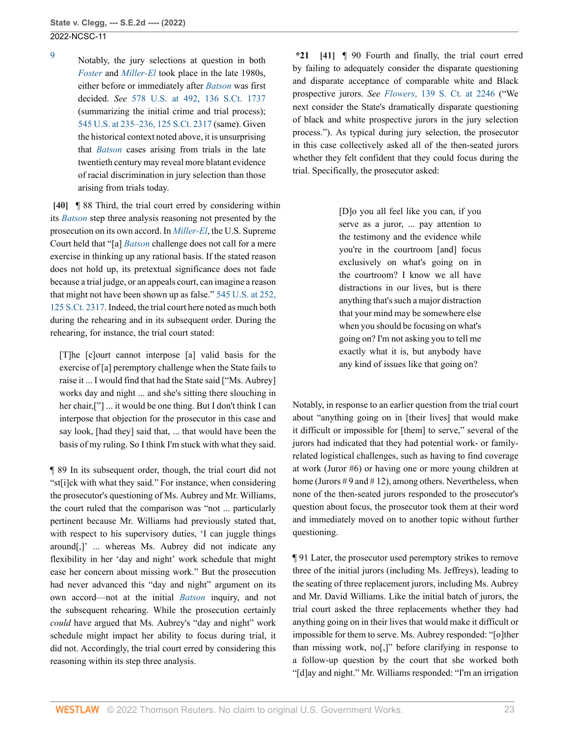<span id="page-22-2"></span>[9](#page-21-3) Notably, the jury selections at question in both *[Foster](http://www.westlaw.com/Link/Document/FullText?findType=Y&serNum=2038892556&pubNum=0000708&originatingDoc=Ie49697508b7d11ec9381ff4a09a81529&refType=RP&originationContext=document&vr=3.0&rs=cblt1.0&transitionType=DocumentItem&contextData=(sc.FindAndPrintPortal))* and *[Miller-El](http://www.westlaw.com/Link/Document/FullText?findType=Y&serNum=2006791870&pubNum=0000708&originatingDoc=Ie49697508b7d11ec9381ff4a09a81529&refType=RP&originationContext=document&vr=3.0&rs=cblt1.0&transitionType=DocumentItem&contextData=(sc.FindAndPrintPortal))* took place in the late 1980s, either before or immediately after *[Batson](http://www.westlaw.com/Link/Document/FullText?findType=Y&serNum=1986122459&pubNum=0000708&originatingDoc=Ie49697508b7d11ec9381ff4a09a81529&refType=RP&originationContext=document&vr=3.0&rs=cblt1.0&transitionType=DocumentItem&contextData=(sc.FindAndPrintPortal))* was first decided. *See* [578 U.S. at 492, 136 S.Ct. 1737](http://www.westlaw.com/Link/Document/FullText?findType=Y&serNum=2038892556&pubNum=0000780&originatingDoc=Ie49697508b7d11ec9381ff4a09a81529&refType=RP&fi=co_pp_sp_780_492&originationContext=document&vr=3.0&rs=cblt1.0&transitionType=DocumentItem&contextData=(sc.FindAndPrintPortal)#co_pp_sp_780_492) (summarizing the initial crime and trial process); [545 U.S. at 235–236, 125 S.Ct. 2317](http://www.westlaw.com/Link/Document/FullText?findType=Y&serNum=2006791870&pubNum=0000780&originatingDoc=Ie49697508b7d11ec9381ff4a09a81529&refType=RP&fi=co_pp_sp_780_235&originationContext=document&vr=3.0&rs=cblt1.0&transitionType=DocumentItem&contextData=(sc.FindAndPrintPortal)#co_pp_sp_780_235) (same). Given the historical context noted above, it is unsurprising that *[Batson](http://www.westlaw.com/Link/Document/FullText?findType=Y&serNum=1986122459&pubNum=0000708&originatingDoc=Ie49697508b7d11ec9381ff4a09a81529&refType=RP&originationContext=document&vr=3.0&rs=cblt1.0&transitionType=DocumentItem&contextData=(sc.FindAndPrintPortal))* cases arising from trials in the late twentieth century may reveal more blatant evidence of racial discrimination in jury selection than those arising from trials today.

<span id="page-22-0"></span>**[\[40\]](#page-4-3)** ¶ 88 Third, the trial court erred by considering within its *[Batson](http://www.westlaw.com/Link/Document/FullText?findType=Y&serNum=1986122459&pubNum=0000708&originatingDoc=Ie49697508b7d11ec9381ff4a09a81529&refType=RP&originationContext=document&vr=3.0&rs=cblt1.0&transitionType=DocumentItem&contextData=(sc.FindAndPrintPortal))* step three analysis reasoning not presented by the prosecution on its own accord. In *[Miller-El](http://www.westlaw.com/Link/Document/FullText?findType=Y&serNum=2006791870&pubNum=0000708&originatingDoc=Ie49697508b7d11ec9381ff4a09a81529&refType=RP&originationContext=document&vr=3.0&rs=cblt1.0&transitionType=DocumentItem&contextData=(sc.FindAndPrintPortal))*, the U.S. Supreme Court held that "[a] *[Batson](http://www.westlaw.com/Link/Document/FullText?findType=Y&serNum=1986122459&pubNum=0000708&originatingDoc=Ie49697508b7d11ec9381ff4a09a81529&refType=RP&originationContext=document&vr=3.0&rs=cblt1.0&transitionType=DocumentItem&contextData=(sc.FindAndPrintPortal))* challenge does not call for a mere exercise in thinking up any rational basis. If the stated reason does not hold up, its pretextual significance does not fade because a trial judge, or an appeals court, can imagine a reason that might not have been shown up as false." [545 U.S. at 252,](http://www.westlaw.com/Link/Document/FullText?findType=Y&serNum=2006791870&pubNum=0000780&originatingDoc=Ie49697508b7d11ec9381ff4a09a81529&refType=RP&fi=co_pp_sp_780_252&originationContext=document&vr=3.0&rs=cblt1.0&transitionType=DocumentItem&contextData=(sc.FindAndPrintPortal)#co_pp_sp_780_252) [125 S.Ct. 2317.](http://www.westlaw.com/Link/Document/FullText?findType=Y&serNum=2006791870&pubNum=0000780&originatingDoc=Ie49697508b7d11ec9381ff4a09a81529&refType=RP&fi=co_pp_sp_780_252&originationContext=document&vr=3.0&rs=cblt1.0&transitionType=DocumentItem&contextData=(sc.FindAndPrintPortal)#co_pp_sp_780_252) Indeed, the trial court here noted as much both during the rehearing and in its subsequent order. During the rehearing, for instance, the trial court stated:

[T]he [c]ourt cannot interpose [a] valid basis for the exercise of [a] peremptory challenge when the State fails to raise it ... I would find that had the State said ["Ms. Aubrey] works day and night ... and she's sitting there slouching in her chair,["] ... it would be one thing. But I don't think I can interpose that objection for the prosecutor in this case and say look, [had they] said that, ... that would have been the basis of my ruling. So I think I'm stuck with what they said.

¶ 89 In its subsequent order, though, the trial court did not "st[i]ck with what they said." For instance, when considering the prosecutor's questioning of Ms. Aubrey and Mr. Williams, the court ruled that the comparison was "not ... particularly pertinent because Mr. Williams had previously stated that, with respect to his supervisory duties, 'I can juggle things around[,]' ... whereas Ms. Aubrey did not indicate any flexibility in her 'day and night' work schedule that might ease her concern about missing work." But the prosecution had never advanced this "day and night" argument on its own accord—not at the initial *[Batson](http://www.westlaw.com/Link/Document/FullText?findType=Y&serNum=1986122459&pubNum=0000708&originatingDoc=Ie49697508b7d11ec9381ff4a09a81529&refType=RP&originationContext=document&vr=3.0&rs=cblt1.0&transitionType=DocumentItem&contextData=(sc.FindAndPrintPortal))* inquiry, and not the subsequent rehearing. While the prosecution certainly *could* have argued that Ms. Aubrey's "day and night" work schedule might impact her ability to focus during trial, it did not. Accordingly, the trial court erred by considering this reasoning within its step three analysis.

<span id="page-22-1"></span>**\*21 [\[41\]](#page-4-4)** ¶ 90 Fourth and finally, the trial court erred by failing to adequately consider the disparate questioning and disparate acceptance of comparable white and Black prospective jurors. *See Flowers*[, 139 S. Ct. at 2246](http://www.westlaw.com/Link/Document/FullText?findType=Y&serNum=2048538049&pubNum=0000708&originatingDoc=Ie49697508b7d11ec9381ff4a09a81529&refType=RP&fi=co_pp_sp_708_2246&originationContext=document&vr=3.0&rs=cblt1.0&transitionType=DocumentItem&contextData=(sc.FindAndPrintPortal)#co_pp_sp_708_2246) ("We next consider the State's dramatically disparate questioning of black and white prospective jurors in the jury selection process."). As typical during jury selection, the prosecutor in this case collectively asked all of the then-seated jurors whether they felt confident that they could focus during the trial. Specifically, the prosecutor asked:

> [D]o you all feel like you can, if you serve as a juror, ... pay attention to the testimony and the evidence while you're in the courtroom [and] focus exclusively on what's going on in the courtroom? I know we all have distractions in our lives, but is there anything that's such a major distraction that your mind may be somewhere else when you should be focusing on what's going on? I'm not asking you to tell me exactly what it is, but anybody have any kind of issues like that going on?

Notably, in response to an earlier question from the trial court about "anything going on in [their lives] that would make it difficult or impossible for [them] to serve," several of the jurors had indicated that they had potential work- or familyrelated logistical challenges, such as having to find coverage at work (Juror #6) or having one or more young children at home (Jurors #9 and #12), among others. Nevertheless, when none of the then-seated jurors responded to the prosecutor's question about focus, the prosecutor took them at their word and immediately moved on to another topic without further questioning.

¶ 91 Later, the prosecutor used peremptory strikes to remove three of the initial jurors (including Ms. Jeffreys), leading to the seating of three replacement jurors, including Ms. Aubrey and Mr. David Williams. Like the initial batch of jurors, the trial court asked the three replacements whether they had anything going on in their lives that would make it difficult or impossible for them to serve. Ms. Aubrey responded: "[o]ther than missing work, no[,]" before clarifying in response to a follow-up question by the court that she worked both "[d]ay and night." Mr. Williams responded: "I'm an irrigation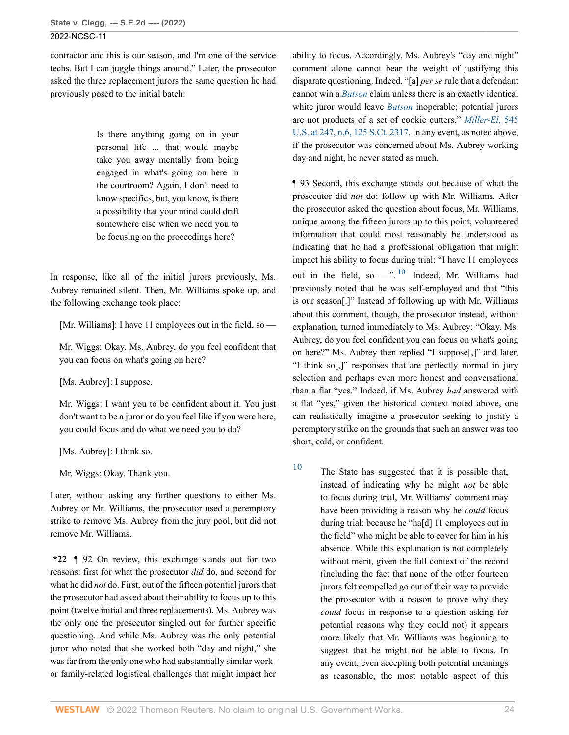contractor and this is our season, and I'm one of the service techs. But I can juggle things around." Later, the prosecutor asked the three replacement jurors the same question he had previously posed to the initial batch:

> Is there anything going on in your personal life ... that would maybe take you away mentally from being engaged in what's going on here in the courtroom? Again, I don't need to know specifics, but, you know, is there a possibility that your mind could drift somewhere else when we need you to be focusing on the proceedings here?

In response, like all of the initial jurors previously, Ms. Aubrey remained silent. Then, Mr. Williams spoke up, and the following exchange took place:

[Mr. Williams]: I have 11 employees out in the field, so —

Mr. Wiggs: Okay. Ms. Aubrey, do you feel confident that you can focus on what's going on here?

[Ms. Aubrey]: I suppose.

Mr. Wiggs: I want you to be confident about it. You just don't want to be a juror or do you feel like if you were here, you could focus and do what we need you to do?

[Ms. Aubrey]: I think so.

Mr. Wiggs: Okay. Thank you.

Later, without asking any further questions to either Ms. Aubrey or Mr. Williams, the prosecutor used a peremptory strike to remove Ms. Aubrey from the jury pool, but did not remove Mr. Williams.

**\*22** ¶ 92 On review, this exchange stands out for two reasons: first for what the prosecutor *did* do, and second for what he did *not* do. First, out of the fifteen potential jurors that the prosecutor had asked about their ability to focus up to this point (twelve initial and three replacements), Ms. Aubrey was the only one the prosecutor singled out for further specific questioning. And while Ms. Aubrey was the only potential juror who noted that she worked both "day and night," she was far from the only one who had substantially similar workor family-related logistical challenges that might impact her ability to focus. Accordingly, Ms. Aubrey's "day and night" comment alone cannot bear the weight of justifying this disparate questioning. Indeed, "[a] *per se* rule that a defendant cannot win a *[Batson](http://www.westlaw.com/Link/Document/FullText?findType=Y&serNum=1986122459&pubNum=0000708&originatingDoc=Ie49697508b7d11ec9381ff4a09a81529&refType=RP&originationContext=document&vr=3.0&rs=cblt1.0&transitionType=DocumentItem&contextData=(sc.FindAndPrintPortal))* claim unless there is an exactly identical white juror would leave *[Batson](http://www.westlaw.com/Link/Document/FullText?findType=Y&serNum=1986122459&pubNum=0000708&originatingDoc=Ie49697508b7d11ec9381ff4a09a81529&refType=RP&originationContext=document&vr=3.0&rs=cblt1.0&transitionType=DocumentItem&contextData=(sc.FindAndPrintPortal))* inoperable; potential jurors are not products of a set of cookie cutters." *[Miller-El](http://www.westlaw.com/Link/Document/FullText?findType=Y&serNum=2006791870&pubNum=0000780&originatingDoc=Ie49697508b7d11ec9381ff4a09a81529&refType=RP&fi=co_pp_sp_780_247&originationContext=document&vr=3.0&rs=cblt1.0&transitionType=DocumentItem&contextData=(sc.FindAndPrintPortal)#co_pp_sp_780_247)*, 545 [U.S. at 247, n.6, 125 S.Ct. 2317.](http://www.westlaw.com/Link/Document/FullText?findType=Y&serNum=2006791870&pubNum=0000780&originatingDoc=Ie49697508b7d11ec9381ff4a09a81529&refType=RP&fi=co_pp_sp_780_247&originationContext=document&vr=3.0&rs=cblt1.0&transitionType=DocumentItem&contextData=(sc.FindAndPrintPortal)#co_pp_sp_780_247) In any event, as noted above, if the prosecutor was concerned about Ms. Aubrey working day and night, he never stated as much.

<span id="page-23-1"></span>¶ 93 Second, this exchange stands out because of what the prosecutor did *not* do: follow up with Mr. Williams. After the prosecutor asked the question about focus, Mr. Williams, unique among the fifteen jurors up to this point, volunteered information that could most reasonably be understood as indicating that he had a professional obligation that might impact his ability to focus during trial: "I have 11 employees out in the field, so  $-$ ". <sup>[10](#page-23-0)</sup> Indeed, Mr. Williams had previously noted that he was self-employed and that "this is our season[.]" Instead of following up with Mr. Williams about this comment, though, the prosecutor instead, without explanation, turned immediately to Ms. Aubrey: "Okay. Ms. Aubrey, do you feel confident you can focus on what's going on here?" Ms. Aubrey then replied "I suppose[,]" and later, "I think so[,]" responses that are perfectly normal in jury selection and perhaps even more honest and conversational than a flat "yes." Indeed, if Ms. Aubrey *had* answered with a flat "yes," given the historical context noted above, one can realistically imagine a prosecutor seeking to justify a peremptory strike on the grounds that such an answer was too short, cold, or confident.

<span id="page-23-0"></span>

[10](#page-23-1) The State has suggested that it is possible that, instead of indicating why he might *not* be able to focus during trial, Mr. Williams' comment may have been providing a reason why he *could* focus during trial: because he "ha[d] 11 employees out in the field" who might be able to cover for him in his absence. While this explanation is not completely without merit, given the full context of the record (including the fact that none of the other fourteen jurors felt compelled go out of their way to provide the prosecutor with a reason to prove why they *could* focus in response to a question asking for potential reasons why they could not) it appears more likely that Mr. Williams was beginning to suggest that he might not be able to focus. In any event, even accepting both potential meanings as reasonable, the most notable aspect of this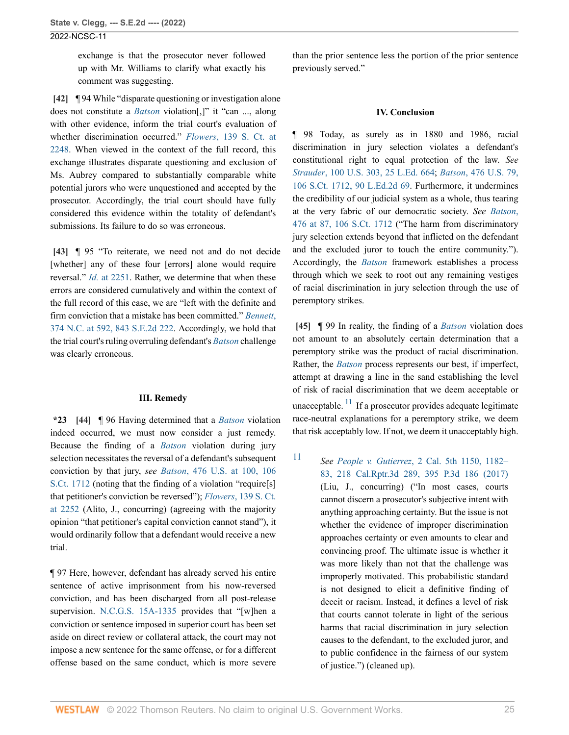exchange is that the prosecutor never followed up with Mr. Williams to clarify what exactly his comment was suggesting.

<span id="page-24-0"></span>**[\[42\]](#page-5-0)** ¶ 94 While "disparate questioning or investigation alone does not constitute a *[Batson](http://www.westlaw.com/Link/Document/FullText?findType=Y&serNum=1986122459&pubNum=0000708&originatingDoc=Ie49697508b7d11ec9381ff4a09a81529&refType=RP&originationContext=document&vr=3.0&rs=cblt1.0&transitionType=DocumentItem&contextData=(sc.FindAndPrintPortal))* violation[,]" it "can ..., along with other evidence, inform the trial court's evaluation of whether discrimination occurred." *Flowers*[, 139 S. Ct. at](http://www.westlaw.com/Link/Document/FullText?findType=Y&serNum=2048538049&pubNum=0000708&originatingDoc=Ie49697508b7d11ec9381ff4a09a81529&refType=RP&fi=co_pp_sp_708_2248&originationContext=document&vr=3.0&rs=cblt1.0&transitionType=DocumentItem&contextData=(sc.FindAndPrintPortal)#co_pp_sp_708_2248) [2248](http://www.westlaw.com/Link/Document/FullText?findType=Y&serNum=2048538049&pubNum=0000708&originatingDoc=Ie49697508b7d11ec9381ff4a09a81529&refType=RP&fi=co_pp_sp_708_2248&originationContext=document&vr=3.0&rs=cblt1.0&transitionType=DocumentItem&contextData=(sc.FindAndPrintPortal)#co_pp_sp_708_2248). When viewed in the context of the full record, this exchange illustrates disparate questioning and exclusion of Ms. Aubrey compared to substantially comparable white potential jurors who were unquestioned and accepted by the prosecutor. Accordingly, the trial court should have fully considered this evidence within the totality of defendant's submissions. Its failure to do so was erroneous.

<span id="page-24-1"></span>**[\[43\]](#page-5-1)** ¶ 95 "To reiterate, we need not and do not decide [whether] any of these four [errors] alone would require reversal." *Id.* [at 2251](http://www.westlaw.com/Link/Document/FullText?findType=Y&serNum=2048538049&pubNum=0000708&originatingDoc=Ie49697508b7d11ec9381ff4a09a81529&refType=RP&fi=co_pp_sp_708_2251&originationContext=document&vr=3.0&rs=cblt1.0&transitionType=DocumentItem&contextData=(sc.FindAndPrintPortal)#co_pp_sp_708_2251). Rather, we determine that when these errors are considered cumulatively and within the context of the full record of this case, we are "left with the definite and firm conviction that a mistake has been committed." *[Bennett](http://www.westlaw.com/Link/Document/FullText?findType=Y&serNum=2051204528&pubNum=0000572&originatingDoc=Ie49697508b7d11ec9381ff4a09a81529&refType=RP&fi=co_pp_sp_572_592&originationContext=document&vr=3.0&rs=cblt1.0&transitionType=DocumentItem&contextData=(sc.FindAndPrintPortal)#co_pp_sp_572_592)*, [374 N.C. at 592, 843 S.E.2d 222.](http://www.westlaw.com/Link/Document/FullText?findType=Y&serNum=2051204528&pubNum=0000572&originatingDoc=Ie49697508b7d11ec9381ff4a09a81529&refType=RP&fi=co_pp_sp_572_592&originationContext=document&vr=3.0&rs=cblt1.0&transitionType=DocumentItem&contextData=(sc.FindAndPrintPortal)#co_pp_sp_572_592) Accordingly, we hold that the trial court's ruling overruling defendant's *[Batson](http://www.westlaw.com/Link/Document/FullText?findType=Y&serNum=1986122459&pubNum=0000708&originatingDoc=Ie49697508b7d11ec9381ff4a09a81529&refType=RP&originationContext=document&vr=3.0&rs=cblt1.0&transitionType=DocumentItem&contextData=(sc.FindAndPrintPortal))* challenge was clearly erroneous.

#### <span id="page-24-2"></span>**III. Remedy**

**\*23 [\[44\]](#page-5-2)** ¶ 96 Having determined that a *[Batson](http://www.westlaw.com/Link/Document/FullText?findType=Y&serNum=1986122459&pubNum=0000708&originatingDoc=Ie49697508b7d11ec9381ff4a09a81529&refType=RP&originationContext=document&vr=3.0&rs=cblt1.0&transitionType=DocumentItem&contextData=(sc.FindAndPrintPortal))* violation indeed occurred, we must now consider a just remedy. Because the finding of a *[Batson](http://www.westlaw.com/Link/Document/FullText?findType=Y&serNum=1986122459&pubNum=0000708&originatingDoc=Ie49697508b7d11ec9381ff4a09a81529&refType=RP&originationContext=document&vr=3.0&rs=cblt1.0&transitionType=DocumentItem&contextData=(sc.FindAndPrintPortal))* violation during jury selection necessitates the reversal of a defendant's subsequent conviction by that jury, *see Batson*[, 476 U.S. at 100, 106](http://www.westlaw.com/Link/Document/FullText?findType=Y&serNum=1986122459&pubNum=0000780&originatingDoc=Ie49697508b7d11ec9381ff4a09a81529&refType=RP&fi=co_pp_sp_780_100&originationContext=document&vr=3.0&rs=cblt1.0&transitionType=DocumentItem&contextData=(sc.FindAndPrintPortal)#co_pp_sp_780_100) [S.Ct. 1712](http://www.westlaw.com/Link/Document/FullText?findType=Y&serNum=1986122459&pubNum=0000780&originatingDoc=Ie49697508b7d11ec9381ff4a09a81529&refType=RP&fi=co_pp_sp_780_100&originationContext=document&vr=3.0&rs=cblt1.0&transitionType=DocumentItem&contextData=(sc.FindAndPrintPortal)#co_pp_sp_780_100) (noting that the finding of a violation "require[s] that petitioner's conviction be reversed"); *Flowers*[, 139 S. Ct.](http://www.westlaw.com/Link/Document/FullText?findType=Y&serNum=2048538049&pubNum=0000708&originatingDoc=Ie49697508b7d11ec9381ff4a09a81529&refType=RP&fi=co_pp_sp_708_2252&originationContext=document&vr=3.0&rs=cblt1.0&transitionType=DocumentItem&contextData=(sc.FindAndPrintPortal)#co_pp_sp_708_2252) [at 2252](http://www.westlaw.com/Link/Document/FullText?findType=Y&serNum=2048538049&pubNum=0000708&originatingDoc=Ie49697508b7d11ec9381ff4a09a81529&refType=RP&fi=co_pp_sp_708_2252&originationContext=document&vr=3.0&rs=cblt1.0&transitionType=DocumentItem&contextData=(sc.FindAndPrintPortal)#co_pp_sp_708_2252) (Alito, J., concurring) (agreeing with the majority opinion "that petitioner's capital conviction cannot stand"), it would ordinarily follow that a defendant would receive a new trial.

¶ 97 Here, however, defendant has already served his entire sentence of active imprisonment from his now-reversed conviction, and has been discharged from all post-release supervision. [N.C.G.S. 15A-1335](http://www.westlaw.com/Link/Document/FullText?findType=L&pubNum=1000037&cite=NCSTS15A-1335&originatingDoc=Ie49697508b7d11ec9381ff4a09a81529&refType=LQ&originationContext=document&vr=3.0&rs=cblt1.0&transitionType=DocumentItem&contextData=(sc.FindAndPrintPortal)) provides that "[w]hen a conviction or sentence imposed in superior court has been set aside on direct review or collateral attack, the court may not impose a new sentence for the same offense, or for a different offense based on the same conduct, which is more severe than the prior sentence less the portion of the prior sentence previously served."

#### **IV. Conclusion**

¶ 98 Today, as surely as in 1880 and 1986, racial discrimination in jury selection violates a defendant's constitutional right to equal protection of the law. *See Strauder*[, 100 U.S. 303, 25 L.Ed. 664;](http://www.westlaw.com/Link/Document/FullText?findType=Y&serNum=1800132385&pubNum=0000780&originatingDoc=Ie49697508b7d11ec9381ff4a09a81529&refType=RP&originationContext=document&vr=3.0&rs=cblt1.0&transitionType=DocumentItem&contextData=(sc.FindAndPrintPortal)) *Batson*[, 476 U.S. 79,](http://www.westlaw.com/Link/Document/FullText?findType=Y&serNum=1986122459&pubNum=0000708&originatingDoc=Ie49697508b7d11ec9381ff4a09a81529&refType=RP&originationContext=document&vr=3.0&rs=cblt1.0&transitionType=DocumentItem&contextData=(sc.FindAndPrintPortal)) [106 S.Ct. 1712, 90 L.Ed.2d 69](http://www.westlaw.com/Link/Document/FullText?findType=Y&serNum=1986122459&pubNum=0000708&originatingDoc=Ie49697508b7d11ec9381ff4a09a81529&refType=RP&originationContext=document&vr=3.0&rs=cblt1.0&transitionType=DocumentItem&contextData=(sc.FindAndPrintPortal)). Furthermore, it undermines the credibility of our judicial system as a whole, thus tearing at the very fabric of our democratic society. *See [Batson](http://www.westlaw.com/Link/Document/FullText?findType=Y&serNum=1986122459&pubNum=0000708&originatingDoc=Ie49697508b7d11ec9381ff4a09a81529&refType=RP&originationContext=document&vr=3.0&rs=cblt1.0&transitionType=DocumentItem&contextData=(sc.FindAndPrintPortal))*, [476 at 87, 106 S.Ct. 1712](http://www.westlaw.com/Link/Document/FullText?findType=Y&serNum=1986122459&pubNum=0000708&originatingDoc=Ie49697508b7d11ec9381ff4a09a81529&refType=RP&originationContext=document&vr=3.0&rs=cblt1.0&transitionType=DocumentItem&contextData=(sc.FindAndPrintPortal)) ("The harm from discriminatory jury selection extends beyond that inflicted on the defendant and the excluded juror to touch the entire community."). Accordingly, the *[Batson](http://www.westlaw.com/Link/Document/FullText?findType=Y&serNum=1986122459&pubNum=0000708&originatingDoc=Ie49697508b7d11ec9381ff4a09a81529&refType=RP&originationContext=document&vr=3.0&rs=cblt1.0&transitionType=DocumentItem&contextData=(sc.FindAndPrintPortal))* framework establishes a process through which we seek to root out any remaining vestiges of racial discrimination in jury selection through the use of peremptory strikes.

<span id="page-24-3"></span>**[\[45\]](#page-5-3)** ¶ 99 In reality, the finding of a *[Batson](http://www.westlaw.com/Link/Document/FullText?findType=Y&serNum=1986122459&pubNum=0000708&originatingDoc=Ie49697508b7d11ec9381ff4a09a81529&refType=RP&originationContext=document&vr=3.0&rs=cblt1.0&transitionType=DocumentItem&contextData=(sc.FindAndPrintPortal))* violation does not amount to an absolutely certain determination that a peremptory strike was the product of racial discrimination. Rather, the *[Batson](http://www.westlaw.com/Link/Document/FullText?findType=Y&serNum=1986122459&pubNum=0000708&originatingDoc=Ie49697508b7d11ec9381ff4a09a81529&refType=RP&originationContext=document&vr=3.0&rs=cblt1.0&transitionType=DocumentItem&contextData=(sc.FindAndPrintPortal))* process represents our best, if imperfect, attempt at drawing a line in the sand establishing the level of risk of racial discrimination that we deem acceptable or unacceptable.  $^{11}$  $^{11}$  $^{11}$  If a prosecutor provides adequate legitimate race-neutral explanations for a peremptory strike, we deem that risk acceptably low. If not, we deem it unacceptably high.

<span id="page-24-5"></span><span id="page-24-4"></span>[11](#page-24-5) *See People v. Gutierrez*[, 2 Cal. 5th 1150, 1182–](http://www.westlaw.com/Link/Document/FullText?findType=Y&serNum=2041778896&pubNum=0007052&originatingDoc=Ie49697508b7d11ec9381ff4a09a81529&refType=RP&fi=co_pp_sp_7052_1182&originationContext=document&vr=3.0&rs=cblt1.0&transitionType=DocumentItem&contextData=(sc.FindAndPrintPortal)#co_pp_sp_7052_1182) [83, 218 Cal.Rptr.3d 289, 395 P.3d 186 \(2017\)](http://www.westlaw.com/Link/Document/FullText?findType=Y&serNum=2041778896&pubNum=0007052&originatingDoc=Ie49697508b7d11ec9381ff4a09a81529&refType=RP&fi=co_pp_sp_7052_1182&originationContext=document&vr=3.0&rs=cblt1.0&transitionType=DocumentItem&contextData=(sc.FindAndPrintPortal)#co_pp_sp_7052_1182) (Liu, J., concurring) ("In most cases, courts cannot discern a prosecutor's subjective intent with anything approaching certainty. But the issue is not whether the evidence of improper discrimination approaches certainty or even amounts to clear and convincing proof. The ultimate issue is whether it was more likely than not that the challenge was improperly motivated. This probabilistic standard is not designed to elicit a definitive finding of deceit or racism. Instead, it defines a level of risk that courts cannot tolerate in light of the serious harms that racial discrimination in jury selection causes to the defendant, to the excluded juror, and to public confidence in the fairness of our system of justice.") (cleaned up).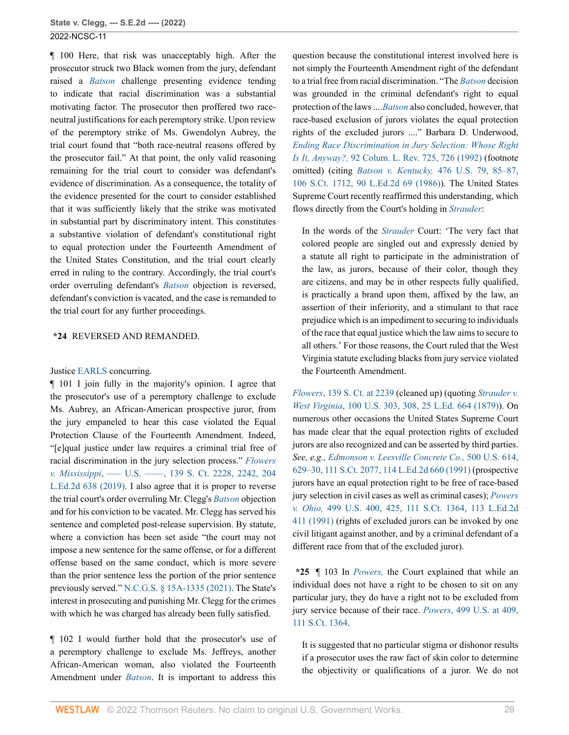¶ 100 Here, that risk was unacceptably high. After the prosecutor struck two Black women from the jury, defendant raised a *[Batson](http://www.westlaw.com/Link/Document/FullText?findType=Y&serNum=1986122459&pubNum=0000708&originatingDoc=Ie49697508b7d11ec9381ff4a09a81529&refType=RP&originationContext=document&vr=3.0&rs=cblt1.0&transitionType=DocumentItem&contextData=(sc.FindAndPrintPortal))* challenge presenting evidence tending to indicate that racial discrimination was a substantial motivating factor. The prosecutor then proffered two raceneutral justifications for each peremptory strike. Upon review of the peremptory strike of Ms. Gwendolyn Aubrey, the trial court found that "both race-neutral reasons offered by the prosecutor fail." At that point, the only valid reasoning remaining for the trial court to consider was defendant's evidence of discrimination. As a consequence, the totality of the evidence presented for the court to consider established that it was sufficiently likely that the strike was motivated in substantial part by discriminatory intent. This constitutes a substantive violation of defendant's constitutional right to equal protection under the Fourteenth Amendment of the United States Constitution, and the trial court clearly erred in ruling to the contrary. Accordingly, the trial court's order overruling defendant's *[Batson](http://www.westlaw.com/Link/Document/FullText?findType=Y&serNum=1986122459&pubNum=0000708&originatingDoc=Ie49697508b7d11ec9381ff4a09a81529&refType=RP&originationContext=document&vr=3.0&rs=cblt1.0&transitionType=DocumentItem&contextData=(sc.FindAndPrintPortal))* objection is reversed, defendant's conviction is vacated, and the case is remanded to the trial court for any further proceedings.

# **\*24** REVERSED AND REMANDED.

#### Justice [EARLS](http://www.westlaw.com/Link/Document/FullText?findType=h&pubNum=176284&cite=0514980701&originatingDoc=Ie49697508b7d11ec9381ff4a09a81529&refType=RQ&originationContext=document&vr=3.0&rs=cblt1.0&transitionType=DocumentItem&contextData=(sc.FindAndPrintPortal)) concurring.

¶ 101 I join fully in the majority's opinion. I agree that the prosecutor's use of a peremptory challenge to exclude Ms. Aubrey, an African-American prospective juror, from the jury empaneled to hear this case violated the Equal Protection Clause of the Fourteenth Amendment. Indeed, "[e]qual justice under law requires a criminal trial free of racial discrimination in the jury selection process." *[Flowers](http://www.westlaw.com/Link/Document/FullText?findType=Y&serNum=2048538049&pubNum=0000708&originatingDoc=Ie49697508b7d11ec9381ff4a09a81529&refType=RP&fi=co_pp_sp_708_2242&originationContext=document&vr=3.0&rs=cblt1.0&transitionType=DocumentItem&contextData=(sc.FindAndPrintPortal)#co_pp_sp_708_2242) v. Mississippi*[, ––– U.S. ––––, 139 S. Ct. 2228, 2242, 204](http://www.westlaw.com/Link/Document/FullText?findType=Y&serNum=2048538049&pubNum=0000708&originatingDoc=Ie49697508b7d11ec9381ff4a09a81529&refType=RP&fi=co_pp_sp_708_2242&originationContext=document&vr=3.0&rs=cblt1.0&transitionType=DocumentItem&contextData=(sc.FindAndPrintPortal)#co_pp_sp_708_2242) [L.Ed.2d 638 \(2019\)](http://www.westlaw.com/Link/Document/FullText?findType=Y&serNum=2048538049&pubNum=0000708&originatingDoc=Ie49697508b7d11ec9381ff4a09a81529&refType=RP&fi=co_pp_sp_708_2242&originationContext=document&vr=3.0&rs=cblt1.0&transitionType=DocumentItem&contextData=(sc.FindAndPrintPortal)#co_pp_sp_708_2242). I also agree that it is proper to reverse the trial court's order overruling Mr. Clegg's *[Batson](http://www.westlaw.com/Link/Document/FullText?findType=Y&serNum=1986122459&pubNum=0000708&originatingDoc=Ie49697508b7d11ec9381ff4a09a81529&refType=RP&originationContext=document&vr=3.0&rs=cblt1.0&transitionType=DocumentItem&contextData=(sc.FindAndPrintPortal))* objection and for his conviction to be vacated. Mr. Clegg has served his sentence and completed post-release supervision. By statute, where a conviction has been set aside "the court may not impose a new sentence for the same offense, or for a different offense based on the same conduct, which is more severe than the prior sentence less the portion of the prior sentence previously served." [N.C.G.S. § 15A-1335 \(2021\).](http://www.westlaw.com/Link/Document/FullText?findType=L&pubNum=1000037&cite=NCSTS15A-1335&originatingDoc=Ie49697508b7d11ec9381ff4a09a81529&refType=LQ&originationContext=document&vr=3.0&rs=cblt1.0&transitionType=DocumentItem&contextData=(sc.FindAndPrintPortal)) The State's interest in prosecuting and punishing Mr. Clegg for the crimes with which he was charged has already been fully satisfied.

¶ 102 I would further hold that the prosecutor's use of a peremptory challenge to exclude Ms. Jeffreys, another African-American woman, also violated the Fourteenth Amendment under *[Batson](http://www.westlaw.com/Link/Document/FullText?findType=Y&serNum=1986122459&pubNum=0000708&originatingDoc=Ie49697508b7d11ec9381ff4a09a81529&refType=RP&originationContext=document&vr=3.0&rs=cblt1.0&transitionType=DocumentItem&contextData=(sc.FindAndPrintPortal))*. It is important to address this

question because the constitutional interest involved here is not simply the Fourteenth Amendment right of the defendant to a trial free from racial discrimination. "The *[Batson](http://www.westlaw.com/Link/Document/FullText?findType=Y&serNum=1986122459&pubNum=0000708&originatingDoc=Ie49697508b7d11ec9381ff4a09a81529&refType=RP&originationContext=document&vr=3.0&rs=cblt1.0&transitionType=DocumentItem&contextData=(sc.FindAndPrintPortal))* decision was grounded in the criminal defendant's right to equal protection of the laws ....*[Batson](http://www.westlaw.com/Link/Document/FullText?findType=Y&serNum=1986122459&pubNum=0000708&originatingDoc=Ie49697508b7d11ec9381ff4a09a81529&refType=RP&originationContext=document&vr=3.0&rs=cblt1.0&transitionType=DocumentItem&contextData=(sc.FindAndPrintPortal))* also concluded, however, that race-based exclusion of jurors violates the equal protection rights of the excluded jurors ...." Barbara D. Underwood, *[Ending Race Discrimination in Jury Selection: Whose Right](http://www.westlaw.com/Link/Document/FullText?findType=Y&serNum=0102256833&pubNum=0003050&originatingDoc=Ie49697508b7d11ec9381ff4a09a81529&refType=LR&fi=co_pp_sp_3050_726&originationContext=document&vr=3.0&rs=cblt1.0&transitionType=DocumentItem&contextData=(sc.FindAndPrintPortal)#co_pp_sp_3050_726) Is It, Anyway?,* [92 Colum. L. Rev. 725, 726 \(1992\)](http://www.westlaw.com/Link/Document/FullText?findType=Y&serNum=0102256833&pubNum=0003050&originatingDoc=Ie49697508b7d11ec9381ff4a09a81529&refType=LR&fi=co_pp_sp_3050_726&originationContext=document&vr=3.0&rs=cblt1.0&transitionType=DocumentItem&contextData=(sc.FindAndPrintPortal)#co_pp_sp_3050_726) (footnote omitted) (citing *Batson v. Kentucky,* [476 U.S. 79, 85–87,](http://www.westlaw.com/Link/Document/FullText?findType=Y&serNum=1986122459&pubNum=0000780&originatingDoc=Ie49697508b7d11ec9381ff4a09a81529&refType=RP&fi=co_pp_sp_780_85&originationContext=document&vr=3.0&rs=cblt1.0&transitionType=DocumentItem&contextData=(sc.FindAndPrintPortal)#co_pp_sp_780_85) [106 S.Ct. 1712, 90 L.Ed.2d 69 \(1986\)](http://www.westlaw.com/Link/Document/FullText?findType=Y&serNum=1986122459&pubNum=0000780&originatingDoc=Ie49697508b7d11ec9381ff4a09a81529&refType=RP&fi=co_pp_sp_780_85&originationContext=document&vr=3.0&rs=cblt1.0&transitionType=DocumentItem&contextData=(sc.FindAndPrintPortal)#co_pp_sp_780_85)). The United States Supreme Court recently reaffirmed this understanding, which flows directly from the Court's holding in *[Strauder](http://www.westlaw.com/Link/Document/FullText?findType=Y&serNum=1800132385&pubNum=0000780&originatingDoc=Ie49697508b7d11ec9381ff4a09a81529&refType=RP&originationContext=document&vr=3.0&rs=cblt1.0&transitionType=DocumentItem&contextData=(sc.FindAndPrintPortal))*:

In the words of the *[Strauder](http://www.westlaw.com/Link/Document/FullText?findType=Y&serNum=1800132385&pubNum=0000780&originatingDoc=Ie49697508b7d11ec9381ff4a09a81529&refType=RP&originationContext=document&vr=3.0&rs=cblt1.0&transitionType=DocumentItem&contextData=(sc.FindAndPrintPortal))* Court: 'The very fact that colored people are singled out and expressly denied by a statute all right to participate in the administration of the law, as jurors, because of their color, though they are citizens, and may be in other respects fully qualified, is practically a brand upon them, affixed by the law, an assertion of their inferiority, and a stimulant to that race prejudice which is an impediment to securing to individuals of the race that equal justice which the law aims to secure to all others.' For those reasons, the Court ruled that the West Virginia statute excluding blacks from jury service violated the Fourteenth Amendment.

*Flowers*[, 139 S. Ct. at 2239](http://www.westlaw.com/Link/Document/FullText?findType=Y&serNum=2048538049&pubNum=0000708&originatingDoc=Ie49697508b7d11ec9381ff4a09a81529&refType=RP&fi=co_pp_sp_708_2239&originationContext=document&vr=3.0&rs=cblt1.0&transitionType=DocumentItem&contextData=(sc.FindAndPrintPortal)#co_pp_sp_708_2239) (cleaned up) (quoting *[Strauder v.](http://www.westlaw.com/Link/Document/FullText?findType=Y&serNum=1800132385&pubNum=0000780&originatingDoc=Ie49697508b7d11ec9381ff4a09a81529&refType=RP&fi=co_pp_sp_780_308&originationContext=document&vr=3.0&rs=cblt1.0&transitionType=DocumentItem&contextData=(sc.FindAndPrintPortal)#co_pp_sp_780_308) West Virginia*[, 100 U.S. 303, 308, 25 L.Ed. 664 \(1879\)\)](http://www.westlaw.com/Link/Document/FullText?findType=Y&serNum=1800132385&pubNum=0000780&originatingDoc=Ie49697508b7d11ec9381ff4a09a81529&refType=RP&fi=co_pp_sp_780_308&originationContext=document&vr=3.0&rs=cblt1.0&transitionType=DocumentItem&contextData=(sc.FindAndPrintPortal)#co_pp_sp_780_308). On numerous other occasions the United States Supreme Court has made clear that the equal protection rights of excluded jurors are also recognized and can be asserted by third parties. *See, e.g., [Edmonson v. Leesville Concrete Co.,](http://www.westlaw.com/Link/Document/FullText?findType=Y&serNum=1991100812&pubNum=0000780&originatingDoc=Ie49697508b7d11ec9381ff4a09a81529&refType=RP&fi=co_pp_sp_780_629&originationContext=document&vr=3.0&rs=cblt1.0&transitionType=DocumentItem&contextData=(sc.FindAndPrintPortal)#co_pp_sp_780_629)* 500 U.S. 614, [629–30, 111 S.Ct. 2077, 114 L.Ed.2d 660 \(1991\)](http://www.westlaw.com/Link/Document/FullText?findType=Y&serNum=1991100812&pubNum=0000780&originatingDoc=Ie49697508b7d11ec9381ff4a09a81529&refType=RP&fi=co_pp_sp_780_629&originationContext=document&vr=3.0&rs=cblt1.0&transitionType=DocumentItem&contextData=(sc.FindAndPrintPortal)#co_pp_sp_780_629) (prospective jurors have an equal protection right to be free of race-based jury selection in civil cases as well as criminal cases); *[Powers](http://www.westlaw.com/Link/Document/FullText?findType=Y&serNum=1991062987&pubNum=0000780&originatingDoc=Ie49697508b7d11ec9381ff4a09a81529&refType=RP&fi=co_pp_sp_780_425&originationContext=document&vr=3.0&rs=cblt1.0&transitionType=DocumentItem&contextData=(sc.FindAndPrintPortal)#co_pp_sp_780_425) v. Ohio,* [499 U.S. 400, 425, 111 S.Ct. 1364, 113 L.Ed.2d](http://www.westlaw.com/Link/Document/FullText?findType=Y&serNum=1991062987&pubNum=0000780&originatingDoc=Ie49697508b7d11ec9381ff4a09a81529&refType=RP&fi=co_pp_sp_780_425&originationContext=document&vr=3.0&rs=cblt1.0&transitionType=DocumentItem&contextData=(sc.FindAndPrintPortal)#co_pp_sp_780_425) [411 \(1991\)](http://www.westlaw.com/Link/Document/FullText?findType=Y&serNum=1991062987&pubNum=0000780&originatingDoc=Ie49697508b7d11ec9381ff4a09a81529&refType=RP&fi=co_pp_sp_780_425&originationContext=document&vr=3.0&rs=cblt1.0&transitionType=DocumentItem&contextData=(sc.FindAndPrintPortal)#co_pp_sp_780_425) (rights of excluded jurors can be invoked by one civil litigant against another, and by a criminal defendant of a different race from that of the excluded juror).

**\*25** ¶ 103 In *[Powers,](http://www.westlaw.com/Link/Document/FullText?findType=Y&serNum=1991062987&pubNum=0000780&originatingDoc=Ie49697508b7d11ec9381ff4a09a81529&refType=RP&originationContext=document&vr=3.0&rs=cblt1.0&transitionType=DocumentItem&contextData=(sc.FindAndPrintPortal))* the Court explained that while an individual does not have a right to be chosen to sit on any particular jury, they do have a right not to be excluded from jury service because of their race. *Powers*[, 499 U.S. at 409,](http://www.westlaw.com/Link/Document/FullText?findType=Y&serNum=1991062987&pubNum=0000780&originatingDoc=Ie49697508b7d11ec9381ff4a09a81529&refType=RP&fi=co_pp_sp_780_409&originationContext=document&vr=3.0&rs=cblt1.0&transitionType=DocumentItem&contextData=(sc.FindAndPrintPortal)#co_pp_sp_780_409) [111 S.Ct. 1364](http://www.westlaw.com/Link/Document/FullText?findType=Y&serNum=1991062987&pubNum=0000780&originatingDoc=Ie49697508b7d11ec9381ff4a09a81529&refType=RP&fi=co_pp_sp_780_409&originationContext=document&vr=3.0&rs=cblt1.0&transitionType=DocumentItem&contextData=(sc.FindAndPrintPortal)#co_pp_sp_780_409).

It is suggested that no particular stigma or dishonor results if a prosecutor uses the raw fact of skin color to determine the objectivity or qualifications of a juror. We do not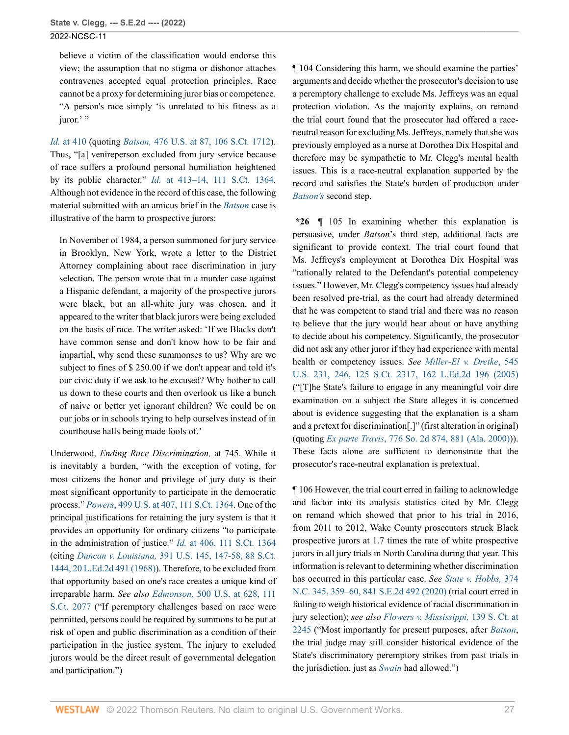believe a victim of the classification would endorse this view; the assumption that no stigma or dishonor attaches contravenes accepted equal protection principles. Race cannot be a proxy for determining juror bias or competence. "A person's race simply 'is unrelated to his fitness as a juror.' "

*Id.* [at 410](http://www.westlaw.com/Link/Document/FullText?findType=Y&serNum=1991062987&pubNum=0000780&originatingDoc=Ie49697508b7d11ec9381ff4a09a81529&refType=RP&fi=co_pp_sp_780_410&originationContext=document&vr=3.0&rs=cblt1.0&transitionType=DocumentItem&contextData=(sc.FindAndPrintPortal)#co_pp_sp_780_410) (quoting *Batson,* [476 U.S. at 87, 106 S.Ct. 1712](http://www.westlaw.com/Link/Document/FullText?findType=Y&serNum=1986122459&pubNum=0000780&originatingDoc=Ie49697508b7d11ec9381ff4a09a81529&refType=RP&fi=co_pp_sp_780_87&originationContext=document&vr=3.0&rs=cblt1.0&transitionType=DocumentItem&contextData=(sc.FindAndPrintPortal)#co_pp_sp_780_87)). Thus, "[a] venireperson excluded from jury service because of race suffers a profound personal humiliation heightened by its public character." *Id.* [at 413–14, 111 S.Ct. 1364](http://www.westlaw.com/Link/Document/FullText?findType=Y&serNum=1991062987&pubNum=0000780&originatingDoc=Ie49697508b7d11ec9381ff4a09a81529&refType=RP&fi=co_pp_sp_780_413&originationContext=document&vr=3.0&rs=cblt1.0&transitionType=DocumentItem&contextData=(sc.FindAndPrintPortal)#co_pp_sp_780_413). Although not evidence in the record of this case, the following material submitted with an amicus brief in the *[Batson](http://www.westlaw.com/Link/Document/FullText?findType=Y&serNum=1986122459&pubNum=0000708&originatingDoc=Ie49697508b7d11ec9381ff4a09a81529&refType=RP&originationContext=document&vr=3.0&rs=cblt1.0&transitionType=DocumentItem&contextData=(sc.FindAndPrintPortal))* case is illustrative of the harm to prospective jurors:

In November of 1984, a person summoned for jury service in Brooklyn, New York, wrote a letter to the District Attorney complaining about race discrimination in jury selection. The person wrote that in a murder case against a Hispanic defendant, a majority of the prospective jurors were black, but an all-white jury was chosen, and it appeared to the writer that black jurors were being excluded on the basis of race. The writer asked: 'If we Blacks don't have common sense and don't know how to be fair and impartial, why send these summonses to us? Why are we subject to fines of \$ 250.00 if we don't appear and told it's our civic duty if we ask to be excused? Why bother to call us down to these courts and then overlook us like a bunch of naive or better yet ignorant children? We could be on our jobs or in schools trying to help ourselves instead of in courthouse halls being made fools of.'

Underwood, *Ending Race Discrimination,* at 745. While it is inevitably a burden, "with the exception of voting, for most citizens the honor and privilege of jury duty is their most significant opportunity to participate in the democratic process." *Powers*[, 499 U.S. at 407, 111 S.Ct. 1364](http://www.westlaw.com/Link/Document/FullText?findType=Y&serNum=1991062987&pubNum=0000780&originatingDoc=Ie49697508b7d11ec9381ff4a09a81529&refType=RP&fi=co_pp_sp_780_407&originationContext=document&vr=3.0&rs=cblt1.0&transitionType=DocumentItem&contextData=(sc.FindAndPrintPortal)#co_pp_sp_780_407). One of the principal justifications for retaining the jury system is that it provides an opportunity for ordinary citizens "to participate in the administration of justice." *Id.* [at 406, 111 S.Ct. 1364](http://www.westlaw.com/Link/Document/FullText?findType=Y&serNum=1991062987&pubNum=0000708&originatingDoc=Ie49697508b7d11ec9381ff4a09a81529&refType=RP&originationContext=document&vr=3.0&rs=cblt1.0&transitionType=DocumentItem&contextData=(sc.FindAndPrintPortal)) (citing *Duncan v. Louisiana,* [391 U.S. 145, 147-58, 88 S.Ct.](http://www.westlaw.com/Link/Document/FullText?findType=Y&serNum=1968131174&pubNum=0000780&originatingDoc=Ie49697508b7d11ec9381ff4a09a81529&refType=RP&fi=co_pp_sp_780_147&originationContext=document&vr=3.0&rs=cblt1.0&transitionType=DocumentItem&contextData=(sc.FindAndPrintPortal)#co_pp_sp_780_147) [1444, 20 L.Ed.2d 491 \(1968\)\)](http://www.westlaw.com/Link/Document/FullText?findType=Y&serNum=1968131174&pubNum=0000780&originatingDoc=Ie49697508b7d11ec9381ff4a09a81529&refType=RP&fi=co_pp_sp_780_147&originationContext=document&vr=3.0&rs=cblt1.0&transitionType=DocumentItem&contextData=(sc.FindAndPrintPortal)#co_pp_sp_780_147). Therefore, to be excluded from that opportunity based on one's race creates a unique kind of irreparable harm. *See also Edmonson,* [500 U.S. at 628, 111](http://www.westlaw.com/Link/Document/FullText?findType=Y&serNum=1991100812&pubNum=0000780&originatingDoc=Ie49697508b7d11ec9381ff4a09a81529&refType=RP&fi=co_pp_sp_780_628&originationContext=document&vr=3.0&rs=cblt1.0&transitionType=DocumentItem&contextData=(sc.FindAndPrintPortal)#co_pp_sp_780_628) [S.Ct. 2077](http://www.westlaw.com/Link/Document/FullText?findType=Y&serNum=1991100812&pubNum=0000780&originatingDoc=Ie49697508b7d11ec9381ff4a09a81529&refType=RP&fi=co_pp_sp_780_628&originationContext=document&vr=3.0&rs=cblt1.0&transitionType=DocumentItem&contextData=(sc.FindAndPrintPortal)#co_pp_sp_780_628) ("If peremptory challenges based on race were permitted, persons could be required by summons to be put at risk of open and public discrimination as a condition of their participation in the justice system. The injury to excluded jurors would be the direct result of governmental delegation and participation.")

¶ 104 Considering this harm, we should examine the parties' arguments and decide whether the prosecutor's decision to use a peremptory challenge to exclude Ms. Jeffreys was an equal protection violation. As the majority explains, on remand the trial court found that the prosecutor had offered a raceneutral reason for excluding Ms. Jeffreys, namely that she was previously employed as a nurse at Dorothea Dix Hospital and therefore may be sympathetic to Mr. Clegg's mental health issues. This is a race-neutral explanation supported by the record and satisfies the State's burden of production under *[Batson's](http://www.westlaw.com/Link/Document/FullText?findType=Y&serNum=1986122459&pubNum=0000708&originatingDoc=Ie49697508b7d11ec9381ff4a09a81529&refType=RP&originationContext=document&vr=3.0&rs=cblt1.0&transitionType=DocumentItem&contextData=(sc.FindAndPrintPortal))* second step.

**\*26** ¶ 105 In examining whether this explanation is persuasive, under *Batson*'s third step, additional facts are significant to provide context. The trial court found that Ms. Jeffreys's employment at Dorothea Dix Hospital was "rationally related to the Defendant's potential competency issues." However, Mr. Clegg's competency issues had already been resolved pre-trial, as the court had already determined that he was competent to stand trial and there was no reason to believe that the jury would hear about or have anything to decide about his competency. Significantly, the prosecutor did not ask any other juror if they had experience with mental health or competency issues. *See [Miller-El v. Dretke](http://www.westlaw.com/Link/Document/FullText?findType=Y&serNum=2006791870&pubNum=0000780&originatingDoc=Ie49697508b7d11ec9381ff4a09a81529&refType=RP&fi=co_pp_sp_780_246&originationContext=document&vr=3.0&rs=cblt1.0&transitionType=DocumentItem&contextData=(sc.FindAndPrintPortal)#co_pp_sp_780_246)*, 545 [U.S. 231, 246, 125 S.Ct. 2317, 162 L.Ed.2d 196 \(2005\)](http://www.westlaw.com/Link/Document/FullText?findType=Y&serNum=2006791870&pubNum=0000780&originatingDoc=Ie49697508b7d11ec9381ff4a09a81529&refType=RP&fi=co_pp_sp_780_246&originationContext=document&vr=3.0&rs=cblt1.0&transitionType=DocumentItem&contextData=(sc.FindAndPrintPortal)#co_pp_sp_780_246) ("[T]he State's failure to engage in any meaningful voir dire examination on a subject the State alleges it is concerned about is evidence suggesting that the explanation is a sham and a pretext for discrimination[.]" (first alteration in original) (quoting *Ex parte Travis*[, 776 So. 2d 874, 881 \(Ala. 2000\)\)](http://www.westlaw.com/Link/Document/FullText?findType=Y&serNum=2000089224&pubNum=0000735&originatingDoc=Ie49697508b7d11ec9381ff4a09a81529&refType=RP&fi=co_pp_sp_735_881&originationContext=document&vr=3.0&rs=cblt1.0&transitionType=DocumentItem&contextData=(sc.FindAndPrintPortal)#co_pp_sp_735_881)). These facts alone are sufficient to demonstrate that the prosecutor's race-neutral explanation is pretextual.

¶ 106 However, the trial court erred in failing to acknowledge and factor into its analysis statistics cited by Mr. Clegg on remand which showed that prior to his trial in 2016, from 2011 to 2012, Wake County prosecutors struck Black prospective jurors at 1.7 times the rate of white prospective jurors in all jury trials in North Carolina during that year. This information is relevant to determining whether discrimination has occurred in this particular case. *See [State v. Hobbs,](http://www.westlaw.com/Link/Document/FullText?findType=Y&serNum=2050891787&pubNum=0000572&originatingDoc=Ie49697508b7d11ec9381ff4a09a81529&refType=RP&fi=co_pp_sp_572_359&originationContext=document&vr=3.0&rs=cblt1.0&transitionType=DocumentItem&contextData=(sc.FindAndPrintPortal)#co_pp_sp_572_359)* 374 [N.C. 345, 359–60, 841 S.E.2d 492 \(2020\)](http://www.westlaw.com/Link/Document/FullText?findType=Y&serNum=2050891787&pubNum=0000572&originatingDoc=Ie49697508b7d11ec9381ff4a09a81529&refType=RP&fi=co_pp_sp_572_359&originationContext=document&vr=3.0&rs=cblt1.0&transitionType=DocumentItem&contextData=(sc.FindAndPrintPortal)#co_pp_sp_572_359) (trial court erred in failing to weigh historical evidence of racial discrimination in jury selection); *see also [Flowers v. Mississippi,](http://www.westlaw.com/Link/Document/FullText?findType=Y&serNum=2048538049&pubNum=0000708&originatingDoc=Ie49697508b7d11ec9381ff4a09a81529&refType=RP&fi=co_pp_sp_708_2245&originationContext=document&vr=3.0&rs=cblt1.0&transitionType=DocumentItem&contextData=(sc.FindAndPrintPortal)#co_pp_sp_708_2245)* 139 S. Ct. at [2245](http://www.westlaw.com/Link/Document/FullText?findType=Y&serNum=2048538049&pubNum=0000708&originatingDoc=Ie49697508b7d11ec9381ff4a09a81529&refType=RP&fi=co_pp_sp_708_2245&originationContext=document&vr=3.0&rs=cblt1.0&transitionType=DocumentItem&contextData=(sc.FindAndPrintPortal)#co_pp_sp_708_2245) ("Most importantly for present purposes, after *[Batson](http://www.westlaw.com/Link/Document/FullText?findType=Y&serNum=1986122459&pubNum=0000708&originatingDoc=Ie49697508b7d11ec9381ff4a09a81529&refType=RP&originationContext=document&vr=3.0&rs=cblt1.0&transitionType=DocumentItem&contextData=(sc.FindAndPrintPortal))*, the trial judge may still consider historical evidence of the State's discriminatory peremptory strikes from past trials in the jurisdiction, just as *[Swain](http://www.westlaw.com/Link/Document/FullText?findType=Y&serNum=1965125035&pubNum=0000780&originatingDoc=Ie49697508b7d11ec9381ff4a09a81529&refType=RP&originationContext=document&vr=3.0&rs=cblt1.0&transitionType=DocumentItem&contextData=(sc.FindAndPrintPortal))* had allowed.")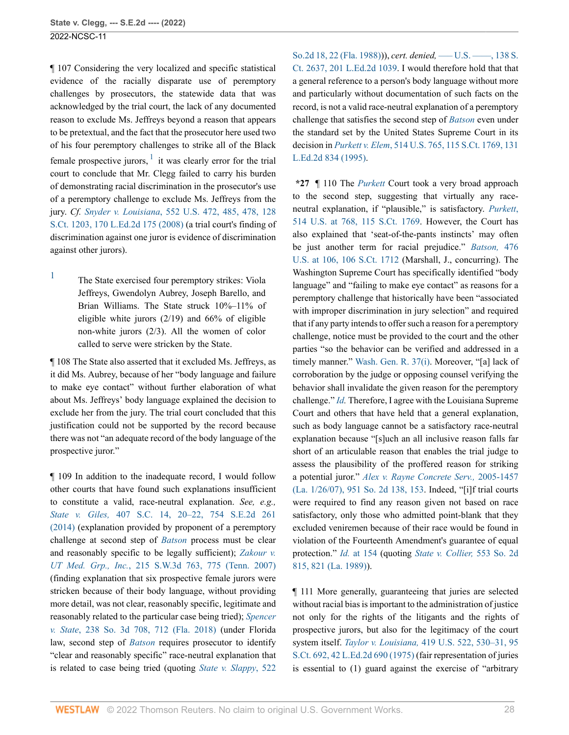<span id="page-27-1"></span>¶ 107 Considering the very localized and specific statistical evidence of the racially disparate use of peremptory challenges by prosecutors, the statewide data that was acknowledged by the trial court, the lack of any documented reason to exclude Ms. Jeffreys beyond a reason that appears to be pretextual, and the fact that the prosecutor here used two of his four peremptory challenges to strike all of the Black female prospective jurors,  $\frac{1}{1}$  $\frac{1}{1}$  $\frac{1}{1}$  it was clearly error for the trial court to conclude that Mr. Clegg failed to carry his burden of demonstrating racial discrimination in the prosecutor's use of a peremptory challenge to exclude Ms. Jeffreys from the jury. *Cf. Snyder v. Louisiana*[, 552 U.S. 472, 485, 478, 128](http://www.westlaw.com/Link/Document/FullText?findType=Y&serNum=2015520672&pubNum=0000780&originatingDoc=Ie49697508b7d11ec9381ff4a09a81529&refType=RP&fi=co_pp_sp_780_485&originationContext=document&vr=3.0&rs=cblt1.0&transitionType=DocumentItem&contextData=(sc.FindAndPrintPortal)#co_pp_sp_780_485) [S.Ct. 1203, 170 L.Ed.2d 175 \(2008\)](http://www.westlaw.com/Link/Document/FullText?findType=Y&serNum=2015520672&pubNum=0000780&originatingDoc=Ie49697508b7d11ec9381ff4a09a81529&refType=RP&fi=co_pp_sp_780_485&originationContext=document&vr=3.0&rs=cblt1.0&transitionType=DocumentItem&contextData=(sc.FindAndPrintPortal)#co_pp_sp_780_485) (a trial court's finding of discrimination against one juror is evidence of discrimination against other jurors).

<span id="page-27-0"></span>[1](#page-27-1) The State exercised four peremptory strikes: Viola Jeffreys, Gwendolyn Aubrey, Joseph Barello, and Brian Williams. The State struck 10%–11% of eligible white jurors  $(2/19)$  and 66% of eligible non-white jurors (2/3). All the women of color called to serve were stricken by the State.

¶ 108 The State also asserted that it excluded Ms. Jeffreys, as it did Ms. Aubrey, because of her "body language and failure to make eye contact" without further elaboration of what about Ms. Jeffreys' body language explained the decision to exclude her from the jury. The trial court concluded that this justification could not be supported by the record because there was not "an adequate record of the body language of the prospective juror."

¶ 109 In addition to the inadequate record, I would follow other courts that have found such explanations insufficient to constitute a valid, race-neutral explanation. *See, e.g., State v. Giles,* [407 S.C. 14, 20–22, 754 S.E.2d 261](http://www.westlaw.com/Link/Document/FullText?findType=Y&serNum=2032544838&pubNum=0000705&originatingDoc=Ie49697508b7d11ec9381ff4a09a81529&refType=RP&fi=co_pp_sp_705_20&originationContext=document&vr=3.0&rs=cblt1.0&transitionType=DocumentItem&contextData=(sc.FindAndPrintPortal)#co_pp_sp_705_20) [\(2014\)](http://www.westlaw.com/Link/Document/FullText?findType=Y&serNum=2032544838&pubNum=0000705&originatingDoc=Ie49697508b7d11ec9381ff4a09a81529&refType=RP&fi=co_pp_sp_705_20&originationContext=document&vr=3.0&rs=cblt1.0&transitionType=DocumentItem&contextData=(sc.FindAndPrintPortal)#co_pp_sp_705_20) (explanation provided by proponent of a peremptory challenge at second step of *[Batson](http://www.westlaw.com/Link/Document/FullText?findType=Y&serNum=1986122459&pubNum=0000708&originatingDoc=Ie49697508b7d11ec9381ff4a09a81529&refType=RP&originationContext=document&vr=3.0&rs=cblt1.0&transitionType=DocumentItem&contextData=(sc.FindAndPrintPortal))* process must be clear and reasonably specific to be legally sufficient); *[Zakour v.](http://www.westlaw.com/Link/Document/FullText?findType=Y&serNum=2011253317&pubNum=0004644&originatingDoc=Ie49697508b7d11ec9381ff4a09a81529&refType=RP&fi=co_pp_sp_4644_775&originationContext=document&vr=3.0&rs=cblt1.0&transitionType=DocumentItem&contextData=(sc.FindAndPrintPortal)#co_pp_sp_4644_775) UT Med. Grp., Inc.*[, 215 S.W.3d 763, 775 \(Tenn. 2007\)](http://www.westlaw.com/Link/Document/FullText?findType=Y&serNum=2011253317&pubNum=0004644&originatingDoc=Ie49697508b7d11ec9381ff4a09a81529&refType=RP&fi=co_pp_sp_4644_775&originationContext=document&vr=3.0&rs=cblt1.0&transitionType=DocumentItem&contextData=(sc.FindAndPrintPortal)#co_pp_sp_4644_775) (finding explanation that six prospective female jurors were stricken because of their body language, without providing more detail, was not clear, reasonably specific, legitimate and reasonably related to the particular case being tried); *[Spencer](http://www.westlaw.com/Link/Document/FullText?findType=Y&serNum=2043675654&pubNum=0003926&originatingDoc=Ie49697508b7d11ec9381ff4a09a81529&refType=RP&fi=co_pp_sp_3926_712&originationContext=document&vr=3.0&rs=cblt1.0&transitionType=DocumentItem&contextData=(sc.FindAndPrintPortal)#co_pp_sp_3926_712) v. State*[, 238 So. 3d 708, 712 \(Fla. 2018\)](http://www.westlaw.com/Link/Document/FullText?findType=Y&serNum=2043675654&pubNum=0003926&originatingDoc=Ie49697508b7d11ec9381ff4a09a81529&refType=RP&fi=co_pp_sp_3926_712&originationContext=document&vr=3.0&rs=cblt1.0&transitionType=DocumentItem&contextData=(sc.FindAndPrintPortal)#co_pp_sp_3926_712) (under Florida law, second step of *[Batson](http://www.westlaw.com/Link/Document/FullText?findType=Y&serNum=1986122459&pubNum=0000708&originatingDoc=Ie49697508b7d11ec9381ff4a09a81529&refType=RP&originationContext=document&vr=3.0&rs=cblt1.0&transitionType=DocumentItem&contextData=(sc.FindAndPrintPortal))* requires prosecutor to identify "clear and reasonably specific" race-neutral explanation that is related to case being tried (quoting *[State v. Slappy](http://www.westlaw.com/Link/Document/FullText?findType=Y&serNum=1988036558&pubNum=0000735&originatingDoc=Ie49697508b7d11ec9381ff4a09a81529&refType=RP&fi=co_pp_sp_735_22&originationContext=document&vr=3.0&rs=cblt1.0&transitionType=DocumentItem&contextData=(sc.FindAndPrintPortal)#co_pp_sp_735_22)*, 522

[So.2d 18, 22 \(Fla. 1988\)](http://www.westlaw.com/Link/Document/FullText?findType=Y&serNum=1988036558&pubNum=0000735&originatingDoc=Ie49697508b7d11ec9381ff4a09a81529&refType=RP&fi=co_pp_sp_735_22&originationContext=document&vr=3.0&rs=cblt1.0&transitionType=DocumentItem&contextData=(sc.FindAndPrintPortal)#co_pp_sp_735_22))), *cert. denied*, ---- U.S. -----, 138 S. [Ct. 2637, 201 L.Ed.2d 1039](http://www.westlaw.com/Link/Document/FullText?findType=Y&pubNum=0000708&cite=138SCT2637&originatingDoc=Ie49697508b7d11ec9381ff4a09a81529&refType=RP&originationContext=document&vr=3.0&rs=cblt1.0&transitionType=DocumentItem&contextData=(sc.FindAndPrintPortal)). I would therefore hold that that a general reference to a person's body language without more and particularly without documentation of such facts on the record, is not a valid race-neutral explanation of a peremptory challenge that satisfies the second step of *[Batson](http://www.westlaw.com/Link/Document/FullText?findType=Y&serNum=1986122459&pubNum=0000708&originatingDoc=Ie49697508b7d11ec9381ff4a09a81529&refType=RP&originationContext=document&vr=3.0&rs=cblt1.0&transitionType=DocumentItem&contextData=(sc.FindAndPrintPortal))* even under the standard set by the United States Supreme Court in its decision in *Purkett v. Elem*[, 514 U.S. 765, 115 S.Ct. 1769, 131](http://www.westlaw.com/Link/Document/FullText?findType=Y&serNum=1995107859&pubNum=0000708&originatingDoc=Ie49697508b7d11ec9381ff4a09a81529&refType=RP&originationContext=document&vr=3.0&rs=cblt1.0&transitionType=DocumentItem&contextData=(sc.FindAndPrintPortal)) [L.Ed.2d 834 \(1995\).](http://www.westlaw.com/Link/Document/FullText?findType=Y&serNum=1995107859&pubNum=0000708&originatingDoc=Ie49697508b7d11ec9381ff4a09a81529&refType=RP&originationContext=document&vr=3.0&rs=cblt1.0&transitionType=DocumentItem&contextData=(sc.FindAndPrintPortal))

**\*27** ¶ 110 The *[Purkett](http://www.westlaw.com/Link/Document/FullText?findType=Y&serNum=1995107859&pubNum=0000708&originatingDoc=Ie49697508b7d11ec9381ff4a09a81529&refType=RP&originationContext=document&vr=3.0&rs=cblt1.0&transitionType=DocumentItem&contextData=(sc.FindAndPrintPortal))* Court took a very broad approach to the second step, suggesting that virtually any raceneutral explanation, if "plausible," is satisfactory. *[Purkett](http://www.westlaw.com/Link/Document/FullText?findType=Y&serNum=1995107859&pubNum=0000780&originatingDoc=Ie49697508b7d11ec9381ff4a09a81529&refType=RP&fi=co_pp_sp_780_768&originationContext=document&vr=3.0&rs=cblt1.0&transitionType=DocumentItem&contextData=(sc.FindAndPrintPortal)#co_pp_sp_780_768)*, [514 U.S. at 768, 115 S.Ct. 1769.](http://www.westlaw.com/Link/Document/FullText?findType=Y&serNum=1995107859&pubNum=0000780&originatingDoc=Ie49697508b7d11ec9381ff4a09a81529&refType=RP&fi=co_pp_sp_780_768&originationContext=document&vr=3.0&rs=cblt1.0&transitionType=DocumentItem&contextData=(sc.FindAndPrintPortal)#co_pp_sp_780_768) However, the Court has also explained that 'seat-of-the-pants instincts' may often be just another term for racial prejudice." *[Batson,](http://www.westlaw.com/Link/Document/FullText?findType=Y&serNum=1986122459&pubNum=0000780&originatingDoc=Ie49697508b7d11ec9381ff4a09a81529&refType=RP&fi=co_pp_sp_780_106&originationContext=document&vr=3.0&rs=cblt1.0&transitionType=DocumentItem&contextData=(sc.FindAndPrintPortal)#co_pp_sp_780_106)* 476 [U.S. at 106, 106 S.Ct. 1712](http://www.westlaw.com/Link/Document/FullText?findType=Y&serNum=1986122459&pubNum=0000780&originatingDoc=Ie49697508b7d11ec9381ff4a09a81529&refType=RP&fi=co_pp_sp_780_106&originationContext=document&vr=3.0&rs=cblt1.0&transitionType=DocumentItem&contextData=(sc.FindAndPrintPortal)#co_pp_sp_780_106) (Marshall, J., concurring). The Washington Supreme Court has specifically identified "body language" and "failing to make eye contact" as reasons for a peremptory challenge that historically have been "associated with improper discrimination in jury selection" and required that if any party intends to offer such a reason for a peremptory challenge, notice must be provided to the court and the other parties "so the behavior can be verified and addressed in a timely manner." [Wash. Gen. R. 37\(i\).](http://www.westlaw.com/Link/Document/FullText?findType=L&pubNum=1003961&cite=WARGENGR37&originatingDoc=Ie49697508b7d11ec9381ff4a09a81529&refType=LQ&originationContext=document&vr=3.0&rs=cblt1.0&transitionType=DocumentItem&contextData=(sc.FindAndPrintPortal)) Moreover, "[a] lack of corroboration by the judge or opposing counsel verifying the behavior shall invalidate the given reason for the peremptory challenge." *[Id](http://www.westlaw.com/Link/Document/FullText?findType=Y&serNum=1986122459&pubNum=0000780&originatingDoc=Ie49697508b7d11ec9381ff4a09a81529&refType=RP&originationContext=document&vr=3.0&rs=cblt1.0&transitionType=DocumentItem&contextData=(sc.FindAndPrintPortal)).* Therefore, I agree with the Louisiana Supreme Court and others that have held that a general explanation, such as body language cannot be a satisfactory race-neutral explanation because "[s]uch an all inclusive reason falls far short of an articulable reason that enables the trial judge to assess the plausibility of the proffered reason for striking a potential juror." *[Alex v. Rayne Concrete Serv.,](http://www.westlaw.com/Link/Document/FullText?findType=Y&serNum=2011299995&pubNum=0000735&originatingDoc=Ie49697508b7d11ec9381ff4a09a81529&refType=RP&fi=co_pp_sp_735_153&originationContext=document&vr=3.0&rs=cblt1.0&transitionType=DocumentItem&contextData=(sc.FindAndPrintPortal)#co_pp_sp_735_153)* 2005-1457 [\(La. 1/26/07\), 951 So. 2d 138, 153](http://www.westlaw.com/Link/Document/FullText?findType=Y&serNum=2011299995&pubNum=0000735&originatingDoc=Ie49697508b7d11ec9381ff4a09a81529&refType=RP&fi=co_pp_sp_735_153&originationContext=document&vr=3.0&rs=cblt1.0&transitionType=DocumentItem&contextData=(sc.FindAndPrintPortal)#co_pp_sp_735_153). Indeed, "[i]f trial courts were required to find any reason given not based on race satisfactory, only those who admitted point-blank that they excluded veniremen because of their race would be found in violation of the Fourteenth Amendment's guarantee of equal protection." *Id.* [at 154](http://www.westlaw.com/Link/Document/FullText?findType=Y&serNum=2011299995&pubNum=0000735&originatingDoc=Ie49697508b7d11ec9381ff4a09a81529&refType=RP&fi=co_pp_sp_735_154&originationContext=document&vr=3.0&rs=cblt1.0&transitionType=DocumentItem&contextData=(sc.FindAndPrintPortal)#co_pp_sp_735_154) (quoting *[State v. Collier,](http://www.westlaw.com/Link/Document/FullText?findType=Y&serNum=1989174511&pubNum=0000735&originatingDoc=Ie49697508b7d11ec9381ff4a09a81529&refType=RP&fi=co_pp_sp_735_821&originationContext=document&vr=3.0&rs=cblt1.0&transitionType=DocumentItem&contextData=(sc.FindAndPrintPortal)#co_pp_sp_735_821)* 553 So. 2d [815, 821 \(La. 1989\)\)](http://www.westlaw.com/Link/Document/FullText?findType=Y&serNum=1989174511&pubNum=0000735&originatingDoc=Ie49697508b7d11ec9381ff4a09a81529&refType=RP&fi=co_pp_sp_735_821&originationContext=document&vr=3.0&rs=cblt1.0&transitionType=DocumentItem&contextData=(sc.FindAndPrintPortal)#co_pp_sp_735_821).

¶ 111 More generally, guaranteeing that juries are selected without racial bias is important to the administration of justice not only for the rights of the litigants and the rights of prospective jurors, but also for the legitimacy of the court system itself. *Taylor v. Louisiana,* [419 U.S. 522, 530–31, 95](http://www.westlaw.com/Link/Document/FullText?findType=Y&serNum=1975129717&pubNum=0000780&originatingDoc=Ie49697508b7d11ec9381ff4a09a81529&refType=RP&fi=co_pp_sp_780_530&originationContext=document&vr=3.0&rs=cblt1.0&transitionType=DocumentItem&contextData=(sc.FindAndPrintPortal)#co_pp_sp_780_530) [S.Ct. 692, 42 L.Ed.2d 690 \(1975\)](http://www.westlaw.com/Link/Document/FullText?findType=Y&serNum=1975129717&pubNum=0000780&originatingDoc=Ie49697508b7d11ec9381ff4a09a81529&refType=RP&fi=co_pp_sp_780_530&originationContext=document&vr=3.0&rs=cblt1.0&transitionType=DocumentItem&contextData=(sc.FindAndPrintPortal)#co_pp_sp_780_530) (fair representation of juries is essential to (1) guard against the exercise of "arbitrary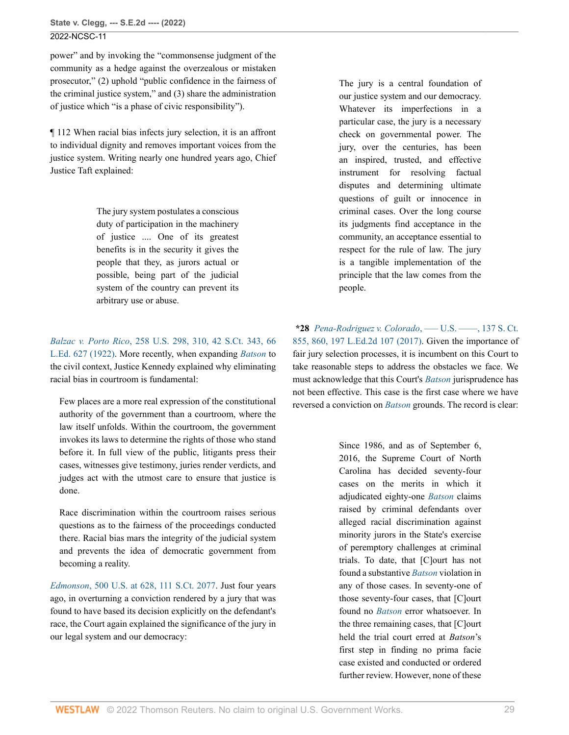power" and by invoking the "commonsense judgment of the community as a hedge against the overzealous or mistaken prosecutor," (2) uphold "public confidence in the fairness of the criminal justice system," and (3) share the administration of justice which "is a phase of civic responsibility").

¶ 112 When racial bias infects jury selection, it is an affront to individual dignity and removes important voices from the justice system. Writing nearly one hundred years ago, Chief Justice Taft explained:

> The jury system postulates a conscious duty of participation in the machinery of justice .... One of its greatest benefits is in the security it gives the people that they, as jurors actual or possible, being part of the judicial system of the country can prevent its arbitrary use or abuse.

*Balzac v. Porto Rico*[, 258 U.S. 298, 310, 42 S.Ct. 343, 66](http://www.westlaw.com/Link/Document/FullText?findType=Y&serNum=1922117921&pubNum=0000780&originatingDoc=Ie49697508b7d11ec9381ff4a09a81529&refType=RP&fi=co_pp_sp_780_310&originationContext=document&vr=3.0&rs=cblt1.0&transitionType=DocumentItem&contextData=(sc.FindAndPrintPortal)#co_pp_sp_780_310) [L.Ed. 627 \(1922\)](http://www.westlaw.com/Link/Document/FullText?findType=Y&serNum=1922117921&pubNum=0000780&originatingDoc=Ie49697508b7d11ec9381ff4a09a81529&refType=RP&fi=co_pp_sp_780_310&originationContext=document&vr=3.0&rs=cblt1.0&transitionType=DocumentItem&contextData=(sc.FindAndPrintPortal)#co_pp_sp_780_310). More recently, when expanding *[Batson](http://www.westlaw.com/Link/Document/FullText?findType=Y&serNum=1986122459&pubNum=0000708&originatingDoc=Ie49697508b7d11ec9381ff4a09a81529&refType=RP&originationContext=document&vr=3.0&rs=cblt1.0&transitionType=DocumentItem&contextData=(sc.FindAndPrintPortal))* to the civil context, Justice Kennedy explained why eliminating racial bias in courtroom is fundamental:

Few places are a more real expression of the constitutional authority of the government than a courtroom, where the law itself unfolds. Within the courtroom, the government invokes its laws to determine the rights of those who stand before it. In full view of the public, litigants press their cases, witnesses give testimony, juries render verdicts, and judges act with the utmost care to ensure that justice is done.

Race discrimination within the courtroom raises serious questions as to the fairness of the proceedings conducted there. Racial bias mars the integrity of the judicial system and prevents the idea of democratic government from becoming a reality.

*Edmonson*[, 500 U.S. at 628, 111 S.Ct. 2077.](http://www.westlaw.com/Link/Document/FullText?findType=Y&serNum=1991100812&pubNum=0000780&originatingDoc=Ie49697508b7d11ec9381ff4a09a81529&refType=RP&fi=co_pp_sp_780_628&originationContext=document&vr=3.0&rs=cblt1.0&transitionType=DocumentItem&contextData=(sc.FindAndPrintPortal)#co_pp_sp_780_628) Just four years ago, in overturning a conviction rendered by a jury that was found to have based its decision explicitly on the defendant's race, the Court again explained the significance of the jury in our legal system and our democracy:

The jury is a central foundation of our justice system and our democracy. Whatever its imperfections in a particular case, the jury is a necessary check on governmental power. The jury, over the centuries, has been an inspired, trusted, and effective instrument for resolving factual disputes and determining ultimate questions of guilt or innocence in criminal cases. Over the long course its judgments find acceptance in the community, an acceptance essential to respect for the rule of law. The jury is a tangible implementation of the principle that the law comes from the people.

**\*28** *[Pena-Rodriguez v. Colorado](http://www.westlaw.com/Link/Document/FullText?findType=Y&serNum=2041162858&pubNum=0000708&originatingDoc=Ie49697508b7d11ec9381ff4a09a81529&refType=RP&fi=co_pp_sp_708_860&originationContext=document&vr=3.0&rs=cblt1.0&transitionType=DocumentItem&contextData=(sc.FindAndPrintPortal)#co_pp_sp_708_860)*, ––– U.S. ––––, 137 S. Ct. [855, 860, 197 L.Ed.2d 107 \(2017\).](http://www.westlaw.com/Link/Document/FullText?findType=Y&serNum=2041162858&pubNum=0000708&originatingDoc=Ie49697508b7d11ec9381ff4a09a81529&refType=RP&fi=co_pp_sp_708_860&originationContext=document&vr=3.0&rs=cblt1.0&transitionType=DocumentItem&contextData=(sc.FindAndPrintPortal)#co_pp_sp_708_860) Given the importance of fair jury selection processes, it is incumbent on this Court to take reasonable steps to address the obstacles we face. We must acknowledge that this Court's *[Batson](http://www.westlaw.com/Link/Document/FullText?findType=Y&serNum=1986122459&pubNum=0000708&originatingDoc=Ie49697508b7d11ec9381ff4a09a81529&refType=RP&originationContext=document&vr=3.0&rs=cblt1.0&transitionType=DocumentItem&contextData=(sc.FindAndPrintPortal))* jurisprudence has not been effective. This case is the first case where we have reversed a conviction on *[Batson](http://www.westlaw.com/Link/Document/FullText?findType=Y&serNum=1986122459&pubNum=0000708&originatingDoc=Ie49697508b7d11ec9381ff4a09a81529&refType=RP&originationContext=document&vr=3.0&rs=cblt1.0&transitionType=DocumentItem&contextData=(sc.FindAndPrintPortal))* grounds. The record is clear:

> Since 1986, and as of September 6, 2016, the Supreme Court of North Carolina has decided seventy-four cases on the merits in which it adjudicated eighty-one *[Batson](http://www.westlaw.com/Link/Document/FullText?findType=Y&serNum=1986122459&pubNum=0000708&originatingDoc=Ie49697508b7d11ec9381ff4a09a81529&refType=RP&originationContext=document&vr=3.0&rs=cblt1.0&transitionType=DocumentItem&contextData=(sc.FindAndPrintPortal))* claims raised by criminal defendants over alleged racial discrimination against minority jurors in the State's exercise of peremptory challenges at criminal trials. To date, that [C]ourt has not found a substantive *[Batson](http://www.westlaw.com/Link/Document/FullText?findType=Y&serNum=1986122459&pubNum=0000708&originatingDoc=Ie49697508b7d11ec9381ff4a09a81529&refType=RP&originationContext=document&vr=3.0&rs=cblt1.0&transitionType=DocumentItem&contextData=(sc.FindAndPrintPortal))* violation in any of those cases. In seventy-one of those seventy-four cases, that [C]ourt found no *[Batson](http://www.westlaw.com/Link/Document/FullText?findType=Y&serNum=1986122459&pubNum=0000708&originatingDoc=Ie49697508b7d11ec9381ff4a09a81529&refType=RP&originationContext=document&vr=3.0&rs=cblt1.0&transitionType=DocumentItem&contextData=(sc.FindAndPrintPortal))* error whatsoever. In the three remaining cases, that [C]ourt held the trial court erred at *Batson*'s first step in finding no prima facie case existed and conducted or ordered further review. However, none of these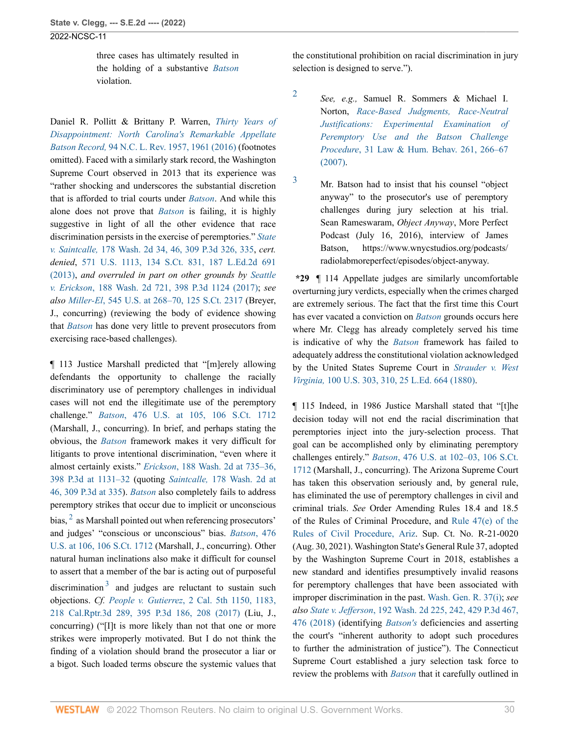three cases has ultimately resulted in the holding of a substantive *[Batson](http://www.westlaw.com/Link/Document/FullText?findType=Y&serNum=1986122459&pubNum=0000708&originatingDoc=Ie49697508b7d11ec9381ff4a09a81529&refType=RP&originationContext=document&vr=3.0&rs=cblt1.0&transitionType=DocumentItem&contextData=(sc.FindAndPrintPortal))* violation.

Daniel R. Pollitt & Brittany P. Warren, *[Thirty Years of](http://www.westlaw.com/Link/Document/FullText?findType=Y&serNum=0452013574&pubNum=0001199&originatingDoc=Ie49697508b7d11ec9381ff4a09a81529&refType=LR&fi=co_pp_sp_1199_1961&originationContext=document&vr=3.0&rs=cblt1.0&transitionType=DocumentItem&contextData=(sc.FindAndPrintPortal)#co_pp_sp_1199_1961) [Disappointment: North Carolina's Remarkable Appellate](http://www.westlaw.com/Link/Document/FullText?findType=Y&serNum=0452013574&pubNum=0001199&originatingDoc=Ie49697508b7d11ec9381ff4a09a81529&refType=LR&fi=co_pp_sp_1199_1961&originationContext=document&vr=3.0&rs=cblt1.0&transitionType=DocumentItem&contextData=(sc.FindAndPrintPortal)#co_pp_sp_1199_1961) Batson Record,* [94 N.C. L. Rev. 1957, 1961 \(2016\)](http://www.westlaw.com/Link/Document/FullText?findType=Y&serNum=0452013574&pubNum=0001199&originatingDoc=Ie49697508b7d11ec9381ff4a09a81529&refType=LR&fi=co_pp_sp_1199_1961&originationContext=document&vr=3.0&rs=cblt1.0&transitionType=DocumentItem&contextData=(sc.FindAndPrintPortal)#co_pp_sp_1199_1961) (footnotes omitted). Faced with a similarly stark record, the Washington Supreme Court observed in 2013 that its experience was "rather shocking and underscores the substantial discretion that is afforded to trial courts under *[Batson](http://www.westlaw.com/Link/Document/FullText?findType=Y&serNum=1986122459&pubNum=0000708&originatingDoc=Ie49697508b7d11ec9381ff4a09a81529&refType=RP&originationContext=document&vr=3.0&rs=cblt1.0&transitionType=DocumentItem&contextData=(sc.FindAndPrintPortal))*. And while this alone does not prove that *[Batson](http://www.westlaw.com/Link/Document/FullText?findType=Y&serNum=1986122459&pubNum=0000708&originatingDoc=Ie49697508b7d11ec9381ff4a09a81529&refType=RP&originationContext=document&vr=3.0&rs=cblt1.0&transitionType=DocumentItem&contextData=(sc.FindAndPrintPortal))* is failing, it is highly suggestive in light of all the other evidence that race discrimination persists in the exercise of peremptories." *[State](http://www.westlaw.com/Link/Document/FullText?findType=Y&serNum=2031199011&pubNum=0004645&originatingDoc=Ie49697508b7d11ec9381ff4a09a81529&refType=RP&fi=co_pp_sp_4645_335&originationContext=document&vr=3.0&rs=cblt1.0&transitionType=DocumentItem&contextData=(sc.FindAndPrintPortal)#co_pp_sp_4645_335) v. Saintcalle,* [178 Wash. 2d 34, 46, 309 P.3d 326, 335](http://www.westlaw.com/Link/Document/FullText?findType=Y&serNum=2031199011&pubNum=0004645&originatingDoc=Ie49697508b7d11ec9381ff4a09a81529&refType=RP&fi=co_pp_sp_4645_335&originationContext=document&vr=3.0&rs=cblt1.0&transitionType=DocumentItem&contextData=(sc.FindAndPrintPortal)#co_pp_sp_4645_335), *cert. denied*, [571 U.S. 1113, 134 S.Ct. 831, 187 L.Ed.2d 691](http://www.westlaw.com/Link/Document/FullText?findType=Y&serNum=2031883989&pubNum=0000708&originatingDoc=Ie49697508b7d11ec9381ff4a09a81529&refType=RP&originationContext=document&vr=3.0&rs=cblt1.0&transitionType=DocumentItem&contextData=(sc.FindAndPrintPortal)) [\(2013\),](http://www.westlaw.com/Link/Document/FullText?findType=Y&serNum=2031883989&pubNum=0000708&originatingDoc=Ie49697508b7d11ec9381ff4a09a81529&refType=RP&originationContext=document&vr=3.0&rs=cblt1.0&transitionType=DocumentItem&contextData=(sc.FindAndPrintPortal)) *and overruled in part on other grounds by [Seattle](http://www.westlaw.com/Link/Document/FullText?findType=Y&serNum=2042086277&pubNum=0004645&originatingDoc=Ie49697508b7d11ec9381ff4a09a81529&refType=RP&originationContext=document&vr=3.0&rs=cblt1.0&transitionType=DocumentItem&contextData=(sc.FindAndPrintPortal)) v. Erickson*[, 188 Wash. 2d 721, 398 P.3d 1124 \(2017\);](http://www.westlaw.com/Link/Document/FullText?findType=Y&serNum=2042086277&pubNum=0004645&originatingDoc=Ie49697508b7d11ec9381ff4a09a81529&refType=RP&originationContext=document&vr=3.0&rs=cblt1.0&transitionType=DocumentItem&contextData=(sc.FindAndPrintPortal)) *see also Miller-El*[, 545 U.S. at 268–70, 125 S.Ct. 2317](http://www.westlaw.com/Link/Document/FullText?findType=Y&serNum=2006791870&pubNum=0000780&originatingDoc=Ie49697508b7d11ec9381ff4a09a81529&refType=RP&fi=co_pp_sp_780_268&originationContext=document&vr=3.0&rs=cblt1.0&transitionType=DocumentItem&contextData=(sc.FindAndPrintPortal)#co_pp_sp_780_268) (Breyer, J., concurring) (reviewing the body of evidence showing that *[Batson](http://www.westlaw.com/Link/Document/FullText?findType=Y&serNum=1986122459&pubNum=0000708&originatingDoc=Ie49697508b7d11ec9381ff4a09a81529&refType=RP&originationContext=document&vr=3.0&rs=cblt1.0&transitionType=DocumentItem&contextData=(sc.FindAndPrintPortal))* has done very little to prevent prosecutors from exercising race-based challenges).

<span id="page-29-3"></span><span id="page-29-2"></span>¶ 113 Justice Marshall predicted that "[m]erely allowing defendants the opportunity to challenge the racially discriminatory use of peremptory challenges in individual cases will not end the illegitimate use of the peremptory challenge." *Batson*[, 476 U.S. at 105, 106 S.Ct. 1712](http://www.westlaw.com/Link/Document/FullText?findType=Y&serNum=1986122459&pubNum=0000780&originatingDoc=Ie49697508b7d11ec9381ff4a09a81529&refType=RP&fi=co_pp_sp_780_105&originationContext=document&vr=3.0&rs=cblt1.0&transitionType=DocumentItem&contextData=(sc.FindAndPrintPortal)#co_pp_sp_780_105) (Marshall, J., concurring). In brief, and perhaps stating the obvious, the *[Batson](http://www.westlaw.com/Link/Document/FullText?findType=Y&serNum=1986122459&pubNum=0000708&originatingDoc=Ie49697508b7d11ec9381ff4a09a81529&refType=RP&originationContext=document&vr=3.0&rs=cblt1.0&transitionType=DocumentItem&contextData=(sc.FindAndPrintPortal))* framework makes it very difficult for litigants to prove intentional discrimination, "even where it almost certainly exists." *Erickson*[, 188 Wash. 2d at 735–36,](http://www.westlaw.com/Link/Document/FullText?findType=Y&serNum=2042086277&pubNum=0004645&originatingDoc=Ie49697508b7d11ec9381ff4a09a81529&refType=RP&fi=co_pp_sp_4645_1131&originationContext=document&vr=3.0&rs=cblt1.0&transitionType=DocumentItem&contextData=(sc.FindAndPrintPortal)#co_pp_sp_4645_1131) [398 P.3d at 1131–32](http://www.westlaw.com/Link/Document/FullText?findType=Y&serNum=2042086277&pubNum=0004645&originatingDoc=Ie49697508b7d11ec9381ff4a09a81529&refType=RP&fi=co_pp_sp_4645_1131&originationContext=document&vr=3.0&rs=cblt1.0&transitionType=DocumentItem&contextData=(sc.FindAndPrintPortal)#co_pp_sp_4645_1131) (quoting *Saintcalle,* [178 Wash. 2d at](http://www.westlaw.com/Link/Document/FullText?findType=Y&serNum=2031199011&pubNum=0004645&originatingDoc=Ie49697508b7d11ec9381ff4a09a81529&refType=RP&fi=co_pp_sp_4645_335&originationContext=document&vr=3.0&rs=cblt1.0&transitionType=DocumentItem&contextData=(sc.FindAndPrintPortal)#co_pp_sp_4645_335) [46, 309 P.3d at 335\)](http://www.westlaw.com/Link/Document/FullText?findType=Y&serNum=2031199011&pubNum=0004645&originatingDoc=Ie49697508b7d11ec9381ff4a09a81529&refType=RP&fi=co_pp_sp_4645_335&originationContext=document&vr=3.0&rs=cblt1.0&transitionType=DocumentItem&contextData=(sc.FindAndPrintPortal)#co_pp_sp_4645_335). *[Batson](http://www.westlaw.com/Link/Document/FullText?findType=Y&serNum=1986122459&pubNum=0000708&originatingDoc=Ie49697508b7d11ec9381ff4a09a81529&refType=RP&originationContext=document&vr=3.0&rs=cblt1.0&transitionType=DocumentItem&contextData=(sc.FindAndPrintPortal))* also completely fails to address peremptory strikes that occur due to implicit or unconscious bias,  $2$  as Marshall pointed out when referencing prosecutors' and judges' "conscious or unconscious" bias. *[Batson](http://www.westlaw.com/Link/Document/FullText?findType=Y&serNum=1986122459&pubNum=0000780&originatingDoc=Ie49697508b7d11ec9381ff4a09a81529&refType=RP&fi=co_pp_sp_780_106&originationContext=document&vr=3.0&rs=cblt1.0&transitionType=DocumentItem&contextData=(sc.FindAndPrintPortal)#co_pp_sp_780_106)*, 476 [U.S. at 106, 106 S.Ct. 1712](http://www.westlaw.com/Link/Document/FullText?findType=Y&serNum=1986122459&pubNum=0000780&originatingDoc=Ie49697508b7d11ec9381ff4a09a81529&refType=RP&fi=co_pp_sp_780_106&originationContext=document&vr=3.0&rs=cblt1.0&transitionType=DocumentItem&contextData=(sc.FindAndPrintPortal)#co_pp_sp_780_106) (Marshall, J., concurring). Other natural human inclinations also make it difficult for counsel to assert that a member of the bar is acting out of purposeful discrimination  $3$  and judges are reluctant to sustain such objections. *Cf. People v. Gutierrez*[, 2 Cal. 5th 1150, 1183,](http://www.westlaw.com/Link/Document/FullText?findType=Y&serNum=2041778896&pubNum=0004645&originatingDoc=Ie49697508b7d11ec9381ff4a09a81529&refType=RP&fi=co_pp_sp_4645_208&originationContext=document&vr=3.0&rs=cblt1.0&transitionType=DocumentItem&contextData=(sc.FindAndPrintPortal)#co_pp_sp_4645_208) [218 Cal.Rptr.3d 289, 395 P.3d 186, 208 \(2017\)](http://www.westlaw.com/Link/Document/FullText?findType=Y&serNum=2041778896&pubNum=0004645&originatingDoc=Ie49697508b7d11ec9381ff4a09a81529&refType=RP&fi=co_pp_sp_4645_208&originationContext=document&vr=3.0&rs=cblt1.0&transitionType=DocumentItem&contextData=(sc.FindAndPrintPortal)#co_pp_sp_4645_208) (Liu, J., concurring) ("[I]t is more likely than not that one or more strikes were improperly motivated. But I do not think the finding of a violation should brand the prosecutor a liar or a bigot. Such loaded terms obscure the systemic values that

the constitutional prohibition on racial discrimination in jury selection is designed to serve.").

<span id="page-29-0"></span>[2](#page-29-2)

*See, e.g.,* Samuel R. Sommers & Michael I. Norton, *[Race-Based Judgments, Race-Neutral](http://www.westlaw.com/Link/Document/FullText?findType=Y&serNum=0332181310&pubNum=0100335&originatingDoc=Ie49697508b7d11ec9381ff4a09a81529&refType=LR&fi=co_pp_sp_100335_266&originationContext=document&vr=3.0&rs=cblt1.0&transitionType=DocumentItem&contextData=(sc.FindAndPrintPortal)#co_pp_sp_100335_266) [Justifications: Experimental Examination of](http://www.westlaw.com/Link/Document/FullText?findType=Y&serNum=0332181310&pubNum=0100335&originatingDoc=Ie49697508b7d11ec9381ff4a09a81529&refType=LR&fi=co_pp_sp_100335_266&originationContext=document&vr=3.0&rs=cblt1.0&transitionType=DocumentItem&contextData=(sc.FindAndPrintPortal)#co_pp_sp_100335_266) [Peremptory Use and the Batson Challenge](http://www.westlaw.com/Link/Document/FullText?findType=Y&serNum=0332181310&pubNum=0100335&originatingDoc=Ie49697508b7d11ec9381ff4a09a81529&refType=LR&fi=co_pp_sp_100335_266&originationContext=document&vr=3.0&rs=cblt1.0&transitionType=DocumentItem&contextData=(sc.FindAndPrintPortal)#co_pp_sp_100335_266) Procedure*[, 31 Law & Hum. Behav. 261, 266–67](http://www.westlaw.com/Link/Document/FullText?findType=Y&serNum=0332181310&pubNum=0100335&originatingDoc=Ie49697508b7d11ec9381ff4a09a81529&refType=LR&fi=co_pp_sp_100335_266&originationContext=document&vr=3.0&rs=cblt1.0&transitionType=DocumentItem&contextData=(sc.FindAndPrintPortal)#co_pp_sp_100335_266) [\(2007\).](http://www.westlaw.com/Link/Document/FullText?findType=Y&serNum=0332181310&pubNum=0100335&originatingDoc=Ie49697508b7d11ec9381ff4a09a81529&refType=LR&fi=co_pp_sp_100335_266&originationContext=document&vr=3.0&rs=cblt1.0&transitionType=DocumentItem&contextData=(sc.FindAndPrintPortal)#co_pp_sp_100335_266)

<span id="page-29-1"></span>[3](#page-29-3) Mr. Batson had to insist that his counsel "object anyway" to the prosecutor's use of peremptory challenges during jury selection at his trial. Sean Rameswaram, *Object Anyway*, More Perfect Podcast (July 16, 2016), interview of James Batson, https://www.wnycstudios.org/podcasts/ radiolabmoreperfect/episodes/object-anyway.

**\*29** ¶ 114 Appellate judges are similarly uncomfortable overturning jury verdicts, especially when the crimes charged are extremely serious. The fact that the first time this Court has ever vacated a conviction on *[Batson](http://www.westlaw.com/Link/Document/FullText?findType=Y&serNum=1986122459&pubNum=0000708&originatingDoc=Ie49697508b7d11ec9381ff4a09a81529&refType=RP&originationContext=document&vr=3.0&rs=cblt1.0&transitionType=DocumentItem&contextData=(sc.FindAndPrintPortal))* grounds occurs here where Mr. Clegg has already completely served his time is indicative of why the *[Batson](http://www.westlaw.com/Link/Document/FullText?findType=Y&serNum=1986122459&pubNum=0000708&originatingDoc=Ie49697508b7d11ec9381ff4a09a81529&refType=RP&originationContext=document&vr=3.0&rs=cblt1.0&transitionType=DocumentItem&contextData=(sc.FindAndPrintPortal))* framework has failed to adequately address the constitutional violation acknowledged by the United States Supreme Court in *[Strauder v. West](http://www.westlaw.com/Link/Document/FullText?findType=Y&serNum=1800132385&pubNum=0000780&originatingDoc=Ie49697508b7d11ec9381ff4a09a81529&refType=RP&fi=co_pp_sp_780_310&originationContext=document&vr=3.0&rs=cblt1.0&transitionType=DocumentItem&contextData=(sc.FindAndPrintPortal)#co_pp_sp_780_310) Virginia,* [100 U.S. 303, 310, 25 L.Ed. 664 \(1880\)](http://www.westlaw.com/Link/Document/FullText?findType=Y&serNum=1800132385&pubNum=0000780&originatingDoc=Ie49697508b7d11ec9381ff4a09a81529&refType=RP&fi=co_pp_sp_780_310&originationContext=document&vr=3.0&rs=cblt1.0&transitionType=DocumentItem&contextData=(sc.FindAndPrintPortal)#co_pp_sp_780_310).

¶ 115 Indeed, in 1986 Justice Marshall stated that "[t]he decision today will not end the racial discrimination that peremptories inject into the jury-selection process. That goal can be accomplished only by eliminating peremptory challenges entirely." *Batson*[, 476 U.S. at 102–03, 106 S.Ct.](http://www.westlaw.com/Link/Document/FullText?findType=Y&serNum=1986122459&pubNum=0000780&originatingDoc=Ie49697508b7d11ec9381ff4a09a81529&refType=RP&fi=co_pp_sp_780_102&originationContext=document&vr=3.0&rs=cblt1.0&transitionType=DocumentItem&contextData=(sc.FindAndPrintPortal)#co_pp_sp_780_102) [1712](http://www.westlaw.com/Link/Document/FullText?findType=Y&serNum=1986122459&pubNum=0000780&originatingDoc=Ie49697508b7d11ec9381ff4a09a81529&refType=RP&fi=co_pp_sp_780_102&originationContext=document&vr=3.0&rs=cblt1.0&transitionType=DocumentItem&contextData=(sc.FindAndPrintPortal)#co_pp_sp_780_102) (Marshall, J., concurring). The Arizona Supreme Court has taken this observation seriously and, by general rule, has eliminated the use of peremptory challenges in civil and criminal trials. *See* Order Amending Rules 18.4 and 18.5 of the Rules of Criminal Procedure, and [Rule 47\(e\) of the](http://www.westlaw.com/Link/Document/FullText?findType=L&pubNum=1003572&cite=AZSTRCPR47&originatingDoc=Ie49697508b7d11ec9381ff4a09a81529&refType=LQ&originationContext=document&vr=3.0&rs=cblt1.0&transitionType=DocumentItem&contextData=(sc.FindAndPrintPortal)) [Rules of Civil Procedure, Ariz](http://www.westlaw.com/Link/Document/FullText?findType=L&pubNum=1003572&cite=AZSTRCPR47&originatingDoc=Ie49697508b7d11ec9381ff4a09a81529&refType=LQ&originationContext=document&vr=3.0&rs=cblt1.0&transitionType=DocumentItem&contextData=(sc.FindAndPrintPortal)). Sup. Ct. No. R-21-0020 (Aug. 30, 2021). Washington State's General Rule 37, adopted by the Washington Supreme Court in 2018, establishes a new standard and identifies presumptively invalid reasons for peremptory challenges that have been associated with improper discrimination in the past. [Wash. Gen. R. 37\(i\);](http://www.westlaw.com/Link/Document/FullText?findType=L&pubNum=1003961&cite=WARGENGR37&originatingDoc=Ie49697508b7d11ec9381ff4a09a81529&refType=LQ&originationContext=document&vr=3.0&rs=cblt1.0&transitionType=DocumentItem&contextData=(sc.FindAndPrintPortal)) *see also State v. Jefferson*[, 192 Wash. 2d 225, 242, 429 P.3d 467,](http://www.westlaw.com/Link/Document/FullText?findType=Y&serNum=2045908175&pubNum=0004645&originatingDoc=Ie49697508b7d11ec9381ff4a09a81529&refType=RP&fi=co_pp_sp_4645_476&originationContext=document&vr=3.0&rs=cblt1.0&transitionType=DocumentItem&contextData=(sc.FindAndPrintPortal)#co_pp_sp_4645_476) [476 \(2018\)](http://www.westlaw.com/Link/Document/FullText?findType=Y&serNum=2045908175&pubNum=0004645&originatingDoc=Ie49697508b7d11ec9381ff4a09a81529&refType=RP&fi=co_pp_sp_4645_476&originationContext=document&vr=3.0&rs=cblt1.0&transitionType=DocumentItem&contextData=(sc.FindAndPrintPortal)#co_pp_sp_4645_476) (identifying *[Batson's](http://www.westlaw.com/Link/Document/FullText?findType=Y&serNum=1986122459&pubNum=0000708&originatingDoc=Ie49697508b7d11ec9381ff4a09a81529&refType=RP&originationContext=document&vr=3.0&rs=cblt1.0&transitionType=DocumentItem&contextData=(sc.FindAndPrintPortal))* deficiencies and asserting the court's "inherent authority to adopt such procedures to further the administration of justice"). The Connecticut Supreme Court established a jury selection task force to review the problems with *[Batson](http://www.westlaw.com/Link/Document/FullText?findType=Y&serNum=1986122459&pubNum=0000708&originatingDoc=Ie49697508b7d11ec9381ff4a09a81529&refType=RP&originationContext=document&vr=3.0&rs=cblt1.0&transitionType=DocumentItem&contextData=(sc.FindAndPrintPortal))* that it carefully outlined in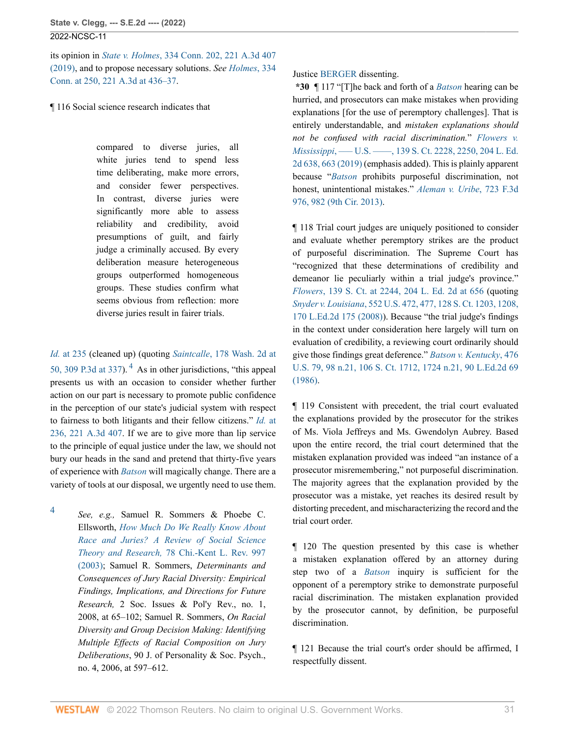<span id="page-30-0"></span>[4](#page-30-1)

its opinion in *State v. Holmes*[, 334 Conn. 202, 221 A.3d 407](http://www.westlaw.com/Link/Document/FullText?findType=Y&serNum=2049895002&pubNum=0007691&originatingDoc=Ie49697508b7d11ec9381ff4a09a81529&refType=RP&originationContext=document&vr=3.0&rs=cblt1.0&transitionType=DocumentItem&contextData=(sc.FindAndPrintPortal)) [\(2019\),](http://www.westlaw.com/Link/Document/FullText?findType=Y&serNum=2049895002&pubNum=0007691&originatingDoc=Ie49697508b7d11ec9381ff4a09a81529&refType=RP&originationContext=document&vr=3.0&rs=cblt1.0&transitionType=DocumentItem&contextData=(sc.FindAndPrintPortal)) and to propose necessary solutions. *See [Holmes](http://www.westlaw.com/Link/Document/FullText?findType=Y&serNum=2049895002&pubNum=0007691&originatingDoc=Ie49697508b7d11ec9381ff4a09a81529&refType=RP&fi=co_pp_sp_7691_436&originationContext=document&vr=3.0&rs=cblt1.0&transitionType=DocumentItem&contextData=(sc.FindAndPrintPortal)#co_pp_sp_7691_436)*, 334 [Conn. at 250, 221 A.3d at 436–37.](http://www.westlaw.com/Link/Document/FullText?findType=Y&serNum=2049895002&pubNum=0007691&originatingDoc=Ie49697508b7d11ec9381ff4a09a81529&refType=RP&fi=co_pp_sp_7691_436&originationContext=document&vr=3.0&rs=cblt1.0&transitionType=DocumentItem&contextData=(sc.FindAndPrintPortal)#co_pp_sp_7691_436)

¶ 116 Social science research indicates that

compared to diverse juries, all white juries tend to spend less time deliberating, make more errors, and consider fewer perspectives. In contrast, diverse juries were significantly more able to assess reliability and credibility, avoid presumptions of guilt, and fairly judge a criminally accused. By every deliberation measure heterogeneous groups outperformed homogeneous groups. These studies confirm what seems obvious from reflection: more diverse juries result in fairer trials.

<span id="page-30-1"></span>*Id.* [at 235](http://www.westlaw.com/Link/Document/FullText?findType=Y&serNum=2049895002&pubNum=0000273&originatingDoc=Ie49697508b7d11ec9381ff4a09a81529&refType=RP&fi=co_pp_sp_273_235&originationContext=document&vr=3.0&rs=cblt1.0&transitionType=DocumentItem&contextData=(sc.FindAndPrintPortal)#co_pp_sp_273_235) (cleaned up) (quoting *Saintcalle*[, 178 Wash. 2d at](http://www.westlaw.com/Link/Document/FullText?findType=Y&serNum=2031199011&pubNum=0004645&originatingDoc=Ie49697508b7d11ec9381ff4a09a81529&refType=RP&fi=co_pp_sp_4645_337&originationContext=document&vr=3.0&rs=cblt1.0&transitionType=DocumentItem&contextData=(sc.FindAndPrintPortal)#co_pp_sp_4645_337) [50, 309 P.3d at 337](http://www.westlaw.com/Link/Document/FullText?findType=Y&serNum=2031199011&pubNum=0004645&originatingDoc=Ie49697508b7d11ec9381ff4a09a81529&refType=RP&fi=co_pp_sp_4645_337&originationContext=document&vr=3.0&rs=cblt1.0&transitionType=DocumentItem&contextData=(sc.FindAndPrintPortal)#co_pp_sp_4645_337)).  $4$  As in other jurisdictions, "this appeal presents us with an occasion to consider whether further action on our part is necessary to promote public confidence in the perception of our state's judicial system with respect to fairness to both litigants and their fellow citizens." *[Id.](http://www.westlaw.com/Link/Document/FullText?findType=Y&serNum=2049895002&pubNum=0007691&originatingDoc=Ie49697508b7d11ec9381ff4a09a81529&refType=RP&fi=co_pp_sp_7691_236&originationContext=document&vr=3.0&rs=cblt1.0&transitionType=DocumentItem&contextData=(sc.FindAndPrintPortal)#co_pp_sp_7691_236)* at [236, 221 A.3d 407.](http://www.westlaw.com/Link/Document/FullText?findType=Y&serNum=2049895002&pubNum=0007691&originatingDoc=Ie49697508b7d11ec9381ff4a09a81529&refType=RP&fi=co_pp_sp_7691_236&originationContext=document&vr=3.0&rs=cblt1.0&transitionType=DocumentItem&contextData=(sc.FindAndPrintPortal)#co_pp_sp_7691_236) If we are to give more than lip service to the principle of equal justice under the law, we should not bury our heads in the sand and pretend that thirty-five years of experience with *[Batson](http://www.westlaw.com/Link/Document/FullText?findType=Y&serNum=1986122459&pubNum=0000708&originatingDoc=Ie49697508b7d11ec9381ff4a09a81529&refType=RP&originationContext=document&vr=3.0&rs=cblt1.0&transitionType=DocumentItem&contextData=(sc.FindAndPrintPortal))* will magically change. There are a variety of tools at our disposal, we urgently need to use them.

*See, e.g.,* Samuel R. Sommers & Phoebe C. Ellsworth, *[How Much Do We Really Know About](http://www.westlaw.com/Link/Document/FullText?findType=Y&serNum=0295911810&pubNum=0001114&originatingDoc=Ie49697508b7d11ec9381ff4a09a81529&refType=LR&originationContext=document&vr=3.0&rs=cblt1.0&transitionType=DocumentItem&contextData=(sc.FindAndPrintPortal)) [Race and Juries? A Review of Social Science](http://www.westlaw.com/Link/Document/FullText?findType=Y&serNum=0295911810&pubNum=0001114&originatingDoc=Ie49697508b7d11ec9381ff4a09a81529&refType=LR&originationContext=document&vr=3.0&rs=cblt1.0&transitionType=DocumentItem&contextData=(sc.FindAndPrintPortal)) Theory and Research,* [78 Chi.-Kent L. Rev. 997](http://www.westlaw.com/Link/Document/FullText?findType=Y&serNum=0295911810&pubNum=0001114&originatingDoc=Ie49697508b7d11ec9381ff4a09a81529&refType=LR&originationContext=document&vr=3.0&rs=cblt1.0&transitionType=DocumentItem&contextData=(sc.FindAndPrintPortal)) [\(2003\);](http://www.westlaw.com/Link/Document/FullText?findType=Y&serNum=0295911810&pubNum=0001114&originatingDoc=Ie49697508b7d11ec9381ff4a09a81529&refType=LR&originationContext=document&vr=3.0&rs=cblt1.0&transitionType=DocumentItem&contextData=(sc.FindAndPrintPortal)) Samuel R. Sommers, *Determinants and Consequences of Jury Racial Diversity: Empirical Findings, Implications, and Directions for Future Research,* 2 Soc. Issues & Pol'y Rev., no. 1, 2008, at 65–102; Samuel R. Sommers, *On Racial Diversity and Group Decision Making: Identifying Multiple Effects of Racial Composition on Jury Deliberations*, 90 J. of Personality & Soc. Psych., no. 4, 2006, at 597–612.

# Justice [BERGER](http://www.westlaw.com/Link/Document/FullText?findType=h&pubNum=176284&cite=0500084899&originatingDoc=Ie49697508b7d11ec9381ff4a09a81529&refType=RQ&originationContext=document&vr=3.0&rs=cblt1.0&transitionType=DocumentItem&contextData=(sc.FindAndPrintPortal)) dissenting.

**\*30** ¶ 117 "[T]he back and forth of a *[Batson](http://www.westlaw.com/Link/Document/FullText?findType=Y&serNum=1986122459&pubNum=0000708&originatingDoc=Ie49697508b7d11ec9381ff4a09a81529&refType=RP&originationContext=document&vr=3.0&rs=cblt1.0&transitionType=DocumentItem&contextData=(sc.FindAndPrintPortal))* hearing can be hurried, and prosecutors can make mistakes when providing explanations [for the use of peremptory challenges]. That is entirely understandable, and *mistaken explanations should not be confused with racial discrimination.*" *[Flowers v.](http://www.westlaw.com/Link/Document/FullText?findType=Y&serNum=2048538049&pubNum=0000708&originatingDoc=Ie49697508b7d11ec9381ff4a09a81529&refType=RP&fi=co_pp_sp_708_2250&originationContext=document&vr=3.0&rs=cblt1.0&transitionType=DocumentItem&contextData=(sc.FindAndPrintPortal)#co_pp_sp_708_2250) Mississippi*, — U.S. — , 139 S. Ct. 2228, 2250, 204 L. Ed. [2d 638, 663 \(2019\)](http://www.westlaw.com/Link/Document/FullText?findType=Y&serNum=2048538049&pubNum=0000708&originatingDoc=Ie49697508b7d11ec9381ff4a09a81529&refType=RP&fi=co_pp_sp_708_2250&originationContext=document&vr=3.0&rs=cblt1.0&transitionType=DocumentItem&contextData=(sc.FindAndPrintPortal)#co_pp_sp_708_2250) (emphasis added). This is plainly apparent because "*[Batson](http://www.westlaw.com/Link/Document/FullText?findType=Y&serNum=1986122459&pubNum=0000708&originatingDoc=Ie49697508b7d11ec9381ff4a09a81529&refType=RP&originationContext=document&vr=3.0&rs=cblt1.0&transitionType=DocumentItem&contextData=(sc.FindAndPrintPortal))* prohibits purposeful discrimination, not honest, unintentional mistakes." *[Aleman v. Uribe](http://www.westlaw.com/Link/Document/FullText?findType=Y&serNum=2030996407&pubNum=0000506&originatingDoc=Ie49697508b7d11ec9381ff4a09a81529&refType=RP&fi=co_pp_sp_506_982&originationContext=document&vr=3.0&rs=cblt1.0&transitionType=DocumentItem&contextData=(sc.FindAndPrintPortal)#co_pp_sp_506_982)*, 723 F.3d [976, 982 \(9th Cir. 2013\).](http://www.westlaw.com/Link/Document/FullText?findType=Y&serNum=2030996407&pubNum=0000506&originatingDoc=Ie49697508b7d11ec9381ff4a09a81529&refType=RP&fi=co_pp_sp_506_982&originationContext=document&vr=3.0&rs=cblt1.0&transitionType=DocumentItem&contextData=(sc.FindAndPrintPortal)#co_pp_sp_506_982)

¶ 118 Trial court judges are uniquely positioned to consider and evaluate whether peremptory strikes are the product of purposeful discrimination. The Supreme Court has "recognized that these determinations of credibility and demeanor lie peculiarly within a trial judge's province." *Flowers*[, 139 S. Ct. at 2244, 204 L. Ed. 2d at 656](http://www.westlaw.com/Link/Document/FullText?findType=Y&serNum=2048538049&pubNum=0000708&originatingDoc=Ie49697508b7d11ec9381ff4a09a81529&refType=RP&fi=co_pp_sp_708_2244&originationContext=document&vr=3.0&rs=cblt1.0&transitionType=DocumentItem&contextData=(sc.FindAndPrintPortal)#co_pp_sp_708_2244) (quoting *Snyder v. Louisiana*[, 552 U.S. 472, 477, 128 S. Ct. 1203, 1208,](http://www.westlaw.com/Link/Document/FullText?findType=Y&serNum=2015520672&pubNum=0000708&originatingDoc=Ie49697508b7d11ec9381ff4a09a81529&refType=RP&fi=co_pp_sp_708_1208&originationContext=document&vr=3.0&rs=cblt1.0&transitionType=DocumentItem&contextData=(sc.FindAndPrintPortal)#co_pp_sp_708_1208) [170 L.Ed.2d 175 \(2008\)\)](http://www.westlaw.com/Link/Document/FullText?findType=Y&serNum=2015520672&pubNum=0000708&originatingDoc=Ie49697508b7d11ec9381ff4a09a81529&refType=RP&fi=co_pp_sp_708_1208&originationContext=document&vr=3.0&rs=cblt1.0&transitionType=DocumentItem&contextData=(sc.FindAndPrintPortal)#co_pp_sp_708_1208). Because "the trial judge's findings in the context under consideration here largely will turn on evaluation of credibility, a reviewing court ordinarily should give those findings great deference." *[Batson v. Kentucky](http://www.westlaw.com/Link/Document/FullText?findType=Y&serNum=1986122459&pubNum=0000708&originatingDoc=Ie49697508b7d11ec9381ff4a09a81529&refType=RP&fi=co_pp_sp_708_1724&originationContext=document&vr=3.0&rs=cblt1.0&transitionType=DocumentItem&contextData=(sc.FindAndPrintPortal)#co_pp_sp_708_1724)*, 476 [U.S. 79, 98 n.21, 106 S. Ct. 1712, 1724 n.21, 90 L.Ed.2d 69](http://www.westlaw.com/Link/Document/FullText?findType=Y&serNum=1986122459&pubNum=0000708&originatingDoc=Ie49697508b7d11ec9381ff4a09a81529&refType=RP&fi=co_pp_sp_708_1724&originationContext=document&vr=3.0&rs=cblt1.0&transitionType=DocumentItem&contextData=(sc.FindAndPrintPortal)#co_pp_sp_708_1724) [\(1986\).](http://www.westlaw.com/Link/Document/FullText?findType=Y&serNum=1986122459&pubNum=0000708&originatingDoc=Ie49697508b7d11ec9381ff4a09a81529&refType=RP&fi=co_pp_sp_708_1724&originationContext=document&vr=3.0&rs=cblt1.0&transitionType=DocumentItem&contextData=(sc.FindAndPrintPortal)#co_pp_sp_708_1724)

¶ 119 Consistent with precedent, the trial court evaluated the explanations provided by the prosecutor for the strikes of Ms. Viola Jeffreys and Ms. Gwendolyn Aubrey. Based upon the entire record, the trial court determined that the mistaken explanation provided was indeed "an instance of a prosecutor misremembering," not purposeful discrimination. The majority agrees that the explanation provided by the prosecutor was a mistake, yet reaches its desired result by distorting precedent, and mischaracterizing the record and the trial court order.

¶ 120 The question presented by this case is whether a mistaken explanation offered by an attorney during step two of a *[Batson](http://www.westlaw.com/Link/Document/FullText?findType=Y&serNum=1986122459&pubNum=0000708&originatingDoc=Ie49697508b7d11ec9381ff4a09a81529&refType=RP&originationContext=document&vr=3.0&rs=cblt1.0&transitionType=DocumentItem&contextData=(sc.FindAndPrintPortal))* inquiry is sufficient for the opponent of a peremptory strike to demonstrate purposeful racial discrimination. The mistaken explanation provided by the prosecutor cannot, by definition, be purposeful discrimination.

¶ 121 Because the trial court's order should be affirmed, I respectfully dissent.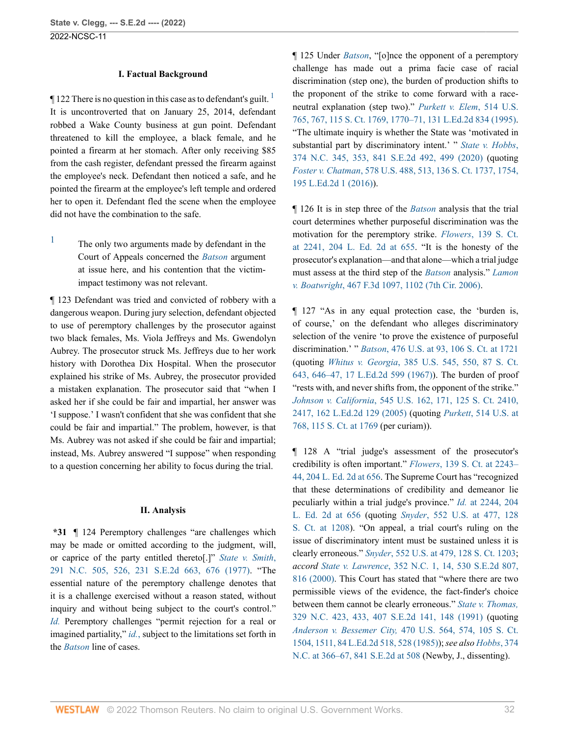#### **I. Factual Background**

 $\P$  [1](#page-31-0)22 There is no question in this case as to defendant's guilt. It is uncontroverted that on January 25, 2014, defendant robbed a Wake County business at gun point. Defendant threatened to kill the employee, a black female, and he pointed a firearm at her stomach. After only receiving \$85 from the cash register, defendant pressed the firearm against the employee's neck. Defendant then noticed a safe, and he pointed the firearm at the employee's left temple and ordered her to open it. Defendant fled the scene when the employee did not have the combination to the safe.

<span id="page-31-0"></span>[1](#page-31-1) The only two arguments made by defendant in the Court of Appeals concerned the *[Batson](http://www.westlaw.com/Link/Document/FullText?findType=Y&serNum=1986122459&pubNum=0000708&originatingDoc=Ie49697508b7d11ec9381ff4a09a81529&refType=RP&originationContext=document&vr=3.0&rs=cblt1.0&transitionType=DocumentItem&contextData=(sc.FindAndPrintPortal))* argument at issue here, and his contention that the victimimpact testimony was not relevant.

¶ 123 Defendant was tried and convicted of robbery with a dangerous weapon. During jury selection, defendant objected to use of peremptory challenges by the prosecutor against two black females, Ms. Viola Jeffreys and Ms. Gwendolyn Aubrey. The prosecutor struck Ms. Jeffreys due to her work history with Dorothea Dix Hospital. When the prosecutor explained his strike of Ms. Aubrey, the prosecutor provided a mistaken explanation. The prosecutor said that "when I asked her if she could be fair and impartial, her answer was 'I suppose.' I wasn't confident that she was confident that she could be fair and impartial." The problem, however, is that Ms. Aubrey was not asked if she could be fair and impartial; instead, Ms. Aubrey answered "I suppose" when responding to a question concerning her ability to focus during the trial.

#### **II. Analysis**

**\*31** ¶ 124 Peremptory challenges "are challenges which may be made or omitted according to the judgment, will, or caprice of the party entitled thereto[.]" *[State v. Smith](http://www.westlaw.com/Link/Document/FullText?findType=Y&serNum=1977113412&pubNum=0000711&originatingDoc=Ie49697508b7d11ec9381ff4a09a81529&refType=RP&fi=co_pp_sp_711_676&originationContext=document&vr=3.0&rs=cblt1.0&transitionType=DocumentItem&contextData=(sc.FindAndPrintPortal)#co_pp_sp_711_676)*, [291 N.C. 505, 526, 231 S.E.2d 663, 676 \(1977\).](http://www.westlaw.com/Link/Document/FullText?findType=Y&serNum=1977113412&pubNum=0000711&originatingDoc=Ie49697508b7d11ec9381ff4a09a81529&refType=RP&fi=co_pp_sp_711_676&originationContext=document&vr=3.0&rs=cblt1.0&transitionType=DocumentItem&contextData=(sc.FindAndPrintPortal)#co_pp_sp_711_676) "The essential nature of the peremptory challenge denotes that it is a challenge exercised without a reason stated, without inquiry and without being subject to the court's control." *[Id.](http://www.westlaw.com/Link/Document/FullText?findType=Y&serNum=1977113412&pubNum=0000572&originatingDoc=Ie49697508b7d11ec9381ff4a09a81529&refType=RP&originationContext=document&vr=3.0&rs=cblt1.0&transitionType=DocumentItem&contextData=(sc.FindAndPrintPortal))* Peremptory challenges "permit rejection for a real or imagined partiality," *[id.](http://www.westlaw.com/Link/Document/FullText?findType=Y&serNum=1977113412&pubNum=0000572&originatingDoc=Ie49697508b7d11ec9381ff4a09a81529&refType=RP&originationContext=document&vr=3.0&rs=cblt1.0&transitionType=DocumentItem&contextData=(sc.FindAndPrintPortal))*, subject to the limitations set forth in the *[Batson](http://www.westlaw.com/Link/Document/FullText?findType=Y&serNum=1986122459&pubNum=0000708&originatingDoc=Ie49697508b7d11ec9381ff4a09a81529&refType=RP&originationContext=document&vr=3.0&rs=cblt1.0&transitionType=DocumentItem&contextData=(sc.FindAndPrintPortal))* line of cases.

<span id="page-31-1"></span>¶ 125 Under *[Batson](http://www.westlaw.com/Link/Document/FullText?findType=Y&serNum=1986122459&pubNum=0000708&originatingDoc=Ie49697508b7d11ec9381ff4a09a81529&refType=RP&originationContext=document&vr=3.0&rs=cblt1.0&transitionType=DocumentItem&contextData=(sc.FindAndPrintPortal))*, "[o]nce the opponent of a peremptory challenge has made out a prima facie case of racial discrimination (step one), the burden of production shifts to the proponent of the strike to come forward with a raceneutral explanation (step two)." *[Purkett v. Elem](http://www.westlaw.com/Link/Document/FullText?findType=Y&serNum=1995107859&pubNum=0000708&originatingDoc=Ie49697508b7d11ec9381ff4a09a81529&refType=RP&fi=co_pp_sp_708_1770&originationContext=document&vr=3.0&rs=cblt1.0&transitionType=DocumentItem&contextData=(sc.FindAndPrintPortal)#co_pp_sp_708_1770)*, 514 U.S. [765, 767, 115 S. Ct. 1769, 1770–71, 131 L.Ed.2d 834 \(1995\).](http://www.westlaw.com/Link/Document/FullText?findType=Y&serNum=1995107859&pubNum=0000708&originatingDoc=Ie49697508b7d11ec9381ff4a09a81529&refType=RP&fi=co_pp_sp_708_1770&originationContext=document&vr=3.0&rs=cblt1.0&transitionType=DocumentItem&contextData=(sc.FindAndPrintPortal)#co_pp_sp_708_1770) "The ultimate inquiry is whether the State was 'motivated in substantial part by discriminatory intent.' " *[State v. Hobbs](http://www.westlaw.com/Link/Document/FullText?findType=Y&serNum=2050891787&pubNum=0000711&originatingDoc=Ie49697508b7d11ec9381ff4a09a81529&refType=RP&fi=co_pp_sp_711_499&originationContext=document&vr=3.0&rs=cblt1.0&transitionType=DocumentItem&contextData=(sc.FindAndPrintPortal)#co_pp_sp_711_499)*, [374 N.C. 345, 353, 841 S.E.2d 492, 499 \(2020\)](http://www.westlaw.com/Link/Document/FullText?findType=Y&serNum=2050891787&pubNum=0000711&originatingDoc=Ie49697508b7d11ec9381ff4a09a81529&refType=RP&fi=co_pp_sp_711_499&originationContext=document&vr=3.0&rs=cblt1.0&transitionType=DocumentItem&contextData=(sc.FindAndPrintPortal)#co_pp_sp_711_499) (quoting *Foster v. Chatman*[, 578 U.S. 488, 513, 136 S. Ct. 1737, 1754,](http://www.westlaw.com/Link/Document/FullText?findType=Y&serNum=2038892556&pubNum=0000708&originatingDoc=Ie49697508b7d11ec9381ff4a09a81529&refType=RP&fi=co_pp_sp_708_1754&originationContext=document&vr=3.0&rs=cblt1.0&transitionType=DocumentItem&contextData=(sc.FindAndPrintPortal)#co_pp_sp_708_1754) [195 L.Ed.2d 1 \(2016\)](http://www.westlaw.com/Link/Document/FullText?findType=Y&serNum=2038892556&pubNum=0000708&originatingDoc=Ie49697508b7d11ec9381ff4a09a81529&refType=RP&fi=co_pp_sp_708_1754&originationContext=document&vr=3.0&rs=cblt1.0&transitionType=DocumentItem&contextData=(sc.FindAndPrintPortal)#co_pp_sp_708_1754)).

¶ 126 It is in step three of the *[Batson](http://www.westlaw.com/Link/Document/FullText?findType=Y&serNum=1986122459&pubNum=0000708&originatingDoc=Ie49697508b7d11ec9381ff4a09a81529&refType=RP&originationContext=document&vr=3.0&rs=cblt1.0&transitionType=DocumentItem&contextData=(sc.FindAndPrintPortal))* analysis that the trial court determines whether purposeful discrimination was the motivation for the peremptory strike. *Flowers*[, 139 S. Ct.](http://www.westlaw.com/Link/Document/FullText?findType=Y&serNum=2048538049&pubNum=0000708&originatingDoc=Ie49697508b7d11ec9381ff4a09a81529&refType=RP&fi=co_pp_sp_708_2241&originationContext=document&vr=3.0&rs=cblt1.0&transitionType=DocumentItem&contextData=(sc.FindAndPrintPortal)#co_pp_sp_708_2241) [at 2241, 204 L. Ed. 2d at 655.](http://www.westlaw.com/Link/Document/FullText?findType=Y&serNum=2048538049&pubNum=0000708&originatingDoc=Ie49697508b7d11ec9381ff4a09a81529&refType=RP&fi=co_pp_sp_708_2241&originationContext=document&vr=3.0&rs=cblt1.0&transitionType=DocumentItem&contextData=(sc.FindAndPrintPortal)#co_pp_sp_708_2241) "It is the honesty of the prosecutor's explanation—and that alone—which a trial judge must assess at the third step of the *[Batson](http://www.westlaw.com/Link/Document/FullText?findType=Y&serNum=1986122459&pubNum=0000708&originatingDoc=Ie49697508b7d11ec9381ff4a09a81529&refType=RP&originationContext=document&vr=3.0&rs=cblt1.0&transitionType=DocumentItem&contextData=(sc.FindAndPrintPortal))* analysis." *[Lamon](http://www.westlaw.com/Link/Document/FullText?findType=Y&serNum=2010602306&pubNum=0000506&originatingDoc=Ie49697508b7d11ec9381ff4a09a81529&refType=RP&fi=co_pp_sp_506_1102&originationContext=document&vr=3.0&rs=cblt1.0&transitionType=DocumentItem&contextData=(sc.FindAndPrintPortal)#co_pp_sp_506_1102) v. Boatwright*[, 467 F.3d 1097, 1102 \(7th Cir. 2006\)](http://www.westlaw.com/Link/Document/FullText?findType=Y&serNum=2010602306&pubNum=0000506&originatingDoc=Ie49697508b7d11ec9381ff4a09a81529&refType=RP&fi=co_pp_sp_506_1102&originationContext=document&vr=3.0&rs=cblt1.0&transitionType=DocumentItem&contextData=(sc.FindAndPrintPortal)#co_pp_sp_506_1102).

¶ 127 "As in any equal protection case, the 'burden is, of course,' on the defendant who alleges discriminatory selection of the venire 'to prove the existence of purposeful discrimination.' " *Batson*[, 476 U.S. at 93, 106 S. Ct. at 1721](http://www.westlaw.com/Link/Document/FullText?findType=Y&serNum=1986122459&pubNum=0000708&originatingDoc=Ie49697508b7d11ec9381ff4a09a81529&refType=RP&fi=co_pp_sp_708_1721&originationContext=document&vr=3.0&rs=cblt1.0&transitionType=DocumentItem&contextData=(sc.FindAndPrintPortal)#co_pp_sp_708_1721) (quoting *Whitus v. Georgia*[, 385 U.S. 545, 550, 87 S. Ct.](http://www.westlaw.com/Link/Document/FullText?findType=Y&serNum=1967129463&pubNum=0000708&originatingDoc=Ie49697508b7d11ec9381ff4a09a81529&refType=RP&fi=co_pp_sp_708_646&originationContext=document&vr=3.0&rs=cblt1.0&transitionType=DocumentItem&contextData=(sc.FindAndPrintPortal)#co_pp_sp_708_646) [643, 646–47, 17 L.Ed.2d 599 \(1967\)\)](http://www.westlaw.com/Link/Document/FullText?findType=Y&serNum=1967129463&pubNum=0000708&originatingDoc=Ie49697508b7d11ec9381ff4a09a81529&refType=RP&fi=co_pp_sp_708_646&originationContext=document&vr=3.0&rs=cblt1.0&transitionType=DocumentItem&contextData=(sc.FindAndPrintPortal)#co_pp_sp_708_646). The burden of proof "rests with, and never shifts from, the opponent of the strike." *Johnson v. California*[, 545 U.S. 162, 171, 125 S. Ct. 2410,](http://www.westlaw.com/Link/Document/FullText?findType=Y&serNum=2006791983&pubNum=0000708&originatingDoc=Ie49697508b7d11ec9381ff4a09a81529&refType=RP&fi=co_pp_sp_708_2417&originationContext=document&vr=3.0&rs=cblt1.0&transitionType=DocumentItem&contextData=(sc.FindAndPrintPortal)#co_pp_sp_708_2417) [2417, 162 L.Ed.2d 129 \(2005\)](http://www.westlaw.com/Link/Document/FullText?findType=Y&serNum=2006791983&pubNum=0000708&originatingDoc=Ie49697508b7d11ec9381ff4a09a81529&refType=RP&fi=co_pp_sp_708_2417&originationContext=document&vr=3.0&rs=cblt1.0&transitionType=DocumentItem&contextData=(sc.FindAndPrintPortal)#co_pp_sp_708_2417) (quoting *Purkett*[, 514 U.S. at](http://www.westlaw.com/Link/Document/FullText?findType=Y&serNum=1995107859&pubNum=0000708&originatingDoc=Ie49697508b7d11ec9381ff4a09a81529&refType=RP&fi=co_pp_sp_708_1769&originationContext=document&vr=3.0&rs=cblt1.0&transitionType=DocumentItem&contextData=(sc.FindAndPrintPortal)#co_pp_sp_708_1769) [768, 115 S. Ct. at 1769](http://www.westlaw.com/Link/Document/FullText?findType=Y&serNum=1995107859&pubNum=0000708&originatingDoc=Ie49697508b7d11ec9381ff4a09a81529&refType=RP&fi=co_pp_sp_708_1769&originationContext=document&vr=3.0&rs=cblt1.0&transitionType=DocumentItem&contextData=(sc.FindAndPrintPortal)#co_pp_sp_708_1769) (per curiam)).

¶ 128 A "trial judge's assessment of the prosecutor's credibility is often important." *Flowers*[, 139 S. Ct. at 2243–](http://www.westlaw.com/Link/Document/FullText?findType=Y&serNum=2048538049&pubNum=0000708&originatingDoc=Ie49697508b7d11ec9381ff4a09a81529&refType=RP&fi=co_pp_sp_708_2243&originationContext=document&vr=3.0&rs=cblt1.0&transitionType=DocumentItem&contextData=(sc.FindAndPrintPortal)#co_pp_sp_708_2243) [44, 204 L. Ed. 2d at 656.](http://www.westlaw.com/Link/Document/FullText?findType=Y&serNum=2048538049&pubNum=0000708&originatingDoc=Ie49697508b7d11ec9381ff4a09a81529&refType=RP&fi=co_pp_sp_708_2243&originationContext=document&vr=3.0&rs=cblt1.0&transitionType=DocumentItem&contextData=(sc.FindAndPrintPortal)#co_pp_sp_708_2243) The Supreme Court has "recognized that these determinations of credibility and demeanor lie peculiarly within a trial judge's province." *Id.* [at 2244, 204](http://www.westlaw.com/Link/Document/FullText?findType=Y&serNum=2048538049&pubNum=0000471&originatingDoc=Ie49697508b7d11ec9381ff4a09a81529&refType=RP&fi=co_pp_sp_471_656&originationContext=document&vr=3.0&rs=cblt1.0&transitionType=DocumentItem&contextData=(sc.FindAndPrintPortal)#co_pp_sp_471_656) [L. Ed. 2d at 656](http://www.westlaw.com/Link/Document/FullText?findType=Y&serNum=2048538049&pubNum=0000471&originatingDoc=Ie49697508b7d11ec9381ff4a09a81529&refType=RP&fi=co_pp_sp_471_656&originationContext=document&vr=3.0&rs=cblt1.0&transitionType=DocumentItem&contextData=(sc.FindAndPrintPortal)#co_pp_sp_471_656) (quoting *Snyder*[, 552 U.S. at 477, 128](http://www.westlaw.com/Link/Document/FullText?findType=Y&serNum=2015520672&pubNum=0000708&originatingDoc=Ie49697508b7d11ec9381ff4a09a81529&refType=RP&fi=co_pp_sp_708_1208&originationContext=document&vr=3.0&rs=cblt1.0&transitionType=DocumentItem&contextData=(sc.FindAndPrintPortal)#co_pp_sp_708_1208) [S. Ct. at 1208](http://www.westlaw.com/Link/Document/FullText?findType=Y&serNum=2015520672&pubNum=0000708&originatingDoc=Ie49697508b7d11ec9381ff4a09a81529&refType=RP&fi=co_pp_sp_708_1208&originationContext=document&vr=3.0&rs=cblt1.0&transitionType=DocumentItem&contextData=(sc.FindAndPrintPortal)#co_pp_sp_708_1208)). "On appeal, a trial court's ruling on the issue of discriminatory intent must be sustained unless it is clearly erroneous." *Snyder*[, 552 U.S. at 479, 128 S. Ct. 1203](http://www.westlaw.com/Link/Document/FullText?findType=Y&serNum=2015520672&pubNum=0000780&originatingDoc=Ie49697508b7d11ec9381ff4a09a81529&refType=RP&fi=co_pp_sp_780_479&originationContext=document&vr=3.0&rs=cblt1.0&transitionType=DocumentItem&contextData=(sc.FindAndPrintPortal)#co_pp_sp_780_479); *accord State v. Lawrence*[, 352 N.C. 1, 14, 530 S.E.2d 807,](http://www.westlaw.com/Link/Document/FullText?findType=Y&serNum=2000385069&pubNum=0000711&originatingDoc=Ie49697508b7d11ec9381ff4a09a81529&refType=RP&fi=co_pp_sp_711_816&originationContext=document&vr=3.0&rs=cblt1.0&transitionType=DocumentItem&contextData=(sc.FindAndPrintPortal)#co_pp_sp_711_816) [816 \(2000\).](http://www.westlaw.com/Link/Document/FullText?findType=Y&serNum=2000385069&pubNum=0000711&originatingDoc=Ie49697508b7d11ec9381ff4a09a81529&refType=RP&fi=co_pp_sp_711_816&originationContext=document&vr=3.0&rs=cblt1.0&transitionType=DocumentItem&contextData=(sc.FindAndPrintPortal)#co_pp_sp_711_816) This Court has stated that "where there are two permissible views of the evidence, the fact-finder's choice between them cannot be clearly erroneous." *[State v. Thomas,](http://www.westlaw.com/Link/Document/FullText?findType=Y&serNum=1991141756&pubNum=0000711&originatingDoc=Ie49697508b7d11ec9381ff4a09a81529&refType=RP&fi=co_pp_sp_711_148&originationContext=document&vr=3.0&rs=cblt1.0&transitionType=DocumentItem&contextData=(sc.FindAndPrintPortal)#co_pp_sp_711_148)* [329 N.C. 423, 433, 407 S.E.2d 141, 148 \(1991\)](http://www.westlaw.com/Link/Document/FullText?findType=Y&serNum=1991141756&pubNum=0000711&originatingDoc=Ie49697508b7d11ec9381ff4a09a81529&refType=RP&fi=co_pp_sp_711_148&originationContext=document&vr=3.0&rs=cblt1.0&transitionType=DocumentItem&contextData=(sc.FindAndPrintPortal)#co_pp_sp_711_148) (quoting *Anderson v. Bessemer City,* [470 U.S. 564, 574, 105 S. Ct.](http://www.westlaw.com/Link/Document/FullText?findType=Y&serNum=1985114055&pubNum=0000708&originatingDoc=Ie49697508b7d11ec9381ff4a09a81529&refType=RP&fi=co_pp_sp_708_1511&originationContext=document&vr=3.0&rs=cblt1.0&transitionType=DocumentItem&contextData=(sc.FindAndPrintPortal)#co_pp_sp_708_1511) [1504, 1511, 84 L.Ed.2d 518, 528 \(1985\)\)](http://www.westlaw.com/Link/Document/FullText?findType=Y&serNum=1985114055&pubNum=0000708&originatingDoc=Ie49697508b7d11ec9381ff4a09a81529&refType=RP&fi=co_pp_sp_708_1511&originationContext=document&vr=3.0&rs=cblt1.0&transitionType=DocumentItem&contextData=(sc.FindAndPrintPortal)#co_pp_sp_708_1511); *see also [Hobbs](http://www.westlaw.com/Link/Document/FullText?findType=Y&serNum=2050891787&pubNum=0000711&originatingDoc=Ie49697508b7d11ec9381ff4a09a81529&refType=RP&fi=co_pp_sp_711_508&originationContext=document&vr=3.0&rs=cblt1.0&transitionType=DocumentItem&contextData=(sc.FindAndPrintPortal)#co_pp_sp_711_508)*, 374 [N.C. at 366–67, 841 S.E.2d at 508](http://www.westlaw.com/Link/Document/FullText?findType=Y&serNum=2050891787&pubNum=0000711&originatingDoc=Ie49697508b7d11ec9381ff4a09a81529&refType=RP&fi=co_pp_sp_711_508&originationContext=document&vr=3.0&rs=cblt1.0&transitionType=DocumentItem&contextData=(sc.FindAndPrintPortal)#co_pp_sp_711_508) (Newby, J., dissenting).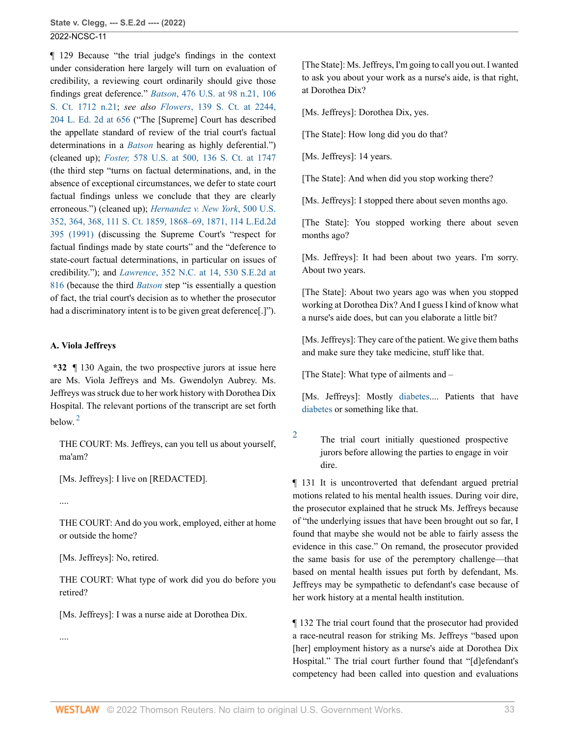¶ 129 Because "the trial judge's findings in the context under consideration here largely will turn on evaluation of credibility, a reviewing court ordinarily should give those findings great deference." *Batson*[, 476 U.S. at 98 n.21, 106](http://www.westlaw.com/Link/Document/FullText?findType=Y&serNum=1986122459&pubNum=0000780&originatingDoc=Ie49697508b7d11ec9381ff4a09a81529&refType=RP&fi=co_pp_sp_780_98&originationContext=document&vr=3.0&rs=cblt1.0&transitionType=DocumentItem&contextData=(sc.FindAndPrintPortal)#co_pp_sp_780_98) [S. Ct. 1712 n.21](http://www.westlaw.com/Link/Document/FullText?findType=Y&serNum=1986122459&pubNum=0000780&originatingDoc=Ie49697508b7d11ec9381ff4a09a81529&refType=RP&fi=co_pp_sp_780_98&originationContext=document&vr=3.0&rs=cblt1.0&transitionType=DocumentItem&contextData=(sc.FindAndPrintPortal)#co_pp_sp_780_98); *see also Flowers*[, 139 S. Ct. at 2244,](http://www.westlaw.com/Link/Document/FullText?findType=Y&serNum=2048538049&pubNum=0000708&originatingDoc=Ie49697508b7d11ec9381ff4a09a81529&refType=RP&fi=co_pp_sp_708_2244&originationContext=document&vr=3.0&rs=cblt1.0&transitionType=DocumentItem&contextData=(sc.FindAndPrintPortal)#co_pp_sp_708_2244) [204 L. Ed. 2d at 656](http://www.westlaw.com/Link/Document/FullText?findType=Y&serNum=2048538049&pubNum=0000708&originatingDoc=Ie49697508b7d11ec9381ff4a09a81529&refType=RP&fi=co_pp_sp_708_2244&originationContext=document&vr=3.0&rs=cblt1.0&transitionType=DocumentItem&contextData=(sc.FindAndPrintPortal)#co_pp_sp_708_2244) ("The [Supreme] Court has described the appellate standard of review of the trial court's factual determinations in a *[Batson](http://www.westlaw.com/Link/Document/FullText?findType=Y&serNum=1986122459&pubNum=0000708&originatingDoc=Ie49697508b7d11ec9381ff4a09a81529&refType=RP&originationContext=document&vr=3.0&rs=cblt1.0&transitionType=DocumentItem&contextData=(sc.FindAndPrintPortal))* hearing as highly deferential.") (cleaned up); *Foster,* [578 U.S. at 500, 136 S. Ct. at 1747](http://www.westlaw.com/Link/Document/FullText?findType=Y&serNum=2038892556&pubNum=0000708&originatingDoc=Ie49697508b7d11ec9381ff4a09a81529&refType=RP&fi=co_pp_sp_708_1747&originationContext=document&vr=3.0&rs=cblt1.0&transitionType=DocumentItem&contextData=(sc.FindAndPrintPortal)#co_pp_sp_708_1747) (the third step "turns on factual determinations, and, in the absence of exceptional circumstances, we defer to state court factual findings unless we conclude that they are clearly erroneous.") (cleaned up); *[Hernandez v. New York](http://www.westlaw.com/Link/Document/FullText?findType=Y&serNum=1991097682&pubNum=0000708&originatingDoc=Ie49697508b7d11ec9381ff4a09a81529&refType=RP&fi=co_pp_sp_708_1868&originationContext=document&vr=3.0&rs=cblt1.0&transitionType=DocumentItem&contextData=(sc.FindAndPrintPortal)#co_pp_sp_708_1868)*, 500 U.S. [352, 364, 368, 111 S. Ct. 1859, 1868–69, 1871, 114 L.Ed.2d](http://www.westlaw.com/Link/Document/FullText?findType=Y&serNum=1991097682&pubNum=0000708&originatingDoc=Ie49697508b7d11ec9381ff4a09a81529&refType=RP&fi=co_pp_sp_708_1868&originationContext=document&vr=3.0&rs=cblt1.0&transitionType=DocumentItem&contextData=(sc.FindAndPrintPortal)#co_pp_sp_708_1868) [395 \(1991\)](http://www.westlaw.com/Link/Document/FullText?findType=Y&serNum=1991097682&pubNum=0000708&originatingDoc=Ie49697508b7d11ec9381ff4a09a81529&refType=RP&fi=co_pp_sp_708_1868&originationContext=document&vr=3.0&rs=cblt1.0&transitionType=DocumentItem&contextData=(sc.FindAndPrintPortal)#co_pp_sp_708_1868) (discussing the Supreme Court's "respect for factual findings made by state courts" and the "deference to state-court factual determinations, in particular on issues of credibility."); and *Lawrence*[, 352 N.C. at 14, 530 S.E.2d at](http://www.westlaw.com/Link/Document/FullText?findType=Y&serNum=2000385069&pubNum=0000711&originatingDoc=Ie49697508b7d11ec9381ff4a09a81529&refType=RP&fi=co_pp_sp_711_816&originationContext=document&vr=3.0&rs=cblt1.0&transitionType=DocumentItem&contextData=(sc.FindAndPrintPortal)#co_pp_sp_711_816) [816](http://www.westlaw.com/Link/Document/FullText?findType=Y&serNum=2000385069&pubNum=0000711&originatingDoc=Ie49697508b7d11ec9381ff4a09a81529&refType=RP&fi=co_pp_sp_711_816&originationContext=document&vr=3.0&rs=cblt1.0&transitionType=DocumentItem&contextData=(sc.FindAndPrintPortal)#co_pp_sp_711_816) (because the third *[Batson](http://www.westlaw.com/Link/Document/FullText?findType=Y&serNum=1986122459&pubNum=0000708&originatingDoc=Ie49697508b7d11ec9381ff4a09a81529&refType=RP&originationContext=document&vr=3.0&rs=cblt1.0&transitionType=DocumentItem&contextData=(sc.FindAndPrintPortal))* step "is essentially a question of fact, the trial court's decision as to whether the prosecutor had a discriminatory intent is to be given great deference[.]").

# **A. Viola Jeffreys**

**\*32** ¶ 130 Again, the two prospective jurors at issue here are Ms. Viola Jeffreys and Ms. Gwendolyn Aubrey. Ms. Jeffreys was struck due to her work history with Dorothea Dix Hospital. The relevant portions of the transcript are set forth below. [2](#page-32-0)

<span id="page-32-1"></span>THE COURT: Ms. Jeffreys, can you tell us about yourself, ma'am?

[Ms. Jeffreys]: I live on [REDACTED].

....

THE COURT: And do you work, employed, either at home or outside the home?

[Ms. Jeffreys]: No, retired.

THE COURT: What type of work did you do before you retired?

[Ms. Jeffreys]: I was a nurse aide at Dorothea Dix.

....

[The State]: Ms. Jeffreys, I'm going to call you out. I wanted to ask you about your work as a nurse's aide, is that right, at Dorothea Dix?

[Ms. Jeffreys]: Dorothea Dix, yes.

[The State]: How long did you do that?

[Ms. Jeffreys]: 14 years.

[The State]: And when did you stop working there?

[Ms. Jeffreys]: I stopped there about seven months ago.

[The State]: You stopped working there about seven months ago?

[Ms. Jeffreys]: It had been about two years. I'm sorry. About two years.

[The State]: About two years ago was when you stopped working at Dorothea Dix? And I guess I kind of know what a nurse's aide does, but can you elaborate a little bit?

[Ms. Jeffreys]: They care of the patient. We give them baths and make sure they take medicine, stuff like that.

[The State]: What type of ailments and –

<span id="page-32-0"></span>[2](#page-32-1)

[Ms. Jeffreys]: Mostly [diabetes](http://www.westlaw.com/Link/Document/FullText?entityType=disease&entityId=Ic21f078b475411db9765f9243f53508a&originationContext=document&transitionType=DocumentItem&contextData=(sc.Default)&vr=3.0&rs=cblt1.0).... Patients that have [diabetes](http://www.westlaw.com/Link/Document/FullText?entityType=disease&entityId=Ic21f078b475411db9765f9243f53508a&originationContext=document&transitionType=DocumentItem&contextData=(sc.Default)&vr=3.0&rs=cblt1.0) or something like that.

The trial court initially questioned prospective jurors before allowing the parties to engage in voir dire.

¶ 131 It is uncontroverted that defendant argued pretrial motions related to his mental health issues. During voir dire, the prosecutor explained that he struck Ms. Jeffreys because of "the underlying issues that have been brought out so far, I found that maybe she would not be able to fairly assess the evidence in this case." On remand, the prosecutor provided the same basis for use of the peremptory challenge—that based on mental health issues put forth by defendant, Ms. Jeffreys may be sympathetic to defendant's case because of her work history at a mental health institution.

¶ 132 The trial court found that the prosecutor had provided a race-neutral reason for striking Ms. Jeffreys "based upon [her] employment history as a nurse's aide at Dorothea Dix Hospital." The trial court further found that "[d]efendant's competency had been called into question and evaluations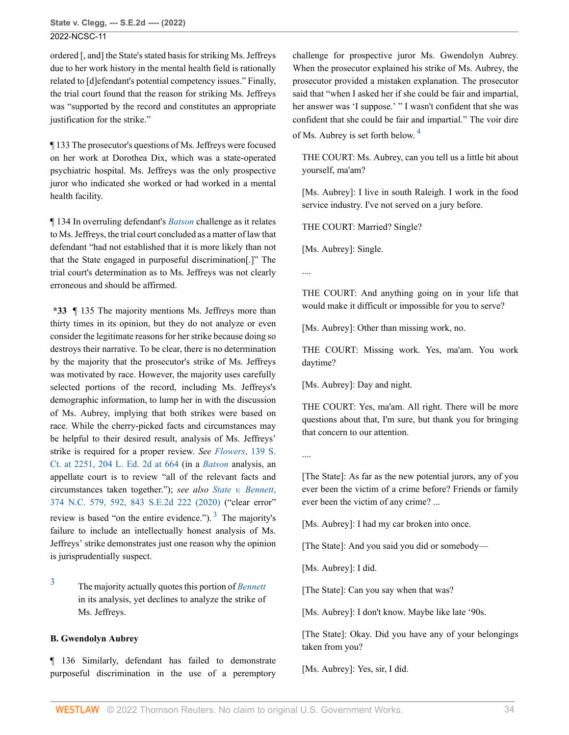ordered [, and] the State's stated basis for striking Ms. Jeffreys due to her work history in the mental health field is rationally related to [d]efendant's potential competency issues." Finally, the trial court found that the reason for striking Ms. Jeffreys was "supported by the record and constitutes an appropriate justification for the strike."

¶ 133 The prosecutor's questions of Ms. Jeffreys were focused on her work at Dorothea Dix, which was a state-operated psychiatric hospital. Ms. Jeffreys was the only prospective juror who indicated she worked or had worked in a mental health facility.

¶ 134 In overruling defendant's *[Batson](http://www.westlaw.com/Link/Document/FullText?findType=Y&serNum=1986122459&pubNum=0000708&originatingDoc=Ie49697508b7d11ec9381ff4a09a81529&refType=RP&originationContext=document&vr=3.0&rs=cblt1.0&transitionType=DocumentItem&contextData=(sc.FindAndPrintPortal))* challenge as it relates to Ms. Jeffreys, the trial court concluded as a matter of law that defendant "had not established that it is more likely than not that the State engaged in purposeful discrimination[.]" The trial court's determination as to Ms. Jeffreys was not clearly erroneous and should be affirmed.

**\*33** ¶ 135 The majority mentions Ms. Jeffreys more than thirty times in its opinion, but they do not analyze or even consider the legitimate reasons for her strike because doing so destroys their narrative. To be clear, there is no determination by the majority that the prosecutor's strike of Ms. Jeffreys was motivated by race. However, the majority uses carefully selected portions of the record, including Ms. Jeffreys's demographic information, to lump her in with the discussion of Ms. Aubrey, implying that both strikes were based on race. While the cherry-picked facts and circumstances may be helpful to their desired result, analysis of Ms. Jeffreys' strike is required for a proper review. *See Flowers*[, 139 S.](http://www.westlaw.com/Link/Document/FullText?findType=Y&serNum=2048538049&pubNum=0000708&originatingDoc=Ie49697508b7d11ec9381ff4a09a81529&refType=RP&fi=co_pp_sp_708_2251&originationContext=document&vr=3.0&rs=cblt1.0&transitionType=DocumentItem&contextData=(sc.FindAndPrintPortal)#co_pp_sp_708_2251) [Ct. at 2251, 204 L. Ed. 2d at 664](http://www.westlaw.com/Link/Document/FullText?findType=Y&serNum=2048538049&pubNum=0000708&originatingDoc=Ie49697508b7d11ec9381ff4a09a81529&refType=RP&fi=co_pp_sp_708_2251&originationContext=document&vr=3.0&rs=cblt1.0&transitionType=DocumentItem&contextData=(sc.FindAndPrintPortal)#co_pp_sp_708_2251) (in a *[Batson](http://www.westlaw.com/Link/Document/FullText?findType=Y&serNum=1986122459&pubNum=0000708&originatingDoc=Ie49697508b7d11ec9381ff4a09a81529&refType=RP&originationContext=document&vr=3.0&rs=cblt1.0&transitionType=DocumentItem&contextData=(sc.FindAndPrintPortal))* analysis, an appellate court is to review "all of the relevant facts and circumstances taken together."); *see also [State v. Bennett](http://www.westlaw.com/Link/Document/FullText?findType=Y&serNum=2051204528&pubNum=0000572&originatingDoc=Ie49697508b7d11ec9381ff4a09a81529&refType=RP&fi=co_pp_sp_572_592&originationContext=document&vr=3.0&rs=cblt1.0&transitionType=DocumentItem&contextData=(sc.FindAndPrintPortal)#co_pp_sp_572_592)*, [374 N.C. 579, 592, 843 S.E.2d 222 \(2020\)](http://www.westlaw.com/Link/Document/FullText?findType=Y&serNum=2051204528&pubNum=0000572&originatingDoc=Ie49697508b7d11ec9381ff4a09a81529&refType=RP&fi=co_pp_sp_572_592&originationContext=document&vr=3.0&rs=cblt1.0&transitionType=DocumentItem&contextData=(sc.FindAndPrintPortal)#co_pp_sp_572_592) ("clear error" review is based "on the entire evidence.").  $3$  The majority's failure to include an intellectually honest analysis of Ms. Jeffreys' strike demonstrates just one reason why the opinion is jurisprudentially suspect.

<span id="page-33-0"></span>[3](#page-33-1) The majority actually quotes this portion of *[Bennett](http://www.westlaw.com/Link/Document/FullText?findType=Y&serNum=2051204528&pubNum=0000572&originatingDoc=Ie49697508b7d11ec9381ff4a09a81529&refType=RP&originationContext=document&vr=3.0&rs=cblt1.0&transitionType=DocumentItem&contextData=(sc.FindAndPrintPortal))* in its analysis, yet declines to analyze the strike of Ms. Jeffreys.

# **B. Gwendolyn Aubrey**

¶ 136 Similarly, defendant has failed to demonstrate purposeful discrimination in the use of a peremptory challenge for prospective juror Ms. Gwendolyn Aubrey. When the prosecutor explained his strike of Ms. Aubrey, the prosecutor provided a mistaken explanation. The prosecutor said that "when I asked her if she could be fair and impartial, her answer was 'I suppose.' " I wasn't confident that she was confident that she could be fair and impartial." The voir dire of Ms. Aubrey is set forth below. [4](#page-34-0)

<span id="page-33-2"></span>THE COURT: Ms. Aubrey, can you tell us a little bit about yourself, ma'am?

[Ms. Aubrey]: I live in south Raleigh. I work in the food service industry. I've not served on a jury before.

THE COURT: Married? Single?

[Ms. Aubrey]: Single.

....

THE COURT: And anything going on in your life that would make it difficult or impossible for you to serve?

[Ms. Aubrey]: Other than missing work, no.

THE COURT: Missing work. Yes, ma'am. You work daytime?

[Ms. Aubrey]: Day and night.

THE COURT: Yes, ma'am. All right. There will be more questions about that, I'm sure, but thank you for bringing that concern to our attention.

....

[The State]: As far as the new potential jurors, any of you ever been the victim of a crime before? Friends or family ever been the victim of any crime? ...

<span id="page-33-1"></span>[Ms. Aubrey]: I had my car broken into once.

[The State]: And you said you did or somebody—

[Ms. Aubrey]: I did.

[The State]: Can you say when that was?

[Ms. Aubrey]: I don't know. Maybe like late '90s.

[The State]: Okay. Did you have any of your belongings taken from you?

[Ms. Aubrey]: Yes, sir, I did.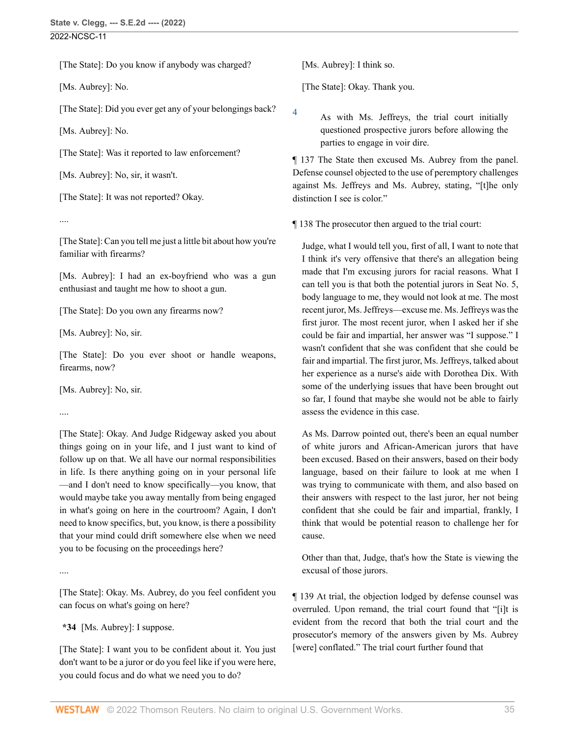[The State]: Do you know if anybody was charged?

[Ms. Aubrey]: No.

[The State]: Did you ever get any of your belongings back?

[Ms. Aubrey]: No.

[The State]: Was it reported to law enforcement?

[Ms. Aubrey]: No, sir, it wasn't.

[The State]: It was not reported? Okay.

....

[The State]: Can you tell me just a little bit about how you're familiar with firearms?

[Ms. Aubrey]: I had an ex-boyfriend who was a gun enthusiast and taught me how to shoot a gun.

[The State]: Do you own any firearms now?

[Ms. Aubrey]: No, sir.

[The State]: Do you ever shoot or handle weapons, firearms, now?

[Ms. Aubrey]: No, sir.

....

[The State]: Okay. And Judge Ridgeway asked you about things going on in your life, and I just want to kind of follow up on that. We all have our normal responsibilities in life. Is there anything going on in your personal life —and I don't need to know specifically—you know, that would maybe take you away mentally from being engaged in what's going on here in the courtroom? Again, I don't need to know specifics, but, you know, is there a possibility that your mind could drift somewhere else when we need you to be focusing on the proceedings here?

....

[The State]: Okay. Ms. Aubrey, do you feel confident you can focus on what's going on here?

**\*34** [Ms. Aubrey]: I suppose.

[The State]: I want you to be confident about it. You just don't want to be a juror or do you feel like if you were here, you could focus and do what we need you to do?

[Ms. Aubrey]: I think so.

[The State]: Okay. Thank you.

<span id="page-34-0"></span>[4](#page-33-2) As with Ms. Jeffreys, the trial court initially questioned prospective jurors before allowing the parties to engage in voir dire.

¶ 137 The State then excused Ms. Aubrey from the panel. Defense counsel objected to the use of peremptory challenges against Ms. Jeffreys and Ms. Aubrey, stating, "[t]he only distinction I see is color."

¶ 138 The prosecutor then argued to the trial court:

Judge, what I would tell you, first of all, I want to note that I think it's very offensive that there's an allegation being made that I'm excusing jurors for racial reasons. What I can tell you is that both the potential jurors in Seat No. 5, body language to me, they would not look at me. The most recent juror, Ms. Jeffreys—excuse me. Ms. Jeffreys was the first juror. The most recent juror, when I asked her if she could be fair and impartial, her answer was "I suppose." I wasn't confident that she was confident that she could be fair and impartial. The first juror, Ms. Jeffreys, talked about her experience as a nurse's aide with Dorothea Dix. With some of the underlying issues that have been brought out so far, I found that maybe she would not be able to fairly assess the evidence in this case.

As Ms. Darrow pointed out, there's been an equal number of white jurors and African-American jurors that have been excused. Based on their answers, based on their body language, based on their failure to look at me when I was trying to communicate with them, and also based on their answers with respect to the last juror, her not being confident that she could be fair and impartial, frankly, I think that would be potential reason to challenge her for cause.

Other than that, Judge, that's how the State is viewing the excusal of those jurors.

¶ 139 At trial, the objection lodged by defense counsel was overruled. Upon remand, the trial court found that "[i]t is evident from the record that both the trial court and the prosecutor's memory of the answers given by Ms. Aubrey [were] conflated." The trial court further found that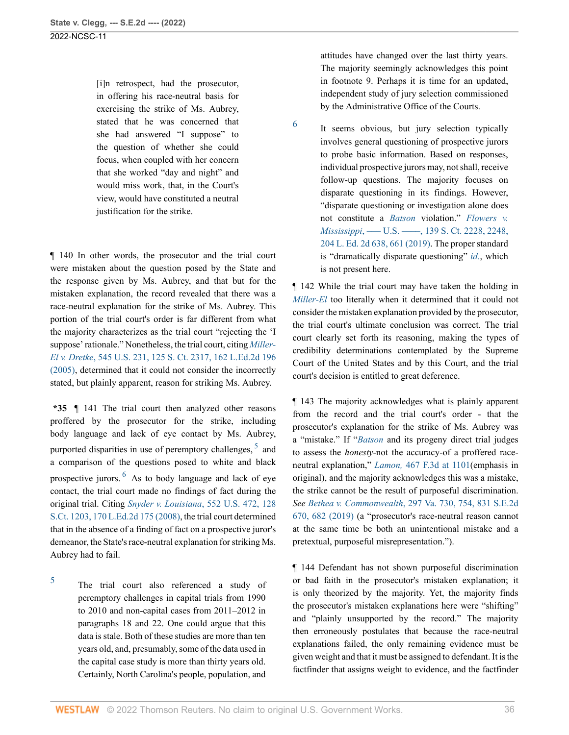[i]n retrospect, had the prosecutor, in offering his race-neutral basis for exercising the strike of Ms. Aubrey, stated that he was concerned that she had answered "I suppose" to the question of whether she could focus, when coupled with her concern that she worked "day and night" and would miss work, that, in the Court's view, would have constituted a neutral justification for the strike.

<span id="page-35-1"></span>[6](#page-35-3)

¶ 140 In other words, the prosecutor and the trial court were mistaken about the question posed by the State and the response given by Ms. Aubrey, and that but for the mistaken explanation, the record revealed that there was a race-neutral explanation for the strike of Ms. Aubrey. This portion of the trial court's order is far different from what the majority characterizes as the trial court "rejecting the 'I suppose' rationale." Nonetheless, the trial court, citing *[Miller-](http://www.westlaw.com/Link/Document/FullText?findType=Y&serNum=2006791870&pubNum=0000708&originatingDoc=Ie49697508b7d11ec9381ff4a09a81529&refType=RP&originationContext=document&vr=3.0&rs=cblt1.0&transitionType=DocumentItem&contextData=(sc.FindAndPrintPortal))El v. Dretke*[, 545 U.S. 231, 125 S. Ct. 2317, 162 L.Ed.2d 196](http://www.westlaw.com/Link/Document/FullText?findType=Y&serNum=2006791870&pubNum=0000708&originatingDoc=Ie49697508b7d11ec9381ff4a09a81529&refType=RP&originationContext=document&vr=3.0&rs=cblt1.0&transitionType=DocumentItem&contextData=(sc.FindAndPrintPortal)) [\(2005\),](http://www.westlaw.com/Link/Document/FullText?findType=Y&serNum=2006791870&pubNum=0000708&originatingDoc=Ie49697508b7d11ec9381ff4a09a81529&refType=RP&originationContext=document&vr=3.0&rs=cblt1.0&transitionType=DocumentItem&contextData=(sc.FindAndPrintPortal)) determined that it could not consider the incorrectly stated, but plainly apparent, reason for striking Ms. Aubrey.

<span id="page-35-3"></span>**\*35** ¶ 141 The trial court then analyzed other reasons proffered by the prosecutor for the strike, including body language and lack of eye contact by Ms. Aubrey, purported disparities in use of peremptory challenges,  $5$  and a comparison of the questions posed to white and black prospective jurors.  $6$  As to body language and lack of eye contact, the trial court made no findings of fact during the original trial. Citing *Snyder v. Louisiana*[, 552 U.S. 472, 128](http://www.westlaw.com/Link/Document/FullText?findType=Y&serNum=2015520672&pubNum=0000708&originatingDoc=Ie49697508b7d11ec9381ff4a09a81529&refType=RP&originationContext=document&vr=3.0&rs=cblt1.0&transitionType=DocumentItem&contextData=(sc.FindAndPrintPortal)) [S.Ct. 1203, 170 L.Ed.2d 175 \(2008\),](http://www.westlaw.com/Link/Document/FullText?findType=Y&serNum=2015520672&pubNum=0000708&originatingDoc=Ie49697508b7d11ec9381ff4a09a81529&refType=RP&originationContext=document&vr=3.0&rs=cblt1.0&transitionType=DocumentItem&contextData=(sc.FindAndPrintPortal)) the trial court determined that in the absence of a finding of fact on a prospective juror's demeanor, the State's race-neutral explanation for striking Ms. Aubrey had to fail.

<span id="page-35-0"></span>[5](#page-35-2)

The trial court also referenced a study of peremptory challenges in capital trials from 1990 to 2010 and non-capital cases from 2011–2012 in paragraphs 18 and 22. One could argue that this data is stale. Both of these studies are more than ten years old, and, presumably, some of the data used in the capital case study is more than thirty years old. Certainly, North Carolina's people, population, and attitudes have changed over the last thirty years. The majority seemingly acknowledges this point in footnote 9. Perhaps it is time for an updated, independent study of jury selection commissioned by the Administrative Office of the Courts.

It seems obvious, but jury selection typically involves general questioning of prospective jurors to probe basic information. Based on responses, individual prospective jurors may, not shall, receive follow-up questions. The majority focuses on disparate questioning in its findings. However, "disparate questioning or investigation alone does not constitute a *[Batson](http://www.westlaw.com/Link/Document/FullText?findType=Y&serNum=1986122459&pubNum=0000708&originatingDoc=Ie49697508b7d11ec9381ff4a09a81529&refType=RP&originationContext=document&vr=3.0&rs=cblt1.0&transitionType=DocumentItem&contextData=(sc.FindAndPrintPortal))* violation." *[Flowers v.](http://www.westlaw.com/Link/Document/FullText?findType=Y&serNum=2048538049&pubNum=0000708&originatingDoc=Ie49697508b7d11ec9381ff4a09a81529&refType=RP&fi=co_pp_sp_708_2248&originationContext=document&vr=3.0&rs=cblt1.0&transitionType=DocumentItem&contextData=(sc.FindAndPrintPortal)#co_pp_sp_708_2248) Mississippi*[, ––– U.S. ––––, 139 S. Ct. 2228, 2248,](http://www.westlaw.com/Link/Document/FullText?findType=Y&serNum=2048538049&pubNum=0000708&originatingDoc=Ie49697508b7d11ec9381ff4a09a81529&refType=RP&fi=co_pp_sp_708_2248&originationContext=document&vr=3.0&rs=cblt1.0&transitionType=DocumentItem&contextData=(sc.FindAndPrintPortal)#co_pp_sp_708_2248) [204 L. Ed. 2d 638, 661 \(2019\)](http://www.westlaw.com/Link/Document/FullText?findType=Y&serNum=2048538049&pubNum=0000708&originatingDoc=Ie49697508b7d11ec9381ff4a09a81529&refType=RP&fi=co_pp_sp_708_2248&originationContext=document&vr=3.0&rs=cblt1.0&transitionType=DocumentItem&contextData=(sc.FindAndPrintPortal)#co_pp_sp_708_2248). The proper standard is "dramatically disparate questioning" *[id.](http://www.westlaw.com/Link/Document/FullText?findType=Y&serNum=2048538049&pubNum=0000708&originatingDoc=Ie49697508b7d11ec9381ff4a09a81529&refType=RP&originationContext=document&vr=3.0&rs=cblt1.0&transitionType=DocumentItem&contextData=(sc.FindAndPrintPortal))*, which is not present here.

¶ 142 While the trial court may have taken the holding in *[Miller-El](http://www.westlaw.com/Link/Document/FullText?findType=Y&serNum=2006791870&pubNum=0000708&originatingDoc=Ie49697508b7d11ec9381ff4a09a81529&refType=RP&originationContext=document&vr=3.0&rs=cblt1.0&transitionType=DocumentItem&contextData=(sc.FindAndPrintPortal))* too literally when it determined that it could not consider the mistaken explanation provided by the prosecutor, the trial court's ultimate conclusion was correct. The trial court clearly set forth its reasoning, making the types of credibility determinations contemplated by the Supreme Court of the United States and by this Court, and the trial court's decision is entitled to great deference.

<span id="page-35-2"></span>¶ 143 The majority acknowledges what is plainly apparent from the record and the trial court's order - that the prosecutor's explanation for the strike of Ms. Aubrey was a "mistake." If "*[Batson](http://www.westlaw.com/Link/Document/FullText?findType=Y&serNum=1986122459&pubNum=0000708&originatingDoc=Ie49697508b7d11ec9381ff4a09a81529&refType=RP&originationContext=document&vr=3.0&rs=cblt1.0&transitionType=DocumentItem&contextData=(sc.FindAndPrintPortal))* and its progeny direct trial judges to assess the *honesty*-not the accuracy-of a proffered raceneutral explanation," *Lamon,* [467 F.3d at 1101](http://www.westlaw.com/Link/Document/FullText?findType=Y&serNum=2010602306&pubNum=0000506&originatingDoc=Ie49697508b7d11ec9381ff4a09a81529&refType=RP&fi=co_pp_sp_506_1101&originationContext=document&vr=3.0&rs=cblt1.0&transitionType=DocumentItem&contextData=(sc.FindAndPrintPortal)#co_pp_sp_506_1101)(emphasis in original), and the majority acknowledges this was a mistake, the strike cannot be the result of purposeful discrimination. *See Bethea v. Commonwealth*[, 297 Va. 730, 754, 831 S.E.2d](http://www.westlaw.com/Link/Document/FullText?findType=Y&serNum=2048993196&pubNum=0000711&originatingDoc=Ie49697508b7d11ec9381ff4a09a81529&refType=RP&fi=co_pp_sp_711_682&originationContext=document&vr=3.0&rs=cblt1.0&transitionType=DocumentItem&contextData=(sc.FindAndPrintPortal)#co_pp_sp_711_682) [670, 682 \(2019\)](http://www.westlaw.com/Link/Document/FullText?findType=Y&serNum=2048993196&pubNum=0000711&originatingDoc=Ie49697508b7d11ec9381ff4a09a81529&refType=RP&fi=co_pp_sp_711_682&originationContext=document&vr=3.0&rs=cblt1.0&transitionType=DocumentItem&contextData=(sc.FindAndPrintPortal)#co_pp_sp_711_682) (a "prosecutor's race-neutral reason cannot at the same time be both an unintentional mistake and a pretextual, purposeful misrepresentation.").

¶ 144 Defendant has not shown purposeful discrimination or bad faith in the prosecutor's mistaken explanation; it is only theorized by the majority. Yet, the majority finds the prosecutor's mistaken explanations here were "shifting" and "plainly unsupported by the record." The majority then erroneously postulates that because the race-neutral explanations failed, the only remaining evidence must be given weight and that it must be assigned to defendant. It is the factfinder that assigns weight to evidence, and the factfinder